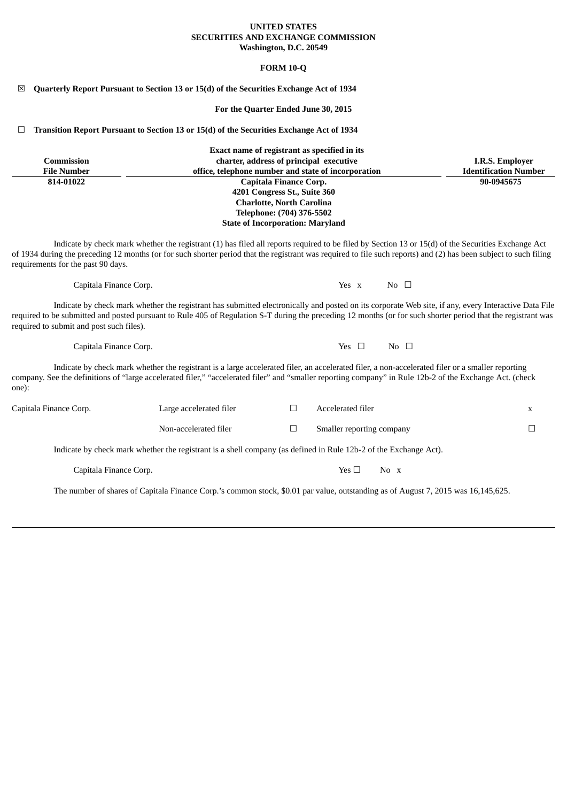## **UNITED STATES SECURITIES AND EXCHANGE COMMISSION Washington, D.C. 20549**

## **FORM 10-Q**

# ☒ **Quarterly Report Pursuant to Section 13 or 15(d) of the Securities Exchange Act of 1934**

**For the Quarter Ended June 30, 2015**

## ☐ **Transition Report Pursuant to Section 13 or 15(d) of the Securities Exchange Act of 1934**

|                    | Exact name of registrant as specified in its        |                              |
|--------------------|-----------------------------------------------------|------------------------------|
| Commission         | charter, address of principal executive             | I.R.S. Employer              |
| <b>File Number</b> | office, telephone number and state of incorporation | <b>Identification Number</b> |
| 814-01022          | <b>Capitala Finance Corp.</b>                       | 90-0945675                   |
|                    | 4201 Congress St., Suite 360                        |                              |
|                    | <b>Charlotte, North Carolina</b>                    |                              |
|                    | Telephone: (704) 376-5502                           |                              |
|                    | <b>State of Incorporation: Maryland</b>             |                              |
|                    |                                                     |                              |

Indicate by check mark whether the registrant (1) has filed all reports required to be filed by Section 13 or 15(d) of the Securities Exchange Act of 1934 during the preceding 12 months (or for such shorter period that the registrant was required to file such reports) and (2) has been subject to such filing requirements for the past 90 days.

Capitala Finance Corp.  $\Box$  Yes x No  $\Box$ 

Indicate by check mark whether the registrant has submitted electronically and posted on its corporate Web site, if any, every Interactive Data File required to be submitted and posted pursuant to Rule 405 of Regulation S-T during the preceding 12 months (or for such shorter period that the registrant was required to submit and post such files).

Capitala Finance Corp.  $\Box$  No □

Indicate by check mark whether the registrant is a large accelerated filer, an accelerated filer, a non-accelerated filer or a smaller reporting company. See the definitions of "large accelerated filer," "accelerated filer" and "smaller reporting company" in Rule 12b-2 of the Exchange Act. (check one):

| Capitala Finance Corp. | Large accelerated filer | Accelerated filer                                                                                                                 | X |
|------------------------|-------------------------|-----------------------------------------------------------------------------------------------------------------------------------|---|
|                        | Non-accelerated filer   | Smaller reporting company                                                                                                         |   |
|                        |                         | Indicate by check mark whether the registrant is a shell company (as defined in Rule 12b-2 of the Exchange Act).                  |   |
| Capitala Finance Corp. |                         | Yes $\Box$<br>No x                                                                                                                |   |
|                        |                         | The number of shares of Capitala Finance Corp.'s common stock, \$0.01 par value, outstanding as of August 7, 2015 was 16,145,625. |   |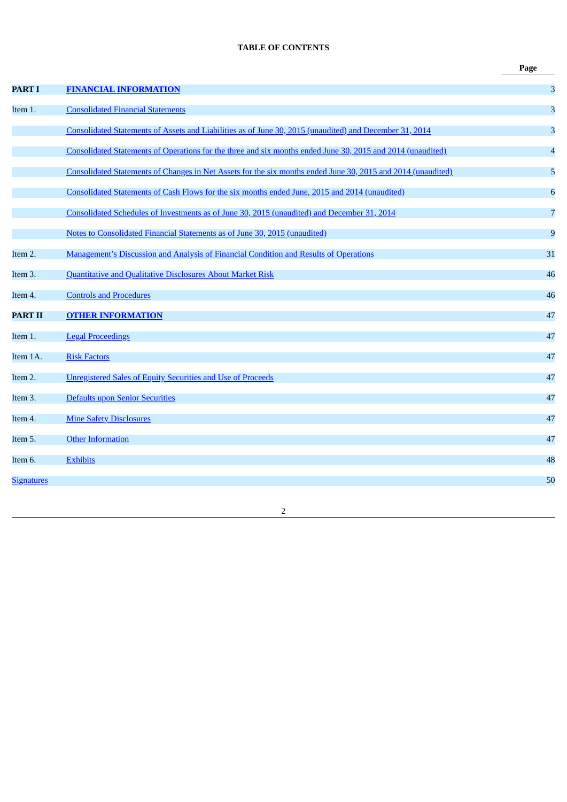# **TABLE OF CONTENTS**

|                   |                                                                                                              | Page             |
|-------------------|--------------------------------------------------------------------------------------------------------------|------------------|
| <b>PART I</b>     | <b>FINANCIAL INFORMATION</b>                                                                                 | 3                |
| Item 1.           | <b>Consolidated Financial Statements</b>                                                                     | 3                |
|                   | Consolidated Statements of Assets and Liabilities as of June 30, 2015 (unaudited) and December 31, 2014      | $\overline{3}$   |
|                   | Consolidated Statements of Operations for the three and six months ended June 30, 2015 and 2014 (unaudited)  | $\overline{4}$   |
|                   | Consolidated Statements of Changes in Net Assets for the six months ended June 30, 2015 and 2014 (unaudited) | 5                |
|                   | Consolidated Statements of Cash Flows for the six months ended June, 2015 and 2014 (unaudited)               | $\boldsymbol{6}$ |
|                   | Consolidated Schedules of Investments as of June 30, 2015 (unaudited) and December 31, 2014                  | 7                |
|                   | Notes to Consolidated Financial Statements as of June 30, 2015 (unaudited)                                   | 9                |
| Item 2.           | <b>Management's Discussion and Analysis of Financial Condition and Results of Operations</b>                 | 31               |
| Item 3.           | <b>Quantitative and Qualitative Disclosures About Market Risk</b>                                            | 46               |
| Item 4.           | <b>Controls and Procedures</b>                                                                               | 46               |
| <b>PART II</b>    | <b>OTHER INFORMATION</b>                                                                                     | 47               |
| Item 1.           | <b>Legal Proceedings</b>                                                                                     | 47               |
| Item 1A.          | <b>Risk Factors</b>                                                                                          | 47               |
| Item 2.           | <b>Unregistered Sales of Equity Securities and Use of Proceeds</b>                                           | 47               |
| Item 3.           | <b>Defaults upon Senior Securities</b>                                                                       | 47               |
| Item 4.           | <b>Mine Safety Disclosures</b>                                                                               | 47               |
| Item 5.           | <b>Other Information</b>                                                                                     | 47               |
| Item 6.           | <b>Exhibits</b>                                                                                              | 48               |
| <b>Signatures</b> |                                                                                                              | 50               |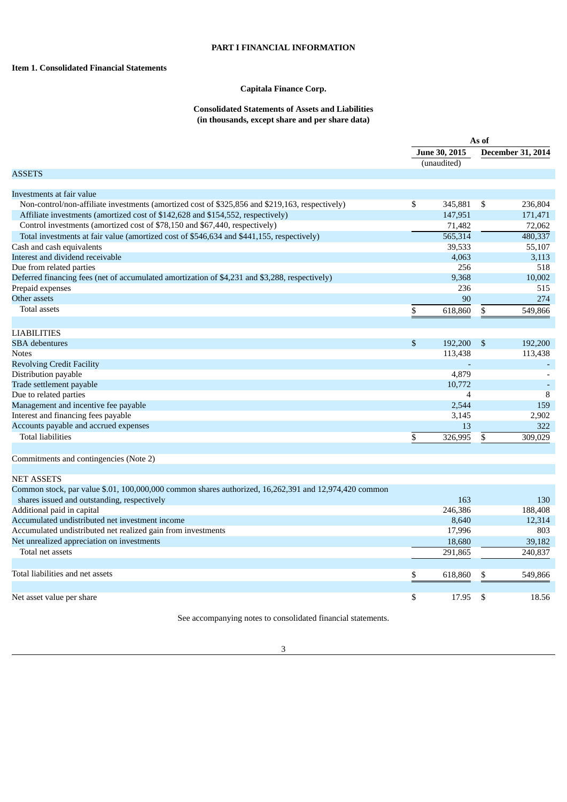# **PART I FINANCIAL INFORMATION**

# <span id="page-2-2"></span><span id="page-2-1"></span><span id="page-2-0"></span>**Item 1. Consolidated Financial Statements**

# **Capitala Finance Corp.**

## **Consolidated Statements of Assets and Liabilities (in thousands, except share and per share data)**

|                                                                                                       | <b>June 30, 2015</b><br>(unaudited)<br>\$<br>345,881<br>147,951<br>71,482<br>565,314<br>39,533<br>4,063<br>256<br>9,368<br>236<br>90<br>\$<br>618,860<br>\$<br>192,200<br>113,438<br>4,879<br>10,772<br>$\overline{4}$<br>2,544<br>3,145<br>13<br>\$<br>326,995 |                | As of          |                          |
|-------------------------------------------------------------------------------------------------------|-----------------------------------------------------------------------------------------------------------------------------------------------------------------------------------------------------------------------------------------------------------------|----------------|----------------|--------------------------|
|                                                                                                       |                                                                                                                                                                                                                                                                 |                |                | <b>December 31, 2014</b> |
|                                                                                                       |                                                                                                                                                                                                                                                                 |                |                |                          |
| <b>ASSETS</b>                                                                                         |                                                                                                                                                                                                                                                                 |                |                |                          |
| Investments at fair value                                                                             |                                                                                                                                                                                                                                                                 |                |                |                          |
| Non-control/non-affiliate investments (amortized cost of \$325,856 and \$219,163, respectively)       |                                                                                                                                                                                                                                                                 |                | \$             | 236,804                  |
| Affiliate investments (amortized cost of \$142,628 and \$154,552, respectively)                       |                                                                                                                                                                                                                                                                 |                |                | 171,471                  |
| Control investments (amortized cost of \$78,150 and \$67,440, respectively)                           |                                                                                                                                                                                                                                                                 |                |                | 72,062                   |
| Total investments at fair value (amortized cost of \$546,634 and \$441,155, respectively)             |                                                                                                                                                                                                                                                                 |                |                | 480,337                  |
| Cash and cash equivalents                                                                             |                                                                                                                                                                                                                                                                 |                |                | 55,107                   |
| Interest and dividend receivable                                                                      |                                                                                                                                                                                                                                                                 |                |                | 3,113                    |
| Due from related parties                                                                              |                                                                                                                                                                                                                                                                 |                |                | 518                      |
| Deferred financing fees (net of accumulated amortization of \$4,231 and \$3,288, respectively)        |                                                                                                                                                                                                                                                                 |                |                | 10,002                   |
| Prepaid expenses                                                                                      |                                                                                                                                                                                                                                                                 |                |                | 515                      |
| Other assets                                                                                          |                                                                                                                                                                                                                                                                 |                |                | 274                      |
| <b>Total assets</b>                                                                                   |                                                                                                                                                                                                                                                                 |                | \$             | 549,866                  |
|                                                                                                       |                                                                                                                                                                                                                                                                 |                |                |                          |
| <b>LIABILITIES</b>                                                                                    |                                                                                                                                                                                                                                                                 |                |                |                          |
| <b>SBA</b> debentures                                                                                 |                                                                                                                                                                                                                                                                 |                | $\mathfrak{s}$ | 192,200                  |
| <b>Notes</b>                                                                                          |                                                                                                                                                                                                                                                                 |                |                | 113,438                  |
| <b>Revolving Credit Facility</b>                                                                      |                                                                                                                                                                                                                                                                 |                |                |                          |
| Distribution payable                                                                                  |                                                                                                                                                                                                                                                                 |                |                |                          |
| Trade settlement payable                                                                              |                                                                                                                                                                                                                                                                 |                |                |                          |
| Due to related parties                                                                                |                                                                                                                                                                                                                                                                 |                |                | 8                        |
| Management and incentive fee payable                                                                  |                                                                                                                                                                                                                                                                 |                |                | 159<br>2,902             |
| Interest and financing fees payable<br>Accounts payable and accrued expenses                          |                                                                                                                                                                                                                                                                 |                |                |                          |
| <b>Total liabilities</b>                                                                              |                                                                                                                                                                                                                                                                 |                |                | 322                      |
|                                                                                                       |                                                                                                                                                                                                                                                                 |                | \$             | 309,029                  |
| Commitments and contingencies (Note 2)                                                                |                                                                                                                                                                                                                                                                 |                |                |                          |
|                                                                                                       |                                                                                                                                                                                                                                                                 |                |                |                          |
| <b>NET ASSETS</b>                                                                                     |                                                                                                                                                                                                                                                                 |                |                |                          |
| Common stock, par value \$.01, 100,000,000 common shares authorized, 16,262,391 and 12,974,420 common |                                                                                                                                                                                                                                                                 |                |                |                          |
| shares issued and outstanding, respectively                                                           |                                                                                                                                                                                                                                                                 | 163<br>246,386 |                | 130                      |
| Additional paid in capital<br>Accumulated undistributed net investment income                         |                                                                                                                                                                                                                                                                 | 8,640          |                | 188,408<br>12,314        |
| Accumulated undistributed net realized gain from investments                                          |                                                                                                                                                                                                                                                                 | 17,996         |                | 803                      |
| Net unrealized appreciation on investments                                                            |                                                                                                                                                                                                                                                                 | 18,680         |                | 39,182                   |
| Total net assets                                                                                      |                                                                                                                                                                                                                                                                 | 291,865        |                | 240,837                  |
|                                                                                                       |                                                                                                                                                                                                                                                                 |                |                |                          |
| Total liabilities and net assets                                                                      | \$                                                                                                                                                                                                                                                              | 618,860        | \$             | 549,866                  |
| Net asset value per share                                                                             | \$                                                                                                                                                                                                                                                              | 17.95          | -S             | 18.56                    |
|                                                                                                       |                                                                                                                                                                                                                                                                 |                |                |                          |

See accompanying notes to consolidated financial statements.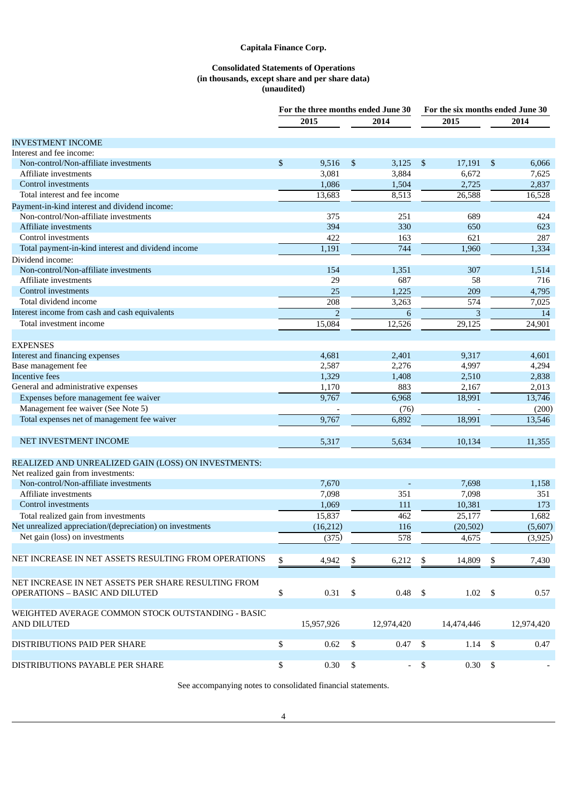## **Consolidated Statements of Operations (in thousands, except share and per share data) (unaudited)**

<span id="page-3-0"></span>

|                                                                                              | For the three months ended June 30 |              |                                 |              | For the six months ended June 30 |              |
|----------------------------------------------------------------------------------------------|------------------------------------|--------------|---------------------------------|--------------|----------------------------------|--------------|
|                                                                                              | 2015                               |              | 2014                            |              | 2015                             | 2014         |
| <b>INVESTMENT INCOME</b>                                                                     |                                    |              |                                 |              |                                  |              |
| Interest and fee income:                                                                     |                                    |              |                                 |              |                                  |              |
| Non-control/Non-affiliate investments                                                        | \$<br>9,516                        | \$           | 3,125                           | \$           | 17,191                           | \$<br>6,066  |
| Affiliate investments                                                                        | 3,081                              |              | 3,884                           |              | 6,672                            | 7,625        |
| Control investments                                                                          | 1,086                              |              | 1,504                           |              | 2,725                            | 2,837        |
| Total interest and fee income                                                                | 13,683                             |              | 8,513                           |              | 26,588                           | 16,528       |
| Payment-in-kind interest and dividend income:                                                |                                    |              |                                 |              |                                  |              |
| Non-control/Non-affiliate investments                                                        | 375                                |              | 251                             |              | 689                              | 424          |
| Affiliate investments                                                                        | 394                                |              | 330                             |              | 650                              | 623          |
| Control investments                                                                          | 422                                |              | 163                             |              | 621                              | 287          |
| Total payment-in-kind interest and dividend income                                           | 1,191                              |              | 744                             |              | 1,960                            | 1,334        |
|                                                                                              |                                    |              |                                 |              |                                  |              |
| Dividend income:<br>Non-control/Non-affiliate investments                                    | 154                                |              |                                 |              | 307                              |              |
| Affiliate investments                                                                        | 29                                 |              | 1,351<br>687                    |              | 58                               | 1,514<br>716 |
| Control investments                                                                          |                                    |              |                                 |              |                                  |              |
| Total dividend income                                                                        | 25                                 |              | 1,225                           |              | 209                              | 4,795        |
|                                                                                              | 208                                |              | 3,263                           |              | 574                              | 7,025        |
| Interest income from cash and cash equivalents                                               | $\overline{2}$                     |              | 6                               |              | 3                                | 14           |
| Total investment income                                                                      | 15,084                             |              | 12,526                          |              | 29,125                           | 24,901       |
|                                                                                              |                                    |              |                                 |              |                                  |              |
| <b>EXPENSES</b>                                                                              |                                    |              |                                 |              |                                  |              |
| Interest and financing expenses                                                              | 4,681                              |              | 2,401                           |              | 9,317                            | 4,601        |
| Base management fee                                                                          | 2,587                              |              | 2,276                           |              | 4,997                            | 4,294        |
| <b>Incentive fees</b>                                                                        | 1,329                              |              | 1,408                           |              | 2,510                            | 2,838        |
| General and administrative expenses                                                          | 1,170                              |              | 883                             |              | 2,167                            | 2,013        |
| Expenses before management fee waiver                                                        | 9,767                              |              | 6,968                           |              | 18,991                           | 13,746       |
| Management fee waiver (See Note 5)                                                           |                                    |              | (76)                            |              |                                  | (200)        |
| Total expenses net of management fee waiver                                                  | 9,767                              |              | 6,892                           |              | 18,991                           | 13,546       |
| NET INVESTMENT INCOME                                                                        | 5,317                              |              | 5,634                           |              | 10,134                           | 11,355       |
|                                                                                              |                                    |              |                                 |              |                                  |              |
| REALIZED AND UNREALIZED GAIN (LOSS) ON INVESTMENTS:                                          |                                    |              |                                 |              |                                  |              |
| Net realized gain from investments:                                                          |                                    |              |                                 |              |                                  |              |
| Non-control/Non-affiliate investments<br>Affiliate investments                               | 7,670<br>7,098                     |              | $\overline{\phantom{a}}$<br>351 |              | 7,698<br>7,098                   | 1,158<br>351 |
| Control investments                                                                          |                                    |              |                                 |              |                                  |              |
|                                                                                              | 1,069                              |              | 111                             |              | 10,381                           | 173          |
| Total realized gain from investments                                                         | 15,837                             |              | 462                             |              | 25,177                           | 1,682        |
| Net unrealized appreciation/(depreciation) on investments                                    | (16,212)                           |              | 116                             |              | (20, 502)                        | (5,607)      |
| Net gain (loss) on investments                                                               | (375)                              |              | 578                             |              | 4,675                            | (3,925)      |
| NET INCREASE IN NET ASSETS RESULTING FROM OPERATIONS                                         | \$<br>4,942                        | \$           | 6,212                           | \$           | 14,809                           | \$<br>7,430  |
| NET INCREASE IN NET ASSETS PER SHARE RESULTING FROM<br><b>OPERATIONS - BASIC AND DILUTED</b> | \$<br>0.31                         | \$           | 0.48                            | - \$         | $1.02 \quad$ \$                  | 0.57         |
| WEIGHTED AVERAGE COMMON STOCK OUTSTANDING - BASIC<br>AND DILUTED                             | 15,957,926                         |              | 12,974,420                      |              | 14,474,446                       | 12,974,420   |
| DISTRIBUTIONS PAID PER SHARE                                                                 | \$<br>0.62                         | \$           | $0.47$ \$                       |              | $1.14$ \$                        | 0.47         |
| DISTRIBUTIONS PAYABLE PER SHARE                                                              | \$<br>0.30                         | $\mathbb{S}$ | $\overline{\phantom{a}}$        | $\mathbb{S}$ | $0.30\  \  \, $$                 |              |

See accompanying notes to consolidated financial statements.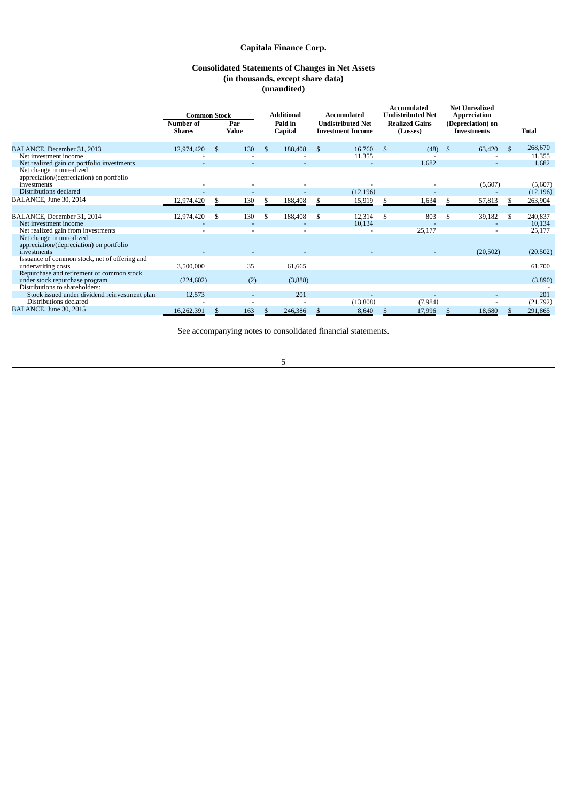## **Consolidated Statements of Changes in Net Assets (in thousands, except share data) (unaudited)**

<span id="page-4-0"></span>

|                                                                                     | <b>Common Stock</b><br>Number of<br><b>Shares</b> |    | Par<br>Value | Additional<br>Paid in<br>Capital |    | Accumulated<br><b>Undistributed Net</b><br><b>Investment Income</b> |    | <b>Accumulated</b><br>Undistributed Net<br><b>Realized Gains</b><br>(Losses) |               | <b>Net Unrealized</b><br><b>Appreciation</b><br>(Depreciation) on<br><b>Investments</b> |               | <b>Total</b> |
|-------------------------------------------------------------------------------------|---------------------------------------------------|----|--------------|----------------------------------|----|---------------------------------------------------------------------|----|------------------------------------------------------------------------------|---------------|-----------------------------------------------------------------------------------------|---------------|--------------|
| BALANCE, December 31, 2013                                                          | 12,974,420                                        | \$ | 130          | \$<br>188,408                    | -S | 16,760                                                              | \$ | (48)                                                                         | <sup>\$</sup> | 63,420                                                                                  | <sup>\$</sup> | 268,670      |
| Net investment income                                                               |                                                   |    |              |                                  |    | 11,355                                                              |    |                                                                              |               |                                                                                         |               | 11,355       |
| Net realized gain on portfolio investments                                          |                                                   |    |              |                                  |    |                                                                     |    | 1,682                                                                        |               |                                                                                         |               | 1,682        |
| Net change in unrealized<br>appreciation/(depreciation) on portfolio<br>investments |                                                   |    |              |                                  |    |                                                                     |    |                                                                              |               | (5,607)                                                                                 |               | (5,607)      |
| Distributions declared                                                              |                                                   |    |              |                                  |    | (12, 196)                                                           |    |                                                                              |               |                                                                                         |               | (12, 196)    |
| BALANCE, June 30, 2014                                                              | 12,974,420                                        | \$ | 130          | \$<br>188,408                    | S  | 15,919                                                              |    | 1,634                                                                        | \$            | 57,813                                                                                  |               | 263,904      |
|                                                                                     |                                                   |    |              |                                  |    |                                                                     |    |                                                                              |               |                                                                                         |               |              |
| BALANCE, December 31, 2014                                                          | 12,974,420                                        | \$ | 130          | \$<br>188,408                    | \$ | 12,314                                                              | \$ | 803                                                                          | \$            | 39,182                                                                                  | -S            | 240,837      |
| Net investment income                                                               |                                                   |    | $\sim$       |                                  |    | 10,134                                                              |    |                                                                              |               |                                                                                         |               | 10,134       |
| Net realized gain from investments                                                  |                                                   |    |              |                                  |    |                                                                     |    | 25,177                                                                       |               |                                                                                         |               | 25,177       |
| Net change in unrealized<br>appreciation/(depreciation) on portfolio<br>investments |                                                   |    |              |                                  |    |                                                                     |    |                                                                              |               | (20, 502)                                                                               |               | (20, 502)    |
| Issuance of common stock, net of offering and<br>underwriting costs                 | 3,500,000                                         |    | 35           | 61,665                           |    |                                                                     |    |                                                                              |               |                                                                                         |               | 61,700       |
| Repurchase and retirement of common stock<br>under stock repurchase program         | (224, 602)                                        |    | (2)          | (3,888)                          |    |                                                                     |    |                                                                              |               |                                                                                         |               | (3,890)      |
| Distributions to shareholders:                                                      |                                                   |    |              |                                  |    |                                                                     |    |                                                                              |               |                                                                                         |               |              |
| Stock issued under dividend reinvestment plan                                       | 12,573                                            |    | ٠            | 201                              |    | $\overline{\phantom{0}}$                                            |    |                                                                              |               |                                                                                         |               | 201          |
| Distributions declared                                                              |                                                   |    |              |                                  |    | (13, 808)                                                           |    | (7,984)                                                                      |               |                                                                                         |               | (21,792)     |
| BALANCE, June 30, 2015                                                              | 16,262,391                                        | S  | 163          | \$<br>246,386                    | S  | 8,640                                                               | S  | 17,996                                                                       | S             | 18,680                                                                                  | \$            | 291,865      |

See accompanying notes to consolidated financial statements.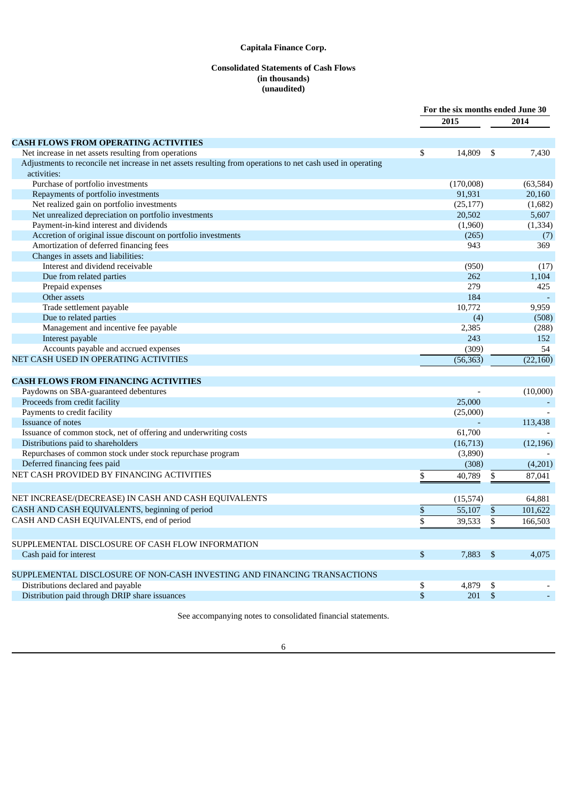## **Consolidated Statements of Cash Flows (in thousands) (unaudited)**

<span id="page-5-0"></span>

|                                                                                                             | For the six months ended June 30 |           |    |           |
|-------------------------------------------------------------------------------------------------------------|----------------------------------|-----------|----|-----------|
|                                                                                                             |                                  | 2015      |    | 2014      |
| <b>CASH FLOWS FROM OPERATING ACTIVITIES</b>                                                                 |                                  |           |    |           |
| Net increase in net assets resulting from operations                                                        | \$                               | 14,809    | \$ | 7,430     |
| Adjustments to reconcile net increase in net assets resulting from operations to net cash used in operating |                                  |           |    |           |
| activities:                                                                                                 |                                  |           |    |           |
| Purchase of portfolio investments                                                                           |                                  | (170,008) |    | (63, 584) |
| Repayments of portfolio investments                                                                         |                                  | 91,931    |    | 20,160    |
| Net realized gain on portfolio investments                                                                  |                                  | (25, 177) |    | (1,682)   |
| Net unrealized depreciation on portfolio investments                                                        |                                  | 20,502    |    | 5,607     |
| Payment-in-kind interest and dividends                                                                      |                                  | (1,960)   |    | (1, 334)  |
| Accretion of original issue discount on portfolio investments                                               |                                  | (265)     |    | (7)       |
| Amortization of deferred financing fees                                                                     |                                  | 943       |    | 369       |
| Changes in assets and liabilities:                                                                          |                                  |           |    |           |
| Interest and dividend receivable                                                                            |                                  | (950)     |    | (17)      |
| Due from related parties                                                                                    |                                  | 262       |    | 1,104     |
| Prepaid expenses                                                                                            |                                  | 279       |    | 425       |
| Other assets                                                                                                |                                  | 184       |    |           |
| Trade settlement payable                                                                                    |                                  | 10,772    |    | 9,959     |
| Due to related parties                                                                                      |                                  | (4)       |    | (508)     |
| Management and incentive fee payable                                                                        |                                  | 2,385     |    | (288)     |
| Interest payable                                                                                            |                                  | 243       |    | 152       |
| Accounts payable and accrued expenses                                                                       |                                  | (309)     |    | 54        |
| NET CASH USED IN OPERATING ACTIVITIES                                                                       |                                  | (56, 363) |    | (22, 160) |
| <b>CASH FLOWS FROM FINANCING ACTIVITIES</b>                                                                 |                                  |           |    |           |
| Paydowns on SBA-guaranteed debentures                                                                       |                                  |           |    | (10,000)  |
| Proceeds from credit facility                                                                               |                                  | 25,000    |    |           |
| Payments to credit facility                                                                                 |                                  | (25,000)  |    |           |
| Issuance of notes                                                                                           |                                  |           |    | 113,438   |
| Issuance of common stock, net of offering and underwriting costs                                            |                                  | 61,700    |    |           |
| Distributions paid to shareholders                                                                          |                                  | (16, 713) |    | (12, 196) |
| Repurchases of common stock under stock repurchase program                                                  |                                  | (3,890)   |    |           |
| Deferred financing fees paid                                                                                |                                  | (308)     |    | (4,201)   |
| NET CASH PROVIDED BY FINANCING ACTIVITIES                                                                   |                                  |           |    |           |
|                                                                                                             | \$                               | 40,789    | \$ | 87,041    |
| NET INCREASE/(DECREASE) IN CASH AND CASH EQUIVALENTS                                                        |                                  | (15, 574) |    | 64,881    |
| CASH AND CASH EQUIVALENTS, beginning of period                                                              | \$                               | 55,107    | \$ | 101,622   |
| CASH AND CASH EQUIVALENTS, end of period                                                                    | \$                               | 39,533    | \$ | 166,503   |
| SUPPLEMENTAL DISCLOSURE OF CASH FLOW INFORMATION                                                            |                                  |           |    |           |
|                                                                                                             |                                  | 7,883 \$  |    |           |
| Cash paid for interest                                                                                      | \$                               |           |    | 4,075     |
| SUPPLEMENTAL DISCLOSURE OF NON-CASH INVESTING AND FINANCING TRANSACTIONS                                    |                                  |           |    |           |
| Distributions declared and payable                                                                          | \$                               | 4,879 \$  |    |           |
| Distribution paid through DRIP share issuances                                                              | $\mathbb{S}$                     | $201 \t$$ |    |           |

See accompanying notes to consolidated financial statements.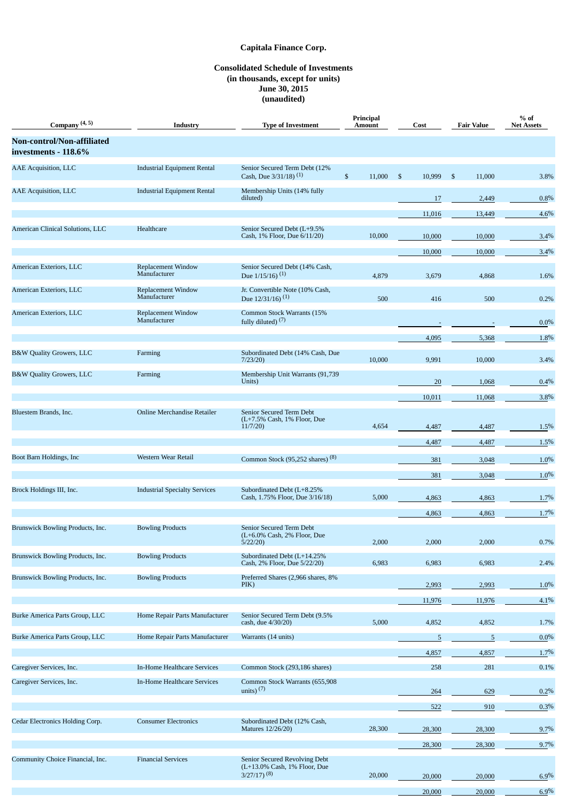## **Consolidated Schedule of Investments (in thousands, except for units) June 30, 2015 (unaudited)**

<span id="page-6-0"></span>

| Company $(4, 5)$                                   | <b>Industry</b>                           | <b>Type of Investment</b>                                                                    | Principal<br><b>Amount</b> | Cost                   | <b>Fair Value</b>      | $%$ of<br><b>Net Assets</b> |
|----------------------------------------------------|-------------------------------------------|----------------------------------------------------------------------------------------------|----------------------------|------------------------|------------------------|-----------------------------|
| Non-control/Non-affiliated<br>investments - 118.6% |                                           |                                                                                              |                            |                        |                        |                             |
| AAE Acquisition, LLC                               | <b>Industrial Equipment Rental</b>        | Senior Secured Term Debt (12%<br>Cash, Due 3/31/18) <sup>(1)</sup>                           | \$<br>11,000               | $\mathbb{S}$<br>10,999 | $\mathbb{S}$<br>11,000 | 3.8%                        |
| AAE Acquisition, LLC                               | <b>Industrial Equipment Rental</b>        | Membership Units (14% fully<br>diluted)                                                      |                            | 17                     | 2,449                  | 0.8%                        |
|                                                    |                                           |                                                                                              |                            | 11,016                 | 13,449                 | 4.6%                        |
| American Clinical Solutions, LLC                   | Healthcare                                | Senior Secured Debt (L+9.5%<br>Cash, 1% Floor, Due 6/11/20)                                  | 10,000                     | 10,000                 | 10,000                 | 3.4%                        |
|                                                    |                                           |                                                                                              |                            | 10,000                 | 10,000                 | 3.4%                        |
| American Exteriors, LLC                            | <b>Replacement Window</b><br>Manufacturer | Senior Secured Debt (14% Cash,<br>Due $1/15/16$ <sup>(1)</sup>                               | 4,879                      | 3,679                  | 4,868                  | 1.6%                        |
| American Exteriors, LLC                            | Replacement Window<br>Manufacturer        | Jr. Convertible Note (10% Cash,<br>Due $12/31/16$ ) <sup>(1)</sup>                           | 500                        | 416                    | 500                    | 0.2%                        |
| American Exteriors, LLC                            | <b>Replacement Window</b><br>Manufacturer | Common Stock Warrants (15%<br>fully diluted) $(7)$                                           |                            |                        |                        | $0.0\%$                     |
|                                                    |                                           |                                                                                              |                            | 4,095                  | 5,368                  | 1.8%                        |
| B&W Quality Growers, LLC                           | Farming                                   | Subordinated Debt (14% Cash, Due<br>7/23/20                                                  | 10,000                     | 9,991                  | 10,000                 | 3.4%                        |
| B&W Quality Growers, LLC                           | Farming                                   | Membership Unit Warrants (91,739<br>Units)                                                   |                            | 20                     | 1,068                  | 0.4%                        |
|                                                    |                                           |                                                                                              |                            | 10,011                 | 11,068                 | 3.8%                        |
| Bluestem Brands, Inc.                              | Online Merchandise Retailer               | Senior Secured Term Debt<br>$(L+7.5\%$ Cash, 1% Floor, Due<br>11/7/20                        | 4,654                      | 4,487                  | 4,487                  | 1.5%                        |
|                                                    |                                           |                                                                                              |                            | 4,487                  | 4,487                  | 1.5%                        |
| Boot Barn Holdings, Inc                            | Western Wear Retail                       | Common Stock $(95,252 \text{ shares})$ (8)                                                   |                            | 381                    | 3,048                  | 1.0%                        |
|                                                    |                                           |                                                                                              |                            | 381                    | 3,048                  | 1.0%                        |
| Brock Holdings III, Inc.                           | <b>Industrial Specialty Services</b>      | Subordinated Debt (L+8.25%<br>Cash, 1.75% Floor, Due 3/16/18)                                | 5,000                      | 4,863                  | 4,863                  | 1.7%                        |
|                                                    |                                           |                                                                                              |                            | 4,863                  | 4,863                  | 1.7%                        |
| Brunswick Bowling Products, Inc.                   | <b>Bowling Products</b>                   | Senior Secured Term Debt<br>$(L+6.0\%$ Cash, 2% Floor, Due<br>5/22/20                        | 2,000                      | 2,000                  | 2,000                  | 0.7%                        |
| Brunswick Bowling Products, Inc.                   | <b>Bowling Products</b>                   | Subordinated Debt (L+14.25%<br>Cash, 2% Floor, Due 5/22/20)                                  | 6,983                      | 6,983                  | 6,983                  | 2.4%                        |
| Brunswick Bowling Products, Inc.                   | <b>Bowling Products</b>                   | Preferred Shares (2,966 shares, 8%<br>PIK)                                                   |                            | 2,993                  | 2,993                  | 1.0%                        |
|                                                    |                                           |                                                                                              |                            | 11,976                 | 11,976                 | 4.1%                        |
| Burke America Parts Group, LLC                     | Home Repair Parts Manufacturer            | Senior Secured Term Debt (9.5%<br>cash, due 4/30/20)                                         | 5,000                      | 4,852                  | 4,852                  | 1.7%                        |
| Burke America Parts Group, LLC                     | Home Repair Parts Manufacturer            | Warrants (14 units)                                                                          |                            | 5                      | 5                      | $0.0\%$                     |
|                                                    |                                           |                                                                                              |                            | 4,857                  | 4,857                  | 1.7%                        |
| Caregiver Services, Inc.                           | <b>In-Home Healthcare Services</b>        | Common Stock (293,186 shares)                                                                |                            | 258                    | 281                    | 0.1%                        |
| Caregiver Services, Inc.                           | <b>In-Home Healthcare Services</b>        | Common Stock Warrants (655,908<br>units) $(7)$                                               |                            | 264                    | 629                    | 0.2%                        |
|                                                    |                                           |                                                                                              |                            | 522                    | 910                    | 0.3%                        |
| Cedar Electronics Holding Corp.                    | <b>Consumer Electronics</b>               | Subordinated Debt (12% Cash,<br>Matures 12/26/20)                                            | 28,300                     | 28,300                 | 28,300                 | 9.7%                        |
|                                                    |                                           |                                                                                              |                            | 28,300                 | 28,300                 | 9.7%                        |
| Community Choice Financial, Inc.                   | <b>Financial Services</b>                 | Senior Secured Revolving Debt<br>$(L+13.0\%$ Cash, 1% Floor, Due<br>$3/27/17$ <sup>(8)</sup> |                            |                        |                        |                             |
|                                                    |                                           |                                                                                              | 20,000                     | 20,000<br>20,000       | 20,000<br>20,000       | 6.9%<br>6.9%                |
|                                                    |                                           |                                                                                              |                            |                        |                        |                             |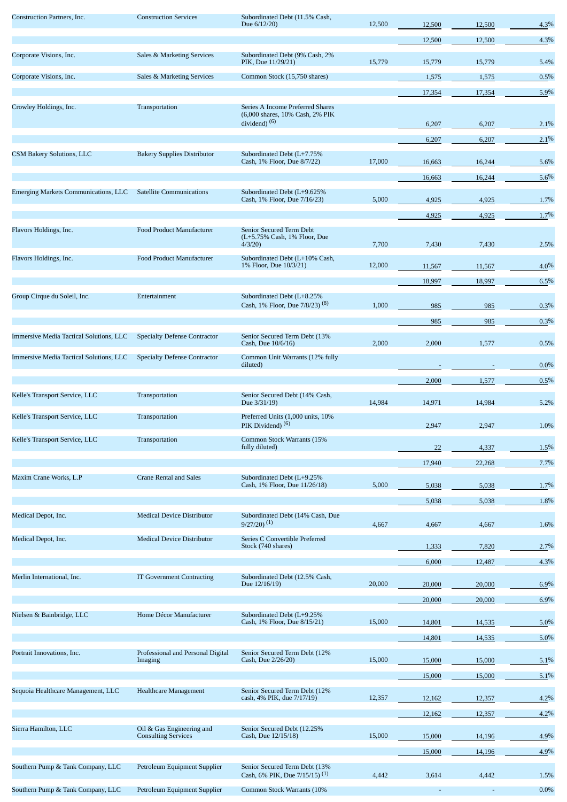| Construction Partners, Inc.                 | <b>Construction Services</b>                            | Subordinated Debt (11.5% Cash,<br>Due 6/12/20)                          | 12,500 | 12,500                            | 12,500                  | 4.3%         |
|---------------------------------------------|---------------------------------------------------------|-------------------------------------------------------------------------|--------|-----------------------------------|-------------------------|--------------|
|                                             |                                                         |                                                                         |        | 12,500                            | 12,500                  | 4.3%         |
| Corporate Visions, Inc.                     | Sales & Marketing Services                              | Subordinated Debt (9% Cash, 2%<br>PIK, Due 11/29/21)                    | 15,779 | 15,779                            | 15,779                  | 5.4%         |
| Corporate Visions, Inc.                     | Sales & Marketing Services                              | Common Stock (15,750 shares)                                            |        | 1,575                             | 1,575                   | 0.5%         |
|                                             |                                                         |                                                                         |        | 17,354                            | 17,354                  | 5.9%         |
| Crowley Holdings, Inc.                      | Transportation                                          | Series A Income Preferred Shares<br>(6,000 shares, 10% Cash, 2% PIK     |        |                                   |                         |              |
|                                             |                                                         | dividend) $(6)$                                                         |        | 6,207                             | 6,207                   | 2.1%         |
|                                             |                                                         |                                                                         |        | 6,207                             | 6,207                   | 2.1%         |
| CSM Bakery Solutions, LLC                   | <b>Bakery Supplies Distributor</b>                      | Subordinated Debt (L+7.75%<br>Cash, 1% Floor, Due 8/7/22)               | 17,000 | 16,663                            | 16,244                  | 5.6%         |
|                                             |                                                         |                                                                         |        | 16,663                            | 16,244                  | 5.6%         |
| <b>Emerging Markets Communications, LLC</b> | <b>Satellite Communications</b>                         | Subordinated Debt $(L+9.625\%)$<br>Cash, 1% Floor, Due 7/16/23)         | 5,000  | 4,925                             | 4,925                   | 1.7%         |
|                                             |                                                         |                                                                         |        | 4,925                             | 4,925                   | 1.7%         |
| Flavors Holdings, Inc.                      | Food Product Manufacturer                               | Senior Secured Term Debt                                                |        |                                   |                         |              |
|                                             |                                                         | (L+5.75% Cash, 1% Floor, Due<br>4/3/20                                  | 7,700  | 7,430                             | 7,430                   | 2.5%         |
| Flavors Holdings, Inc.                      | Food Product Manufacturer                               | Subordinated Debt (L+10% Cash,<br>1% Floor, Due 10/3/21)                | 12,000 | 11,567                            | 11,567                  | 4.0%         |
|                                             |                                                         |                                                                         |        | 18,997                            | 18,997                  | 6.5%         |
| Group Cirque du Soleil, Inc.                | Entertainment                                           | Subordinated Debt (L+8.25%                                              |        |                                   |                         |              |
|                                             |                                                         | Cash, 1% Floor, Due 7/8/23) <sup>(8)</sup>                              | 1,000  | 985                               | 985                     | 0.3%         |
| Immersive Media Tactical Solutions, LLC     | <b>Specialty Defense Contractor</b>                     | Senior Secured Term Debt (13%                                           |        | 985                               | 985                     | 0.3%         |
|                                             |                                                         | Cash, Due 10/6/16)                                                      | 2,000  | 2,000                             | 1,577                   | 0.5%         |
| Immersive Media Tactical Solutions, LLC     | <b>Specialty Defense Contractor</b>                     | Common Unit Warrants (12% fully<br>diluted)                             |        |                                   |                         | $0.0\%$      |
|                                             |                                                         |                                                                         |        | 2,000                             | 1,577                   | 0.5%         |
| Kelle's Transport Service, LLC              | Transportation                                          | Senior Secured Debt (14% Cash,<br>Due 3/31/19)                          | 14,984 | 14,971                            | 14,984                  | 5.2%         |
| Kelle's Transport Service, LLC              | Transportation                                          | Preferred Units (1,000 units, 10%                                       |        |                                   |                         |              |
| Kelle's Transport Service, LLC              | Transportation                                          | PIK Dividend) $(6)$<br>Common Stock Warrants (15%                       |        | 2,947                             | 2,947                   | 1.0%         |
|                                             |                                                         | fully diluted)                                                          |        | 22                                | 4,337                   | 1.5%         |
|                                             |                                                         |                                                                         |        | 17,940                            | 22,268                  | 7.7%         |
| Maxim Crane Works, L.P                      | <b>Crane Rental and Sales</b>                           | Subordinated Debt (L+9.25%<br>Cash, 1% Floor, Due 11/26/18)             | 5,000  | 5,038                             | 5,038                   | 1.7%         |
|                                             |                                                         |                                                                         |        | 5,038                             | 5,038                   | 1.8%         |
| Medical Depot, Inc.                         | <b>Medical Device Distributor</b>                       | Subordinated Debt (14% Cash, Due<br>$9/27/20$ ) <sup>(1)</sup>          | 4,667  | 4,667                             | 4,667                   | 1.6%         |
| Medical Depot, Inc.                         | <b>Medical Device Distributor</b>                       | Series C Convertible Preferred<br>Stock (740 shares)                    |        | 1,333                             | 7,820                   | 2.7%         |
|                                             |                                                         |                                                                         |        | 6,000                             | 12,487                  | 4.3%         |
| Merlin International, Inc.                  | <b>IT Government Contracting</b>                        | Subordinated Debt (12.5% Cash,<br>Due 12/16/19)                         | 20,000 | 20,000                            | 20,000                  | 6.9%         |
|                                             |                                                         |                                                                         |        | 20,000                            | 20,000                  | 6.9%         |
| Nielsen & Bainbridge, LLC                   | Home Décor Manufacturer                                 | Subordinated Debt (L+9.25%                                              |        |                                   |                         |              |
|                                             |                                                         | Cash, 1% Floor, Due 8/15/21)                                            | 15,000 | 14,801                            | 14,535                  | 5.0%         |
| Portrait Innovations, Inc.                  | Professional and Personal Digital                       | Senior Secured Term Debt (12%                                           |        | 14,801                            | 14,535                  | 5.0%         |
|                                             | Imaging                                                 | Cash, Due 2/26/20)                                                      | 15,000 | 15,000                            | 15,000                  | 5.1%         |
|                                             |                                                         |                                                                         |        | 15,000                            | 15,000                  | 5.1%         |
| Sequoia Healthcare Management, LLC          | <b>Healthcare Management</b>                            | Senior Secured Term Debt (12%<br>cash, 4% PIK, due 7/17/19)             | 12,357 | 12,162                            | 12,357                  | 4.2%         |
|                                             |                                                         |                                                                         |        | 12,162                            | 12,357                  | 4.2%         |
| Sierra Hamilton, LLC                        | Oil & Gas Engineering and<br><b>Consulting Services</b> | Senior Secured Debt (12.25%<br>Cash, Due 12/15/18)                      | 15,000 | 15,000                            | 14,196                  | 4.9%         |
|                                             |                                                         |                                                                         |        | 15,000                            | 14,196                  | 4.9%         |
| Southern Pump & Tank Company, LLC           | Petroleum Equipment Supplier                            | Senior Secured Term Debt (13%                                           |        |                                   |                         |              |
| Southern Pump & Tank Company, LLC           | Petroleum Equipment Supplier                            | Cash, 6% PIK, Due 7/15/15) <sup>(1)</sup><br>Common Stock Warrants (10% | 4,442  | 3,614<br>$\overline{\phantom{a}}$ | 4,442<br>$\blacksquare$ | 1.5%<br>0.0% |
|                                             |                                                         |                                                                         |        |                                   |                         |              |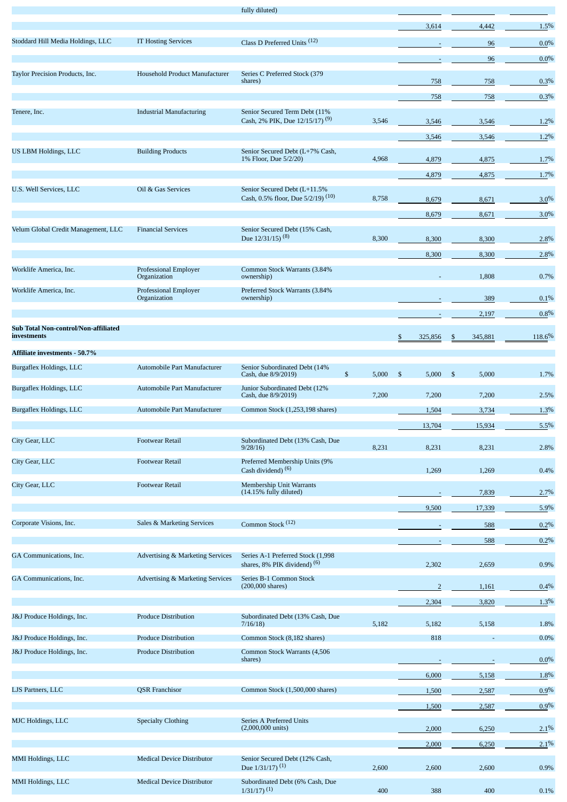|                                                            |                                                            | fully diluted)                                                              |             |                         |               |         |
|------------------------------------------------------------|------------------------------------------------------------|-----------------------------------------------------------------------------|-------------|-------------------------|---------------|---------|
|                                                            |                                                            |                                                                             |             | 3,614                   | 4,442         | 1.5%    |
| Stoddard Hill Media Holdings, LLC                          | <b>IT Hosting Services</b>                                 | Class D Preferred Units (12)                                                |             |                         | 96            | $0.0\%$ |
|                                                            |                                                            |                                                                             |             | $\sim$                  | 96            | $0.0\%$ |
| Taylor Precision Products, Inc.                            | Household Product Manufacturer                             | Series C Preferred Stock (379                                               |             |                         |               |         |
|                                                            |                                                            | shares)                                                                     |             | 758                     | 758           | 0.3%    |
|                                                            |                                                            |                                                                             |             | 758                     | 758           | 0.3%    |
| Tenere, Inc.                                               | <b>Industrial Manufacturing</b>                            | Senior Secured Term Debt (11%<br>Cash, 2% PIK, Due 12/15/17) <sup>(9)</sup> | 3,546       | 3,546                   | 3,546         | 1.2%    |
|                                                            |                                                            |                                                                             |             |                         |               | 1.2%    |
|                                                            |                                                            |                                                                             |             | 3,546                   | 3,546         |         |
| US LBM Holdings, LLC                                       | <b>Building Products</b>                                   | Senior Secured Debt (L+7% Cash,<br>1% Floor, Due 5/2/20)                    | 4,968       | 4,879                   | 4,875         | 1.7%    |
|                                                            |                                                            |                                                                             |             | 4,879                   | 4,875         | 1.7%    |
| U.S. Well Services, LLC                                    | Oil & Gas Services                                         | Senior Secured Debt (L+11.5%                                                |             |                         |               |         |
|                                                            |                                                            | Cash, 0.5% floor, Due 5/2/19) <sup>(10)</sup>                               | 8,758       | 8,679                   | 8,671         | 3.0%    |
|                                                            |                                                            |                                                                             |             | 8,679                   | 8,671         | 3.0%    |
| Velum Global Credit Management, LLC                        | <b>Financial Services</b>                                  | Senior Secured Debt (15% Cash,<br>Due $12/31/15$ ) <sup>(8)</sup>           | 8,300       | 8,300                   | 8,300         | 2.8%    |
|                                                            |                                                            |                                                                             |             |                         |               |         |
|                                                            |                                                            |                                                                             |             | 8,300                   | 8,300         | 2.8%    |
| Worklife America, Inc.                                     | Professional Employer<br>Organization                      | Common Stock Warrants (3.84%<br>ownership)                                  |             |                         | 1,808         | 0.7%    |
| Worklife America, Inc.                                     | Professional Employer<br>Organization                      | Preferred Stock Warrants (3.84%<br>ownership)                               |             |                         |               |         |
|                                                            |                                                            |                                                                             |             |                         | 389           | 0.1%    |
|                                                            |                                                            |                                                                             |             |                         | 2,197         | 0.8%    |
| <b>Sub Total Non-control/Non-affiliated</b><br>investments |                                                            |                                                                             |             | 325,856<br>\$           | 345,881<br>\$ | 118.6%  |
| <b>Affiliate investments - 50.7%</b>                       |                                                            |                                                                             |             |                         |               |         |
| Burgaflex Holdings, LLC                                    | Automobile Part Manufacturer                               | Senior Subordinated Debt (14%                                               |             |                         |               |         |
|                                                            |                                                            | Cash, due 8/9/2019)                                                         | \$<br>5,000 | $\mathfrak{S}$<br>5,000 | 5,000<br>\$   | 1.7%    |
| Burgaflex Holdings, LLC                                    | Automobile Part Manufacturer                               | Junior Subordinated Debt (12%<br>Cash, due 8/9/2019)                        | 7,200       | 7,200                   | 7,200         | 2.5%    |
| Burgaflex Holdings, LLC                                    | Automobile Part Manufacturer                               | Common Stock (1,253,198 shares)                                             |             | 1,504                   | 3,734         | 1.3%    |
|                                                            |                                                            |                                                                             |             | 13,704                  | 15,934        | 5.5%    |
| City Gear, LLC                                             | Footwear Retail                                            | Subordinated Debt (13% Cash, Due                                            |             |                         |               |         |
|                                                            |                                                            | 9/28/16                                                                     | 8,231       | 8,231                   | 8,231         | 2.8%    |
| City Gear, LLC                                             | Footwear Retail                                            | Preferred Membership Units (9%<br>Cash dividend) <sup>(6)</sup>             |             | 1,269                   | 1,269         | 0.4%    |
| City Gear, LLC                                             | Footwear Retail                                            | Membership Unit Warrants                                                    |             |                         |               |         |
|                                                            |                                                            | $(14.15\%$ fully diluted)                                                   |             |                         | 7,839         | 2.7%    |
|                                                            |                                                            |                                                                             |             | 9,500                   | 17,339        | 5.9%    |
| Corporate Visions, Inc.                                    | Sales & Marketing Services                                 | Common Stock <sup>(12)</sup>                                                |             |                         | 588           | 0.2%    |
|                                                            |                                                            |                                                                             |             |                         | 588           | 0.2%    |
| GA Communications, Inc.                                    | Advertising & Marketing Services                           | Series A-1 Preferred Stock (1,998<br>shares, 8% PIK dividend) (6)           |             |                         |               |         |
| GA Communications, Inc.                                    |                                                            | Series B-1 Common Stock                                                     |             | 2,302                   | 2,659         | 0.9%    |
|                                                            | Advertising & Marketing Services                           | $(200,000 \text{ shares})$                                                  |             | $\overline{2}$          | 1,161         | 0.4%    |
|                                                            |                                                            |                                                                             |             | 2,304                   | 3,820         | 1.3%    |
| J&J Produce Holdings, Inc.                                 | <b>Produce Distribution</b>                                | Subordinated Debt (13% Cash, Due                                            |             |                         |               |         |
|                                                            |                                                            | 7/16/18                                                                     | 5,182       | 5,182                   | 5,158         | 1.8%    |
| J&J Produce Holdings, Inc.                                 | <b>Produce Distribution</b><br><b>Produce Distribution</b> | Common Stock (8,182 shares)                                                 |             | 818                     |               | 0.0%    |
| J&J Produce Holdings, Inc.                                 |                                                            | Common Stock Warrants (4,506<br>shares)                                     |             |                         |               | 0.0%    |
|                                                            |                                                            |                                                                             |             | 6,000                   | 5,158         | 1.8%    |
| LJS Partners, LLC                                          | <b>QSR</b> Franchisor                                      | Common Stock (1,500,000 shares)                                             |             | 1,500                   | 2,587         | 0.9%    |
|                                                            |                                                            |                                                                             |             | 1,500                   | 2,587         | 0.9%    |
| MJC Holdings, LLC                                          | <b>Specialty Clothing</b>                                  | Series A Preferred Units                                                    |             |                         |               |         |
|                                                            |                                                            | $(2,000,000 \text{ units})$                                                 |             | 2,000                   | 6,250         | 2.1%    |
|                                                            |                                                            |                                                                             |             | 2,000                   | 6,250         | 2.1%    |
| MMI Holdings, LLC                                          | <b>Medical Device Distributor</b>                          | Senior Secured Debt (12% Cash,<br>Due $1/31/17$ ) <sup>(1)</sup>            | 2,600       | 2,600                   | 2,600         | 0.9%    |
| MMI Holdings, LLC                                          | <b>Medical Device Distributor</b>                          | Subordinated Debt (6% Cash, Due                                             |             |                         |               |         |
|                                                            |                                                            | $1/31/17$ <sup>(1)</sup>                                                    | 400         | 388                     | 400           | 0.1%    |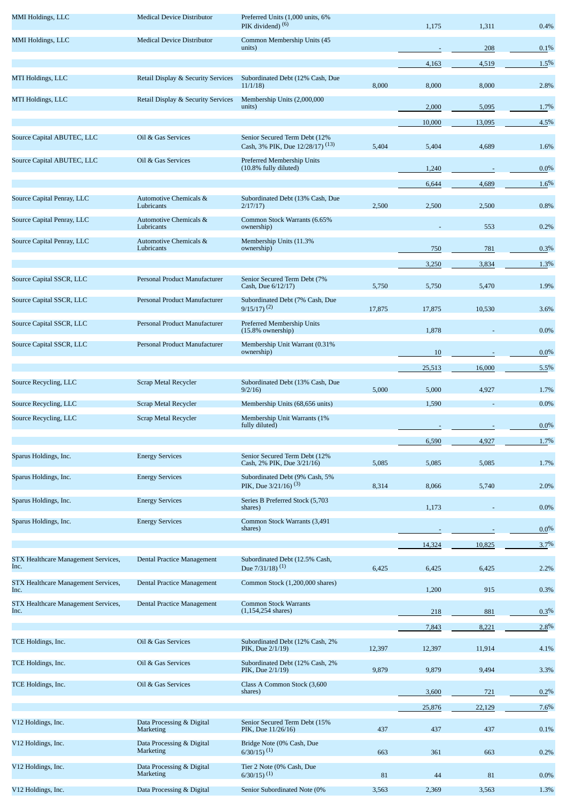| MMI Holdings, LLC                           | <b>Medical Device Distributor</b>               | Preferred Units (1,000 units, 6%<br>PIK dividend) $(6)$               |             | 1,175        | 1,311                    | 0.4%            |
|---------------------------------------------|-------------------------------------------------|-----------------------------------------------------------------------|-------------|--------------|--------------------------|-----------------|
| MMI Holdings, LLC                           | <b>Medical Device Distributor</b>               | Common Membership Units (45<br>units)                                 |             |              | 208                      | 0.1%            |
|                                             |                                                 |                                                                       |             | 4,163        | 4,519                    | 1.5%            |
| MTI Holdings, LLC                           | Retail Display & Security Services              | Subordinated Debt (12% Cash, Due<br>11/1/18                           | 8,000       | 8,000        | 8,000                    | 2.8%            |
| MTI Holdings, LLC                           | Retail Display & Security Services              | Membership Units (2,000,000<br>units)                                 |             | 2,000        | 5,095                    | 1.7%            |
|                                             |                                                 |                                                                       |             | 10,000       | 13,095                   | 4.5%            |
| Source Capital ABUTEC, LLC                  | Oil & Gas Services                              | Senior Secured Term Debt (12%                                         |             |              |                          |                 |
|                                             |                                                 | Cash, 3% PIK, Due 12/28/17) <sup>(13)</sup>                           | 5,404       | 5,404        | 4,689                    | 1.6%            |
| Source Capital ABUTEC, LLC                  | Oil & Gas Services                              | Preferred Membership Units<br>(10.8% fully diluted)                   |             | 1,240        | $\overline{\phantom{a}}$ | $0.0\%$         |
|                                             |                                                 |                                                                       |             | 6,644        | 4,689                    | 1.6%            |
| Source Capital Penray, LLC                  | <b>Automotive Chemicals &amp;</b><br>Lubricants | Subordinated Debt (13% Cash, Due<br>2/17/17                           | 2,500       | 2,500        | 2,500                    | 0.8%            |
| Source Capital Penray, LLC                  | <b>Automotive Chemicals &amp;</b><br>Lubricants | Common Stock Warrants (6.65%<br>ownership)                            |             |              | 553                      | 0.2%            |
| Source Capital Penray, LLC                  | <b>Automotive Chemicals &amp;</b><br>Lubricants | Membership Units (11.3%<br>ownership)                                 |             | 750          | 781                      | 0.3%            |
|                                             |                                                 |                                                                       |             | 3,250        | 3,834                    | 1.3%            |
| Source Capital SSCR, LLC                    | Personal Product Manufacturer                   | Senior Secured Term Debt (7%                                          |             |              |                          |                 |
| Source Capital SSCR, LLC                    | Personal Product Manufacturer                   | Cash, Due 6/12/17)<br>Subordinated Debt (7% Cash, Due                 | 5,750       | 5,750        | 5,470                    | 1.9%            |
|                                             |                                                 | $9/15/17$ <sup>(2)</sup>                                              | 17,875      | 17,875       | 10,530                   | 3.6%            |
| Source Capital SSCR, LLC                    | Personal Product Manufacturer                   | Preferred Membership Units<br>(15.8% ownership)                       |             | 1,878        |                          | 0.0%            |
| Source Capital SSCR, LLC                    | Personal Product Manufacturer                   | Membership Unit Warrant (0.31%)                                       |             |              |                          |                 |
|                                             |                                                 | ownership)                                                            |             | 10<br>25,513 | 16,000                   | $0.0\%$<br>5.5% |
| Source Recycling, LLC                       | Scrap Metal Recycler                            | Subordinated Debt (13% Cash, Due                                      |             |              |                          |                 |
|                                             |                                                 | 9/2/16                                                                | 5,000       | 5,000        | 4,927                    | 1.7%            |
| Source Recycling, LLC                       | Scrap Metal Recycler                            | Membership Units (68,656 units)                                       |             | 1,590        |                          | 0.0%            |
| Source Recycling, LLC                       | Scrap Metal Recycler                            | Membership Unit Warrants (1%<br>fully diluted)                        |             |              |                          | $0.0\%$         |
|                                             |                                                 |                                                                       |             | 6,590        | 4,927                    | $1.7\%$         |
| Sparus Holdings, Inc.                       | <b>Energy Services</b>                          | Senior Secured Term Debt (12%<br>Cash, 2% PIK, Due 3/21/16)           | 5,085       | 5,085        | 5,085                    | 1.7%            |
| Sparus Holdings, Inc.                       | <b>Energy Services</b>                          | Subordinated Debt (9% Cash, 5%<br>PIK, Due $3/21/16$ ) <sup>(3)</sup> | 8,314       | 8,066        | 5,740                    | 2.0%            |
| Sparus Holdings, Inc.                       | <b>Energy Services</b>                          | Series B Preferred Stock (5,703<br>shares)                            |             | 1,173        |                          | 0.0%            |
| Sparus Holdings, Inc.                       | <b>Energy Services</b>                          | Common Stock Warrants (3,491<br>shares)                               |             |              |                          | $0.0\%$         |
|                                             |                                                 |                                                                       |             |              |                          |                 |
|                                             |                                                 |                                                                       |             | 14,324       | 10,825                   | 3.7%            |
| STX Healthcare Management Services,<br>Inc. | <b>Dental Practice Management</b>               | Subordinated Debt (12.5% Cash,<br>Due $7/31/18$ ) <sup>(1)</sup>      | 6,425       | 6,425        | 6,425                    | 2.2%            |
| STX Healthcare Management Services,<br>Inc. | Dental Practice Management                      | Common Stock (1,200,000 shares)                                       |             | 1,200        | 915                      | 0.3%            |
| STX Healthcare Management Services,<br>Inc. | Dental Practice Management                      | <b>Common Stock Warrants</b><br>$(1, 154, 254$ shares)                |             | 218          | 881                      | 0.3%            |
|                                             |                                                 |                                                                       |             | 7,843        | 8,221                    | 2.8%            |
| TCE Holdings, Inc.                          | Oil & Gas Services                              | Subordinated Debt (12% Cash, 2%<br>PIK, Due 2/1/19)                   | 12,397      | 12,397       | 11,914                   | 4.1%            |
| TCE Holdings, Inc.                          | Oil & Gas Services                              | Subordinated Debt (12% Cash, 2%                                       |             |              |                          |                 |
| TCE Holdings, Inc.                          | Oil & Gas Services                              | PIK, Due 2/1/19)<br>Class A Common Stock (3,600                       | 9,879       | 9,879        | 9,494                    | 3.3%            |
|                                             |                                                 | shares)                                                               |             | 3,600        | 721                      | 0.2%            |
|                                             |                                                 |                                                                       |             | 25,876       | 22,129                   | 7.6%            |
| V12 Holdings, Inc.                          | Data Processing & Digital<br>Marketing          | Senior Secured Term Debt (15%<br>PIK, Due 11/26/16)                   | 437         | 437          | 437                      | 0.1%            |
| V12 Holdings, Inc.                          | Data Processing & Digital<br>Marketing          | Bridge Note (0% Cash, Due<br>$6/30/15$ <sup>(1)</sup>                 | 663         | 361          | 663                      | 0.2%            |
| V12 Holdings, Inc.                          | Data Processing & Digital<br>Marketing          | Tier 2 Note (0% Cash, Due                                             |             |              |                          |                 |
|                                             |                                                 | $6/30/15$ <sup>(1)</sup><br>Senior Subordinated Note (0%              | 81<br>3,563 | 44           | 81<br>3,563              | 0.0%<br>1.3%    |
| V12 Holdings, Inc.                          | Data Processing & Digital                       |                                                                       |             | 2,369        |                          |                 |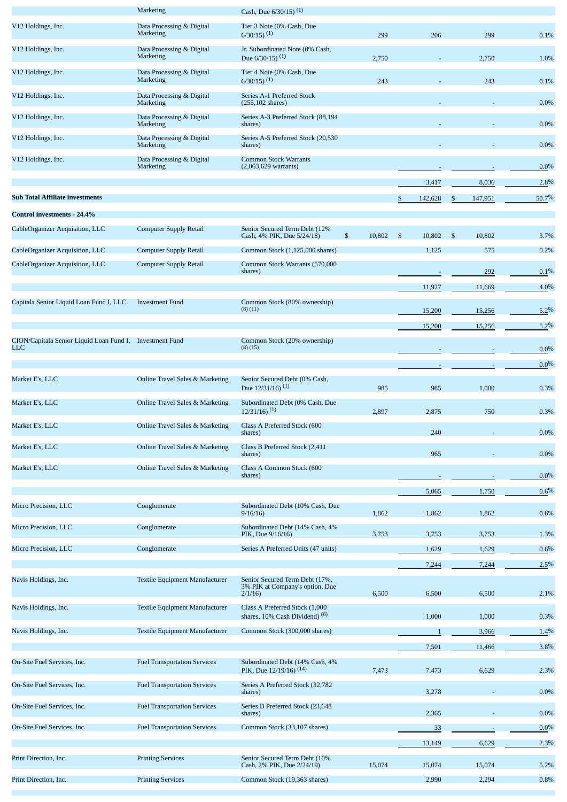|                                                          | Marketing                                     | Cash, Due $6/30/15$ ) <sup>(1)</sup>                                        |              |               |                          |         |
|----------------------------------------------------------|-----------------------------------------------|-----------------------------------------------------------------------------|--------------|---------------|--------------------------|---------|
| V12 Holdings, Inc.                                       | Data Processing & Digital<br><b>Marketing</b> | Tier 3 Note (0% Cash, Due<br>$6/30/15$ <sup>(1)</sup>                       | 299          | 206           | 299                      | 0.1%    |
| V12 Holdings, Inc.                                       | Data Processing & Digital<br>Marketing        | Jr. Subordinated Note (0% Cash,<br>Due $6/30/15$ ) <sup>(1)</sup>           | 2,750        |               | 2,750                    | 1.0%    |
| V12 Holdings, Inc.                                       | Data Processing & Digital<br>Marketing        | Tier 4 Note (0% Cash, Due<br>$6/30/15$ <sup>(1)</sup>                       | 243          |               | 243                      | 0.1%    |
| V12 Holdings, Inc.                                       | Data Processing & Digital<br>Marketing        | Series A-1 Preferred Stock<br>$(255, 102$ shares)                           |              |               |                          | 0.0%    |
| V12 Holdings, Inc.                                       | Data Processing & Digital<br>Marketing        | Series A-3 Preferred Stock (88,194<br>shares)                               |              |               |                          | 0.0%    |
| V12 Holdings, Inc.                                       | Data Processing & Digital<br>Marketing        | Series A-5 Preferred Stock (20,530)<br>shares)                              |              |               |                          | 0.0%    |
| V12 Holdings, Inc.                                       | Data Processing & Digital<br>Marketing        | <b>Common Stock Warrants</b><br>$(2,063,629$ warrants)                      |              |               |                          | 0.0%    |
|                                                          |                                               |                                                                             |              | 3,417         | 8,036                    | 2.8%    |
| <b>Sub Total Affiliate investments</b>                   |                                               |                                                                             |              | \$<br>142,628 | S<br>147,951             | 50.7%   |
| <b>Control investments - 24.4%</b>                       |                                               |                                                                             |              |               |                          |         |
| CableOrganizer Acquisition, LLC                          | <b>Computer Supply Retail</b>                 | Senior Secured Term Debt (12%<br>Cash, 4% PIK, Due 5/24/18)                 | \$<br>10,802 | \$<br>10,802  | $\mathbb{S}$<br>10,802   | 3.7%    |
| CableOrganizer Acquisition, LLC                          | <b>Computer Supply Retail</b>                 | Common Stock (1,125,000 shares)                                             |              | 1,125         | 575                      | 0.2%    |
| CableOrganizer Acquisition, LLC                          | <b>Computer Supply Retail</b>                 | Common Stock Warrants (570,000<br>shares)                                   |              |               | 292                      | 0.1%    |
|                                                          |                                               |                                                                             |              | 11,927        | 11,669                   | 4.0%    |
| Capitala Senior Liquid Loan Fund I, LLC                  | <b>Investment Fund</b>                        | Common Stock (80% ownership)<br>(8)(11)                                     |              | 15,200        | 15,256                   | 5.2%    |
|                                                          |                                               |                                                                             |              | 15,200        | 15,256                   | 5.2%    |
| CION/Capitala Senior Liquid Loan Fund I, Investment Fund |                                               | Common Stock (20% ownership)                                                |              |               |                          |         |
| LLC                                                      |                                               | (8)(15)                                                                     |              |               |                          | $0.0\%$ |
|                                                          |                                               |                                                                             |              |               | $\overline{\phantom{a}}$ | 0.0%    |
| Market E's, LLC                                          | Online Travel Sales & Marketing               | Senior Secured Debt (0% Cash,<br>Due $12/31/16$ ) <sup>(1)</sup>            | 985          | 985           | 1,000                    | 0.3%    |
| Market E's, LLC                                          | Online Travel Sales & Marketing               | Subordinated Debt (0% Cash, Due<br>$12/31/16$ <sup>(1)</sup>                | 2,897        | 2,875         | 750                      | 0.3%    |
| Market E's, LLC                                          | Online Travel Sales & Marketing               | Class A Preferred Stock (600<br>shares)                                     |              | 240           |                          | $0.0\%$ |
| Market E's, LLC                                          | Online Travel Sales & Marketing               | Class B Preferred Stock (2,411)<br>shares)                                  |              | 965           |                          | 0.0%    |
| Market E's, LLC                                          | Online Travel Sales & Marketing               | Class A Common Stock (600<br>shares)                                        |              |               |                          | $0.0\%$ |
|                                                          |                                               |                                                                             |              | 5,065         | 1,750                    | 0.6%    |
| Micro Precision, LLC                                     | Conglomerate                                  | Subordinated Debt (10% Cash, Due<br>9/16/16                                 | 1,862        | 1,862         | 1,862                    | 0.6%    |
| Micro Precision, LLC                                     | Conglomerate                                  | Subordinated Debt (14% Cash, 4%<br>PIK, Due $9/16/16$ )                     | 3,753        | 3,753         | 3,753                    | 1.3%    |
| Micro Precision, LLC                                     | Conglomerate                                  | Series A Preferred Units (47 units)                                         |              | 1,629         | 1,629                    | 0.6%    |
|                                                          |                                               |                                                                             |              | 7,244         | 7,244                    | 2.5%    |
| Navis Holdings, Inc.                                     | Textile Equipment Manufacturer                | Senior Secured Term Debt (17%,<br>3% PIK at Company's option, Due<br>2/1/16 | 6,500        | 6,500         | 6,500                    | 2.1%    |
| Navis Holdings, Inc.                                     | Textile Equipment Manufacturer                | Class A Preferred Stock (1,000<br>shares, 10% Cash Dividend) <sup>(6)</sup> |              | 1,000         | 1,000                    | 0.3%    |
| Navis Holdings, Inc.                                     | Textile Equipment Manufacturer                | Common Stock (300,000 shares)                                               |              | -1            | 3,966                    | 1.4%    |
|                                                          |                                               |                                                                             |              | 7,501         | 11,466                   | 3.8%    |
| On-Site Fuel Services, Inc.                              | <b>Fuel Transportation Services</b>           | Subordinated Debt (14% Cash, 4%<br>PIK, Due 12/19/16) <sup>(14)</sup>       | 7,473        | 7,473         | 6,629                    | 2.3%    |
| On-Site Fuel Services, Inc.                              | <b>Fuel Transportation Services</b>           | Series A Preferred Stock (32,782<br>shares)                                 |              | 3,278         |                          | 0.0%    |
| On-Site Fuel Services, Inc.                              | <b>Fuel Transportation Services</b>           | Series B Preferred Stock (23,648<br>shares)                                 |              | 2,365         |                          | 0.0%    |
| On-Site Fuel Services, Inc.                              | <b>Fuel Transportation Services</b>           | Common Stock (33,107 shares)                                                |              | 33            | ÷,                       | $0.0\%$ |
|                                                          |                                               |                                                                             |              | 13,149        | 6,629                    | 2.3%    |
| Print Direction, Inc.                                    | <b>Printing Services</b>                      | Senior Secured Term Debt (10%<br>Cash, 2% PIK, Due 2/24/19)                 | 15,074       | 15,074        | 15,074                   | 5.2%    |
| Print Direction, Inc.                                    | <b>Printing Services</b>                      | Common Stock (19,363 shares)                                                |              | 2,990         | 2,294                    | 0.8%    |
|                                                          |                                               |                                                                             |              |               |                          |         |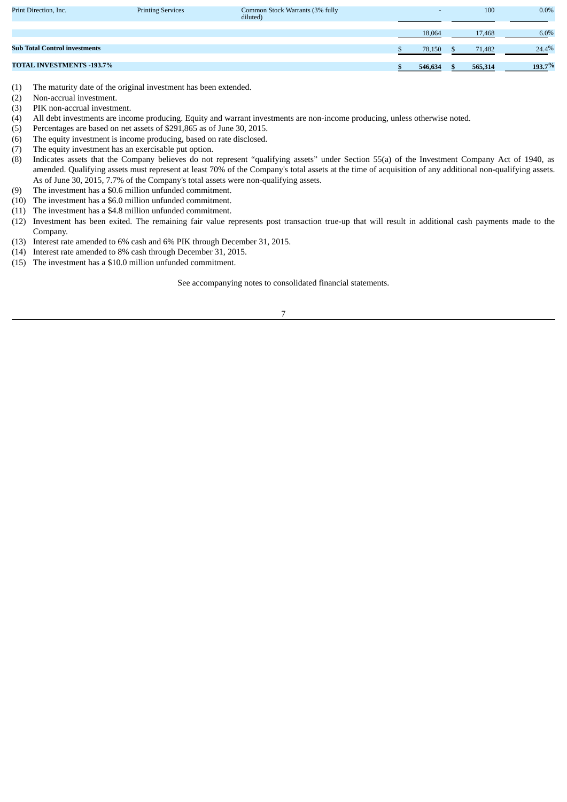| Print Direction, Inc.                | <b>Printing Services</b> | Common Stock Warrants (3% fully<br>diluted) |  |         |  |         | $0.0\%$  |  |
|--------------------------------------|--------------------------|---------------------------------------------|--|---------|--|---------|----------|--|
|                                      |                          |                                             |  | 18,064  |  | 17,468  | $6.0\%$  |  |
| <b>Sub Total Control investments</b> |                          |                                             |  | 78,150  |  | 71,482  | $24.4\%$ |  |
| <b>TOTAL INVESTMENTS -193.7%</b>     |                          |                                             |  | 546,634 |  | 565,314 | 193.7%   |  |

- (1) The maturity date of the original investment has been extended.
- (2) Non-accrual investment.
- (3) PIK non-accrual investment.
- (4) All debt investments are income producing. Equity and warrant investments are non-income producing, unless otherwise noted.
- (5) Percentages are based on net assets of \$291,865 as of June 30, 2015.
- (6) The equity investment is income producing, based on rate disclosed.
- (7) The equity investment has an exercisable put option.
- (8) Indicates assets that the Company believes do not represent "qualifying assets" under Section 55(a) of the Investment Company Act of 1940, as amended. Qualifying assets must represent at least 70% of the Company's total assets at the time of acquisition of any additional non-qualifying assets. As of June 30, 2015, 7.7% of the Company's total assets were non-qualifying assets.
- (9) The investment has a \$0.6 million unfunded commitment.
- (10) The investment has a \$6.0 million unfunded commitment.
- (11) The investment has a \$4.8 million unfunded commitment.
- (12) Investment has been exited. The remaining fair value represents post transaction true-up that will result in additional cash payments made to the Company.
- (13) Interest rate amended to 6% cash and 6% PIK through December 31, 2015.
- (14) Interest rate amended to 8% cash through December 31, 2015.
- (15) The investment has a \$10.0 million unfunded commitment.

See accompanying notes to consolidated financial statements.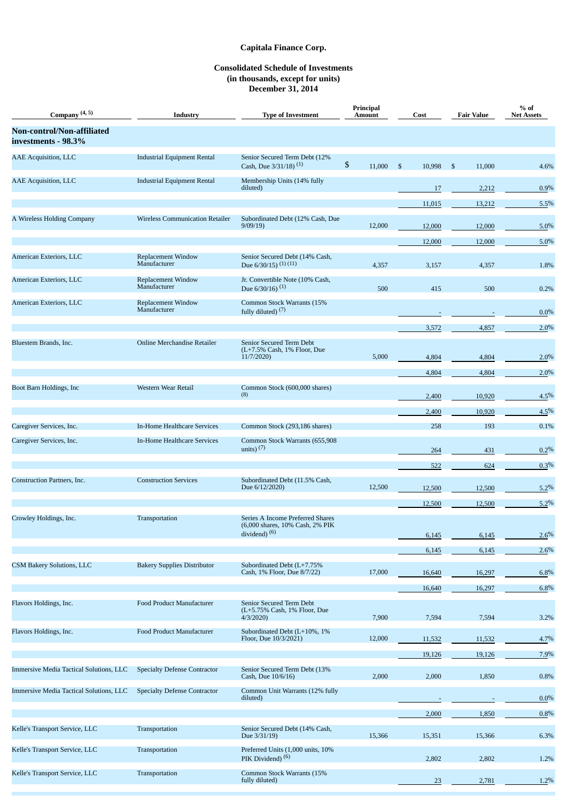## **Consolidated Schedule of Investments (in thousands, except for units) December 31, 2014**

| Company $(4, 5)$                                  | Industry                                  | <b>Type of Investment</b>                                                                       | Principal<br><b>Amount</b> | Cost                   | <b>Fair Value</b>      | $%$ of<br><b>Net Assets</b> |
|---------------------------------------------------|-------------------------------------------|-------------------------------------------------------------------------------------------------|----------------------------|------------------------|------------------------|-----------------------------|
| Non-control/Non-affiliated<br>investments - 98.3% |                                           |                                                                                                 |                            |                        |                        |                             |
| AAE Acquisition, LLC                              | Industrial Equipment Rental               | Senior Secured Term Debt (12%<br>Cash, Due $3/31/18$ <sup>(1)</sup>                             | \$<br>11,000               | $\mathbb{S}$<br>10,998 | $\mathbf{s}$<br>11,000 | 4.6%                        |
| AAE Acquisition, LLC                              | <b>Industrial Equipment Rental</b>        | Membership Units (14% fully<br>diluted)                                                         |                            | 17                     | 2,212                  | 0.9%                        |
|                                                   |                                           |                                                                                                 |                            | 11,015                 | 13,212                 | 5.5%                        |
| A Wireless Holding Company                        | <b>Wireless Communication Retailer</b>    | Subordinated Debt (12% Cash, Due<br>9/09/19                                                     | 12,000                     | 12,000                 | 12,000                 | 5.0%                        |
|                                                   |                                           |                                                                                                 |                            | 12,000                 | 12,000                 | 5.0%                        |
| American Exteriors, LLC                           | Replacement Window<br>Manufacturer        | Senior Secured Debt (14% Cash,<br>Due $6/30/15$ ) $(1)(11)$                                     | 4,357                      | 3,157                  | 4,357                  | 1.8%                        |
| American Exteriors, LLC                           | <b>Replacement Window</b><br>Manufacturer | Jr. Convertible Note (10% Cash,<br>Due $6/30/16$ <sup>(1)</sup>                                 | 500                        | 415                    | 500                    | 0.2%                        |
| American Exteriors, LLC                           | <b>Replacement Window</b><br>Manufacturer | Common Stock Warrants (15%<br>fully diluted) $(7)$                                              |                            |                        |                        | $0.0\%$                     |
|                                                   |                                           |                                                                                                 |                            | 3,572                  | 4,857                  | 2.0%                        |
| Bluestem Brands, Inc.                             | Online Merchandise Retailer               | Senior Secured Term Debt<br>$(L+7.5\%$ Cash, 1% Floor, Due<br>11/7/2020)                        | 5,000                      | 4,804                  | 4,804                  | 2.0%                        |
|                                                   |                                           |                                                                                                 |                            | 4,804                  | 4,804                  | 2.0%                        |
| Boot Barn Holdings, Inc                           | Western Wear Retail                       | Common Stock (600,000 shares)<br>(8)                                                            |                            | 2,400                  | 10,920                 | 4.5%                        |
|                                                   |                                           |                                                                                                 |                            | 2,400                  | 10,920                 | 4.5%                        |
| Caregiver Services, Inc.                          | <b>In-Home Healthcare Services</b>        | Common Stock (293,186 shares)                                                                   |                            | 258                    | 193                    | 0.1%                        |
| Caregiver Services, Inc.                          | <b>In-Home Healthcare Services</b>        | Common Stock Warrants (655,908<br>units) $(7)$                                                  |                            | 264                    | 431                    | $0.2\%$                     |
|                                                   |                                           |                                                                                                 |                            | 522                    | 624                    | 0.3%                        |
| Construction Partners, Inc.                       | <b>Construction Services</b>              | Subordinated Debt (11.5% Cash,<br>Due 6/12/2020)                                                | 12,500                     | 12,500                 | 12,500                 | 5.2%                        |
|                                                   |                                           |                                                                                                 |                            | 12,500                 | 12,500                 | 5.2%                        |
| Crowley Holdings, Inc.                            | Transportation                            | Series A Income Preferred Shares<br>(6,000 shares, 10% Cash, 2% PIK<br>dividend) <sup>(6)</sup> |                            | 6,145                  | 6,145                  | 2.6%                        |
|                                                   |                                           |                                                                                                 |                            | 6,145                  | 6,145                  | 2.6%                        |
| <b>CSM Bakery Solutions, LLC</b>                  | <b>Bakery Supplies Distributor</b>        | Subordinated Debt (L+7.75%<br>Cash, 1% Floor, Due 8/7/22)                                       | 17,000                     | 16,640                 | 16,297                 | 6.8%                        |
|                                                   |                                           |                                                                                                 |                            | 16,640                 | 16,297                 | 6.8%                        |
| Flavors Holdings, Inc.                            | Food Product Manufacturer                 | Senior Secured Term Debt<br>(L+5.75% Cash, 1% Floor, Due<br>4/3/2020                            | 7,900                      | 7,594                  | 7,594                  | 3.2%                        |
| Flavors Holdings, Inc.                            | Food Product Manufacturer                 | Subordinated Debt (L+10%, 1%<br>Floor, Due 10/3/2021)                                           | 12,000                     | 11,532                 | 11,532                 | 4.7%                        |
|                                                   |                                           |                                                                                                 |                            | 19,126                 | 19,126                 | 7.9%                        |
| Immersive Media Tactical Solutions, LLC           | <b>Specialty Defense Contractor</b>       | Senior Secured Term Debt (13%<br>Cash, Due 10/6/16)                                             | 2,000                      | 2,000                  | 1,850                  | 0.8%                        |
| Immersive Media Tactical Solutions, LLC           | <b>Specialty Defense Contractor</b>       | Common Unit Warrants (12% fully<br>diluted)                                                     |                            |                        |                        | 0.0%                        |
|                                                   |                                           |                                                                                                 |                            | 2,000                  | 1,850                  | 0.8%                        |
| Kelle's Transport Service, LLC                    | Transportation                            | Senior Secured Debt (14% Cash,<br>Due 3/31/19)                                                  | 15,366                     | 15,351                 | 15,366                 | 6.3%                        |
| Kelle's Transport Service, LLC                    | Transportation                            | Preferred Units (1,000 units, 10%<br>PIK Dividend) <sup>(6)</sup>                               |                            | 2,802                  | 2,802                  | 1.2%                        |
| Kelle's Transport Service, LLC                    | Transportation                            | Common Stock Warrants (15%<br>fully diluted)                                                    |                            | 23                     | 2,781                  | 1.2%                        |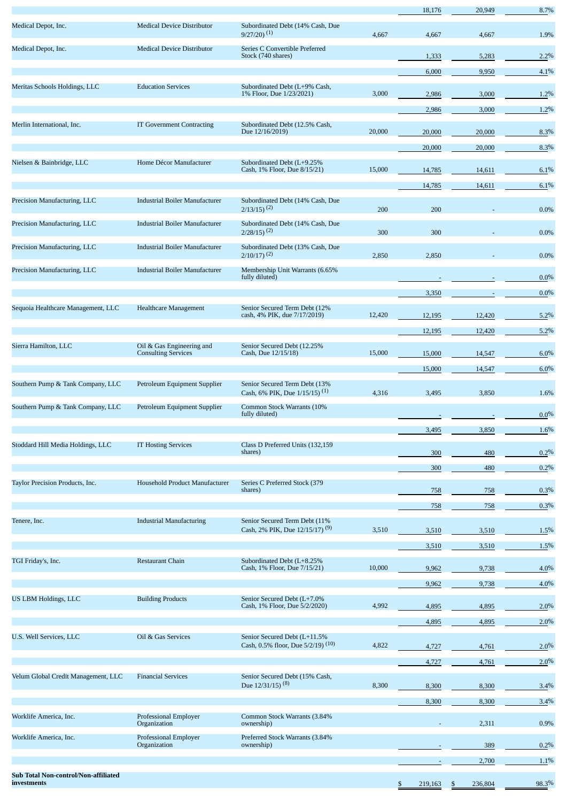|                                                            |                                       |                                                                             |        | 18,176        | 20,949          | 8.7%    |
|------------------------------------------------------------|---------------------------------------|-----------------------------------------------------------------------------|--------|---------------|-----------------|---------|
| Medical Depot, Inc.                                        | <b>Medical Device Distributor</b>     | Subordinated Debt (14% Cash, Due<br>$9/27/20$ <sup>(1)</sup>                | 4,667  | 4,667         | 4,667           | 1.9%    |
| Medical Depot, Inc.                                        | <b>Medical Device Distributor</b>     | Series C Convertible Preferred<br>Stock (740 shares)                        |        | 1,333         | 5,283           | 2.2%    |
|                                                            |                                       |                                                                             |        | 6,000         | 9,950           | 4.1%    |
| Meritas Schools Holdings, LLC                              | <b>Education Services</b>             | Subordinated Debt (L+9% Cash,                                               |        |               |                 |         |
|                                                            |                                       | 1% Floor, Due 1/23/2021)                                                    | 3,000  | 2,986         | 3,000           | 1.2%    |
| Merlin International, Inc.                                 | <b>IT Government Contracting</b>      | Subordinated Debt (12.5% Cash,                                              |        | 2,986         | 3,000           | 1.2%    |
|                                                            |                                       | Due 12/16/2019)                                                             | 20,000 | 20,000        | 20,000          | 8.3%    |
|                                                            |                                       |                                                                             |        | 20,000        | 20,000          | 8.3%    |
| Nielsen & Bainbridge, LLC                                  | Home Décor Manufacturer               | Subordinated Debt (L+9.25%<br>Cash, 1% Floor, Due 8/15/21)                  | 15,000 | 14,785        | 14,611          | 6.1%    |
|                                                            |                                       |                                                                             |        | 14,785        | 14,611          | 6.1%    |
| Precision Manufacturing, LLC                               | <b>Industrial Boiler Manufacturer</b> | Subordinated Debt (14% Cash, Due                                            |        |               |                 |         |
|                                                            |                                       | $2/13/15$ <sup>(2)</sup>                                                    | 200    | 200           |                 | 0.0%    |
| Precision Manufacturing, LLC                               | <b>Industrial Boiler Manufacturer</b> | Subordinated Debt (14% Cash, Due<br>$2/28/15$ <sup>(2)</sup>                | 300    | 300           |                 | 0.0%    |
| Precision Manufacturing, LLC                               | <b>Industrial Boiler Manufacturer</b> | Subordinated Debt (13% Cash, Due                                            |        |               |                 |         |
|                                                            |                                       | $2/10/17$ <sup>(2)</sup>                                                    | 2,850  | 2,850         |                 | 0.0%    |
| Precision Manufacturing, LLC                               | <b>Industrial Boiler Manufacturer</b> | Membership Unit Warrants (6.65%<br>fully diluted)                           |        |               |                 | $0.0\%$ |
|                                                            |                                       |                                                                             |        | 3,350         |                 | $0.0\%$ |
| Sequoia Healthcare Management, LLC                         | <b>Healthcare Management</b>          | Senior Secured Term Debt (12%<br>cash, 4% PIK, due 7/17/2019)               | 12,420 | 12,195        | 12,420          | 5.2%    |
|                                                            |                                       |                                                                             |        | 12,195        | 12,420          | 5.2%    |
| Sierra Hamilton, LLC                                       | Oil & Gas Engineering and             | Senior Secured Debt (12.25%                                                 |        |               |                 |         |
|                                                            | <b>Consulting Services</b>            | Cash, Due 12/15/18)                                                         | 15,000 | 15,000        | 14,547          | $6.0\%$ |
|                                                            |                                       |                                                                             |        | 15,000        | 14,547          | $6.0\%$ |
| Southern Pump & Tank Company, LLC                          | Petroleum Equipment Supplier          | Senior Secured Term Debt (13%<br>Cash, 6% PIK, Due 1/15/15) <sup>(1)</sup>  | 4,316  | 3,495         | 3,850           | 1.6%    |
| Southern Pump & Tank Company, LLC                          | Petroleum Equipment Supplier          | Common Stock Warrants (10%<br>fully diluted)                                |        |               |                 | $0.0\%$ |
|                                                            |                                       |                                                                             |        | 3,495         | 3,850           | 1.6%    |
| Stoddard Hill Media Holdings, LLC                          | <b>IT Hosting Services</b>            | Class D Preferred Units (132,159)                                           |        |               |                 |         |
|                                                            |                                       | shares)                                                                     |        | 300           | 480             | 0.2%    |
| Taylor Precision Products, Inc.                            | Household Product Manufacturer        | Series C Preferred Stock (379                                               |        | 300           | 480             | 0.2%    |
|                                                            |                                       | shares)                                                                     |        | 758           | 758             | 0.3%    |
|                                                            |                                       |                                                                             |        | 758           | 758             | 0.3%    |
| Tenere, Inc.                                               | <b>Industrial Manufacturing</b>       | Senior Secured Term Debt (11%<br>Cash, 2% PIK, Due 12/15/17) <sup>(9)</sup> | 3,510  | 3,510         | 3,510           | 1.5%    |
|                                                            |                                       |                                                                             |        | 3,510         | 3,510           | 1.5%    |
| TGI Friday's, Inc.                                         | <b>Restaurant Chain</b>               | Subordinated Debt (L+8.25%                                                  |        |               |                 |         |
|                                                            |                                       | Cash, 1% Floor, Due 7/15/21)                                                | 10,000 | 9,962         | 9,738           | 4.0%    |
|                                                            |                                       |                                                                             |        | 9,962         | 9,738           | 4.0%    |
| US LBM Holdings, LLC                                       | <b>Building Products</b>              | Senior Secured Debt (L+7.0%<br>Cash, 1% Floor, Due 5/2/2020)                | 4,992  | 4,895         | 4,895           | 2.0%    |
|                                                            |                                       |                                                                             |        | 4,895         | 4,895           | 2.0%    |
| U.S. Well Services, LLC                                    | Oil & Gas Services                    | Senior Secured Debt (L+11.5%)                                               |        |               |                 |         |
|                                                            |                                       | Cash, 0.5% floor, Due 5/2/19) <sup>(10)</sup>                               | 4,822  | 4,727         | 4,761           | 2.0%    |
|                                                            |                                       |                                                                             |        | 4,727         | 4,761           | 2.0%    |
| Velum Global Credit Management, LLC                        | <b>Financial Services</b>             | Senior Secured Debt (15% Cash,<br>Due $12/31/15$ ) <sup>(8)</sup>           | 8,300  | 8,300         | 8,300           | 3.4%    |
|                                                            |                                       |                                                                             |        | 8,300         | 8,300           | 3.4%    |
| Worklife America, Inc.                                     | Professional Employer<br>Organization | Common Stock Warrants (3.84%<br>ownership)                                  |        |               | 2,311           | 0.9%    |
| Worklife America, Inc.                                     | Professional Employer                 | Preferred Stock Warrants (3.84%                                             |        |               |                 |         |
|                                                            | Organization                          | ownership)                                                                  |        |               | 389             | 0.2%    |
|                                                            |                                       |                                                                             |        |               | 2,700           | 1.1%    |
| <b>Sub Total Non-control/Non-affiliated</b><br>investments |                                       |                                                                             |        | \$<br>219,163 | 236,804<br>- \$ | 98.3%   |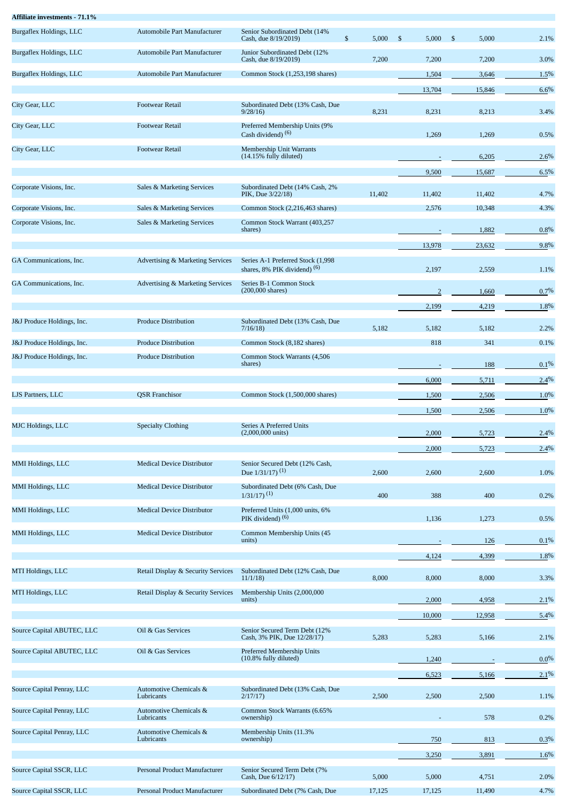| Affiliate investments - 71.1%                            |                                                            |                                                                   |             |                |             |         |
|----------------------------------------------------------|------------------------------------------------------------|-------------------------------------------------------------------|-------------|----------------|-------------|---------|
| Burgaflex Holdings, LLC                                  | Automobile Part Manufacturer                               | Senior Subordinated Debt (14%<br>Cash, due 8/19/2019)             | \$<br>5,000 | \$<br>5,000    | \$<br>5,000 | 2.1%    |
| Burgaflex Holdings, LLC                                  | Automobile Part Manufacturer                               | Junior Subordinated Debt (12%<br>Cash, due 8/19/2019)             | 7,200       | 7,200          | 7,200       | 3.0%    |
| Burgaflex Holdings, LLC                                  | Automobile Part Manufacturer                               | Common Stock (1,253,198 shares)                                   |             | 1,504          | 3,646       | 1.5%    |
|                                                          |                                                            |                                                                   |             | 13,704         | 15,846      | 6.6%    |
| City Gear, LLC                                           | <b>Footwear Retail</b>                                     | Subordinated Debt (13% Cash, Due<br>9/28/16                       | 8,231       | 8,231          | 8,213       | 3.4%    |
| City Gear, LLC                                           | <b>Footwear Retail</b>                                     | Preferred Membership Units (9%<br>Cash dividend) $(6)$            |             | 1,269          | 1,269       | 0.5%    |
| City Gear, LLC                                           | <b>Footwear Retail</b>                                     | Membership Unit Warrants<br>$(14.15\%$ fully diluted)             |             |                | 6,205       | 2.6%    |
|                                                          |                                                            |                                                                   |             | 9,500          | 15,687      | 6.5%    |
| Corporate Visions, Inc.                                  | Sales & Marketing Services                                 | Subordinated Debt (14% Cash, 2%<br>PIK, Due 3/22/18)              | 11,402      | 11,402         | 11,402      | 4.7%    |
| Corporate Visions, Inc.                                  | Sales & Marketing Services                                 | Common Stock (2,216,463 shares)                                   |             | 2,576          | 10,348      | 4.3%    |
| Corporate Visions, Inc.                                  | Sales & Marketing Services                                 | Common Stock Warrant (403,257<br>shares)                          |             |                | 1,882       | 0.8%    |
|                                                          |                                                            |                                                                   |             | 13,978         | 23,632      | 9.8%    |
| GA Communications, Inc.                                  | Advertising & Marketing Services                           | Series A-1 Preferred Stock (1,998<br>shares, 8% PIK dividend) (6) |             | 2,197          | 2,559       | 1.1%    |
| GA Communications, Inc.                                  | Advertising & Marketing Services                           | Series B-1 Common Stock<br>$(200,000 \text{ shares})$             |             | $\overline{2}$ | 1,660       | 0.7%    |
|                                                          |                                                            |                                                                   |             | 2,199          | 4,219       | 1.8%    |
| J&J Produce Holdings, Inc.                               | <b>Produce Distribution</b>                                | Subordinated Debt (13% Cash, Due                                  |             |                |             |         |
|                                                          |                                                            | 7/16/18                                                           | 5,182       | 5,182          | 5,182       | 2.2%    |
| J&J Produce Holdings, Inc.<br>J&J Produce Holdings, Inc. | <b>Produce Distribution</b><br><b>Produce Distribution</b> | Common Stock (8,182 shares)<br>Common Stock Warrants (4,506       |             | 818            | 341         | 0.1%    |
|                                                          |                                                            | shares)                                                           |             |                | 188         | 0.1%    |
|                                                          |                                                            |                                                                   |             | 6,000          | 5,711       | 2.4%    |
| LJS Partners, LLC                                        | <b>QSR</b> Franchisor                                      | Common Stock (1,500,000 shares)                                   |             | 1,500          | 2,506       | 1.0%    |
|                                                          |                                                            |                                                                   |             | 1,500          | 2,506       | 1.0%    |
| MJC Holdings, LLC                                        | <b>Specialty Clothing</b>                                  | Series A Preferred Units<br>$(2,000,000 \text{ units})$           |             | 2,000          | 5,723       | 2.4%    |
|                                                          |                                                            |                                                                   |             | 2,000          | 5,723       | 2.4%    |
| MMI Holdings, LLC                                        | <b>Medical Device Distributor</b>                          | Senior Secured Debt (12% Cash,<br>Due $1/31/17$ ) <sup>(1)</sup>  | 2,600       | 2,600          | 2,600       | 1.0%    |
| MMI Holdings, LLC                                        | <b>Medical Device Distributor</b>                          | Subordinated Debt (6% Cash, Due<br>$1/31/17$ <sup>(1)</sup>       | 400         | 388            | 400         | 0.2%    |
| MMI Holdings, LLC                                        | <b>Medical Device Distributor</b>                          | Preferred Units (1,000 units, 6%                                  |             |                |             |         |
|                                                          |                                                            | PIK dividend) (6)                                                 |             | 1,136          | 1,273       | 0.5%    |
| MMI Holdings, LLC                                        | <b>Medical Device Distributor</b>                          | Common Membership Units (45<br>units)                             |             |                | 126         | 0.1%    |
|                                                          |                                                            |                                                                   |             | 4,124          | 4,399       | 1.8%    |
| MTI Holdings, LLC                                        | Retail Display & Security Services                         | Subordinated Debt (12% Cash, Due<br>11/1/18                       | 8,000       | 8,000          | 8,000       | 3.3%    |
| MTI Holdings, LLC                                        | Retail Display & Security Services                         | Membership Units (2,000,000<br>units)                             |             | 2,000          | 4,958       | 2.1%    |
|                                                          |                                                            |                                                                   |             | 10,000         | 12,958      | 5.4%    |
| Source Capital ABUTEC, LLC                               | Oil & Gas Services                                         | Senior Secured Term Debt (12%<br>Cash, 3% PIK, Due 12/28/17)      | 5,283       | 5,283          | 5,166       | 2.1%    |
| Source Capital ABUTEC, LLC                               | Oil & Gas Services                                         | Preferred Membership Units                                        |             |                |             |         |
|                                                          |                                                            | (10.8% fully diluted)                                             |             | 1,240          |             | $0.0\%$ |
| Source Capital Penray, LLC                               | <b>Automotive Chemicals &amp;</b>                          | Subordinated Debt (13% Cash, Due                                  |             | 6,523          | 5,166       | 2.1%    |
|                                                          | Lubricants                                                 | 2/17/17                                                           | 2,500       | 2,500          | 2,500       | 1.1%    |
| Source Capital Penray, LLC                               | <b>Automotive Chemicals &amp;</b><br>Lubricants            | Common Stock Warrants (6.65%<br>ownership)                        |             |                | 578         | 0.2%    |
| Source Capital Penray, LLC                               | <b>Automotive Chemicals &amp;</b><br>Lubricants            | Membership Units (11.3%<br>ownership)                             |             | 750            | 813         | 0.3%    |
|                                                          |                                                            |                                                                   |             | 3,250          | 3,891       | 1.6%    |
| Source Capital SSCR, LLC                                 | Personal Product Manufacturer                              | Senior Secured Term Debt (7%<br>Cash, Due 6/12/17)                | 5,000       | 5,000          | 4,751       | 2.0%    |
| Source Capital SSCR, LLC                                 | Personal Product Manufacturer                              | Subordinated Debt (7% Cash, Due                                   | 17,125      | 17,125         | 11,490      | 4.7%    |
|                                                          |                                                            |                                                                   |             |                |             |         |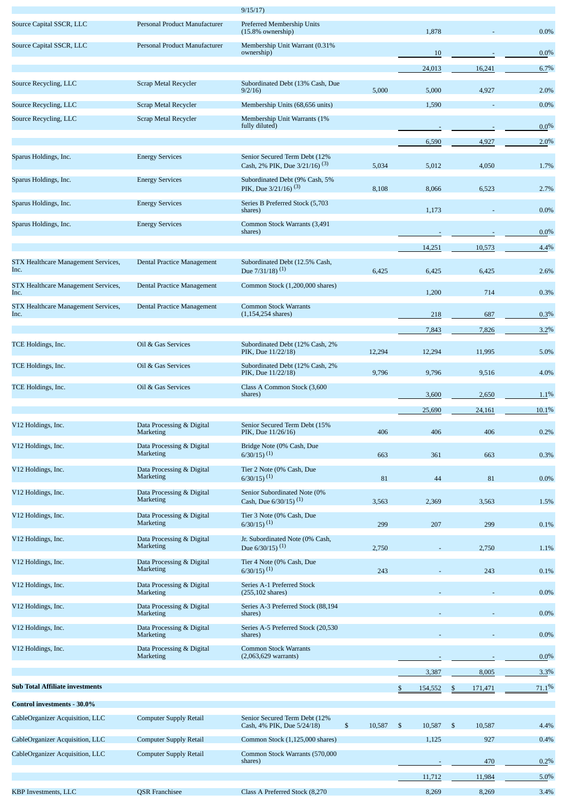|                                             |                                                                   | 9/15/17                                                                     |              |                |                        |              |
|---------------------------------------------|-------------------------------------------------------------------|-----------------------------------------------------------------------------|--------------|----------------|------------------------|--------------|
| Source Capital SSCR, LLC                    | Personal Product Manufacturer                                     | Preferred Membership Units<br>$(15.8\%$ ownership)                          |              | 1,878          |                        | 0.0%         |
| Source Capital SSCR, LLC                    | Personal Product Manufacturer                                     | Membership Unit Warrant (0.31%)<br>ownership)                               |              | 10             |                        | $0.0\%$      |
|                                             |                                                                   |                                                                             |              | 24,013         | 16,241                 | 6.7%         |
| Source Recycling, LLC                       | Scrap Metal Recycler                                              | Subordinated Debt (13% Cash, Due<br>9/2/16                                  | 5,000        | 5,000          | 4,927                  | 2.0%         |
| Source Recycling, LLC                       | Scrap Metal Recycler                                              | Membership Units (68,656 units)                                             |              | 1,590          |                        | 0.0%         |
| Source Recycling, LLC                       | Scrap Metal Recycler                                              | Membership Unit Warrants (1%)<br>fully diluted)                             |              |                |                        | $0.0\%$      |
|                                             |                                                                   |                                                                             |              | 6,590          | 4,927                  | 2.0%         |
| Sparus Holdings, Inc.                       | <b>Energy Services</b>                                            | Senior Secured Term Debt (12%<br>Cash, 2% PIK, Due 3/21/16) <sup>(3)</sup>  | 5,034        | 5,012          | 4,050                  | 1.7%         |
| Sparus Holdings, Inc.                       | <b>Energy Services</b>                                            | Subordinated Debt (9% Cash, 5%<br>PIK, Due $3/21/16$ ) <sup>(3)</sup>       | 8,108        | 8,066          | 6,523                  | 2.7%         |
| Sparus Holdings, Inc.                       | <b>Energy Services</b>                                            | Series B Preferred Stock (5,703<br>shares)                                  |              | 1,173          |                        | 0.0%         |
| Sparus Holdings, Inc.                       | <b>Energy Services</b>                                            | Common Stock Warrants (3,491)<br>shares)                                    |              |                |                        | 0.0%         |
|                                             |                                                                   |                                                                             |              | 14,251         | 10,573                 | 4.4%         |
| STX Healthcare Management Services,<br>Inc. | <b>Dental Practice Management</b>                                 | Subordinated Debt (12.5% Cash,<br>Due $7/31/18$ ) <sup>(1)</sup>            | 6,425        | 6,425          | 6,425                  | 2.6%         |
| STX Healthcare Management Services,<br>Inc. | Dental Practice Management                                        | Common Stock (1,200,000 shares)                                             |              | 1,200          | 714                    | 0.3%         |
| STX Healthcare Management Services,<br>Inc. | Dental Practice Management                                        | <b>Common Stock Warrants</b><br>$(1,154,254 \text{ shares})$                |              | 218            | 687                    | 0.3%         |
|                                             |                                                                   |                                                                             |              | 7,843          | 7,826                  | 3.2%         |
| TCE Holdings, Inc.                          | Oil & Gas Services                                                | Subordinated Debt (12% Cash, 2%<br>PIK, Due 11/22/18)                       | 12,294       | 12,294         | 11,995                 | 5.0%         |
| TCE Holdings, Inc.                          | Oil & Gas Services                                                | Subordinated Debt (12% Cash, 2%<br>PIK, Due 11/22/18)                       | 9,796        | 9,796          | 9,516                  | 4.0%         |
| TCE Holdings, Inc.                          | Oil & Gas Services                                                | Class A Common Stock (3,600<br>shares)                                      |              | 3,600          | 2,650                  | 1.1%         |
|                                             |                                                                   |                                                                             |              |                |                        |              |
|                                             |                                                                   |                                                                             |              |                |                        |              |
| V12 Holdings, Inc.                          | Data Processing & Digital                                         | Senior Secured Term Debt (15%                                               | 406          | 25,690<br>406  | 24,161<br>406          | 10.1%        |
| V12 Holdings, Inc.                          | <b>Marketing</b><br>Data Processing & Digital<br><b>Marketing</b> | PIK, Due 11/26/16)<br>Bridge Note (0% Cash, Due<br>$6/30/15$ <sup>(1)</sup> | 663          | 361            | 663                    | 0.2%<br>0.3% |
| V12 Holdings, Inc.                          | Data Processing & Digital<br>Marketing                            | Tier 2 Note (0% Cash, Due<br>$6/30/15$ <sup>(1)</sup>                       | 81           | 44             | 81                     | 0.0%         |
| V12 Holdings, Inc.                          | Data Processing & Digital<br>Marketing                            | Senior Subordinated Note (0%<br>Cash, Due 6/30/15) <sup>(1)</sup>           | 3,563        | 2,369          | 3,563                  | 1.5%         |
| V12 Holdings, Inc.                          | Data Processing & Digital<br>Marketing                            | Tier 3 Note (0% Cash, Due<br>$6/30/15$ <sup>(1)</sup>                       | 299          | 207            | 299                    | 0.1%         |
| V12 Holdings, Inc.                          | Data Processing & Digital<br>Marketing                            | Jr. Subordinated Note (0% Cash,<br>Due $6/30/15$ ) <sup>(1)</sup>           | 2,750        |                | 2,750                  | 1.1%         |
| V12 Holdings, Inc.                          | Data Processing & Digital<br>Marketing                            | Tier 4 Note (0% Cash, Due<br>$6/30/15$ <sup>(1)</sup>                       | 243          |                | 243                    | 0.1%         |
| V12 Holdings, Inc.                          | Data Processing & Digital<br>Marketing                            | Series A-1 Preferred Stock<br>$(255, 102$ shares)                           |              |                |                        | 0.0%         |
| V12 Holdings, Inc.                          | Data Processing & Digital<br>Marketing                            | Series A-3 Preferred Stock (88,194<br>shares)                               |              |                |                        | 0.0%         |
| V12 Holdings, Inc.                          | Data Processing & Digital<br>Marketing                            | Series A-5 Preferred Stock (20,530)<br>shares)                              |              |                |                        | 0.0%         |
| V12 Holdings, Inc.                          | Data Processing & Digital<br>Marketing                            | <b>Common Stock Warrants</b><br>$(2,063,629$ warrants)                      |              |                |                        | 0.0%         |
|                                             |                                                                   |                                                                             |              | 3,387          | 8,005                  | 3.3%         |
| <b>Sub Total Affiliate investments</b>      |                                                                   |                                                                             |              | 154,552        | 171,471                | 71.1%        |
| <b>Control investments - 30.0%</b>          |                                                                   |                                                                             |              |                |                        |              |
| CableOrganizer Acquisition, LLC             | <b>Computer Supply Retail</b>                                     | Senior Secured Term Debt (12%<br>Cash, 4% PIK, Due 5/24/18)                 | \$<br>10,587 | $\$$<br>10,587 | $\mathbb{S}$<br>10,587 | 4.4%         |
| CableOrganizer Acquisition, LLC             | <b>Computer Supply Retail</b>                                     | Common Stock (1,125,000 shares)                                             |              | 1,125          | 927                    | 0.4%         |
| CableOrganizer Acquisition, LLC             | <b>Computer Supply Retail</b>                                     | Common Stock Warrants (570,000<br>shares)                                   |              |                | 470                    | 0.2%         |
|                                             |                                                                   |                                                                             |              | 11,712         | 11,984                 | 5.0%         |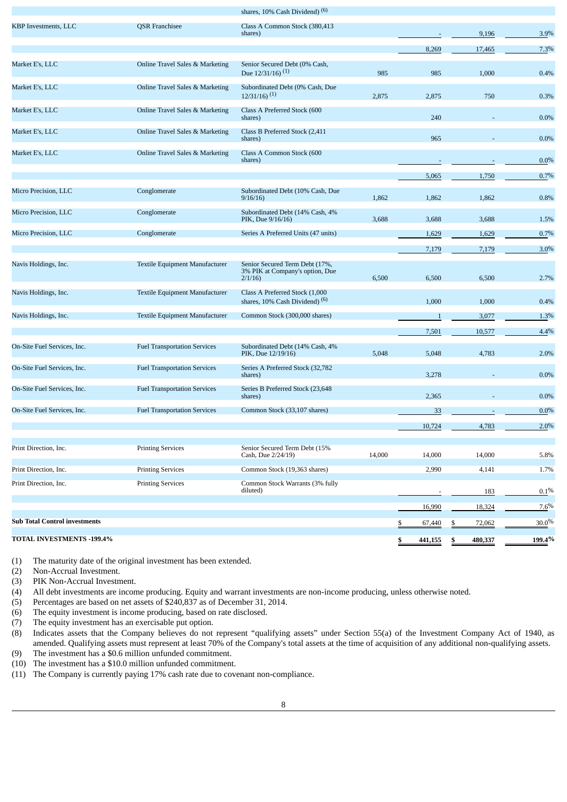|                                      |                                     | shares, 10% Cash Dividend) <sup>(6)</sup>                                   |        |              |               |          |
|--------------------------------------|-------------------------------------|-----------------------------------------------------------------------------|--------|--------------|---------------|----------|
| KBP Investments, LLC                 | <b>QSR</b> Franchisee               | Class A Common Stock (380,413<br>shares)                                    |        |              | 9,196         | 3.9%     |
|                                      |                                     |                                                                             |        | 8,269        | 17,465        | 7.3%     |
| Market E's, LLC                      | Online Travel Sales & Marketing     | Senior Secured Debt (0% Cash,<br>Due $12/31/16$ ) <sup>(1)</sup>            | 985    | 985          | 1,000         | 0.4%     |
| Market E's, LLC                      | Online Travel Sales & Marketing     | Subordinated Debt (0% Cash, Due<br>$12/31/16$ <sup>(1)</sup>                | 2,875  | 2,875        | 750           | 0.3%     |
| Market E's, LLC                      | Online Travel Sales & Marketing     | Class A Preferred Stock (600<br>shares)                                     |        | 240          |               | $0.0\%$  |
| Market E's, LLC                      | Online Travel Sales & Marketing     | Class B Preferred Stock (2,411<br>shares)                                   |        | 965          |               | 0.0%     |
| Market E's, LLC                      | Online Travel Sales & Marketing     | Class A Common Stock (600<br>shares)                                        |        |              |               | $0.0\%$  |
|                                      |                                     |                                                                             |        | 5,065        | 1,750         | 0.7%     |
| Micro Precision, LLC                 | Conglomerate                        | Subordinated Debt (10% Cash, Due<br>9/16/16                                 | 1,862  | 1,862        | 1,862         | 0.8%     |
| Micro Precision, LLC                 | Conglomerate                        | Subordinated Debt (14% Cash, 4%<br>PIK, Due 9/16/16)                        | 3,688  | 3,688        | 3,688         | 1.5%     |
| Micro Precision, LLC                 | Conglomerate                        | Series A Preferred Units (47 units)                                         |        | 1,629        | 1,629         | 0.7%     |
|                                      |                                     |                                                                             |        | 7,179        | 7,179         | $3.0\%$  |
| Navis Holdings, Inc.                 | Textile Equipment Manufacturer      | Senior Secured Term Debt (17%,<br>3% PIK at Company's option, Due<br>2/1/16 | 6,500  | 6,500        | 6,500         | 2.7%     |
| Navis Holdings, Inc.                 | Textile Equipment Manufacturer      | Class A Preferred Stock (1,000<br>shares, 10% Cash Dividend) <sup>(6)</sup> |        | 1,000        | 1,000         | 0.4%     |
| Navis Holdings, Inc.                 | Textile Equipment Manufacturer      | Common Stock (300,000 shares)                                               |        | $\mathbf{1}$ | 3,077         | 1.3%     |
|                                      |                                     |                                                                             |        | 7,501        | 10,577        | 4.4%     |
| On-Site Fuel Services, Inc.          | <b>Fuel Transportation Services</b> | Subordinated Debt (14% Cash, 4%<br>PIK, Due 12/19/16)                       | 5,048  | 5,048        | 4,783         | 2.0%     |
| On-Site Fuel Services, Inc.          | <b>Fuel Transportation Services</b> | Series A Preferred Stock (32,782<br>shares)                                 |        | 3,278        |               | $0.0\%$  |
| On-Site Fuel Services, Inc.          | <b>Fuel Transportation Services</b> | Series B Preferred Stock (23,648)<br>shares)                                |        | 2,365        |               | 0.0%     |
| On-Site Fuel Services, Inc.          | <b>Fuel Transportation Services</b> | Common Stock (33,107 shares)                                                |        | 33           |               | $0.0\%$  |
|                                      |                                     |                                                                             |        | 10,724       | 4,783         | 2.0%     |
| Print Direction, Inc.                | <b>Printing Services</b>            | Senior Secured Term Debt (15%<br>Cash, Due 2/24/19)                         | 14,000 | 14,000       | 14,000        | 5.8%     |
| Print Direction, Inc.                | <b>Printing Services</b>            | Common Stock (19,363 shares)                                                |        | 2,990        | 4,141         | 1.7%     |
| Print Direction, Inc.                | <b>Printing Services</b>            | Common Stock Warrants (3% fully<br>diluted)                                 |        |              | 183           | 0.1%     |
|                                      |                                     |                                                                             |        | 16,990       | 18,324        | 7.6%     |
| <b>Sub Total Control investments</b> |                                     |                                                                             |        | 67,440       | 72,062<br>\$  | $30.0\%$ |
| <b>TOTAL INVESTMENTS -199.4%</b>     |                                     |                                                                             |        | 441,155      | \$<br>480,337 | 199.4%   |

- (1) The maturity date of the original investment has been extended.
- (2) Non-Accrual Investment.
- (3) PIK Non-Accrual Investment.
- (4) All debt investments are income producing. Equity and warrant investments are non-income producing, unless otherwise noted.
- (5) Percentages are based on net assets of \$240,837 as of December 31, 2014.
- (6) The equity investment is income producing, based on rate disclosed.
- (7) The equity investment has an exercisable put option.
- (8) Indicates assets that the Company believes do not represent "qualifying assets" under Section 55(a) of the Investment Company Act of 1940, as amended. Qualifying assets must represent at least 70% of the Company's total assets at the time of acquisition of any additional non-qualifying assets. (9) The investment has a \$0.6 million unfunded commitment.
- (10) The investment has a \$10.0 million unfunded commitment.
- (11) The Company is currently paying 17% cash rate due to covenant non-compliance.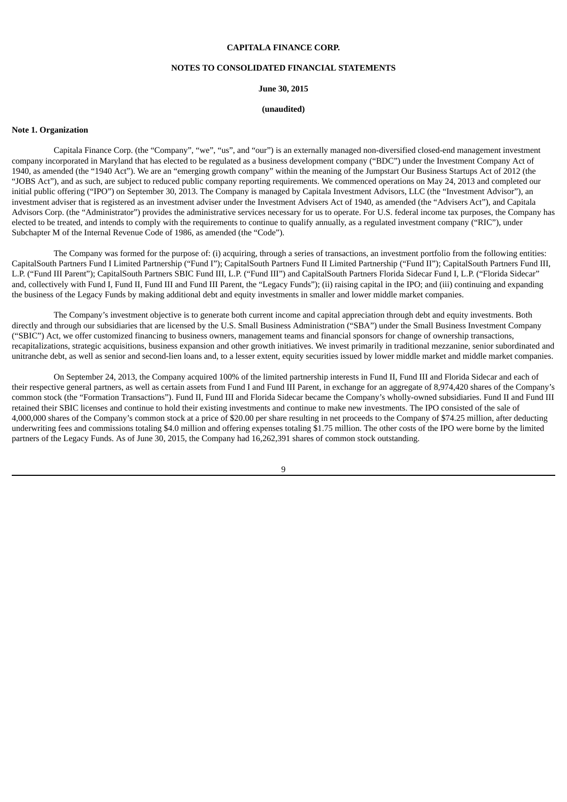## **CAPITALA FINANCE CORP.**

## **NOTES TO CONSOLIDATED FINANCIAL STATEMENTS**

## **June 30, 2015**

#### **(unaudited)**

#### <span id="page-17-0"></span>**Note 1. Organization**

Capitala Finance Corp. (the "Company", "we", "us", and "our") is an externally managed non-diversified closed-end management investment company incorporated in Maryland that has elected to be regulated as a business development company ("BDC") under the Investment Company Act of 1940, as amended (the "1940 Act"). We are an "emerging growth company" within the meaning of the Jumpstart Our Business Startups Act of 2012 (the "JOBS Act"), and as such, are subject to reduced public company reporting requirements. We commenced operations on May 24, 2013 and completed our initial public offering ("IPO") on September 30, 2013. The Company is managed by Capitala Investment Advisors, LLC (the "Investment Advisor"), an investment adviser that is registered as an investment adviser under the Investment Advisers Act of 1940, as amended (the "Advisers Act"), and Capitala Advisors Corp. (the "Administrator") provides the administrative services necessary for us to operate. For U.S. federal income tax purposes, the Company has elected to be treated, and intends to comply with the requirements to continue to qualify annually, as a regulated investment company ("RIC"), under Subchapter M of the Internal Revenue Code of 1986, as amended (the "Code").

The Company was formed for the purpose of: (i) acquiring, through a series of transactions, an investment portfolio from the following entities: CapitalSouth Partners Fund I Limited Partnership ("Fund I"); CapitalSouth Partners Fund II Limited Partnership ("Fund II"); CapitalSouth Partners Fund III, L.P. ("Fund III Parent"); CapitalSouth Partners SBIC Fund III, L.P. ("Fund III") and CapitalSouth Partners Florida Sidecar Fund I, L.P. ("Florida Sidecar" and, collectively with Fund I, Fund II, Fund III and Fund III Parent, the "Legacy Funds"); (ii) raising capital in the IPO; and (iii) continuing and expanding the business of the Legacy Funds by making additional debt and equity investments in smaller and lower middle market companies.

The Company's investment objective is to generate both current income and capital appreciation through debt and equity investments. Both directly and through our subsidiaries that are licensed by the U.S. Small Business Administration ("SBA") under the Small Business Investment Company ("SBIC") Act, we offer customized financing to business owners, management teams and financial sponsors for change of ownership transactions, recapitalizations, strategic acquisitions, business expansion and other growth initiatives. We invest primarily in traditional mezzanine, senior subordinated and unitranche debt, as well as senior and second-lien loans and, to a lesser extent, equity securities issued by lower middle market and middle market companies.

On September 24, 2013, the Company acquired 100% of the limited partnership interests in Fund II, Fund III and Florida Sidecar and each of their respective general partners, as well as certain assets from Fund I and Fund III Parent, in exchange for an aggregate of 8,974,420 shares of the Company's common stock (the "Formation Transactions"). Fund II, Fund III and Florida Sidecar became the Company's wholly-owned subsidiaries. Fund II and Fund III retained their SBIC licenses and continue to hold their existing investments and continue to make new investments. The IPO consisted of the sale of 4,000,000 shares of the Company's common stock at a price of \$20.00 per share resulting in net proceeds to the Company of \$74.25 million, after deducting underwriting fees and commissions totaling \$4.0 million and offering expenses totaling \$1.75 million. The other costs of the IPO were borne by the limited partners of the Legacy Funds. As of June 30, 2015, the Company had 16,262,391 shares of common stock outstanding.

 $\alpha$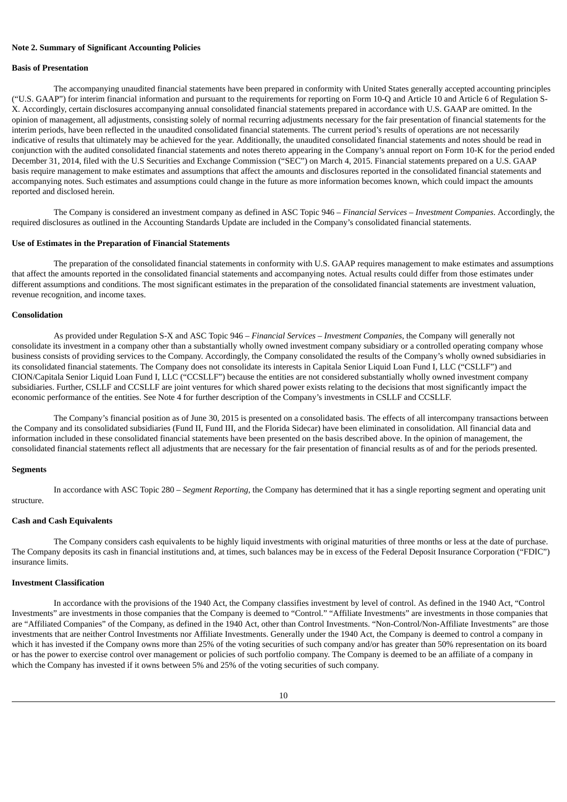## **Note 2. Summary of Significant Accounting Policies**

## **Basis of Presentation**

The accompanying unaudited financial statements have been prepared in conformity with United States generally accepted accounting principles ("U.S. GAAP") for interim financial information and pursuant to the requirements for reporting on Form 10-Q and Article 10 and Article 6 of Regulation S-X. Accordingly, certain disclosures accompanying annual consolidated financial statements prepared in accordance with U.S. GAAP are omitted. In the opinion of management, all adjustments, consisting solely of normal recurring adjustments necessary for the fair presentation of financial statements for the interim periods, have been reflected in the unaudited consolidated financial statements. The current period's results of operations are not necessarily indicative of results that ultimately may be achieved for the year. Additionally, the unaudited consolidated financial statements and notes should be read in conjunction with the audited consolidated financial statements and notes thereto appearing in the Company's annual report on Form 10-K for the period ended December 31, 2014, filed with the U.S Securities and Exchange Commission ("SEC") on March 4, 2015. Financial statements prepared on a U.S. GAAP basis require management to make estimates and assumptions that affect the amounts and disclosures reported in the consolidated financial statements and accompanying notes. Such estimates and assumptions could change in the future as more information becomes known, which could impact the amounts reported and disclosed herein.

The Company is considered an investment company as defined in ASC Topic 946 *– Financial Services – Investment Companies*. Accordingly, the required disclosures as outlined in the Accounting Standards Update are included in the Company's consolidated financial statements.

#### **Use of Estimates in the Preparation of Financial Statements**

The preparation of the consolidated financial statements in conformity with U.S. GAAP requires management to make estimates and assumptions that affect the amounts reported in the consolidated financial statements and accompanying notes. Actual results could differ from those estimates under different assumptions and conditions. The most significant estimates in the preparation of the consolidated financial statements are investment valuation, revenue recognition, and income taxes.

#### **Consolidation**

As provided under Regulation S-X and ASC Topic 946 *– Financial Services – Investment Companies*, the Company will generally not consolidate its investment in a company other than a substantially wholly owned investment company subsidiary or a controlled operating company whose business consists of providing services to the Company. Accordingly, the Company consolidated the results of the Company's wholly owned subsidiaries in its consolidated financial statements. The Company does not consolidate its interests in Capitala Senior Liquid Loan Fund I, LLC ("CSLLF") and CION/Capitala Senior Liquid Loan Fund I, LLC ("CCSLLF") because the entities are not considered substantially wholly owned investment company subsidiaries. Further, CSLLF and CCSLLF are joint ventures for which shared power exists relating to the decisions that most significantly impact the economic performance of the entities. See Note 4 for further description of the Company's investments in CSLLF and CCSLLF.

The Company's financial position as of June 30, 2015 is presented on a consolidated basis. The effects of all intercompany transactions between the Company and its consolidated subsidiaries (Fund II, Fund III, and the Florida Sidecar) have been eliminated in consolidation. All financial data and information included in these consolidated financial statements have been presented on the basis described above. In the opinion of management, the consolidated financial statements reflect all adjustments that are necessary for the fair presentation of financial results as of and for the periods presented.

#### **Segments**

In accordance with ASC Topic 280 – *Segment Reporting*, the Company has determined that it has a single reporting segment and operating unit structure.

## **Cash and Cash Equivalents**

The Company considers cash equivalents to be highly liquid investments with original maturities of three months or less at the date of purchase. The Company deposits its cash in financial institutions and, at times, such balances may be in excess of the Federal Deposit Insurance Corporation ("FDIC") insurance limits.

## **Investment Classification**

In accordance with the provisions of the 1940 Act, the Company classifies investment by level of control. As defined in the 1940 Act, "Control Investments" are investments in those companies that the Company is deemed to "Control." "Affiliate Investments" are investments in those companies that are "Affiliated Companies" of the Company, as defined in the 1940 Act, other than Control Investments. "Non-Control/Non-Affiliate Investments" are those investments that are neither Control Investments nor Affiliate Investments. Generally under the 1940 Act, the Company is deemed to control a company in which it has invested if the Company owns more than 25% of the voting securities of such company and/or has greater than 50% representation on its board or has the power to exercise control over management or policies of such portfolio company. The Company is deemed to be an affiliate of a company in which the Company has invested if it owns between 5% and 25% of the voting securities of such company.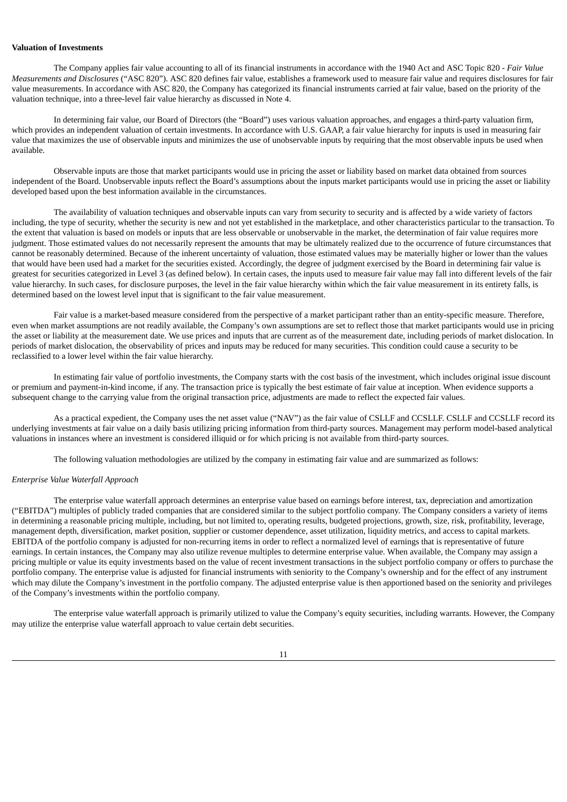#### **Valuation of Investments**

The Company applies fair value accounting to all of its financial instruments in accordance with the 1940 Act and ASC Topic 820 - *Fair Value Measurements and Disclosures* ("ASC 820"). ASC 820 defines fair value, establishes a framework used to measure fair value and requires disclosures for fair value measurements. In accordance with ASC 820, the Company has categorized its financial instruments carried at fair value, based on the priority of the valuation technique, into a three-level fair value hierarchy as discussed in Note 4.

In determining fair value, our Board of Directors (the "Board") uses various valuation approaches, and engages a third-party valuation firm, which provides an independent valuation of certain investments. In accordance with U.S. GAAP, a fair value hierarchy for inputs is used in measuring fair value that maximizes the use of observable inputs and minimizes the use of unobservable inputs by requiring that the most observable inputs be used when available.

Observable inputs are those that market participants would use in pricing the asset or liability based on market data obtained from sources independent of the Board. Unobservable inputs reflect the Board's assumptions about the inputs market participants would use in pricing the asset or liability developed based upon the best information available in the circumstances.

The availability of valuation techniques and observable inputs can vary from security to security and is affected by a wide variety of factors including, the type of security, whether the security is new and not yet established in the marketplace, and other characteristics particular to the transaction. To the extent that valuation is based on models or inputs that are less observable or unobservable in the market, the determination of fair value requires more judgment. Those estimated values do not necessarily represent the amounts that may be ultimately realized due to the occurrence of future circumstances that cannot be reasonably determined. Because of the inherent uncertainty of valuation, those estimated values may be materially higher or lower than the values that would have been used had a market for the securities existed. Accordingly, the degree of judgment exercised by the Board in determining fair value is greatest for securities categorized in Level 3 (as defined below). In certain cases, the inputs used to measure fair value may fall into different levels of the fair value hierarchy. In such cases, for disclosure purposes, the level in the fair value hierarchy within which the fair value measurement in its entirety falls, is determined based on the lowest level input that is significant to the fair value measurement.

Fair value is a market-based measure considered from the perspective of a market participant rather than an entity-specific measure. Therefore, even when market assumptions are not readily available, the Company's own assumptions are set to reflect those that market participants would use in pricing the asset or liability at the measurement date. We use prices and inputs that are current as of the measurement date, including periods of market dislocation. In periods of market dislocation, the observability of prices and inputs may be reduced for many securities. This condition could cause a security to be reclassified to a lower level within the fair value hierarchy.

In estimating fair value of portfolio investments, the Company starts with the cost basis of the investment, which includes original issue discount or premium and payment-in-kind income, if any. The transaction price is typically the best estimate of fair value at inception. When evidence supports a subsequent change to the carrying value from the original transaction price, adjustments are made to reflect the expected fair values.

As a practical expedient, the Company uses the net asset value ("NAV") as the fair value of CSLLF and CCSLLF. CSLLF and CCSLLF record its underlying investments at fair value on a daily basis utilizing pricing information from third-party sources. Management may perform model-based analytical valuations in instances where an investment is considered illiquid or for which pricing is not available from third-party sources.

The following valuation methodologies are utilized by the company in estimating fair value and are summarized as follows:

#### *Enterprise Value Waterfall Approach*

The enterprise value waterfall approach determines an enterprise value based on earnings before interest, tax, depreciation and amortization ("EBITDA") multiples of publicly traded companies that are considered similar to the subject portfolio company. The Company considers a variety of items in determining a reasonable pricing multiple, including, but not limited to, operating results, budgeted projections, growth, size, risk, profitability, leverage, management depth, diversification, market position, supplier or customer dependence, asset utilization, liquidity metrics, and access to capital markets. EBITDA of the portfolio company is adjusted for non-recurring items in order to reflect a normalized level of earnings that is representative of future earnings. In certain instances, the Company may also utilize revenue multiples to determine enterprise value. When available, the Company may assign a pricing multiple or value its equity investments based on the value of recent investment transactions in the subject portfolio company or offers to purchase the portfolio company. The enterprise value is adjusted for financial instruments with seniority to the Company's ownership and for the effect of any instrument which may dilute the Company's investment in the portfolio company. The adjusted enterprise value is then apportioned based on the seniority and privileges of the Company's investments within the portfolio company.

The enterprise value waterfall approach is primarily utilized to value the Company's equity securities, including warrants. However, the Company may utilize the enterprise value waterfall approach to value certain debt securities.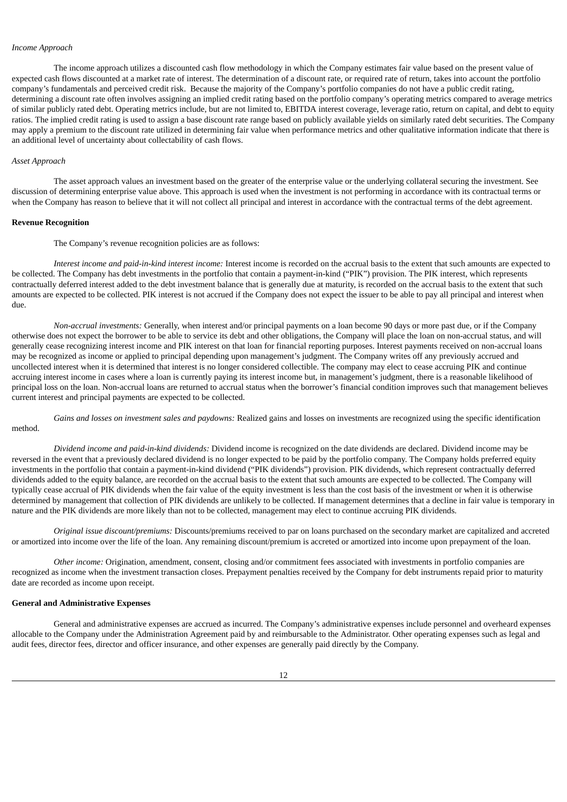## *Income Approach*

The income approach utilizes a discounted cash flow methodology in which the Company estimates fair value based on the present value of expected cash flows discounted at a market rate of interest. The determination of a discount rate, or required rate of return, takes into account the portfolio company's fundamentals and perceived credit risk. Because the majority of the Company's portfolio companies do not have a public credit rating, determining a discount rate often involves assigning an implied credit rating based on the portfolio company's operating metrics compared to average metrics of similar publicly rated debt. Operating metrics include, but are not limited to, EBITDA interest coverage, leverage ratio, return on capital, and debt to equity ratios. The implied credit rating is used to assign a base discount rate range based on publicly available yields on similarly rated debt securities. The Company may apply a premium to the discount rate utilized in determining fair value when performance metrics and other qualitative information indicate that there is an additional level of uncertainty about collectability of cash flows.

#### *Asset Approach*

The asset approach values an investment based on the greater of the enterprise value or the underlying collateral securing the investment. See discussion of determining enterprise value above. This approach is used when the investment is not performing in accordance with its contractual terms or when the Company has reason to believe that it will not collect all principal and interest in accordance with the contractual terms of the debt agreement.

#### **Revenue Recognition**

The Company's revenue recognition policies are as follows:

*Interest income and paid-in-kind interest income:* Interest income is recorded on the accrual basis to the extent that such amounts are expected to be collected. The Company has debt investments in the portfolio that contain a payment-in-kind ("PIK") provision. The PIK interest, which represents contractually deferred interest added to the debt investment balance that is generally due at maturity, is recorded on the accrual basis to the extent that such amounts are expected to be collected. PIK interest is not accrued if the Company does not expect the issuer to be able to pay all principal and interest when due.

*Non-accrual investments:* Generally, when interest and/or principal payments on a loan become 90 days or more past due, or if the Company otherwise does not expect the borrower to be able to service its debt and other obligations, the Company will place the loan on non-accrual status, and will generally cease recognizing interest income and PIK interest on that loan for financial reporting purposes. Interest payments received on non-accrual loans may be recognized as income or applied to principal depending upon management's judgment. The Company writes off any previously accrued and uncollected interest when it is determined that interest is no longer considered collectible. The company may elect to cease accruing PIK and continue accruing interest income in cases where a loan is currently paying its interest income but, in management's judgment, there is a reasonable likelihood of principal loss on the loan. Non-accrual loans are returned to accrual status when the borrower's financial condition improves such that management believes current interest and principal payments are expected to be collected.

*Gains and losses on investment sales and paydowns:* Realized gains and losses on investments are recognized using the specific identification method.

*Dividend income and paid-in-kind dividends:* Dividend income is recognized on the date dividends are declared. Dividend income may be reversed in the event that a previously declared dividend is no longer expected to be paid by the portfolio company. The Company holds preferred equity investments in the portfolio that contain a payment-in-kind dividend ("PIK dividends") provision. PIK dividends, which represent contractually deferred dividends added to the equity balance, are recorded on the accrual basis to the extent that such amounts are expected to be collected. The Company will typically cease accrual of PIK dividends when the fair value of the equity investment is less than the cost basis of the investment or when it is otherwise determined by management that collection of PIK dividends are unlikely to be collected. If management determines that a decline in fair value is temporary in nature and the PIK dividends are more likely than not to be collected, management may elect to continue accruing PIK dividends.

*Original issue discount/premiums:* Discounts/premiums received to par on loans purchased on the secondary market are capitalized and accreted or amortized into income over the life of the loan. Any remaining discount/premium is accreted or amortized into income upon prepayment of the loan.

*Other income:* Origination, amendment, consent, closing and/or commitment fees associated with investments in portfolio companies are recognized as income when the investment transaction closes. Prepayment penalties received by the Company for debt instruments repaid prior to maturity date are recorded as income upon receipt.

#### **General and Administrative Expenses**

General and administrative expenses are accrued as incurred. The Company's administrative expenses include personnel and overheard expenses allocable to the Company under the Administration Agreement paid by and reimbursable to the Administrator. Other operating expenses such as legal and audit fees, director fees, director and officer insurance, and other expenses are generally paid directly by the Company.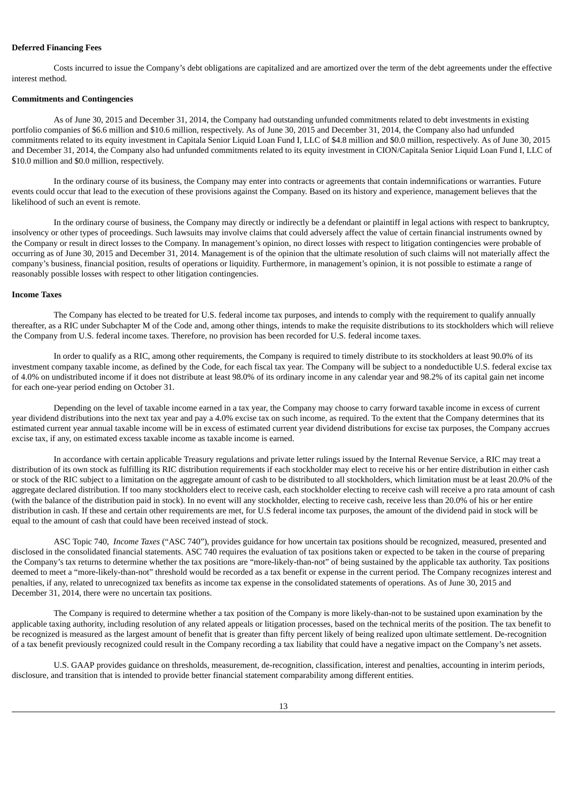## **Deferred Financing Fees**

Costs incurred to issue the Company's debt obligations are capitalized and are amortized over the term of the debt agreements under the effective interest method.

#### **Commitments and Contingencies**

As of June 30, 2015 and December 31, 2014, the Company had outstanding unfunded commitments related to debt investments in existing portfolio companies of \$6.6 million and \$10.6 million, respectively. As of June 30, 2015 and December 31, 2014, the Company also had unfunded commitments related to its equity investment in Capitala Senior Liquid Loan Fund I, LLC of \$4.8 million and \$0.0 million, respectively. As of June 30, 2015 and December 31, 2014, the Company also had unfunded commitments related to its equity investment in CION/Capitala Senior Liquid Loan Fund I, LLC of \$10.0 million and \$0.0 million, respectively.

In the ordinary course of its business, the Company may enter into contracts or agreements that contain indemnifications or warranties. Future events could occur that lead to the execution of these provisions against the Company. Based on its history and experience, management believes that the likelihood of such an event is remote.

In the ordinary course of business, the Company may directly or indirectly be a defendant or plaintiff in legal actions with respect to bankruptcy, insolvency or other types of proceedings. Such lawsuits may involve claims that could adversely affect the value of certain financial instruments owned by the Company or result in direct losses to the Company. In management's opinion, no direct losses with respect to litigation contingencies were probable of occurring as of June 30, 2015 and December 31, 2014. Management is of the opinion that the ultimate resolution of such claims will not materially affect the company's business, financial position, results of operations or liquidity. Furthermore, in management's opinion, it is not possible to estimate a range of reasonably possible losses with respect to other litigation contingencies.

#### **Income Taxes**

The Company has elected to be treated for U.S. federal income tax purposes, and intends to comply with the requirement to qualify annually thereafter, as a RIC under Subchapter M of the Code and, among other things, intends to make the requisite distributions to its stockholders which will relieve the Company from U.S. federal income taxes. Therefore, no provision has been recorded for U.S. federal income taxes.

In order to qualify as a RIC, among other requirements, the Company is required to timely distribute to its stockholders at least 90.0% of its investment company taxable income, as defined by the Code, for each fiscal tax year. The Company will be subject to a nondeductible U.S. federal excise tax of 4.0% on undistributed income if it does not distribute at least 98.0% of its ordinary income in any calendar year and 98.2% of its capital gain net income for each one-year period ending on October 31.

Depending on the level of taxable income earned in a tax year, the Company may choose to carry forward taxable income in excess of current year dividend distributions into the next tax year and pay a 4.0% excise tax on such income, as required. To the extent that the Company determines that its estimated current year annual taxable income will be in excess of estimated current year dividend distributions for excise tax purposes, the Company accrues excise tax, if any, on estimated excess taxable income as taxable income is earned.

In accordance with certain applicable Treasury regulations and private letter rulings issued by the Internal Revenue Service, a RIC may treat a distribution of its own stock as fulfilling its RIC distribution requirements if each stockholder may elect to receive his or her entire distribution in either cash or stock of the RIC subject to a limitation on the aggregate amount of cash to be distributed to all stockholders, which limitation must be at least 20.0% of the aggregate declared distribution. If too many stockholders elect to receive cash, each stockholder electing to receive cash will receive a pro rata amount of cash (with the balance of the distribution paid in stock). In no event will any stockholder, electing to receive cash, receive less than 20.0% of his or her entire distribution in cash. If these and certain other requirements are met, for U.S federal income tax purposes, the amount of the dividend paid in stock will be equal to the amount of cash that could have been received instead of stock.

ASC Topic 740, *Income Taxes* ("ASC 740"), provides guidance for how uncertain tax positions should be recognized, measured, presented and disclosed in the consolidated financial statements. ASC 740 requires the evaluation of tax positions taken or expected to be taken in the course of preparing the Company's tax returns to determine whether the tax positions are "more-likely-than-not" of being sustained by the applicable tax authority. Tax positions deemed to meet a "more-likely-than-not" threshold would be recorded as a tax benefit or expense in the current period. The Company recognizes interest and penalties, if any, related to unrecognized tax benefits as income tax expense in the consolidated statements of operations. As of June 30, 2015 and December 31, 2014, there were no uncertain tax positions.

The Company is required to determine whether a tax position of the Company is more likely-than-not to be sustained upon examination by the applicable taxing authority, including resolution of any related appeals or litigation processes, based on the technical merits of the position. The tax benefit to be recognized is measured as the largest amount of benefit that is greater than fifty percent likely of being realized upon ultimate settlement. De-recognition of a tax benefit previously recognized could result in the Company recording a tax liability that could have a negative impact on the Company's net assets.

U.S. GAAP provides guidance on thresholds, measurement, de-recognition, classification, interest and penalties, accounting in interim periods, disclosure, and transition that is intended to provide better financial statement comparability among different entities.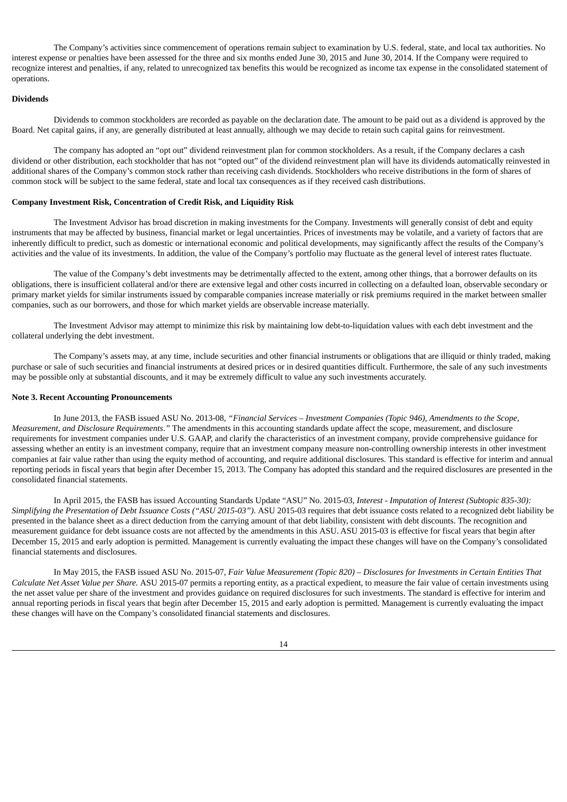The Company's activities since commencement of operations remain subject to examination by U.S. federal, state, and local tax authorities. No interest expense or penalties have been assessed for the three and six months ended June 30, 2015 and June 30, 2014. If the Company were required to recognize interest and penalties, if any, related to unrecognized tax benefits this would be recognized as income tax expense in the consolidated statement of operations.

## **Dividends**

Dividends to common stockholders are recorded as payable on the declaration date. The amount to be paid out as a dividend is approved by the Board. Net capital gains, if any, are generally distributed at least annually, although we may decide to retain such capital gains for reinvestment.

The company has adopted an "opt out" dividend reinvestment plan for common stockholders. As a result, if the Company declares a cash dividend or other distribution, each stockholder that has not "opted out" of the dividend reinvestment plan will have its dividends automatically reinvested in additional shares of the Company's common stock rather than receiving cash dividends. Stockholders who receive distributions in the form of shares of common stock will be subject to the same federal, state and local tax consequences as if they received cash distributions.

## **Company Investment Risk, Concentration of Credit Risk, and Liquidity Risk**

The Investment Advisor has broad discretion in making investments for the Company. Investments will generally consist of debt and equity instruments that may be affected by business, financial market or legal uncertainties. Prices of investments may be volatile, and a variety of factors that are inherently difficult to predict, such as domestic or international economic and political developments, may significantly affect the results of the Company's activities and the value of its investments. In addition, the value of the Company's portfolio may fluctuate as the general level of interest rates fluctuate.

The value of the Company's debt investments may be detrimentally affected to the extent, among other things, that a borrower defaults on its obligations, there is insufficient collateral and/or there are extensive legal and other costs incurred in collecting on a defaulted loan, observable secondary or primary market yields for similar instruments issued by comparable companies increase materially or risk premiums required in the market between smaller companies, such as our borrowers, and those for which market yields are observable increase materially.

The Investment Advisor may attempt to minimize this risk by maintaining low debt-to-liquidation values with each debt investment and the collateral underlying the debt investment.

The Company's assets may, at any time, include securities and other financial instruments or obligations that are illiquid or thinly traded, making purchase or sale of such securities and financial instruments at desired prices or in desired quantities difficult. Furthermore, the sale of any such investments may be possible only at substantial discounts, and it may be extremely difficult to value any such investments accurately.

#### **Note 3. Recent Accounting Pronouncements**

In June 2013, the FASB issued ASU No. 2013-08, *"Financial Services – Investment Companies (Topic 946), Amendments to the Scope, Measurement, and Disclosure Requirements*.*"* The amendments in this accounting standards update affect the scope, measurement, and disclosure requirements for investment companies under U.S. GAAP, and clarify the characteristics of an investment company, provide comprehensive guidance for assessing whether an entity is an investment company, require that an investment company measure non-controlling ownership interests in other investment companies at fair value rather than using the equity method of accounting, and require additional disclosures. This standard is effective for interim and annual reporting periods in fiscal years that begin after December 15, 2013. The Company has adopted this standard and the required disclosures are presented in the consolidated financial statements.

In April 2015, the FASB has issued Accounting Standards Update "ASU" No. 2015-03, *Interest - Imputation of Interest (Subtopic 835-30): Simplifying the Presentation of Debt Issuance Costs ("ASU 2015-03")*. ASU 2015-03 requires that debt issuance costs related to a recognized debt liability be presented in the balance sheet as a direct deduction from the carrying amount of that debt liability, consistent with debt discounts. The recognition and measurement guidance for debt issuance costs are not affected by the amendments in this ASU. ASU 2015-03 is effective for fiscal years that begin after December 15, 2015 and early adoption is permitted. Management is currently evaluating the impact these changes will have on the Company's consolidated financial statements and disclosures.

In May 2015, the FASB issued ASU No. 2015-07, Fair Value Measurement (Topic 820) - Disclosures for Investments in Certain Entities That *Calculate Net Asset Value per Share.* ASU 2015-07 permits a reporting entity, as a practical expedient, to measure the fair value of certain investments using the net asset value per share of the investment and provides guidance on required disclosures for such investments. The standard is effective for interim and annual reporting periods in fiscal years that begin after December 15, 2015 and early adoption is permitted. Management is currently evaluating the impact these changes will have on the Company's consolidated financial statements and disclosures.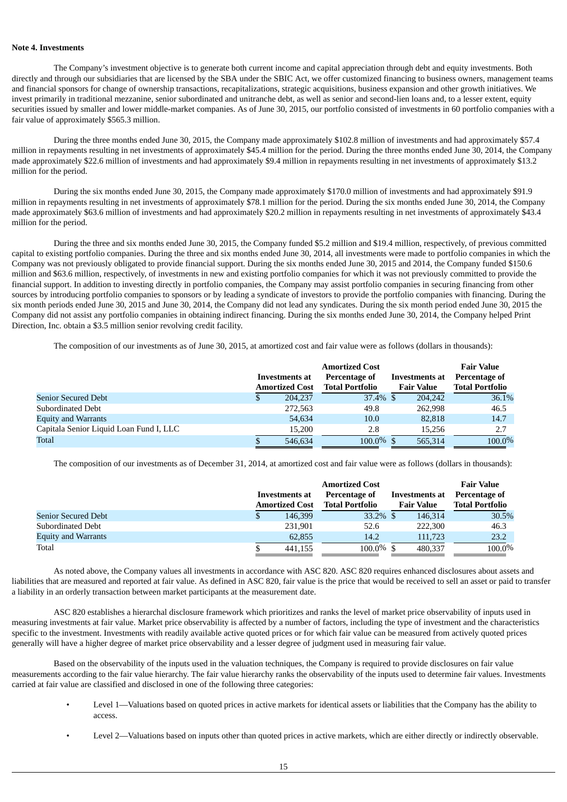## **Note 4. Investments**

The Company's investment objective is to generate both current income and capital appreciation through debt and equity investments. Both directly and through our subsidiaries that are licensed by the SBA under the SBIC Act, we offer customized financing to business owners, management teams and financial sponsors for change of ownership transactions, recapitalizations, strategic acquisitions, business expansion and other growth initiatives. We invest primarily in traditional mezzanine, senior subordinated and unitranche debt, as well as senior and second-lien loans and, to a lesser extent, equity securities issued by smaller and lower middle-market companies. As of June 30, 2015, our portfolio consisted of investments in 60 portfolio companies with a fair value of approximately \$565.3 million.

During the three months ended June 30, 2015, the Company made approximately \$102.8 million of investments and had approximately \$57.4 million in repayments resulting in net investments of approximately \$45.4 million for the period. During the three months ended June 30, 2014, the Company made approximately \$22.6 million of investments and had approximately \$9.4 million in repayments resulting in net investments of approximately \$13.2 million for the period.

During the six months ended June 30, 2015, the Company made approximately \$170.0 million of investments and had approximately \$91.9 million in repayments resulting in net investments of approximately \$78.1 million for the period. During the six months ended June 30, 2014, the Company made approximately \$63.6 million of investments and had approximately \$20.2 million in repayments resulting in net investments of approximately \$43.4 million for the period.

During the three and six months ended June 30, 2015, the Company funded \$5.2 million and \$19.4 million, respectively, of previous committed capital to existing portfolio companies. During the three and six months ended June 30, 2014, all investments were made to portfolio companies in which the Company was not previously obligated to provide financial support. During the six months ended June 30, 2015 and 2014, the Company funded \$150.6 million and \$63.6 million, respectively, of investments in new and existing portfolio companies for which it was not previously committed to provide the financial support. In addition to investing directly in portfolio companies, the Company may assist portfolio companies in securing financing from other sources by introducing portfolio companies to sponsors or by leading a syndicate of investors to provide the portfolio companies with financing. During the six month periods ended June 30, 2015 and June 30, 2014, the Company did not lead any syndicates. During the six month period ended June 30, 2015 the Company did not assist any portfolio companies in obtaining indirect financing. During the six months ended June 30, 2014, the Company helped Print Direction, Inc. obtain a \$3.5 million senior revolving credit facility.

The composition of our investments as of June 30, 2015, at amortized cost and fair value were as follows (dollars in thousands):

|                                         |   | Investments at<br><b>Amortized Cost</b> | <b>Amortized Cost</b><br>Percentage of<br><b>Total Portfolio</b> | Investments at<br><b>Fair Value</b> | <b>Fair Value</b><br>Percentage of<br><b>Total Portfolio</b> |
|-----------------------------------------|---|-----------------------------------------|------------------------------------------------------------------|-------------------------------------|--------------------------------------------------------------|
| Senior Secured Debt                     | S | 204.237                                 | $37.4\%$ \$                                                      | 204.242                             | 36.1%                                                        |
| Subordinated Debt                       |   | 272,563                                 | 49.8                                                             | 262.998                             | 46.5                                                         |
| <b>Equity and Warrants</b>              |   | 54,634                                  | 10.0                                                             | 82,818                              | 14.7                                                         |
| Capitala Senior Liquid Loan Fund I, LLC |   | 15.200                                  | 2.8                                                              | 15,256                              | 2.7                                                          |
| Total                                   |   | 546,634                                 | $100.0\%$ \$                                                     | 565,314                             | 100.0%                                                       |

The composition of our investments as of December 31, 2014, at amortized cost and fair value were as follows (dollars in thousands):

|                            |                |                       | <b>Fair Value</b>      |                |                   |                        |
|----------------------------|----------------|-----------------------|------------------------|----------------|-------------------|------------------------|
|                            | Investments at |                       | Percentage of          | Investments at |                   | Percentage of          |
|                            |                | <b>Amortized Cost</b> | <b>Total Portfolio</b> |                | <b>Fair Value</b> | <b>Total Portfolio</b> |
| <b>Senior Secured Debt</b> | \$             | 146,399               | $33.2\%$ \$            |                | 146,314           | 30.5%                  |
| Subordinated Debt          |                | 231,901               | 52.6                   |                | 222,300           | 46.3                   |
| <b>Equity and Warrants</b> |                | 62,855                | 14.2                   |                | 111,723           | 23.2                   |
| Total                      |                | 441.155               | $100.0\%$ \$           |                | 480,337           | 100.0%                 |

As noted above, the Company values all investments in accordance with ASC 820. ASC 820 requires enhanced disclosures about assets and liabilities that are measured and reported at fair value. As defined in ASC 820, fair value is the price that would be received to sell an asset or paid to transfer a liability in an orderly transaction between market participants at the measurement date.

ASC 820 establishes a hierarchal disclosure framework which prioritizes and ranks the level of market price observability of inputs used in measuring investments at fair value. Market price observability is affected by a number of factors, including the type of investment and the characteristics specific to the investment. Investments with readily available active quoted prices or for which fair value can be measured from actively quoted prices generally will have a higher degree of market price observability and a lesser degree of judgment used in measuring fair value.

Based on the observability of the inputs used in the valuation techniques, the Company is required to provide disclosures on fair value measurements according to the fair value hierarchy. The fair value hierarchy ranks the observability of the inputs used to determine fair values. Investments carried at fair value are classified and disclosed in one of the following three categories:

- Level 1—Valuations based on quoted prices in active markets for identical assets or liabilities that the Company has the ability to access.
- Level 2—Valuations based on inputs other than quoted prices in active markets, which are either directly or indirectly observable.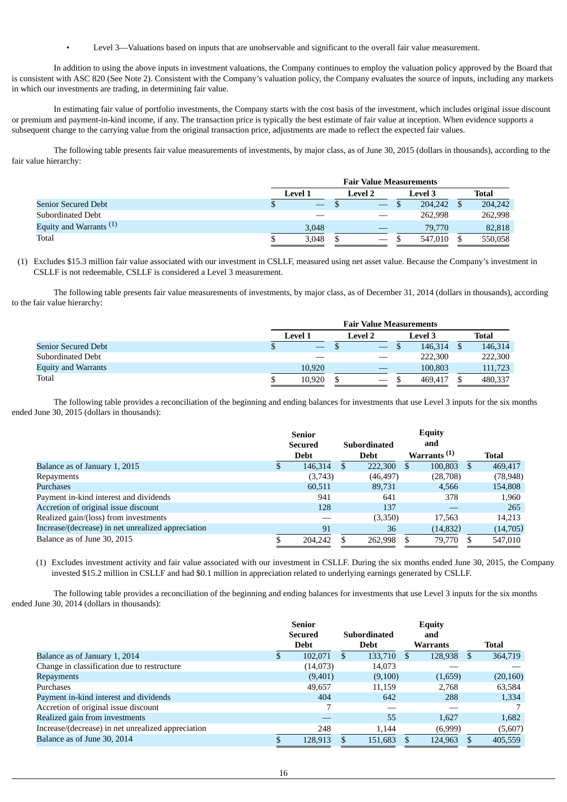• Level 3—Valuations based on inputs that are unobservable and significant to the overall fair value measurement.

In addition to using the above inputs in investment valuations, the Company continues to employ the valuation policy approved by the Board that is consistent with ASC 820 (See Note 2). Consistent with the Company's valuation policy, the Company evaluates the source of inputs, including any markets in which our investments are trading, in determining fair value.

In estimating fair value of portfolio investments, the Company starts with the cost basis of the investment, which includes original issue discount or premium and payment-in-kind income, if any. The transaction price is typically the best estimate of fair value at inception. When evidence supports a subsequent change to the carrying value from the original transaction price, adjustments are made to reflect the expected fair values.

The following table presents fair value measurements of investments, by major class, as of June 30, 2015 (dollars in thousands), according to the fair value hierarchy:

|                           | <b>Fair Value Measurements</b> |  |         |  |         |  |              |  |  |
|---------------------------|--------------------------------|--|---------|--|---------|--|--------------|--|--|
|                           | Level 1                        |  | Level 2 |  | Level 3 |  | <b>Total</b> |  |  |
| Senior Secured Debt       |                                |  |         |  | 204,242 |  | 204.242      |  |  |
| Subordinated Debt         |                                |  |         |  | 262,998 |  | 262,998      |  |  |
| Equity and Warrants $(1)$ | 3.048                          |  |         |  | 79,770  |  | 82,818       |  |  |
| Total                     | 3,048                          |  |         |  | 547,010 |  | 550,058      |  |  |

(1) Excludes \$15.3 million fair value associated with our investment in CSLLF, measured using net asset value. Because the Company's investment in CSLLF is not redeemable, CSLLF is considered a Level 3 measurement.

The following table presents fair value measurements of investments, by major class, as of December 31, 2014 (dollars in thousands), according to the fair value hierarchy:

|                            |                | <b>Fair Value Measurements</b> |         |              |  |  |  |  |  |  |
|----------------------------|----------------|--------------------------------|---------|--------------|--|--|--|--|--|--|
|                            | <b>Level 1</b> | Level 2                        | Level 3 | <b>Total</b> |  |  |  |  |  |  |
| Senior Secured Debt        |                |                                | 146.314 | 146,314      |  |  |  |  |  |  |
| Subordinated Debt          |                |                                | 222,300 | 222,300      |  |  |  |  |  |  |
| <b>Equity and Warrants</b> | 10,920         |                                | 100.803 | 111,723      |  |  |  |  |  |  |
| Total                      | 10.920         | $\qquad \qquad$                | 469,417 | 480,337      |  |  |  |  |  |  |

The following table provides a reconciliation of the beginning and ending balances for investments that use Level 3 inputs for the six months ended June 30, 2015 (dollars in thousands):

|                                                    | Senior                         |             |   |             |      | <b>Equity</b>           |     |           |
|----------------------------------------------------|--------------------------------|-------------|---|-------------|------|-------------------------|-----|-----------|
|                                                    | <b>Subordinated</b><br>Secured |             |   | and         |      |                         |     |           |
|                                                    |                                | <b>Debt</b> |   | <b>Debt</b> |      | Warrants <sup>(1)</sup> |     | Total     |
| Balance as of January 1, 2015                      |                                | 146,314     | S | 222,300     | - \$ | 100,803                 | \$. | 469,417   |
| Repayments                                         |                                | (3,743)     |   | (46, 497)   |      | (28, 708)               |     | (78, 948) |
| Purchases                                          |                                | 60,511      |   | 89,731      |      | 4,566                   |     | 154,808   |
| Payment in-kind interest and dividends             |                                | 941         |   | 641         |      | 378                     |     | 1,960     |
| Accretion of original issue discount               |                                | 128         |   | 137         |      |                         |     | 265       |
| Realized gain/(loss) from investments              |                                |             |   | (3,350)     |      | 17,563                  |     | 14,213    |
| Increase/(decrease) in net unrealized appreciation |                                | 91          |   | 36          |      | (14, 832)               |     | (14,705)  |
| Balance as of June 30, 2015                        |                                | 204.242     |   | 262,998     |      | 79,770                  |     | 547,010   |

(1) Excludes investment activity and fair value associated with our investment in CSLLF. During the six months ended June 30, 2015, the Company invested \$15.2 million in CSLLF and had \$0.1 million in appreciation related to underlying earnings generated by CSLLF.

The following table provides a reconciliation of the beginning and ending balances for investments that use Level 3 inputs for the six months ended June 30, 2014 (dollars in thousands):

|                                                    | Senior  |             |                     | <b>Equity</b> |     |          |    |           |
|----------------------------------------------------|---------|-------------|---------------------|---------------|-----|----------|----|-----------|
|                                                    | Secured |             | <b>Subordinated</b> |               | and |          |    |           |
|                                                    |         | <b>Debt</b> |                     | <b>Debt</b>   |     | Warrants |    | Total     |
| Balance as of January 1, 2014                      | æ.      | 102,071     | \$.                 | 133,710       |     | 128,938  | -S | 364,719   |
| Change in classification due to restructure        |         | (14,073)    |                     | 14,073        |     |          |    |           |
| Repayments                                         |         | (9,401)     |                     | (9,100)       |     | (1,659)  |    | (20, 160) |
| Purchases                                          |         | 49,657      |                     | 11,159        |     | 2.768    |    | 63,584    |
| Payment in-kind interest and dividends             |         | 404         |                     | 642           |     | 288      |    | 1,334     |
| Accretion of original issue discount               |         |             |                     |               |     |          |    |           |
| Realized gain from investments                     |         |             |                     | 55            |     | 1.627    |    | 1,682     |
| Increase/(decrease) in net unrealized appreciation |         | 248         |                     | 1.144         |     | (6,999)  |    | (5,607)   |
| Balance as of June 30, 2014                        |         | 128.913     |                     | 151.683       |     | 124,963  |    | 405.559   |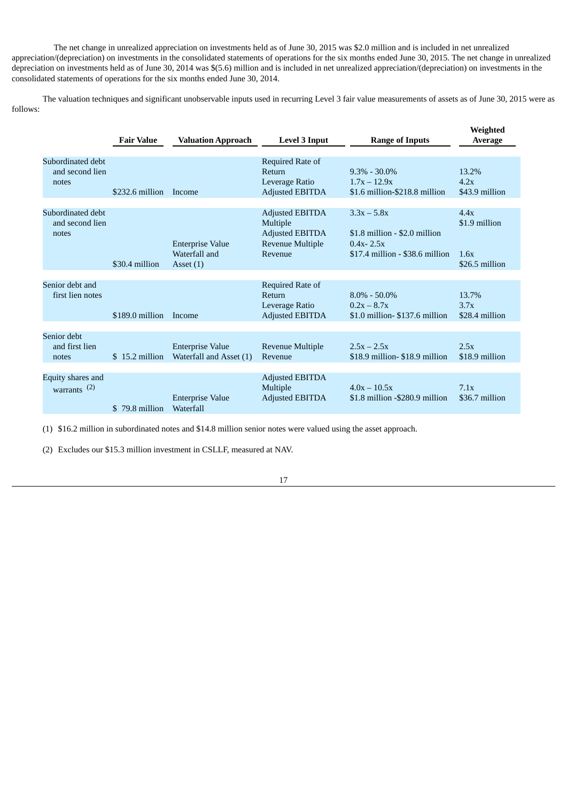The net change in unrealized appreciation on investments held as of June 30, 2015 was \$2.0 million and is included in net unrealized appreciation/(depreciation) on investments in the consolidated statements of operations for the six months ended June 30, 2015. The net change in unrealized depreciation on investments held as of June 30, 2014 was \$(5.6) million and is included in net unrealized appreciation/(depreciation) on investments in the consolidated statements of operations for the six months ended June 30, 2014.

The valuation techniques and significant unobservable inputs used in recurring Level 3 fair value measurements of assets as of June 30, 2015 were as follows:

|                                               | <b>Fair Value</b> | <b>Valuation Approach</b>                               | <b>Level 3 Input</b>                                                                               | <b>Range of Inputs</b>                                                                                | Weighted<br>Average                             |
|-----------------------------------------------|-------------------|---------------------------------------------------------|----------------------------------------------------------------------------------------------------|-------------------------------------------------------------------------------------------------------|-------------------------------------------------|
| Subordinated debt<br>and second lien<br>notes | $$232.6$ million  | <b>Income</b>                                           | Required Rate of<br>Return<br>Leverage Ratio<br><b>Adjusted EBITDA</b>                             | $9.3\% - 30.0\%$<br>$1.7x - 12.9x$<br>\$1.6 million-\$218.8 million                                   | 13.2%<br>4.2x<br>\$43.9 million                 |
| Subordinated debt<br>and second lien<br>notes | \$30.4 million    | <b>Enterprise Value</b><br>Waterfall and<br>Asset $(1)$ | <b>Adjusted EBITDA</b><br>Multiple<br><b>Adjusted EBITDA</b><br><b>Revenue Multiple</b><br>Revenue | $3.3x - 5.8x$<br>$$1.8$ million - $$2.0$ million<br>$0.4x - 2.5x$<br>$$17.4$ million - \$38.6 million | 4.4x<br>\$1.9 million<br>1.6x<br>\$26.5 million |
| Senior debt and<br>first lien notes           | $$189.0$ million  | <b>Income</b>                                           | Required Rate of<br>Return<br>Leverage Ratio<br><b>Adjusted EBITDA</b>                             | $8.0\% - 50.0\%$<br>$0.2x - 8.7x$<br>$$1.0$ million- $$137.6$ million                                 | 13.7%<br>3.7x<br>\$28.4 million                 |
| Senior debt<br>and first lien<br>notes        | $$15.2$ million   | <b>Enterprise Value</b><br>Waterfall and Asset (1)      | Revenue Multiple<br>Revenue                                                                        | $2.5x - 2.5x$<br>$$18.9$ million- $$18.9$ million                                                     | 2.5x<br>\$18.9 million                          |
| Equity shares and<br>warrants $(2)$           | $$79.8$ million   | <b>Enterprise Value</b><br>Waterfall                    | <b>Adjusted EBITDA</b><br>Multiple<br><b>Adjusted EBITDA</b>                                       | $4.0x - 10.5x$<br>\$1.8 million -\$280.9 million                                                      | 7.1x<br>\$36.7 million                          |

(1) \$16.2 million in subordinated notes and \$14.8 million senior notes were valued using the asset approach.

(2) Excludes our \$15.3 million investment in CSLLF, measured at NAV.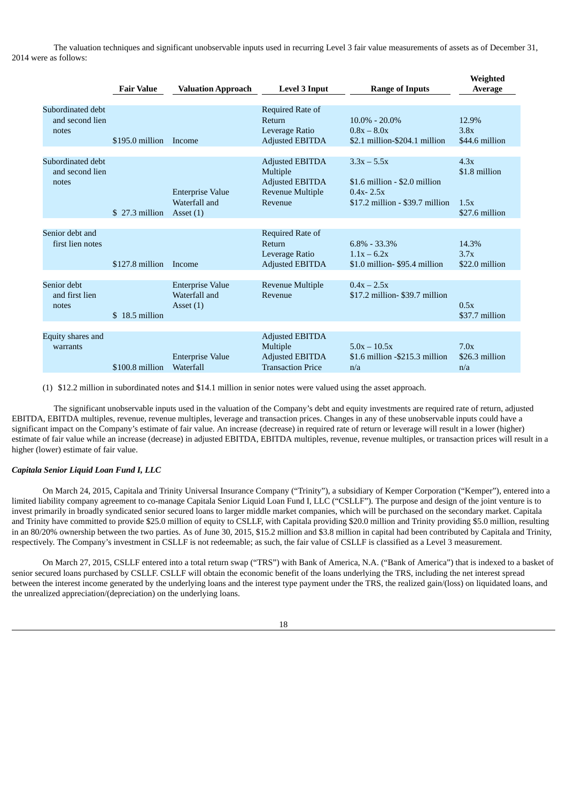The valuation techniques and significant unobservable inputs used in recurring Level 3 fair value measurements of assets as of December 31, 2014 were as follows:

|                                               | <b>Fair Value</b> | <b>Valuation Approach</b>                               | <b>Level 3 Input</b>                                                                               | <b>Range of Inputs</b>                                                                               | Weighted<br>Average                             |
|-----------------------------------------------|-------------------|---------------------------------------------------------|----------------------------------------------------------------------------------------------------|------------------------------------------------------------------------------------------------------|-------------------------------------------------|
| Subordinated debt<br>and second lien<br>notes | $$195.0$ million  | Income                                                  | Required Rate of<br>Return<br>Leverage Ratio<br><b>Adjusted EBITDA</b>                             | $10.0\% - 20.0\%$<br>$0.8x - 8.0x$<br>\$2.1 million-\$204.1 million                                  | 12.9%<br>3.8x<br>\$44.6 million                 |
| Subordinated debt<br>and second lien<br>notes | $$27.3$ million   | <b>Enterprise Value</b><br>Waterfall and<br>Asset $(1)$ | <b>Adjusted EBITDA</b><br>Multiple<br><b>Adjusted EBITDA</b><br><b>Revenue Multiple</b><br>Revenue | $3.3x - 5.5x$<br>$$1.6$ million - \$2.0 million<br>$0.4x - 2.5x$<br>$$17.2$ million - \$39.7 million | 4.3x<br>\$1.8 million<br>1.5x<br>\$27.6 million |
| Senior debt and<br>first lien notes           | $$127.8$ million  | Income                                                  | Required Rate of<br>Return<br>Leverage Ratio<br><b>Adjusted EBITDA</b>                             | $6.8\% - 33.3\%$<br>$1.1x - 6.2x$<br>\$1.0 million-\$95.4 million                                    | 14.3%<br>3.7x<br>\$22.0 million                 |
| Senior debt<br>and first lien<br>notes        | $$18.5$ million   | <b>Enterprise Value</b><br>Waterfall and<br>Asset $(1)$ | <b>Revenue Multiple</b><br>Revenue                                                                 | $0.4x - 2.5x$<br>$$17.2$ million- $$39.7$ million                                                    | 0.5x<br>\$37.7 million                          |
| Equity shares and<br>warrants                 | \$100.8 million   | <b>Enterprise Value</b><br>Waterfall                    | <b>Adjusted EBITDA</b><br>Multiple<br><b>Adjusted EBITDA</b><br><b>Transaction Price</b>           | $5.0x - 10.5x$<br>$$1.6$ million $-$215.3$ million<br>n/a                                            | 7.0x<br>\$26.3 million<br>n/a                   |

(1) \$12.2 million in subordinated notes and \$14.1 million in senior notes were valued using the asset approach.

The significant unobservable inputs used in the valuation of the Company's debt and equity investments are required rate of return, adjusted EBITDA, EBITDA multiples, revenue, revenue multiples, leverage and transaction prices. Changes in any of these unobservable inputs could have a significant impact on the Company's estimate of fair value. An increase (decrease) in required rate of return or leverage will result in a lower (higher) estimate of fair value while an increase (decrease) in adjusted EBITDA, EBITDA multiples, revenue, revenue multiples, or transaction prices will result in a higher (lower) estimate of fair value.

#### *Capitala Senior Liquid Loan Fund I, LLC*

On March 24, 2015, Capitala and Trinity Universal Insurance Company ("Trinity"), a subsidiary of Kemper Corporation ("Kemper"), entered into a limited liability company agreement to co-manage Capitala Senior Liquid Loan Fund I, LLC ("CSLLF"). The purpose and design of the joint venture is to invest primarily in broadly syndicated senior secured loans to larger middle market companies, which will be purchased on the secondary market. Capitala and Trinity have committed to provide \$25.0 million of equity to CSLLF, with Capitala providing \$20.0 million and Trinity providing \$5.0 million, resulting in an 80/20% ownership between the two parties. As of June 30, 2015, \$15.2 million and \$3.8 million in capital had been contributed by Capitala and Trinity, respectively. The Company's investment in CSLLF is not redeemable; as such, the fair value of CSLLF is classified as a Level 3 measurement.

On March 27, 2015, CSLLF entered into a total return swap ("TRS") with Bank of America, N.A. ("Bank of America") that is indexed to a basket of senior secured loans purchased by CSLLF. CSLLF will obtain the economic benefit of the loans underlying the TRS, including the net interest spread between the interest income generated by the underlying loans and the interest type payment under the TRS, the realized gain/(loss) on liquidated loans, and the unrealized appreciation/(depreciation) on the underlying loans.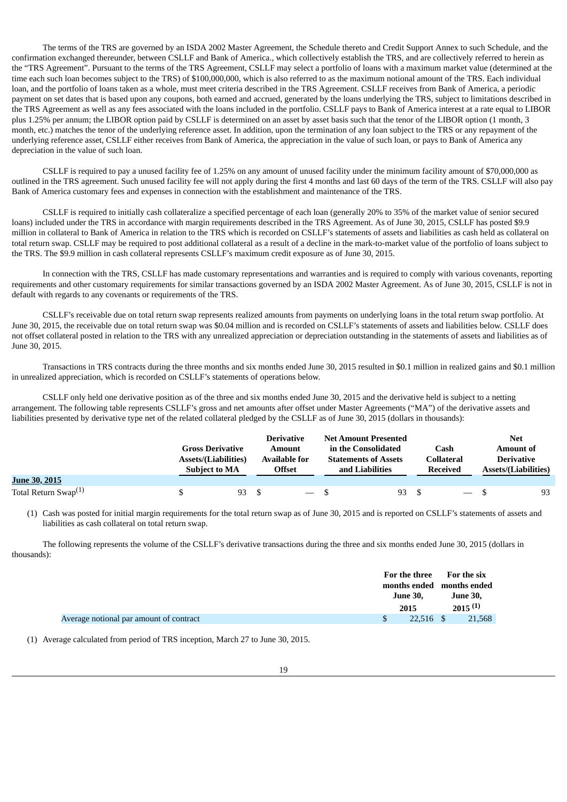The terms of the TRS are governed by an ISDA 2002 Master Agreement, the Schedule thereto and Credit Support Annex to such Schedule, and the confirmation exchanged thereunder, between CSLLF and Bank of America., which collectively establish the TRS, and are collectively referred to herein as the "TRS Agreement". Pursuant to the terms of the TRS Agreement, CSLLF may select a portfolio of loans with a maximum market value (determined at the time each such loan becomes subject to the TRS) of \$100,000,000, which is also referred to as the maximum notional amount of the TRS. Each individual loan, and the portfolio of loans taken as a whole, must meet criteria described in the TRS Agreement. CSLLF receives from Bank of America, a periodic payment on set dates that is based upon any coupons, both earned and accrued, generated by the loans underlying the TRS, subject to limitations described in the TRS Agreement as well as any fees associated with the loans included in the portfolio. CSLLF pays to Bank of America interest at a rate equal to LIBOR plus 1.25% per annum; the LIBOR option paid by CSLLF is determined on an asset by asset basis such that the tenor of the LIBOR option (1 month, 3 month, etc.) matches the tenor of the underlying reference asset. In addition, upon the termination of any loan subject to the TRS or any repayment of the underlying reference asset, CSLLF either receives from Bank of America, the appreciation in the value of such loan, or pays to Bank of America any depreciation in the value of such loan.

CSLLF is required to pay a unused facility fee of 1.25% on any amount of unused facility under the minimum facility amount of \$70,000,000 as outlined in the TRS agreement. Such unused facility fee will not apply during the first 4 months and last 60 days of the term of the TRS. CSLLF will also pay Bank of America customary fees and expenses in connection with the establishment and maintenance of the TRS.

CSLLF is required to initially cash collateralize a specified percentage of each loan (generally 20% to 35% of the market value of senior secured loans) included under the TRS in accordance with margin requirements described in the TRS Agreement. As of June 30, 2015, CSLLF has posted \$9.9 million in collateral to Bank of America in relation to the TRS which is recorded on CSLLF's statements of assets and liabilities as cash held as collateral on total return swap. CSLLF may be required to post additional collateral as a result of a decline in the mark-to-market value of the portfolio of loans subject to the TRS. The \$9.9 million in cash collateral represents CSLLF's maximum credit exposure as of June 30, 2015.

In connection with the TRS, CSLLF has made customary representations and warranties and is required to comply with various covenants, reporting requirements and other customary requirements for similar transactions governed by an ISDA 2002 Master Agreement. As of June 30, 2015, CSLLF is not in default with regards to any covenants or requirements of the TRS.

CSLLF's receivable due on total return swap represents realized amounts from payments on underlying loans in the total return swap portfolio. At June 30, 2015, the receivable due on total return swap was \$0.04 million and is recorded on CSLLF's statements of assets and liabilities below. CSLLF does not offset collateral posted in relation to the TRS with any unrealized appreciation or depreciation outstanding in the statements of assets and liabilities as of June 30, 2015.

Transactions in TRS contracts during the three months and six months ended June 30, 2015 resulted in \$0.1 million in realized gains and \$0.1 million in unrealized appreciation, which is recorded on CSLLF's statements of operations below.

CSLLF only held one derivative position as of the three and six months ended June 30, 2015 and the derivative held is subject to a netting arrangement. The following table represents CSLLF's gross and net amounts after offset under Master Agreements ("MA") of the derivative assets and liabilities presented by derivative type net of the related collateral pledged by the CSLLF as of June 30, 2015 (dollars in thousands):

|                                  | <b>Gross Derivative</b><br><b>Assets/(Liabilities)</b><br><b>Subject to MA</b> |    | <b>Derivative</b><br>Amount<br><b>Available for</b><br>Offset | <b>Net Amount Presented</b><br>in the Consolidated<br><b>Statements of Assets</b><br>and Liabilities | Cash<br><b>Collateral</b><br><b>Received</b> | <b>Net</b><br><b>Amount of</b><br><b>Derivative</b><br><b>Assets/(Liabilities)</b> |
|----------------------------------|--------------------------------------------------------------------------------|----|---------------------------------------------------------------|------------------------------------------------------------------------------------------------------|----------------------------------------------|------------------------------------------------------------------------------------|
| <u>June 30, 2015</u>             |                                                                                |    |                                                               |                                                                                                      |                                              |                                                                                    |
| Total Return Swap <sup>(1)</sup> |                                                                                | 93 | $-$ S                                                         | 93                                                                                                   | $\overline{\phantom{0}}$                     | 93                                                                                 |

(1) Cash was posted for initial margin requirements for the total return swap as of June 30, 2015 and is reported on CSLLF's statements of assets and liabilities as cash collateral on total return swap.

The following represents the volume of the CSLLF's derivative transactions during the three and six months ended June 30, 2015 (dollars in thousands):

|                                         |              | For the three For the six<br><b>June 30,</b><br>2015 | months ended months ended<br><b>June 30.</b><br>$2015^{(1)}$ |
|-----------------------------------------|--------------|------------------------------------------------------|--------------------------------------------------------------|
| Average notional par amount of contract | <sup>S</sup> | 22.516 \$                                            | 21,568                                                       |

(1) Average calculated from period of TRS inception, March 27 to June 30, 2015.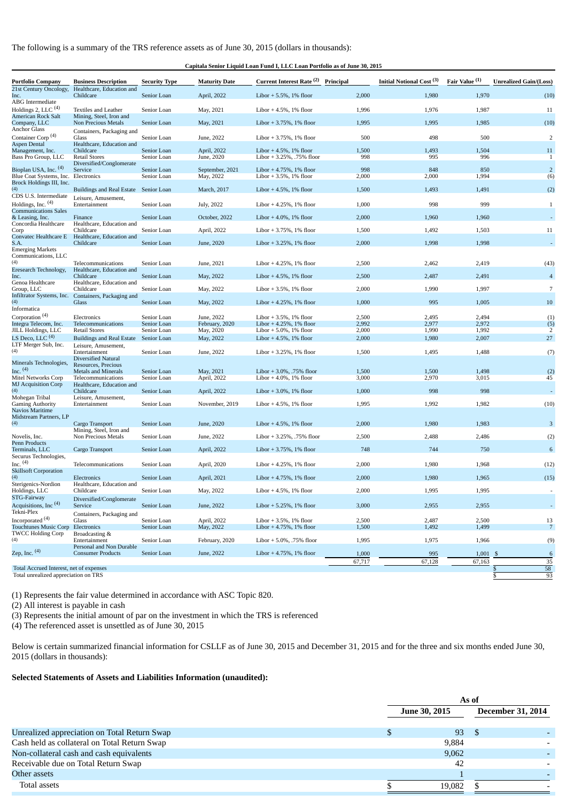**Capitala Senior Liquid Loan Fund I, LLC Loan Portfolio as of June 30, 2015**

| <b>Portfolio Company</b>                                  | <b>Business Description</b>                                      | <b>Security Type</b>       | <b>Maturity Date</b>        | Current Interest Rate <sup>(2)</sup>                      | Principal      | Initial Notional Cost <sup>(3)</sup> | Fair Value <sup>(1)</sup> | <b>Unrealized Gain/(Loss)</b> |
|-----------------------------------------------------------|------------------------------------------------------------------|----------------------------|-----------------------------|-----------------------------------------------------------|----------------|--------------------------------------|---------------------------|-------------------------------|
| 21st Century Oncology,<br>Inc.                            | Healthcare, Education and<br>Childcare                           | Senior Loan                | April, 2022                 | Libor $+ 5.5\%$ , 1% floor                                | 2,000          | 1,980                                | 1,970                     | (10)                          |
| ABG Intermediate                                          |                                                                  |                            |                             |                                                           |                |                                      |                           |                               |
| Holdings 2, LLC $(4)$                                     | <b>Textiles and Leather</b>                                      | Senior Loan                | May, 2021                   | Libor $+ 4.5\%$ , 1% floor                                | 1,996          | 1,976                                | 1,987                     | 11                            |
| American Rock Salt<br>Company, LLC<br><b>Anchor Glass</b> | Mining, Steel, Iron and<br>Non Precious Metals                   | Senior Loan                | May, 2021                   | Libor $+3.75%$ , 1% floor                                 | 1,995          | 1,995                                | 1,985                     | (10)                          |
| Container Corp <sup>(4)</sup>                             | Containers, Packaging and<br>Glass                               | Senior Loan                | June, 2022                  | Libor $+3.75%$ , 1% floor                                 | 500            | 498                                  | 500                       | $\overline{2}$                |
| <b>Aspen Dental</b>                                       | Healthcare, Education and                                        |                            |                             |                                                           |                |                                      |                           |                               |
| Management, Inc.<br>Bass Pro Group, LLC                   | Childcare<br><b>Retail Stores</b>                                | Senior Loan<br>Senior Loan | April, 2022<br>June, 2020   | Libor $+ 4.5\%$ , 1% floor<br>Libor + 3.25%, .75% floor   | 1,500<br>998   | 1,493<br>995                         | 1,504<br>996              | 11<br>$\mathbf{1}$            |
| Bioplan USA, Inc. <sup>(4)</sup>                          | Diversified/Conglomerate<br>Service                              | Senior Loan                | September, 2021             | Libor $+ 4.75\%$ , 1% floor                               | 998            | 848                                  | 850                       | $\overline{2}$                |
| Blue Coat Systems, Inc. Electronics                       |                                                                  | Senior Loan                | May, 2022                   | Libor $+3.5%$ , 1% floor                                  | 2,000          | 2,000                                | 1,994                     | (6)                           |
| Brock Holdings III, Inc.<br>(4)                           | Buildings and Real Estate Senior Loan                            |                            | March, 2017                 | Libor $+ 4.5\%$ , 1% floor                                | 1,500          | 1,493                                | 1,491                     | (2)                           |
| CDS U.S. Intermediate                                     | Leisure, Amusement,                                              |                            |                             |                                                           |                |                                      |                           |                               |
| Holdings, Inc. (4)<br><b>Communications Sales</b>         | Entertainment                                                    | Senior Loan                | July, 2022                  | Libor $+ 4.25\%$ , 1% floor                               | 1,000          | 998                                  | 999                       | $\mathbf{1}$                  |
| & Leasing, Inc.                                           | Finance                                                          | Senior Loan                | October, 2022               | Libor $+ 4.0\%$ , 1% floor                                | 2,000          | 1,960                                | 1,960                     |                               |
| Concordia Healthcare<br>Corp                              | Healthcare, Education and<br>Childcare                           | Senior Loan                | April, 2022                 | Libor $+3.75%$ , 1% floor                                 | 1,500          | 1,492                                | 1,503                     | 11                            |
| Convatec Healthcare E                                     | Healthcare, Education and                                        |                            |                             |                                                           |                |                                      |                           |                               |
| S.A.<br><b>Emerging Markets</b>                           | Childcare                                                        | Senior Loan                | June, 2020                  | Libor $+ 3.25\%$ , 1% floor                               | 2,000          | 1,998                                | 1,998                     |                               |
| Communications, LLC                                       |                                                                  |                            |                             |                                                           |                |                                      |                           |                               |
| (4)                                                       | Telecommunications                                               | Senior Loan                | June, 2021                  | Libor + 4.25%, 1% floor                                   | 2,500          | 2,462                                | 2,419                     | (43)                          |
| Eresearch Technology,<br>Inc.                             | Healthcare, Education and<br>Childcare                           | Senior Loan                | May, 2022                   | Libor $+ 4.5\%$ , 1% floor                                | 2,500          | 2,487                                | 2,491                     | $\overline{4}$                |
| Genoa Healthcare                                          | Healthcare, Education and                                        |                            |                             |                                                           |                |                                      |                           |                               |
| Group, LLC                                                | Childcare<br>Infiltrator Systems, Inc. Containers, Packaging and | Senior Loan                | May, 2022                   | Libor $+3.5\%$ , 1% floor                                 | 2,000          | 1,990                                | 1,997                     | $\overline{7}$                |
| (4)                                                       | Glass                                                            | Senior Loan                | May, 2022                   | Libor + 4.25%, 1% floor                                   | 1,000          | 995                                  | 1,005                     | 10                            |
| Informatica                                               |                                                                  |                            |                             |                                                           |                |                                      |                           |                               |
| Corporation <sup><math>(4)</math></sup>                   | Electronics                                                      | Senior Loan                | June, 2022                  | Libor $+3.5%$ , 1% floor                                  | 2,500          | 2,495                                | 2,494                     | (1)                           |
| Integra Telecom, Inc.<br>JILL Holdings, LLC               | Telecommunications<br><b>Retail Stores</b>                       | Senior Loan<br>Senior Loan | February, 2020<br>May, 2020 | Libor $+ 4.25\%$ , 1% floor<br>Libor $+ 5.0\%$ , 1% floor | 2,992<br>2,000 | 2,977<br>1,990                       | 2,972<br>1,992            | (5)<br>2                      |
| LS Deco, LLC $(4)$                                        | <b>Buildings and Real Estate</b>                                 | Senior Loan                | May, 2022                   | Libor $+ 4.5\%$ , 1% floor                                | 2,000          | 1,980                                | 2,007                     | 27                            |
| LTF Merger Sub, Inc.                                      | Leisure, Amusement,                                              |                            |                             |                                                           |                |                                      |                           |                               |
| (4)                                                       | Entertainment<br>Diversified Natural                             | Senior Loan                | June, 2022                  | Libor $+ 3.25\%$ , 1% floor                               | 1,500          | 1,495                                | 1,488                     | (7)                           |
| Minerals Technologies,                                    | Resources, Precious                                              |                            |                             |                                                           |                |                                      |                           |                               |
| Inc. $(4)$                                                | <b>Metals and Minerals</b>                                       | Senior Loan                | May, 2021                   | Libor $+3.0\%$ , .75% floor                               | 1,500          | 1,500                                | 1,498                     | (2)                           |
| Mitel Networks Corp<br><b>MJ</b> Acquisition Corp         | Telecommunications<br>Healthcare, Education and                  | Senior Loan                | April, 2022                 | Libor $+ 4.0\%$ , 1% floor                                | 3,000          | 2,970                                | 3,015                     | 45                            |
| (4)                                                       | Childcare                                                        | Senior Loan                | April, 2022                 | Libor $+3.0\%$ , 1% floor                                 | 1,000          | 998                                  | 998                       |                               |
| Mohegan Tribal                                            | Leisure, Amusement,                                              |                            |                             |                                                           |                |                                      |                           |                               |
| <b>Gaming Authority</b><br>Navios Maritime                | Entertainment                                                    | Senior Loan                | November, 2019              | Libor $+ 4.5\%$ , 1% floor                                | 1,995          | 1,992                                | 1,982                     | (10)                          |
| Midstream Partners, LP                                    |                                                                  |                            |                             |                                                           |                |                                      |                           |                               |
| (4)                                                       | Cargo Transport                                                  | Senior Loan                | June, 2020                  | Libor $+4.5\%$ , 1% floor                                 | 2,000          | 1,980                                | 1,983                     | 3                             |
| Novelis, Inc.                                             | Mining, Steel, Iron and<br>Non Precious Metals                   | Senior Loan                | June, 2022                  | Libor + 3.25%, .75% floor                                 | 2,500          | 2,488                                | 2,486                     | (2)                           |
| Penn Products                                             |                                                                  |                            |                             |                                                           |                |                                      |                           |                               |
| Terminals, LLC<br>Securus Technologies,                   | Cargo Transport                                                  | Senior Loan                | April, 2022                 | Libor $+3.75%$ , 1% floor                                 | 748            | 744                                  | 750                       | 6                             |
| Inc. $(4)$                                                | Telecommunications                                               | Senior Loan                | April, 2020                 | Libor $+ 4.25\%$ , 1% floor                               | 2,000          | 1,980                                | 1,968                     | (12)                          |
| <b>Skillsoft Corporation</b>                              |                                                                  |                            |                             |                                                           |                |                                      |                           |                               |
| (4)                                                       | Electronics                                                      | Senior Loan                | April, 2021                 | Libor + 4.75%, 1% floor                                   | 2,000          | 1,980                                | 1,965                     | (15)                          |
| Sterigenics-Nordion<br>Holdings, LLC                      | Healthcare, Education and<br>Childcare                           | Senior Loan                | May, 2022                   | Libor $+ 4.5\%$ , 1% floor                                | 2,000          | 1,995                                | 1,995                     |                               |
| STG-Fairway                                               | Diversified/Conglomerate                                         |                            |                             |                                                           |                |                                      |                           |                               |
| Acquisitions, Inc <sup>(4)</sup>                          | Service                                                          | Senior Loan                | June, 2022                  | Libor + 5.25%, 1% floor                                   | 3,000          | 2,955                                | 2,955                     |                               |
| Tekni-Plex<br>Incorporated $(4)$                          | Containers, Packaging and                                        |                            |                             |                                                           |                |                                      |                           |                               |
| <b>Touchtunes Music Corp</b>                              | Glass<br>Electronics                                             | Senior Loan<br>Senior Loan | April, 2022<br>May, 2022    | Libor $+3.5%$ , 1% floor<br>Libor $+ 4.75\%$ , 1% floor   | 2,500<br>1,500 | 2,487<br>1,492                       | 2,500<br>1,499            | 13<br>7                       |
| <b>TWCC Holding Corp</b>                                  | Broadcasting &                                                   |                            |                             |                                                           |                |                                      |                           |                               |
| (4)                                                       | Entertainment                                                    | Senior Loan                | February, 2020              | Libor + 5.0%, .75% floor                                  | 1,995          | 1,975                                | 1,966                     | (9)                           |
| Zep, Inc. <sup>(4)</sup>                                  | Personal and Non Durable<br><b>Consumer Products</b>             | Senior Loan                | June, 2022                  | Libor + 4.75%, 1% floor                                   | 1,000          | 995                                  | 1,001                     | $\sqrt{6}$<br>-\$             |
|                                                           |                                                                  |                            |                             |                                                           | 67,717         | 67,128                               | 67,163                    | 35                            |
| Total Accrued Interest, net of expenses                   |                                                                  |                            |                             |                                                           |                |                                      |                           | 58                            |
| Total unrealized appreciation on TRS                      |                                                                  |                            |                             |                                                           |                |                                      |                           | 93<br>$\overline{s}$          |

(1) Represents the fair value determined in accordance with ASC Topic 820.

(2) All interest is payable in cash

(3) Represents the initial amount of par on the investment in which the TRS is referenced

(4) The referenced asset is unsettled as of June 30, 2015

Below is certain summarized financial information for CSLLF as of June 30, 2015 and December 31, 2015 and for the three and six months ended June 30, 2015 (dollars in thousands):

# **Selected Statements of Assets and Liabilities Information (unaudited):**

|                                              | As of         |        |      |                          |  |  |
|----------------------------------------------|---------------|--------|------|--------------------------|--|--|
|                                              | June 30, 2015 |        |      | <b>December 31, 2014</b> |  |  |
| Unrealized appreciation on Total Return Swap |               | 93     | - \$ |                          |  |  |
| Cash held as collateral on Total Return Swap |               | 9.884  |      |                          |  |  |
| Non-collateral cash and cash equivalents     |               | 9,062  |      |                          |  |  |
| Receivable due on Total Return Swap          |               | 42     |      |                          |  |  |
| Other assets                                 |               |        |      |                          |  |  |
| Total assets                                 |               | 19.082 |      |                          |  |  |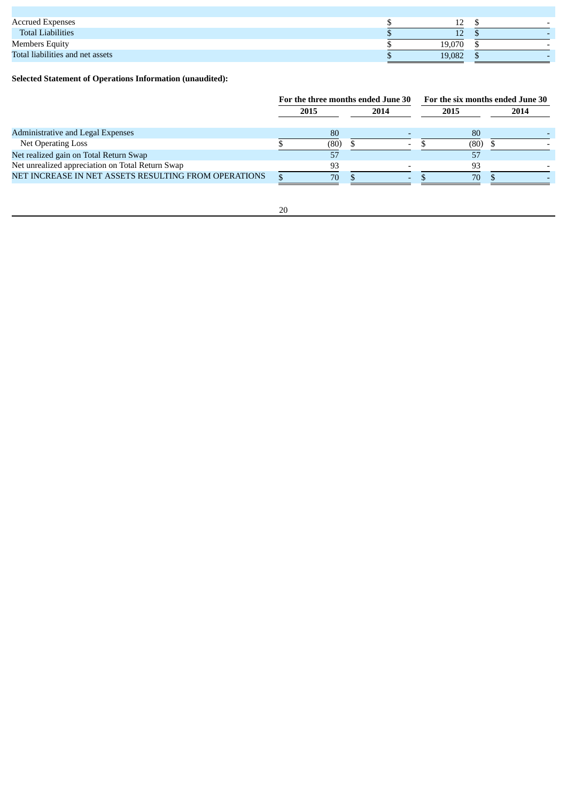| <b>Accrued Expenses</b>          | 12           |  |
|----------------------------------|--------------|--|
| <b>Total Liabilities</b>         | $\sim$<br>∸∸ |  |
| <b>Members Equity</b>            | 19,070       |  |
| Total liabilities and net assets | 19.082       |  |

# **Selected Statement of Operations Information (unaudited):**

|                                                      | For the three months ended June 30 |      |      |  |  | For the six months ended June 30 |  |      |  |
|------------------------------------------------------|------------------------------------|------|------|--|--|----------------------------------|--|------|--|
|                                                      | 2015                               |      | 2014 |  |  | 2015                             |  | 2014 |  |
| Administrative and Legal Expenses                    |                                    | 80   |      |  |  | 80                               |  |      |  |
| Net Operating Loss                                   |                                    | (80) |      |  |  | (80)                             |  |      |  |
| Net realized gain on Total Return Swap               |                                    | 57   |      |  |  | -57                              |  |      |  |
| Net unrealized appreciation on Total Return Swap     |                                    | 93   |      |  |  | 93                               |  |      |  |
| NET INCREASE IN NET ASSETS RESULTING FROM OPERATIONS |                                    | 70   |      |  |  | 70                               |  |      |  |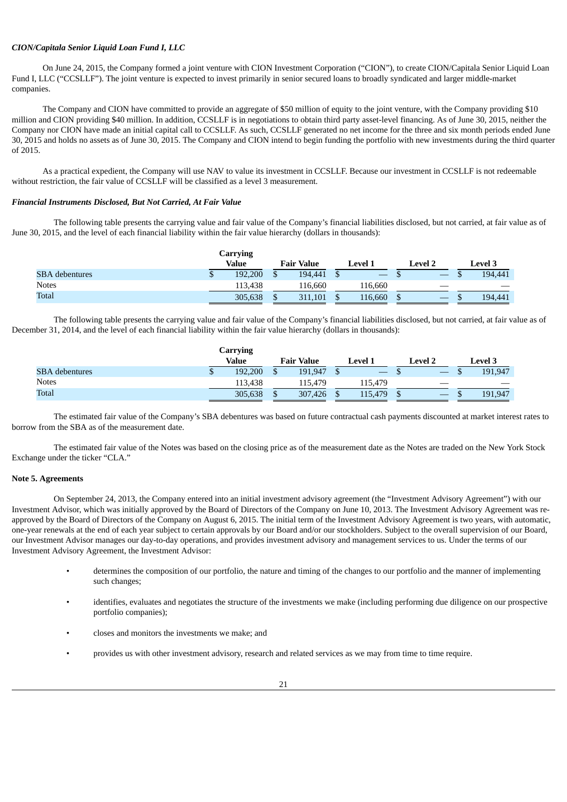## *CION/Capitala Senior Liquid Loan Fund I, LLC*

On June 24, 2015, the Company formed a joint venture with CION Investment Corporation ("CION"), to create CION/Capitala Senior Liquid Loan Fund I, LLC ("CCSLLF"). The joint venture is expected to invest primarily in senior secured loans to broadly syndicated and larger middle-market companies.

The Company and CION have committed to provide an aggregate of \$50 million of equity to the joint venture, with the Company providing \$10 million and CION providing \$40 million. In addition, CCSLLF is in negotiations to obtain third party asset-level financing. As of June 30, 2015, neither the Company nor CION have made an initial capital call to CCSLLF. As such, CCSLLF generated no net income for the three and six month periods ended June 30, 2015 and holds no assets as of June 30, 2015. The Company and CION intend to begin funding the portfolio with new investments during the third quarter of 2015.

As a practical expedient, the Company will use NAV to value its investment in CCSLLF. Because our investment in CCSLLF is not redeemable without restriction, the fair value of CCSLLF will be classified as a level 3 measurement.

## *Financial Instruments Disclosed, But Not Carried, At Fair Value*

The following table presents the carrying value and fair value of the Company's financial liabilities disclosed, but not carried, at fair value as of June 30, 2015, and the level of each financial liability within the fair value hierarchy (dollars in thousands):

|                       | Carrying |                   |         |         |         |
|-----------------------|----------|-------------------|---------|---------|---------|
|                       | Value    | <b>Fair Value</b> | ∟evel 1 | Level 2 | Level 3 |
| <b>SBA</b> debentures | 192,200  | 194.441           | –       |         | 194.441 |
| <b>Notes</b>          | 113,438  | 116,660           | 116.660 |         |         |
| Total                 | 305,638  | 311,101           | 116,660 |         | 194,441 |

The following table presents the carrying value and fair value of the Company's financial liabilities disclosed, but not carried, at fair value as of December 31, 2014, and the level of each financial liability within the fair value hierarchy (dollars in thousands):

|                       | Carrying |                   |         |         |         |
|-----------------------|----------|-------------------|---------|---------|---------|
|                       | Value    | <b>Fair Value</b> | Level 1 | Level 2 | Level 3 |
| <b>SBA</b> debentures | 192,200  | 191,947           |         |         | 191,947 |
| <b>Notes</b>          | 113.438  | 115,479           | 115,479 |         |         |
| <b>Total</b>          | 305,638  | 307,426           | 115,479 |         | 191,947 |

The estimated fair value of the Company's SBA debentures was based on future contractual cash payments discounted at market interest rates to borrow from the SBA as of the measurement date.

The estimated fair value of the Notes was based on the closing price as of the measurement date as the Notes are traded on the New York Stock Exchange under the ticker "CLA."

#### **Note 5. Agreements**

On September 24, 2013, the Company entered into an initial investment advisory agreement (the "Investment Advisory Agreement") with our Investment Advisor, which was initially approved by the Board of Directors of the Company on June 10, 2013. The Investment Advisory Agreement was reapproved by the Board of Directors of the Company on August 6, 2015. The initial term of the Investment Advisory Agreement is two years, with automatic, one-year renewals at the end of each year subject to certain approvals by our Board and/or our stockholders. Subject to the overall supervision of our Board, our Investment Advisor manages our day-to-day operations, and provides investment advisory and management services to us. Under the terms of our Investment Advisory Agreement, the Investment Advisor:

- determines the composition of our portfolio, the nature and timing of the changes to our portfolio and the manner of implementing such changes;
- identifies, evaluates and negotiates the structure of the investments we make (including performing due diligence on our prospective portfolio companies);
- closes and monitors the investments we make; and
- provides us with other investment advisory, research and related services as we may from time to time require.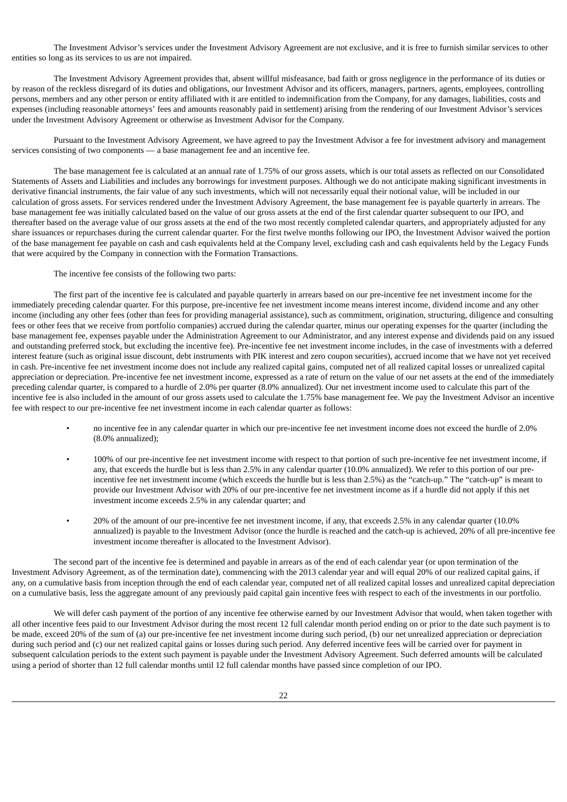The Investment Advisor's services under the Investment Advisory Agreement are not exclusive, and it is free to furnish similar services to other entities so long as its services to us are not impaired.

The Investment Advisory Agreement provides that, absent willful misfeasance, bad faith or gross negligence in the performance of its duties or by reason of the reckless disregard of its duties and obligations, our Investment Advisor and its officers, managers, partners, agents, employees, controlling persons, members and any other person or entity affiliated with it are entitled to indemnification from the Company, for any damages, liabilities, costs and expenses (including reasonable attorneys' fees and amounts reasonably paid in settlement) arising from the rendering of our Investment Advisor's services under the Investment Advisory Agreement or otherwise as Investment Advisor for the Company.

Pursuant to the Investment Advisory Agreement, we have agreed to pay the Investment Advisor a fee for investment advisory and management services consisting of two components — a base management fee and an incentive fee.

The base management fee is calculated at an annual rate of 1.75% of our gross assets, which is our total assets as reflected on our Consolidated Statements of Assets and Liabilities and includes any borrowings for investment purposes. Although we do not anticipate making significant investments in derivative financial instruments, the fair value of any such investments, which will not necessarily equal their notional value, will be included in our calculation of gross assets. For services rendered under the Investment Advisory Agreement, the base management fee is payable quarterly in arrears. The base management fee was initially calculated based on the value of our gross assets at the end of the first calendar quarter subsequent to our IPO, and thereafter based on the average value of our gross assets at the end of the two most recently completed calendar quarters, and appropriately adjusted for any share issuances or repurchases during the current calendar quarter. For the first twelve months following our IPO, the Investment Advisor waived the portion of the base management fee payable on cash and cash equivalents held at the Company level, excluding cash and cash equivalents held by the Legacy Funds that were acquired by the Company in connection with the Formation Transactions.

The incentive fee consists of the following two parts:

The first part of the incentive fee is calculated and payable quarterly in arrears based on our pre-incentive fee net investment income for the immediately preceding calendar quarter. For this purpose, pre-incentive fee net investment income means interest income, dividend income and any other income (including any other fees (other than fees for providing managerial assistance), such as commitment, origination, structuring, diligence and consulting fees or other fees that we receive from portfolio companies) accrued during the calendar quarter, minus our operating expenses for the quarter (including the base management fee, expenses payable under the Administration Agreement to our Administrator, and any interest expense and dividends paid on any issued and outstanding preferred stock, but excluding the incentive fee). Pre-incentive fee net investment income includes, in the case of investments with a deferred interest feature (such as original issue discount, debt instruments with PIK interest and zero coupon securities), accrued income that we have not yet received in cash. Pre-incentive fee net investment income does not include any realized capital gains, computed net of all realized capital losses or unrealized capital appreciation or depreciation. Pre-incentive fee net investment income, expressed as a rate of return on the value of our net assets at the end of the immediately preceding calendar quarter, is compared to a hurdle of 2.0% per quarter (8.0% annualized). Our net investment income used to calculate this part of the incentive fee is also included in the amount of our gross assets used to calculate the 1.75% base management fee. We pay the Investment Advisor an incentive fee with respect to our pre-incentive fee net investment income in each calendar quarter as follows:

- no incentive fee in any calendar quarter in which our pre-incentive fee net investment income does not exceed the hurdle of 2.0% (8.0% annualized);
- 100% of our pre-incentive fee net investment income with respect to that portion of such pre-incentive fee net investment income, if any, that exceeds the hurdle but is less than 2.5% in any calendar quarter (10.0% annualized). We refer to this portion of our preincentive fee net investment income (which exceeds the hurdle but is less than 2.5%) as the "catch-up." The "catch-up" is meant to provide our Investment Advisor with 20% of our pre-incentive fee net investment income as if a hurdle did not apply if this net investment income exceeds 2.5% in any calendar quarter; and
- 20% of the amount of our pre-incentive fee net investment income, if any, that exceeds 2.5% in any calendar quarter (10.0% annualized) is payable to the Investment Advisor (once the hurdle is reached and the catch-up is achieved, 20% of all pre-incentive fee investment income thereafter is allocated to the Investment Advisor).

The second part of the incentive fee is determined and payable in arrears as of the end of each calendar year (or upon termination of the Investment Advisory Agreement, as of the termination date), commencing with the 2013 calendar year and will equal 20% of our realized capital gains, if any, on a cumulative basis from inception through the end of each calendar year, computed net of all realized capital losses and unrealized capital depreciation on a cumulative basis, less the aggregate amount of any previously paid capital gain incentive fees with respect to each of the investments in our portfolio.

We will defer cash payment of the portion of any incentive fee otherwise earned by our Investment Advisor that would, when taken together with all other incentive fees paid to our Investment Advisor during the most recent 12 full calendar month period ending on or prior to the date such payment is to be made, exceed 20% of the sum of (a) our pre-incentive fee net investment income during such period, (b) our net unrealized appreciation or depreciation during such period and (c) our net realized capital gains or losses during such period. Any deferred incentive fees will be carried over for payment in subsequent calculation periods to the extent such payment is payable under the Investment Advisory Agreement. Such deferred amounts will be calculated using a period of shorter than 12 full calendar months until 12 full calendar months have passed since completion of our IPO.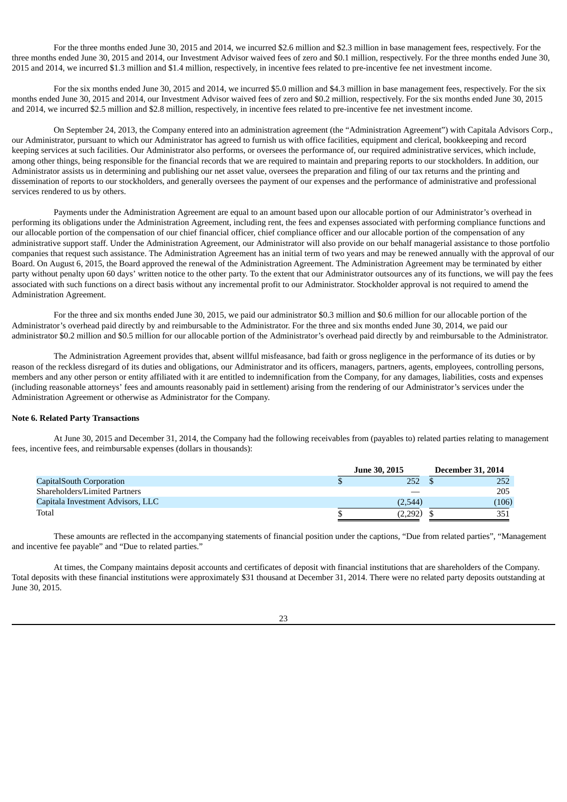For the three months ended June 30, 2015 and 2014, we incurred \$2.6 million and \$2.3 million in base management fees, respectively. For the three months ended June 30, 2015 and 2014, our Investment Advisor waived fees of zero and \$0.1 million, respectively. For the three months ended June 30, 2015 and 2014, we incurred \$1.3 million and \$1.4 million, respectively, in incentive fees related to pre-incentive fee net investment income.

For the six months ended June 30, 2015 and 2014, we incurred \$5.0 million and \$4.3 million in base management fees, respectively. For the six months ended June 30, 2015 and 2014, our Investment Advisor waived fees of zero and \$0.2 million, respectively. For the six months ended June 30, 2015 and 2014, we incurred \$2.5 million and \$2.8 million, respectively, in incentive fees related to pre-incentive fee net investment income.

On September 24, 2013, the Company entered into an administration agreement (the "Administration Agreement") with Capitala Advisors Corp., our Administrator, pursuant to which our Administrator has agreed to furnish us with office facilities, equipment and clerical, bookkeeping and record keeping services at such facilities. Our Administrator also performs, or oversees the performance of, our required administrative services, which include, among other things, being responsible for the financial records that we are required to maintain and preparing reports to our stockholders. In addition, our Administrator assists us in determining and publishing our net asset value, oversees the preparation and filing of our tax returns and the printing and dissemination of reports to our stockholders, and generally oversees the payment of our expenses and the performance of administrative and professional services rendered to us by others.

Payments under the Administration Agreement are equal to an amount based upon our allocable portion of our Administrator's overhead in performing its obligations under the Administration Agreement, including rent, the fees and expenses associated with performing compliance functions and our allocable portion of the compensation of our chief financial officer, chief compliance officer and our allocable portion of the compensation of any administrative support staff. Under the Administration Agreement, our Administrator will also provide on our behalf managerial assistance to those portfolio companies that request such assistance. The Administration Agreement has an initial term of two years and may be renewed annually with the approval of our Board. On August 6, 2015, the Board approved the renewal of the Administration Agreement. The Administration Agreement may be terminated by either party without penalty upon 60 days' written notice to the other party. To the extent that our Administrator outsources any of its functions, we will pay the fees associated with such functions on a direct basis without any incremental profit to our Administrator. Stockholder approval is not required to amend the Administration Agreement.

For the three and six months ended June 30, 2015, we paid our administrator \$0.3 million and \$0.6 million for our allocable portion of the Administrator's overhead paid directly by and reimbursable to the Administrator. For the three and six months ended June 30, 2014, we paid our administrator \$0.2 million and \$0.5 million for our allocable portion of the Administrator's overhead paid directly by and reimbursable to the Administrator.

The Administration Agreement provides that, absent willful misfeasance, bad faith or gross negligence in the performance of its duties or by reason of the reckless disregard of its duties and obligations, our Administrator and its officers, managers, partners, agents, employees, controlling persons, members and any other person or entity affiliated with it are entitled to indemnification from the Company, for any damages, liabilities, costs and expenses (including reasonable attorneys' fees and amounts reasonably paid in settlement) arising from the rendering of our Administrator's services under the Administration Agreement or otherwise as Administrator for the Company.

## **Note 6. Related Party Transactions**

At June 30, 2015 and December 31, 2014, the Company had the following receivables from (payables to) related parties relating to management fees, incentive fees, and reimbursable expenses (dollars in thousands):

|                                   | <b>June 30, 2015</b> | <b>December 31, 2014</b> |  |       |  |
|-----------------------------------|----------------------|--------------------------|--|-------|--|
| <b>CapitalSouth Corporation</b>   |                      | 252                      |  | 252   |  |
| Shareholders/Limited Partners     |                      |                          |  | 205   |  |
| Capitala Investment Advisors, LLC |                      | (2,544)                  |  | (106) |  |
| Total                             |                      | (2,292)                  |  | 351   |  |

These amounts are reflected in the accompanying statements of financial position under the captions, "Due from related parties", "Management and incentive fee payable" and "Due to related parties."

At times, the Company maintains deposit accounts and certificates of deposit with financial institutions that are shareholders of the Company. Total deposits with these financial institutions were approximately \$31 thousand at December 31, 2014. There were no related party deposits outstanding at June 30, 2015.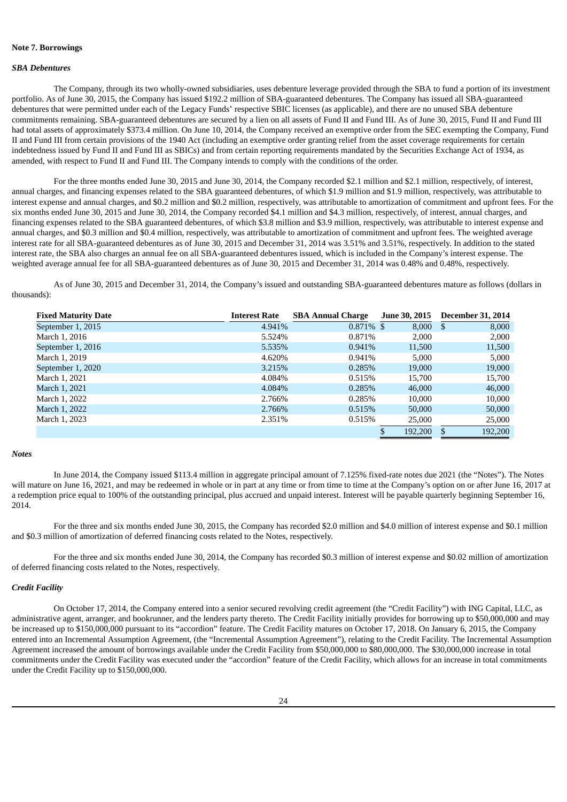## **Note 7. Borrowings**

## *SBA Debentures*

The Company, through its two wholly-owned subsidiaries, uses debenture leverage provided through the SBA to fund a portion of its investment portfolio. As of June 30, 2015, the Company has issued \$192.2 million of SBA-guaranteed debentures. The Company has issued all SBA-guaranteed debentures that were permitted under each of the Legacy Funds' respective SBIC licenses (as applicable), and there are no unused SBA debenture commitments remaining. SBA-guaranteed debentures are secured by a lien on all assets of Fund II and Fund III. As of June 30, 2015, Fund II and Fund III had total assets of approximately \$373.4 million. On June 10, 2014, the Company received an exemptive order from the SEC exempting the Company, Fund II and Fund III from certain provisions of the 1940 Act (including an exemptive order granting relief from the asset coverage requirements for certain indebtedness issued by Fund II and Fund III as SBICs) and from certain reporting requirements mandated by the Securities Exchange Act of 1934, as amended, with respect to Fund II and Fund III. The Company intends to comply with the conditions of the order.

For the three months ended June 30, 2015 and June 30, 2014, the Company recorded \$2.1 million and \$2.1 million, respectively, of interest, annual charges, and financing expenses related to the SBA guaranteed debentures, of which \$1.9 million and \$1.9 million, respectively, was attributable to interest expense and annual charges, and \$0.2 million and \$0.2 million, respectively, was attributable to amortization of commitment and upfront fees. For the six months ended June 30, 2015 and June 30, 2014, the Company recorded \$4.1 million and \$4.3 million, respectively, of interest, annual charges, and financing expenses related to the SBA guaranteed debentures, of which \$3.8 million and \$3.9 million, respectively, was attributable to interest expense and annual charges, and \$0.3 million and \$0.4 million, respectively, was attributable to amortization of commitment and upfront fees. The weighted average interest rate for all SBA-guaranteed debentures as of June 30, 2015 and December 31, 2014 was 3.51% and 3.51%, respectively. In addition to the stated interest rate, the SBA also charges an annual fee on all SBA-guaranteed debentures issued, which is included in the Company's interest expense. The weighted average annual fee for all SBA-guaranteed debentures as of June 30, 2015 and December 31, 2014 was 0.48% and 0.48%, respectively.

As of June 30, 2015 and December 31, 2014, the Company's issued and outstanding SBA-guaranteed debentures mature as follows (dollars in thousands):

| <b>Fixed Maturity Date</b> | <b>Interest Rate</b> | <b>SBA Annual Charge</b> | <b>June 30, 2015</b> | <b>December 31, 2014</b> |
|----------------------------|----------------------|--------------------------|----------------------|--------------------------|
| September 1, 2015          | 4.941%               | $0.871\%$ \$             | 8,000                | 8,000<br>\$              |
| March 1, 2016              | 5.524%               | 0.871%                   | 2,000                | 2,000                    |
| September 1, 2016          | 5.535%               | 0.941%                   | 11,500               | 11,500                   |
| March 1, 2019              | 4.620%               | 0.941%                   | 5,000                | 5,000                    |
| September 1, 2020          | 3.215%               | 0.285%                   | 19,000               | 19,000                   |
| March 1, 2021              | 4.084%               | 0.515%                   | 15,700               | 15,700                   |
| March 1, 2021              | 4.084%               | 0.285%                   | 46,000               | 46,000                   |
| March 1, 2022              | 2.766%               | 0.285%                   | 10,000               | 10,000                   |
| March 1, 2022              | 2.766%               | 0.515%                   | 50,000               | 50,000                   |
| March 1, 2023              | 2.351%               | 0.515%                   | 25,000               | 25,000                   |
|                            |                      |                          | 192,200<br>\$        | 192.200<br>\$            |

## *Notes*

In June 2014, the Company issued \$113.4 million in aggregate principal amount of 7.125% fixed-rate notes due 2021 (the "Notes"). The Notes will mature on June 16, 2021, and may be redeemed in whole or in part at any time or from time to time at the Company's option on or after June 16, 2017 at a redemption price equal to 100% of the outstanding principal, plus accrued and unpaid interest. Interest will be payable quarterly beginning September 16, 2014.

For the three and six months ended June 30, 2015, the Company has recorded \$2.0 million and \$4.0 million of interest expense and \$0.1 million and \$0.3 million of amortization of deferred financing costs related to the Notes, respectively.

For the three and six months ended June 30, 2014, the Company has recorded \$0.3 million of interest expense and \$0.02 million of amortization of deferred financing costs related to the Notes, respectively.

## *Credit Facility*

On October 17, 2014, the Company entered into a senior secured revolving credit agreement (the "Credit Facility") with ING Capital, LLC, as administrative agent, arranger, and bookrunner, and the lenders party thereto. The Credit Facility initially provides for borrowing up to \$50,000,000 and may be increased up to \$150,000,000 pursuant to its "accordion" feature. The Credit Facility matures on October 17, 2018. On January 6, 2015, the Company entered into an Incremental Assumption Agreement, (the "Incremental Assumption Agreement"), relating to the Credit Facility. The Incremental Assumption Agreement increased the amount of borrowings available under the Credit Facility from \$50,000,000 to \$80,000,000. The \$30,000,000 increase in total commitments under the Credit Facility was executed under the "accordion" feature of the Credit Facility, which allows for an increase in total commitments under the Credit Facility up to \$150,000,000.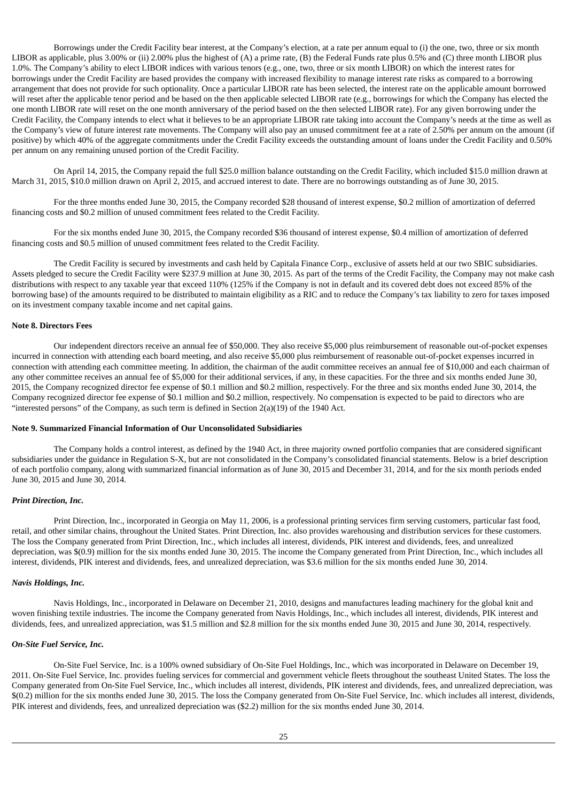Borrowings under the Credit Facility bear interest, at the Company's election, at a rate per annum equal to (i) the one, two, three or six month LIBOR as applicable, plus 3.00% or (ii) 2.00% plus the highest of (A) a prime rate, (B) the Federal Funds rate plus 0.5% and (C) three month LIBOR plus 1.0%. The Company's ability to elect LIBOR indices with various tenors (e.g., one, two, three or six month LIBOR) on which the interest rates for borrowings under the Credit Facility are based provides the company with increased flexibility to manage interest rate risks as compared to a borrowing arrangement that does not provide for such optionality. Once a particular LIBOR rate has been selected, the interest rate on the applicable amount borrowed will reset after the applicable tenor period and be based on the then applicable selected LIBOR rate (e.g., borrowings for which the Company has elected the one month LIBOR rate will reset on the one month anniversary of the period based on the then selected LIBOR rate). For any given borrowing under the Credit Facility, the Company intends to elect what it believes to be an appropriate LIBOR rate taking into account the Company's needs at the time as well as the Company's view of future interest rate movements. The Company will also pay an unused commitment fee at a rate of 2.50% per annum on the amount (if positive) by which 40% of the aggregate commitments under the Credit Facility exceeds the outstanding amount of loans under the Credit Facility and 0.50% per annum on any remaining unused portion of the Credit Facility.

On April 14, 2015, the Company repaid the full \$25.0 million balance outstanding on the Credit Facility, which included \$15.0 million drawn at March 31, 2015, \$10.0 million drawn on April 2, 2015, and accrued interest to date. There are no borrowings outstanding as of June 30, 2015.

For the three months ended June 30, 2015, the Company recorded \$28 thousand of interest expense, \$0.2 million of amortization of deferred financing costs and \$0.2 million of unused commitment fees related to the Credit Facility.

For the six months ended June 30, 2015, the Company recorded \$36 thousand of interest expense, \$0.4 million of amortization of deferred financing costs and \$0.5 million of unused commitment fees related to the Credit Facility.

The Credit Facility is secured by investments and cash held by Capitala Finance Corp., exclusive of assets held at our two SBIC subsidiaries. Assets pledged to secure the Credit Facility were \$237.9 million at June 30, 2015. As part of the terms of the Credit Facility, the Company may not make cash distributions with respect to any taxable year that exceed 110% (125% if the Company is not in default and its covered debt does not exceed 85% of the borrowing base) of the amounts required to be distributed to maintain eligibility as a RIC and to reduce the Company's tax liability to zero for taxes imposed on its investment company taxable income and net capital gains.

## **Note 8. Directors Fees**

Our independent directors receive an annual fee of \$50,000. They also receive \$5,000 plus reimbursement of reasonable out-of-pocket expenses incurred in connection with attending each board meeting, and also receive \$5,000 plus reimbursement of reasonable out-of-pocket expenses incurred in connection with attending each committee meeting. In addition, the chairman of the audit committee receives an annual fee of \$10,000 and each chairman of any other committee receives an annual fee of \$5,000 for their additional services, if any, in these capacities. For the three and six months ended June 30, 2015, the Company recognized director fee expense of \$0.1 million and \$0.2 million, respectively. For the three and six months ended June 30, 2014, the Company recognized director fee expense of \$0.1 million and \$0.2 million, respectively. No compensation is expected to be paid to directors who are "interested persons" of the Company, as such term is defined in Section 2(a)(19) of the 1940 Act.

#### **Note 9. Summarized Financial Information of Our Unconsolidated Subsidiaries**

The Company holds a control interest, as defined by the 1940 Act, in three majority owned portfolio companies that are considered significant subsidiaries under the guidance in Regulation S-X, but are not consolidated in the Company's consolidated financial statements. Below is a brief description of each portfolio company, along with summarized financial information as of June 30, 2015 and December 31, 2014, and for the six month periods ended June 30, 2015 and June 30, 2014.

#### *Print Direction, Inc.*

Print Direction, Inc., incorporated in Georgia on May 11, 2006, is a professional printing services firm serving customers, particular fast food, retail, and other similar chains, throughout the United States. Print Direction, Inc. also provides warehousing and distribution services for these customers. The loss the Company generated from Print Direction, Inc., which includes all interest, dividends, PIK interest and dividends, fees, and unrealized depreciation, was \$(0.9) million for the six months ended June 30, 2015. The income the Company generated from Print Direction, Inc., which includes all interest, dividends, PIK interest and dividends, fees, and unrealized depreciation, was \$3.6 million for the six months ended June 30, 2014.

## *Navis Holdings, Inc.*

Navis Holdings, Inc., incorporated in Delaware on December 21, 2010, designs and manufactures leading machinery for the global knit and woven finishing textile industries. The income the Company generated from Navis Holdings, Inc., which includes all interest, dividends, PIK interest and dividends, fees, and unrealized appreciation, was \$1.5 million and \$2.8 million for the six months ended June 30, 2015 and June 30, 2014, respectively.

## *On-Site Fuel Service, Inc.*

On-Site Fuel Service, Inc. is a 100% owned subsidiary of On-Site Fuel Holdings, Inc., which was incorporated in Delaware on December 19, 2011. On-Site Fuel Service, Inc. provides fueling services for commercial and government vehicle fleets throughout the southeast United States. The loss the Company generated from On-Site Fuel Service, Inc., which includes all interest, dividends, PIK interest and dividends, fees, and unrealized depreciation, was \$(0.2) million for the six months ended June 30, 2015. The loss the Company generated from On-Site Fuel Service, Inc. which includes all interest, dividends, PIK interest and dividends, fees, and unrealized depreciation was (\$2.2) million for the six months ended June 30, 2014.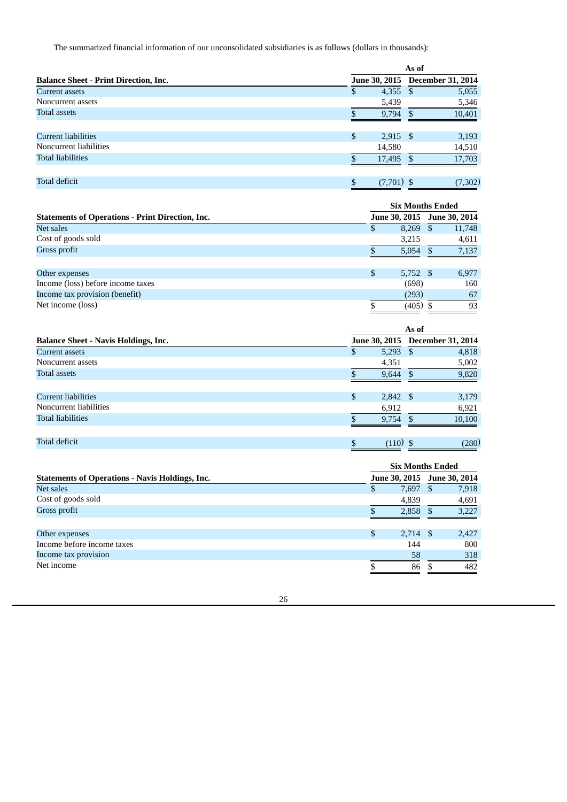The summarized financial information of our unconsolidated subsidiaries is as follows (dollars in thousands):

|                                              | As of    |              |    |                                 |
|----------------------------------------------|----------|--------------|----|---------------------------------|
| <b>Balance Sheet - Print Direction, Inc.</b> |          |              |    | June 30, 2015 December 31, 2014 |
| Current assets                               | <b>S</b> | 4,355        | -S | 5,055                           |
| Noncurrent assets                            |          | 5,439        |    | 5,346                           |
| Total assets                                 |          | 9,794        | Ж  | 10,401                          |
|                                              |          |              |    |                                 |
| <b>Current liabilities</b>                   | \$       | $2,915$ \$   |    | 3,193                           |
| Noncurrent liabilities                       |          | 14,580       |    | 14,510                          |
| <b>Total liabilities</b>                     |          | 17,495       |    | 17,703                          |
|                                              |          |              |    |                                 |
| Total deficit                                |          | $(7,701)$ \$ |    | (7,302)                         |

|                                                         |    | <b>Six Months Ended</b> |    |                      |
|---------------------------------------------------------|----|-------------------------|----|----------------------|
| <b>Statements of Operations - Print Direction, Inc.</b> |    | <b>June 30, 2015</b>    |    | <b>June 30, 2014</b> |
| Net sales                                               | D  | 8,269                   | -S | 11,748               |
| Cost of goods sold                                      |    | 3,215                   |    | 4,611                |
| Gross profit                                            |    | 5.054                   |    | 7,137                |
|                                                         |    |                         |    |                      |
| Other expenses                                          | \$ | $5,752$ \$              |    | 6,977                |
| Income (loss) before income taxes                       |    | (698)                   |    | 160                  |
| Income tax provision (benefit)                          |    | (293)                   |    | 67                   |
| Net income (loss)                                       |    | (405) \$                |    | 93                   |

|                                             |                      | As of                    |  |  |  |  |  |  |
|---------------------------------------------|----------------------|--------------------------|--|--|--|--|--|--|
| <b>Balance Sheet - Navis Holdings, Inc.</b> | <b>June 30, 2015</b> | <b>December 31, 2014</b> |  |  |  |  |  |  |
| <b>Current assets</b>                       |                      | 5,293<br>4,818           |  |  |  |  |  |  |
| Noncurrent assets                           |                      | 5,002<br>4,351           |  |  |  |  |  |  |
| Total assets                                |                      | 9,820<br>9,644           |  |  |  |  |  |  |
|                                             |                      |                          |  |  |  |  |  |  |
| Current liabilities                         | \$                   | $2,842 \quad $$<br>3,179 |  |  |  |  |  |  |
| Noncurrent liabilities                      |                      | 6,921<br>6,912           |  |  |  |  |  |  |
| <b>Total liabilities</b>                    |                      | 10,100<br>9,754          |  |  |  |  |  |  |
|                                             |                      |                          |  |  |  |  |  |  |
| Total deficit                               | \$                   | $(110)$ \$<br>(280)      |  |  |  |  |  |  |

|                                                        | <b>Six Months Ended</b> |                             |   |       |  |  |
|--------------------------------------------------------|-------------------------|-----------------------------|---|-------|--|--|
| <b>Statements of Operations - Navis Holdings, Inc.</b> |                         | June 30, 2015 June 30, 2014 |   |       |  |  |
| Net sales                                              | D                       | 7,697                       | S | 7,918 |  |  |
| Cost of goods sold                                     |                         | 4,839                       |   | 4,691 |  |  |
| Gross profit                                           |                         | 2,858                       |   | 3,227 |  |  |
|                                                        |                         |                             |   |       |  |  |
| Other expenses                                         | \$                      | $2,714$ \$                  |   | 2,427 |  |  |
| Income before income taxes                             |                         | 144                         |   | 800   |  |  |
| Income tax provision                                   |                         | 58                          |   | 318   |  |  |
| Net income                                             |                         | 86                          |   | 482   |  |  |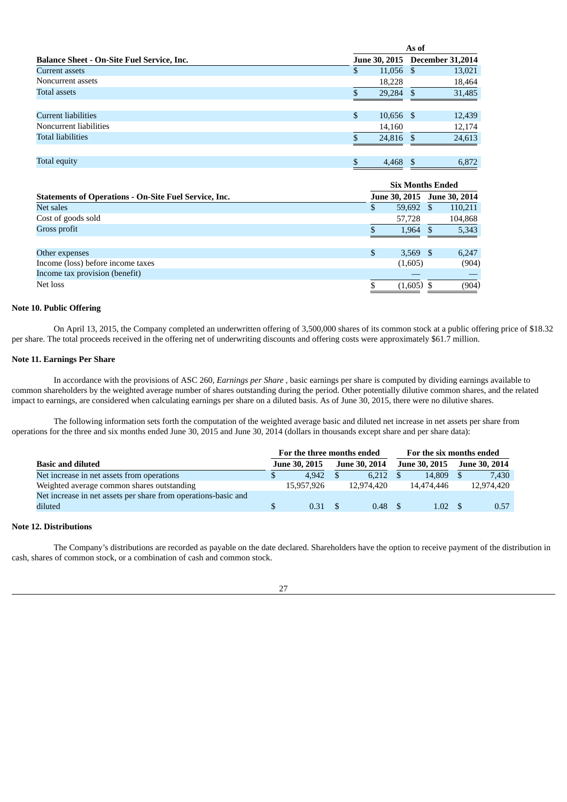|                                                      | As of          |             |          |                                                     |  |  |  |
|------------------------------------------------------|----------------|-------------|----------|-----------------------------------------------------|--|--|--|
| <b>Balance Sheet - On-Site Fuel Service, Inc.</b>    |                |             |          | June 30, 2015 December 31, 2014                     |  |  |  |
| Current assets                                       | \$             | 11,056      | -\$      | 13,021                                              |  |  |  |
| Noncurrent assets                                    |                | 18,228      |          | 18,464                                              |  |  |  |
| <b>Total assets</b>                                  |                | 29,284      |          | 31,485                                              |  |  |  |
|                                                      |                |             |          |                                                     |  |  |  |
| <b>Current liabilities</b>                           | $\mathfrak{S}$ | $10,656$ \$ |          | 12,439                                              |  |  |  |
| Noncurrent liabilities                               |                | 14,160      |          | 12,174                                              |  |  |  |
| <b>Total liabilities</b>                             | \$.            | 24.816      | <b>S</b> | 24,613                                              |  |  |  |
|                                                      |                |             |          |                                                     |  |  |  |
| Total equity                                         | \$             | 4,468       | - \$     | 6,872                                               |  |  |  |
|                                                      |                |             |          | <b>Six Months Ended</b>                             |  |  |  |
| Statements of Operations. On Site Eugl Service, Inc. |                |             |          | $I_{\rm{mm}}$ , $20.2015$ $I_{\rm{mm}}$ , $20.2014$ |  |  |  |

| <b>Statements of Operations - On-Site Fuel Service, Inc.</b> |    |            | June 30, 2015 June 30, 2014 |
|--------------------------------------------------------------|----|------------|-----------------------------|
| Net sales                                                    | Φ  | 59,692     | 110,211                     |
| Cost of goods sold                                           |    | 57,728     | 104,868                     |
| Gross profit                                                 |    | 1.964      | 5,343                       |
|                                                              |    |            |                             |
| Other expenses                                               | \$ | $3,569$ \$ | 6,247                       |
| Income (loss) before income taxes                            |    | (1,605)    | (904)                       |
| Income tax provision (benefit)                               |    |            |                             |
| Net loss                                                     |    | (1.605)    | (904)                       |

# **Note 10. Public Offering**

On April 13, 2015, the Company completed an underwritten offering of 3,500,000 shares of its common stock at a public offering price of \$18.32 per share. The total proceeds received in the offering net of underwriting discounts and offering costs were approximately \$61.7 million.

## **Note 11. Earnings Per Share**

In accordance with the provisions of ASC 260, *Earnings per Share* , basic earnings per share is computed by dividing earnings available to common shareholders by the weighted average number of shares outstanding during the period. Other potentially dilutive common shares, and the related impact to earnings, are considered when calculating earnings per share on a diluted basis. As of June 30, 2015, there were no dilutive shares.

The following information sets forth the computation of the weighted average basic and diluted net increase in net assets per share from operations for the three and six months ended June 30, 2015 and June 30, 2014 (dollars in thousands except share and per share data):

|                                                                | For the three months ended |                      |                      |  |               | For the six months ended |                      |  |
|----------------------------------------------------------------|----------------------------|----------------------|----------------------|--|---------------|--------------------------|----------------------|--|
| <b>Basic and diluted</b>                                       |                            | <b>June 30, 2015</b> | <b>June 30, 2014</b> |  | June 30, 2015 |                          | <b>June 30, 2014</b> |  |
| Net increase in net assets from operations                     |                            | 4.942                | 6.212                |  | 14,809        |                          | 7.430                |  |
| Weighted average common shares outstanding                     |                            | 15,957,926           | 12,974,420           |  | 14,474,446    |                          | 12,974,420           |  |
| Net increase in net assets per share from operations-basic and |                            |                      |                      |  |               |                          |                      |  |
| diluted                                                        |                            | 0.31                 | 0.48                 |  | 1.02          |                          | 0.57                 |  |

## **Note 12. Distributions**

The Company's distributions are recorded as payable on the date declared. Shareholders have the option to receive payment of the distribution in cash, shares of common stock, or a combination of cash and common stock.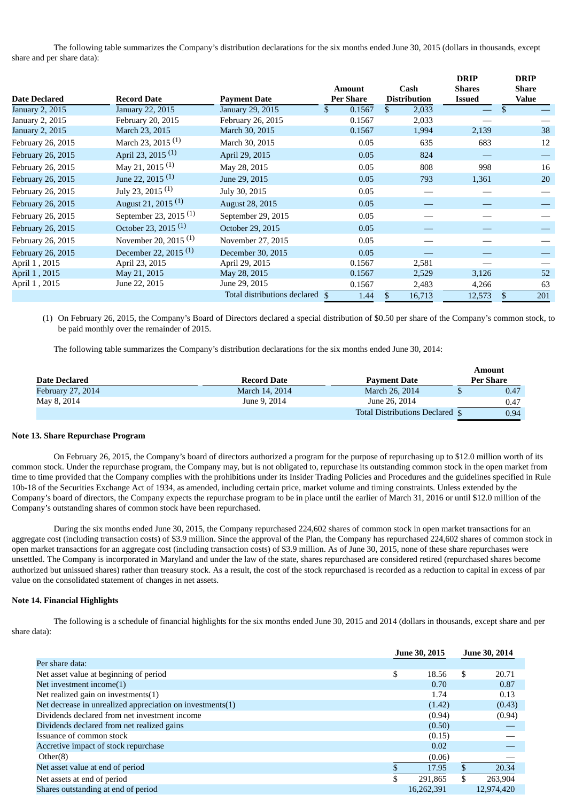The following table summarizes the Company's distribution declarations for the six months ended June 30, 2015 (dollars in thousands, except share and per share data):

| <b>Date Declared</b>   | <b>Record Date</b>                | <b>Payment Date</b>          | <b>Amount</b><br><b>Per Share</b> | Cash<br><b>Distribution</b> | <b>DRIP</b><br><b>Shares</b><br><b>Issued</b> | <b>DRIP</b><br>Share<br>Value |
|------------------------|-----------------------------------|------------------------------|-----------------------------------|-----------------------------|-----------------------------------------------|-------------------------------|
| <b>January 2, 2015</b> | January 22, 2015                  | January 29, 2015             | \$<br>0.1567                      | $\mathfrak{F}$<br>2,033     |                                               | \$                            |
| January 2, 2015        | February 20, 2015                 | February 26, 2015            | 0.1567                            | 2,033                       |                                               |                               |
| January 2, 2015        | March 23, 2015                    | March 30, 2015               | 0.1567                            | 1,994                       | 2,139                                         | 38                            |
| February 26, 2015      | March 23, 2015 <sup>(1)</sup>     | March 30, 2015               | 0.05                              | 635                         | 683                                           | 12                            |
| February 26, 2015      | April 23, 2015 <sup>(1)</sup>     | April 29, 2015               | 0.05                              | 824                         |                                               |                               |
| February 26, 2015      | May 21, 2015 <sup>(1)</sup>       | May 28, 2015                 | 0.05                              | 808                         | 998                                           | 16                            |
| February 26, 2015      | June 22, 2015 <sup>(1)</sup>      | June 29, 2015                | 0.05                              | 793                         | 1,361                                         | 20                            |
| February 26, 2015      | July 23, 2015 <sup>(1)</sup>      | July 30, 2015                | 0.05                              |                             |                                               |                               |
| February 26, 2015      | August 21, 2015 <sup>(1)</sup>    | <b>August 28, 2015</b>       | 0.05                              |                             |                                               |                               |
| February 26, 2015      | September 23, 2015 <sup>(1)</sup> | September 29, 2015           | 0.05                              |                             |                                               |                               |
| February 26, 2015      | October 23, 2015 <sup>(1)</sup>   | October 29, 2015             | 0.05                              |                             |                                               |                               |
| February 26, 2015      | November 20, 2015 $(1)$           | November 27, 2015            | 0.05                              |                             |                                               |                               |
| February 26, 2015      | December 22, 2015 $(1)$           | December 30, 2015            | 0.05                              |                             |                                               |                               |
| April 1, 2015          | April 23, 2015                    | April 29, 2015               | 0.1567                            | 2,581                       |                                               |                               |
| April 1, 2015          | May 21, 2015                      | May 28, 2015                 | 0.1567                            | 2,529                       | 3,126                                         | 52                            |
| April 1, 2015          | June 22, 2015                     | June 29, 2015                | 0.1567                            | 2,483                       | 4,266                                         | 63                            |
|                        |                                   | Total distributions declared | 1.44                              | 16,713                      | 12,573                                        | 201<br>S                      |

(1) On February 26, 2015, the Company's Board of Directors declared a special distribution of \$0.50 per share of the Company's common stock, to be paid monthly over the remainder of 2015.

The following table summarizes the Company's distribution declarations for the six months ended June 30, 2014:

|                      |                    |                                 | Amount    |
|----------------------|--------------------|---------------------------------|-----------|
| <b>Date Declared</b> | <b>Record Date</b> | <b>Payment Date</b>             | Per Share |
| February 27, 2014    | March 14, 2014     | March 26, 2014                  | 0.47      |
| May 8, 2014          | June 9, 2014       | June 26, 2014                   | 0.47      |
|                      |                    | Total Distributions Declared \$ | 0.94      |

#### **Note 13. Share Repurchase Program**

On February 26, 2015, the Company's board of directors authorized a program for the purpose of repurchasing up to \$12.0 million worth of its common stock. Under the repurchase program, the Company may, but is not obligated to, repurchase its outstanding common stock in the open market from time to time provided that the Company complies with the prohibitions under its Insider Trading Policies and Procedures and the guidelines specified in Rule 10b-18 of the Securities Exchange Act of 1934, as amended, including certain price, market volume and timing constraints. Unless extended by the Company's board of directors, the Company expects the repurchase program to be in place until the earlier of March 31, 2016 or until \$12.0 million of the Company's outstanding shares of common stock have been repurchased.

During the six months ended June 30, 2015, the Company repurchased 224,602 shares of common stock in open market transactions for an aggregate cost (including transaction costs) of \$3.9 million. Since the approval of the Plan, the Company has repurchased 224,602 shares of common stock in open market transactions for an aggregate cost (including transaction costs) of \$3.9 million. As of June 30, 2015, none of these share repurchases were unsettled. The Company is incorporated in Maryland and under the law of the state, shares repurchased are considered retired (repurchased shares become authorized but unissued shares) rather than treasury stock. As a result, the cost of the stock repurchased is recorded as a reduction to capital in excess of par value on the consolidated statement of changes in net assets.

#### **Note 14. Financial Highlights**

The following is a schedule of financial highlights for the six months ended June 30, 2015 and 2014 (dollars in thousands, except share and per share data):

|                                                           | June 30, 2015 |    | June 30, 2014 |
|-----------------------------------------------------------|---------------|----|---------------|
| Per share data:                                           |               |    |               |
| Net asset value at beginning of period                    | \$<br>18.56   | \$ | 20.71         |
| Net investment income(1)                                  | 0.70          |    | 0.87          |
| Net realized gain on investments(1)                       | 1.74          |    | 0.13          |
| Net decrease in unrealized appreciation on investments(1) | (1.42)        |    | (0.43)        |
| Dividends declared from net investment income             | (0.94)        |    | (0.94)        |
| Dividends declared from net realized gains                | (0.50)        |    |               |
| Issuance of common stock                                  | (0.15)        |    |               |
| Accretive impact of stock repurchase                      | 0.02          |    |               |
| Other(8)                                                  | (0.06)        |    |               |
| Net asset value at end of period                          | 17.95         | \$ | 20.34         |
| Net assets at end of period                               | \$<br>291.865 | \$ | 263,904       |
| Shares outstanding at end of period                       | 16.262.391    |    | 12.974.420    |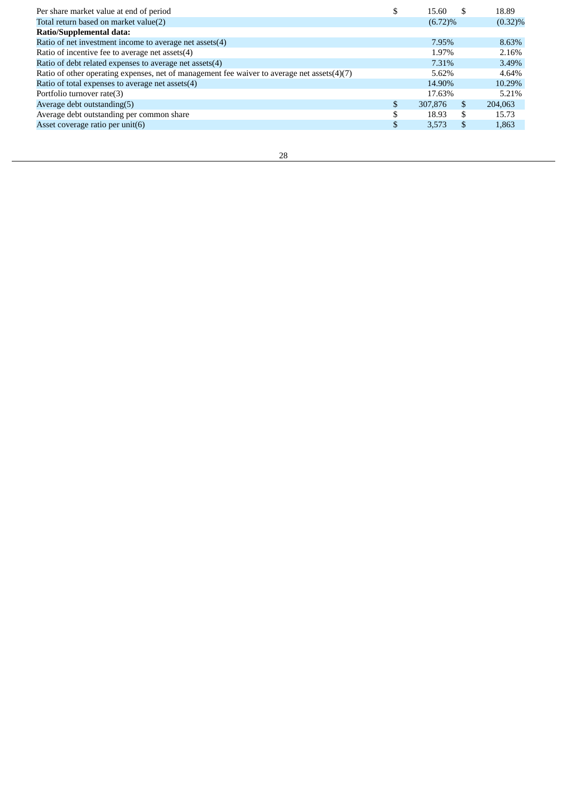| Per share market value at end of period                                                        | \$<br>15.60   | .S  | 18.89      |
|------------------------------------------------------------------------------------------------|---------------|-----|------------|
| Total return based on market value(2)                                                          | $(6.72)\%$    |     | $(0.32)\%$ |
| Ratio/Supplemental data:                                                                       |               |     |            |
| Ratio of net investment income to average net assets(4)                                        | 7.95%         |     | 8.63%      |
| Ratio of incentive fee to average net assets(4)                                                | 1.97%         |     | 2.16%      |
| Ratio of debt related expenses to average net assets(4)                                        | 7.31%         |     | 3.49%      |
| Ratio of other operating expenses, net of management fee waiver to average net assets $(4)(7)$ | 5.62%         |     | 4.64%      |
| Ratio of total expenses to average net assets(4)                                               | 14.90%        |     | 10.29%     |
| Portfolio turnover rate(3)                                                                     | 17.63%        |     | 5.21%      |
| Average debt outstanding(5)                                                                    | \$<br>307,876 | S   | 204,063    |
| Average debt outstanding per common share                                                      | \$<br>18.93   | \$. | 15.73      |
| Asset coverage ratio per unit(6)                                                               | \$<br>3,573   |     | 1,863      |
|                                                                                                |               |     |            |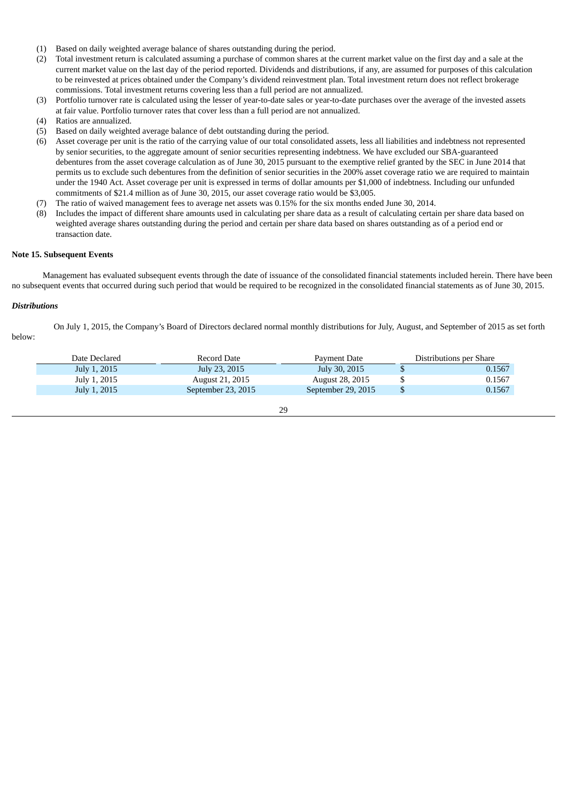- (1) Based on daily weighted average balance of shares outstanding during the period.
- (2) Total investment return is calculated assuming a purchase of common shares at the current market value on the first day and a sale at the current market value on the last day of the period reported. Dividends and distributions, if any, are assumed for purposes of this calculation to be reinvested at prices obtained under the Company's dividend reinvestment plan. Total investment return does not reflect brokerage commissions. Total investment returns covering less than a full period are not annualized.
- (3) Portfolio turnover rate is calculated using the lesser of year-to-date sales or year-to-date purchases over the average of the invested assets at fair value. Portfolio turnover rates that cover less than a full period are not annualized.
- (4) Ratios are annualized.
- (5) Based on daily weighted average balance of debt outstanding during the period.
- (6) Asset coverage per unit is the ratio of the carrying value of our total consolidated assets, less all liabilities and indebtness not represented by senior securities, to the aggregate amount of senior securities representing indebtness. We have excluded our SBA-guaranteed debentures from the asset coverage calculation as of June 30, 2015 pursuant to the exemptive relief granted by the SEC in June 2014 that permits us to exclude such debentures from the definition of senior securities in the 200% asset coverage ratio we are required to maintain under the 1940 Act. Asset coverage per unit is expressed in terms of dollar amounts per \$1,000 of indebtness. Including our unfunded commitments of \$21.4 million as of June 30, 2015, our asset coverage ratio would be \$3,005.
- (7) The ratio of waived management fees to average net assets was 0.15% for the six months ended June 30, 2014.
- (8) Includes the impact of different share amounts used in calculating per share data as a result of calculating certain per share data based on weighted average shares outstanding during the period and certain per share data based on shares outstanding as of a period end or transaction date.

#### **Note 15. Subsequent Events**

Management has evaluated subsequent events through the date of issuance of the consolidated financial statements included herein. There have been no subsequent events that occurred during such period that would be required to be recognized in the consolidated financial statements as of June 30, 2015.

#### *Distributions*

below:

On July 1, 2015, the Company's Board of Directors declared normal monthly distributions for July, August, and September of 2015 as set forth

| Date Declared | Record Date        | Payment Date           |     | Distributions per Share |
|---------------|--------------------|------------------------|-----|-------------------------|
| July 1, 2015  | July 23, 2015      | July 30, 2015          |     | 0.1567                  |
| July 1, 2015  | August 21, 2015    | <b>August 28, 2015</b> |     | 0.1567                  |
| July 1, 2015  | September 23, 2015 | September 29, 2015     | \$. | 0.1567                  |
|               |                    |                        |     |                         |

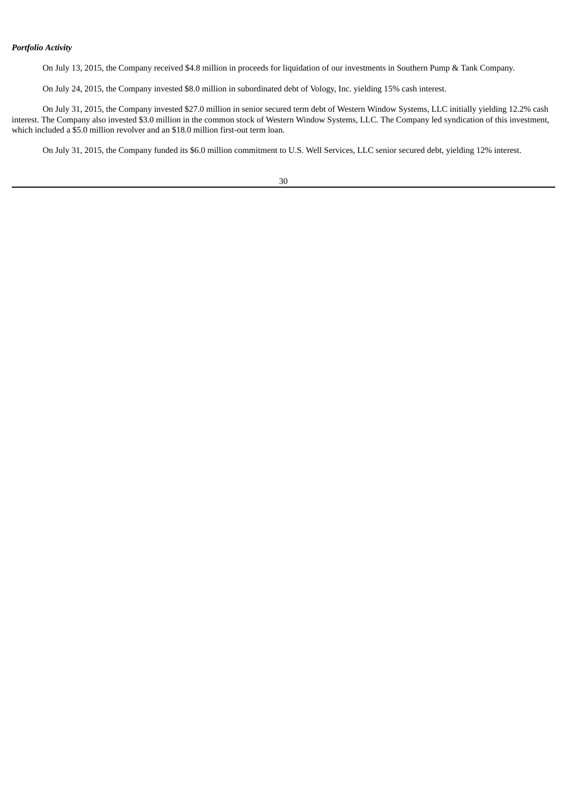## *Portfolio Activity*

On July 13, 2015, the Company received \$4.8 million in proceeds for liquidation of our investments in Southern Pump & Tank Company.

On July 24, 2015, the Company invested \$8.0 million in subordinated debt of Vology, Inc. yielding 15% cash interest.

On July 31, 2015, the Company invested \$27.0 million in senior secured term debt of Western Window Systems, LLC initially yielding 12.2% cash interest. The Company also invested \$3.0 million in the common stock of Western Window Systems, LLC. The Company led syndication of this investment, which included a \$5.0 million revolver and an \$18.0 million first-out term loan.

On July 31, 2015, the Company funded its \$6.0 million commitment to U.S. Well Services, LLC senior secured debt, yielding 12% interest.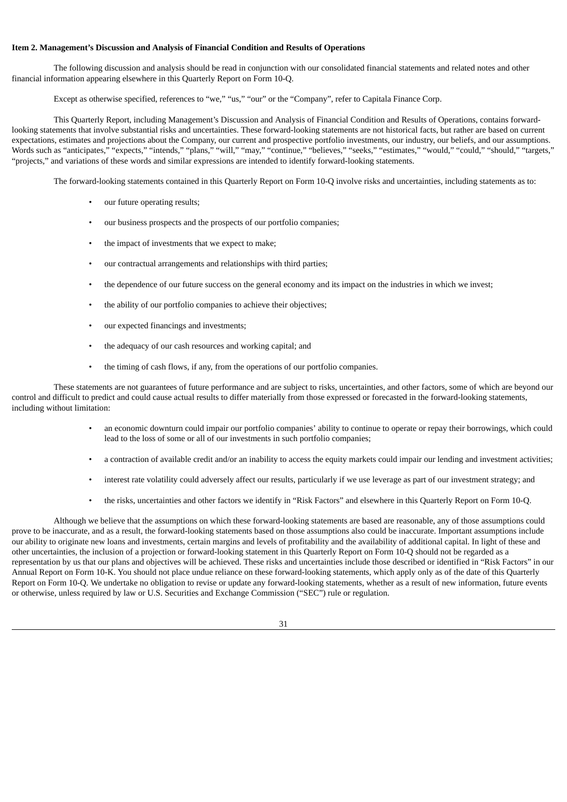## <span id="page-41-0"></span>**Item 2. Management's Discussion and Analysis of Financial Condition and Results of Operations**

The following discussion and analysis should be read in conjunction with our consolidated financial statements and related notes and other financial information appearing elsewhere in this Quarterly Report on Form 10-Q.

Except as otherwise specified, references to "we," "us," "our" or the "Company", refer to Capitala Finance Corp.

This Quarterly Report, including Management's Discussion and Analysis of Financial Condition and Results of Operations, contains forwardlooking statements that involve substantial risks and uncertainties. These forward-looking statements are not historical facts, but rather are based on current expectations, estimates and projections about the Company, our current and prospective portfolio investments, our industry, our beliefs, and our assumptions. Words such as "anticipates," "expects," "intends," "plans," "will," "may," "continue," "believes," "seeks," "estimates," "would," "could," "should," "targets," "projects," and variations of these words and similar expressions are intended to identify forward-looking statements.

The forward-looking statements contained in this Quarterly Report on Form 10-Q involve risks and uncertainties, including statements as to:

- our future operating results;
- our business prospects and the prospects of our portfolio companies;
- the impact of investments that we expect to make;
- our contractual arrangements and relationships with third parties;
- the dependence of our future success on the general economy and its impact on the industries in which we invest;
- the ability of our portfolio companies to achieve their objectives;
- our expected financings and investments;
- the adequacy of our cash resources and working capital; and
- the timing of cash flows, if any, from the operations of our portfolio companies.

These statements are not guarantees of future performance and are subject to risks, uncertainties, and other factors, some of which are beyond our control and difficult to predict and could cause actual results to differ materially from those expressed or forecasted in the forward-looking statements, including without limitation:

- an economic downturn could impair our portfolio companies' ability to continue to operate or repay their borrowings, which could lead to the loss of some or all of our investments in such portfolio companies;
- a contraction of available credit and/or an inability to access the equity markets could impair our lending and investment activities;
- interest rate volatility could adversely affect our results, particularly if we use leverage as part of our investment strategy; and
- the risks, uncertainties and other factors we identify in "Risk Factors" and elsewhere in this Quarterly Report on Form 10-Q.

Although we believe that the assumptions on which these forward-looking statements are based are reasonable, any of those assumptions could prove to be inaccurate, and as a result, the forward-looking statements based on those assumptions also could be inaccurate. Important assumptions include our ability to originate new loans and investments, certain margins and levels of profitability and the availability of additional capital. In light of these and other uncertainties, the inclusion of a projection or forward-looking statement in this Quarterly Report on Form 10-Q should not be regarded as a representation by us that our plans and objectives will be achieved. These risks and uncertainties include those described or identified in "Risk Factors" in our Annual Report on Form 10-K. You should not place undue reliance on these forward-looking statements, which apply only as of the date of this Quarterly Report on Form 10-Q. We undertake no obligation to revise or update any forward-looking statements, whether as a result of new information, future events or otherwise, unless required by law or U.S. Securities and Exchange Commission ("SEC") rule or regulation.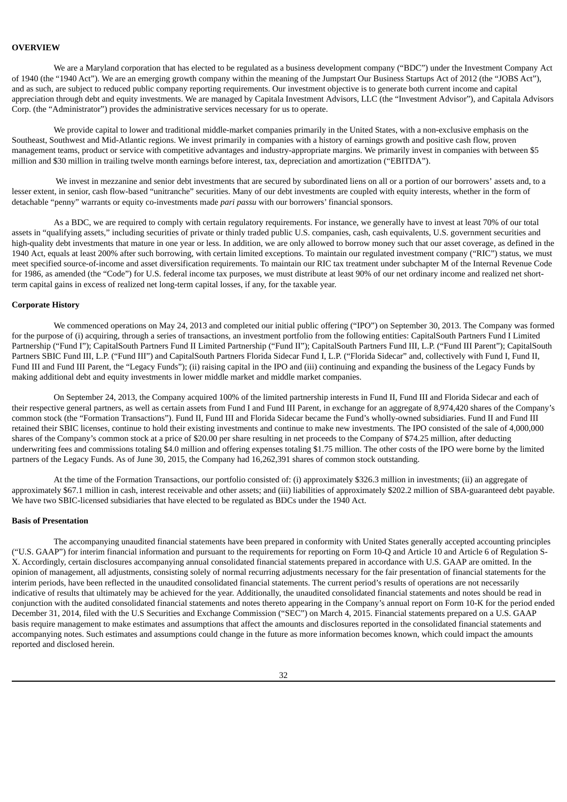#### **OVERVIEW**

We are a Maryland corporation that has elected to be regulated as a business development company ("BDC") under the Investment Company Act of 1940 (the "1940 Act"). We are an emerging growth company within the meaning of the Jumpstart Our Business Startups Act of 2012 (the "JOBS Act"), and as such, are subject to reduced public company reporting requirements. Our investment objective is to generate both current income and capital appreciation through debt and equity investments. We are managed by Capitala Investment Advisors, LLC (the "Investment Advisor"), and Capitala Advisors Corp. (the "Administrator") provides the administrative services necessary for us to operate.

We provide capital to lower and traditional middle-market companies primarily in the United States, with a non-exclusive emphasis on the Southeast, Southwest and Mid-Atlantic regions. We invest primarily in companies with a history of earnings growth and positive cash flow, proven management teams, product or service with competitive advantages and industry-appropriate margins. We primarily invest in companies with between \$5 million and \$30 million in trailing twelve month earnings before interest, tax, depreciation and amortization ("EBITDA").

We invest in mezzanine and senior debt investments that are secured by subordinated liens on all or a portion of our borrowers' assets and, to a lesser extent, in senior, cash flow-based "unitranche" securities. Many of our debt investments are coupled with equity interests, whether in the form of detachable "penny" warrants or equity co-investments made *pari passu* with our borrowers' financial sponsors.

As a BDC, we are required to comply with certain regulatory requirements. For instance, we generally have to invest at least 70% of our total assets in "qualifying assets," including securities of private or thinly traded public U.S. companies, cash, cash equivalents, U.S. government securities and high-quality debt investments that mature in one year or less. In addition, we are only allowed to borrow money such that our asset coverage, as defined in the 1940 Act, equals at least 200% after such borrowing, with certain limited exceptions. To maintain our regulated investment company ("RIC") status, we must meet specified source-of-income and asset diversification requirements. To maintain our RIC tax treatment under subchapter M of the Internal Revenue Code for 1986, as amended (the "Code") for U.S. federal income tax purposes, we must distribute at least 90% of our net ordinary income and realized net shortterm capital gains in excess of realized net long-term capital losses, if any, for the taxable year.

#### **Corporate History**

We commenced operations on May 24, 2013 and completed our initial public offering ("IPO") on September 30, 2013. The Company was formed for the purpose of (i) acquiring, through a series of transactions, an investment portfolio from the following entities: CapitalSouth Partners Fund I Limited Partnership ("Fund I"); CapitalSouth Partners Fund II Limited Partnership ("Fund II"); CapitalSouth Partners Fund III, L.P. ("Fund III Parent"); CapitalSouth Partners SBIC Fund III, L.P. ("Fund III") and CapitalSouth Partners Florida Sidecar Fund I, L.P. ("Florida Sidecar" and, collectively with Fund I, Fund II, Fund III and Fund III Parent, the "Legacy Funds"); (ii) raising capital in the IPO and (iii) continuing and expanding the business of the Legacy Funds by making additional debt and equity investments in lower middle market and middle market companies.

On September 24, 2013, the Company acquired 100% of the limited partnership interests in Fund II, Fund III and Florida Sidecar and each of their respective general partners, as well as certain assets from Fund I and Fund III Parent, in exchange for an aggregate of 8,974,420 shares of the Company's common stock (the "Formation Transactions"). Fund II, Fund III and Florida Sidecar became the Fund's wholly-owned subsidiaries. Fund II and Fund III retained their SBIC licenses, continue to hold their existing investments and continue to make new investments. The IPO consisted of the sale of 4,000,000 shares of the Company's common stock at a price of \$20.00 per share resulting in net proceeds to the Company of \$74.25 million, after deducting underwriting fees and commissions totaling \$4.0 million and offering expenses totaling \$1.75 million. The other costs of the IPO were borne by the limited partners of the Legacy Funds. As of June 30, 2015, the Company had 16,262,391 shares of common stock outstanding.

At the time of the Formation Transactions, our portfolio consisted of: (i) approximately \$326.3 million in investments; (ii) an aggregate of approximately \$67.1 million in cash, interest receivable and other assets; and (iii) liabilities of approximately \$202.2 million of SBA-guaranteed debt payable. We have two SBIC-licensed subsidiaries that have elected to be regulated as BDCs under the 1940 Act.

## **Basis of Presentation**

The accompanying unaudited financial statements have been prepared in conformity with United States generally accepted accounting principles ("U.S. GAAP") for interim financial information and pursuant to the requirements for reporting on Form 10-Q and Article 10 and Article 6 of Regulation S-X. Accordingly, certain disclosures accompanying annual consolidated financial statements prepared in accordance with U.S. GAAP are omitted. In the opinion of management, all adjustments, consisting solely of normal recurring adjustments necessary for the fair presentation of financial statements for the interim periods, have been reflected in the unaudited consolidated financial statements. The current period's results of operations are not necessarily indicative of results that ultimately may be achieved for the year. Additionally, the unaudited consolidated financial statements and notes should be read in conjunction with the audited consolidated financial statements and notes thereto appearing in the Company's annual report on Form 10-K for the period ended December 31, 2014, filed with the U.S Securities and Exchange Commission ("SEC") on March 4, 2015. Financial statements prepared on a U.S. GAAP basis require management to make estimates and assumptions that affect the amounts and disclosures reported in the consolidated financial statements and accompanying notes. Such estimates and assumptions could change in the future as more information becomes known, which could impact the amounts reported and disclosed herein.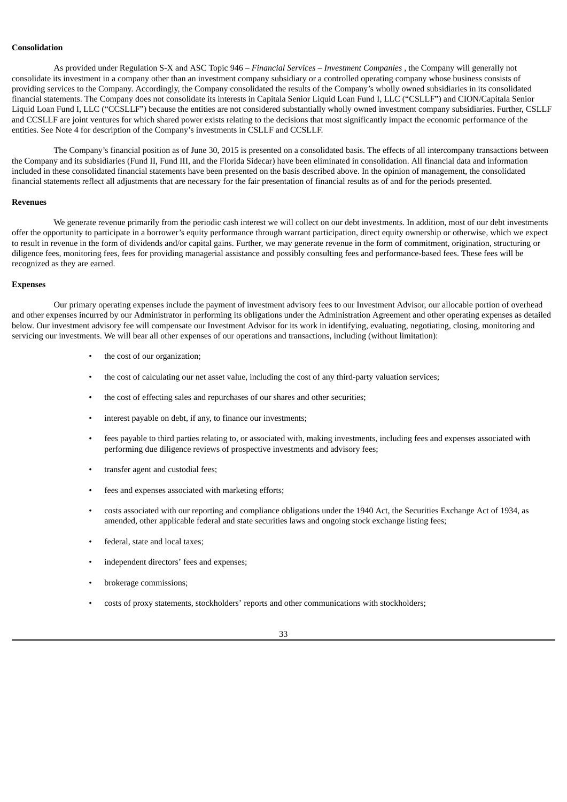#### **Consolidation**

As provided under Regulation S-X and ASC Topic 946 *– Financial Services – Investment Companies* , the Company will generally not consolidate its investment in a company other than an investment company subsidiary or a controlled operating company whose business consists of providing services to the Company. Accordingly, the Company consolidated the results of the Company's wholly owned subsidiaries in its consolidated financial statements. The Company does not consolidate its interests in Capitala Senior Liquid Loan Fund I, LLC ("CSLLF") and CION/Capitala Senior Liquid Loan Fund I, LLC ("CCSLLF") because the entities are not considered substantially wholly owned investment company subsidiaries. Further, CSLLF and CCSLLF are joint ventures for which shared power exists relating to the decisions that most significantly impact the economic performance of the entities. See Note 4 for description of the Company's investments in CSLLF and CCSLLF.

The Company's financial position as of June 30, 2015 is presented on a consolidated basis. The effects of all intercompany transactions between the Company and its subsidiaries (Fund II, Fund III, and the Florida Sidecar) have been eliminated in consolidation. All financial data and information included in these consolidated financial statements have been presented on the basis described above. In the opinion of management, the consolidated financial statements reflect all adjustments that are necessary for the fair presentation of financial results as of and for the periods presented.

#### **Revenues**

We generate revenue primarily from the periodic cash interest we will collect on our debt investments. In addition, most of our debt investments offer the opportunity to participate in a borrower's equity performance through warrant participation, direct equity ownership or otherwise, which we expect to result in revenue in the form of dividends and/or capital gains. Further, we may generate revenue in the form of commitment, origination, structuring or diligence fees, monitoring fees, fees for providing managerial assistance and possibly consulting fees and performance-based fees. These fees will be recognized as they are earned.

#### **Expenses**

Our primary operating expenses include the payment of investment advisory fees to our Investment Advisor, our allocable portion of overhead and other expenses incurred by our Administrator in performing its obligations under the Administration Agreement and other operating expenses as detailed below. Our investment advisory fee will compensate our Investment Advisor for its work in identifying, evaluating, negotiating, closing, monitoring and servicing our investments. We will bear all other expenses of our operations and transactions, including (without limitation):

- the cost of our organization;
- the cost of calculating our net asset value, including the cost of any third-party valuation services;
- the cost of effecting sales and repurchases of our shares and other securities;
- interest payable on debt, if any, to finance our investments;
- fees payable to third parties relating to, or associated with, making investments, including fees and expenses associated with performing due diligence reviews of prospective investments and advisory fees;
- transfer agent and custodial fees;
- fees and expenses associated with marketing efforts:
- costs associated with our reporting and compliance obligations under the 1940 Act, the Securities Exchange Act of 1934, as amended, other applicable federal and state securities laws and ongoing stock exchange listing fees;
- federal, state and local taxes;
- independent directors' fees and expenses;
- brokerage commissions;
- costs of proxy statements, stockholders' reports and other communications with stockholders;
	- 33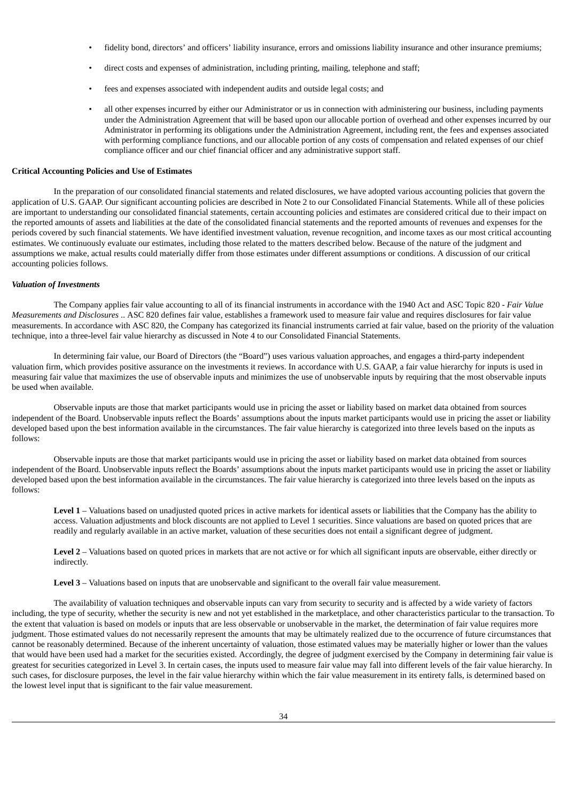- fidelity bond, directors' and officers' liability insurance, errors and omissions liability insurance and other insurance premiums;
- direct costs and expenses of administration, including printing, mailing, telephone and staff;
- fees and expenses associated with independent audits and outside legal costs; and
- all other expenses incurred by either our Administrator or us in connection with administering our business, including payments under the Administration Agreement that will be based upon our allocable portion of overhead and other expenses incurred by our Administrator in performing its obligations under the Administration Agreement, including rent, the fees and expenses associated with performing compliance functions, and our allocable portion of any costs of compensation and related expenses of our chief compliance officer and our chief financial officer and any administrative support staff.

## **Critical Accounting Policies and Use of Estimates**

In the preparation of our consolidated financial statements and related disclosures, we have adopted various accounting policies that govern the application of U.S. GAAP. Our significant accounting policies are described in Note 2 to our Consolidated Financial Statements. While all of these policies are important to understanding our consolidated financial statements, certain accounting policies and estimates are considered critical due to their impact on the reported amounts of assets and liabilities at the date of the consolidated financial statements and the reported amounts of revenues and expenses for the periods covered by such financial statements. We have identified investment valuation, revenue recognition, and income taxes as our most critical accounting estimates. We continuously evaluate our estimates, including those related to the matters described below. Because of the nature of the judgment and assumptions we make, actual results could materially differ from those estimates under different assumptions or conditions. A discussion of our critical accounting policies follows.

## *Valuation of Investments*

The Company applies fair value accounting to all of its financial instruments in accordance with the 1940 Act and ASC Topic 820 - *Fair Value Measurements and Disclosures* .. ASC 820 defines fair value, establishes a framework used to measure fair value and requires disclosures for fair value measurements. In accordance with ASC 820, the Company has categorized its financial instruments carried at fair value, based on the priority of the valuation technique, into a three-level fair value hierarchy as discussed in Note 4 to our Consolidated Financial Statements.

In determining fair value, our Board of Directors (the "Board") uses various valuation approaches, and engages a third-party independent valuation firm, which provides positive assurance on the investments it reviews. In accordance with U.S. GAAP, a fair value hierarchy for inputs is used in measuring fair value that maximizes the use of observable inputs and minimizes the use of unobservable inputs by requiring that the most observable inputs be used when available.

Observable inputs are those that market participants would use in pricing the asset or liability based on market data obtained from sources independent of the Board. Unobservable inputs reflect the Boards' assumptions about the inputs market participants would use in pricing the asset or liability developed based upon the best information available in the circumstances. The fair value hierarchy is categorized into three levels based on the inputs as follows:

Observable inputs are those that market participants would use in pricing the asset or liability based on market data obtained from sources independent of the Board. Unobservable inputs reflect the Boards' assumptions about the inputs market participants would use in pricing the asset or liability developed based upon the best information available in the circumstances. The fair value hierarchy is categorized into three levels based on the inputs as follows:

Level 1 – Valuations based on unadjusted quoted prices in active markets for identical assets or liabilities that the Company has the ability to access. Valuation adjustments and block discounts are not applied to Level 1 securities. Since valuations are based on quoted prices that are readily and regularly available in an active market, valuation of these securities does not entail a significant degree of judgment.

**Level 2** – Valuations based on quoted prices in markets that are not active or for which all significant inputs are observable, either directly or indirectly.

**Level 3** – Valuations based on inputs that are unobservable and significant to the overall fair value measurement.

The availability of valuation techniques and observable inputs can vary from security to security and is affected by a wide variety of factors including, the type of security, whether the security is new and not yet established in the marketplace, and other characteristics particular to the transaction. To the extent that valuation is based on models or inputs that are less observable or unobservable in the market, the determination of fair value requires more judgment. Those estimated values do not necessarily represent the amounts that may be ultimately realized due to the occurrence of future circumstances that cannot be reasonably determined. Because of the inherent uncertainty of valuation, those estimated values may be materially higher or lower than the values that would have been used had a market for the securities existed. Accordingly, the degree of judgment exercised by the Company in determining fair value is greatest for securities categorized in Level 3. In certain cases, the inputs used to measure fair value may fall into different levels of the fair value hierarchy. In such cases, for disclosure purposes, the level in the fair value hierarchy within which the fair value measurement in its entirety falls, is determined based on the lowest level input that is significant to the fair value measurement.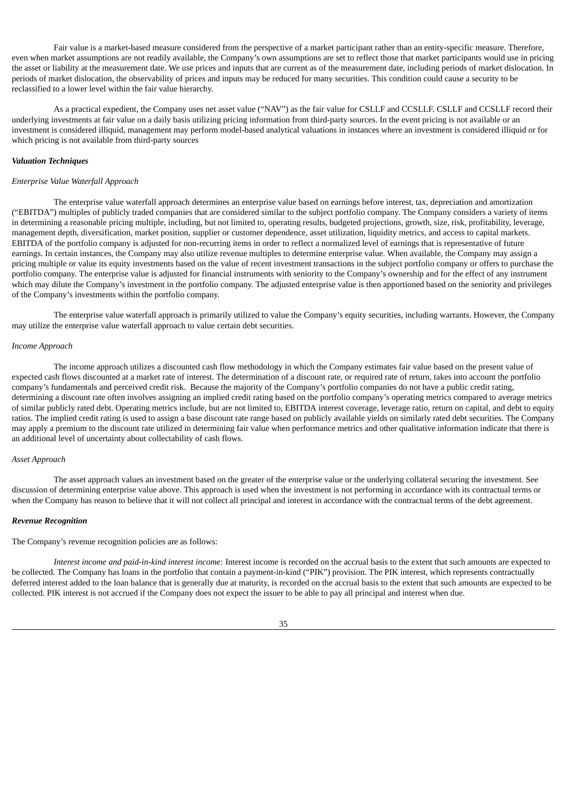Fair value is a market-based measure considered from the perspective of a market participant rather than an entity-specific measure. Therefore, even when market assumptions are not readily available, the Company's own assumptions are set to reflect those that market participants would use in pricing the asset or liability at the measurement date. We use prices and inputs that are current as of the measurement date, including periods of market dislocation. In periods of market dislocation, the observability of prices and inputs may be reduced for many securities. This condition could cause a security to be reclassified to a lower level within the fair value hierarchy.

As a practical expedient, the Company uses net asset value ("NAV") as the fair value for CSLLF and CCSLLF. CSLLF and CCSLLF record their underlying investments at fair value on a daily basis utilizing pricing information from third-party sources. In the event pricing is not available or an investment is considered illiquid, management may perform model-based analytical valuations in instances where an investment is considered illiquid or for which pricing is not available from third-party sources

## *Valuation Techniques*

#### *Enterprise Value Waterfall Approach*

The enterprise value waterfall approach determines an enterprise value based on earnings before interest, tax, depreciation and amortization ("EBITDA") multiples of publicly traded companies that are considered similar to the subject portfolio company. The Company considers a variety of items in determining a reasonable pricing multiple, including, but not limited to, operating results, budgeted projections, growth, size, risk, profitability, leverage, management depth, diversification, market position, supplier or customer dependence, asset utilization, liquidity metrics, and access to capital markets. EBITDA of the portfolio company is adjusted for non-recurring items in order to reflect a normalized level of earnings that is representative of future earnings. In certain instances, the Company may also utilize revenue multiples to determine enterprise value. When available, the Company may assign a pricing multiple or value its equity investments based on the value of recent investment transactions in the subject portfolio company or offers to purchase the portfolio company. The enterprise value is adjusted for financial instruments with seniority to the Company's ownership and for the effect of any instrument which may dilute the Company's investment in the portfolio company. The adjusted enterprise value is then apportioned based on the seniority and privileges of the Company's investments within the portfolio company.

The enterprise value waterfall approach is primarily utilized to value the Company's equity securities, including warrants. However, the Company may utilize the enterprise value waterfall approach to value certain debt securities.

#### *Income Approach*

The income approach utilizes a discounted cash flow methodology in which the Company estimates fair value based on the present value of expected cash flows discounted at a market rate of interest. The determination of a discount rate, or required rate of return, takes into account the portfolio company's fundamentals and perceived credit risk. Because the majority of the Company's portfolio companies do not have a public credit rating, determining a discount rate often involves assigning an implied credit rating based on the portfolio company's operating metrics compared to average metrics of similar publicly rated debt. Operating metrics include, but are not limited to, EBITDA interest coverage, leverage ratio, return on capital, and debt to equity ratios. The implied credit rating is used to assign a base discount rate range based on publicly available yields on similarly rated debt securities. The Company may apply a premium to the discount rate utilized in determining fair value when performance metrics and other qualitative information indicate that there is an additional level of uncertainty about collectability of cash flows.

#### *Asset Approach*

The asset approach values an investment based on the greater of the enterprise value or the underlying collateral securing the investment. See discussion of determining enterprise value above. This approach is used when the investment is not performing in accordance with its contractual terms or when the Company has reason to believe that it will not collect all principal and interest in accordance with the contractual terms of the debt agreement.

#### *Revenue Recognition*

The Company's revenue recognition policies are as follows:

*Interest income and paid-in-kind interest income:* Interest income is recorded on the accrual basis to the extent that such amounts are expected to be collected. The Company has loans in the portfolio that contain a payment-in-kind ("PIK") provision. The PIK interest, which represents contractually deferred interest added to the loan balance that is generally due at maturity, is recorded on the accrual basis to the extent that such amounts are expected to be collected. PIK interest is not accrued if the Company does not expect the issuer to be able to pay all principal and interest when due.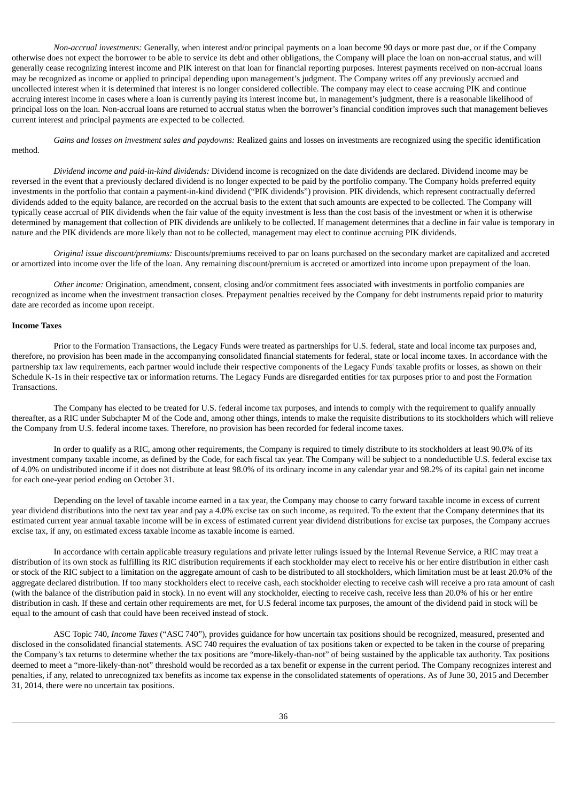*Non-accrual investments:* Generally, when interest and/or principal payments on a loan become 90 days or more past due, or if the Company otherwise does not expect the borrower to be able to service its debt and other obligations, the Company will place the loan on non-accrual status, and will generally cease recognizing interest income and PIK interest on that loan for financial reporting purposes. Interest payments received on non-accrual loans may be recognized as income or applied to principal depending upon management's judgment. The Company writes off any previously accrued and uncollected interest when it is determined that interest is no longer considered collectible. The company may elect to cease accruing PIK and continue accruing interest income in cases where a loan is currently paying its interest income but, in management's judgment, there is a reasonable likelihood of principal loss on the loan. Non-accrual loans are returned to accrual status when the borrower's financial condition improves such that management believes current interest and principal payments are expected to be collected.

*Gains and losses on investment sales and paydowns:* Realized gains and losses on investments are recognized using the specific identification method.

*Dividend income and paid-in-kind dividends:* Dividend income is recognized on the date dividends are declared. Dividend income may be reversed in the event that a previously declared dividend is no longer expected to be paid by the portfolio company. The Company holds preferred equity investments in the portfolio that contain a payment-in-kind dividend ("PIK dividends") provision. PIK dividends, which represent contractually deferred dividends added to the equity balance, are recorded on the accrual basis to the extent that such amounts are expected to be collected. The Company will typically cease accrual of PIK dividends when the fair value of the equity investment is less than the cost basis of the investment or when it is otherwise determined by management that collection of PIK dividends are unlikely to be collected. If management determines that a decline in fair value is temporary in nature and the PIK dividends are more likely than not to be collected, management may elect to continue accruing PIK dividends.

*Original issue discount/premiums:* Discounts/premiums received to par on loans purchased on the secondary market are capitalized and accreted or amortized into income over the life of the loan. Any remaining discount/premium is accreted or amortized into income upon prepayment of the loan.

*Other income:* Origination, amendment, consent, closing and/or commitment fees associated with investments in portfolio companies are recognized as income when the investment transaction closes. Prepayment penalties received by the Company for debt instruments repaid prior to maturity date are recorded as income upon receipt.

## **Income Taxes**

Prior to the Formation Transactions, the Legacy Funds were treated as partnerships for U.S. federal, state and local income tax purposes and, therefore, no provision has been made in the accompanying consolidated financial statements for federal, state or local income taxes. In accordance with the partnership tax law requirements, each partner would include their respective components of the Legacy Funds' taxable profits or losses, as shown on their Schedule K-1s in their respective tax or information returns. The Legacy Funds are disregarded entities for tax purposes prior to and post the Formation Transactions.

The Company has elected to be treated for U.S. federal income tax purposes, and intends to comply with the requirement to qualify annually thereafter, as a RIC under Subchapter M of the Code and, among other things, intends to make the requisite distributions to its stockholders which will relieve the Company from U.S. federal income taxes. Therefore, no provision has been recorded for federal income taxes.

In order to qualify as a RIC, among other requirements, the Company is required to timely distribute to its stockholders at least 90.0% of its investment company taxable income, as defined by the Code, for each fiscal tax year. The Company will be subject to a nondeductible U.S. federal excise tax of 4.0% on undistributed income if it does not distribute at least 98.0% of its ordinary income in any calendar year and 98.2% of its capital gain net income for each one-year period ending on October 31.

Depending on the level of taxable income earned in a tax year, the Company may choose to carry forward taxable income in excess of current year dividend distributions into the next tax year and pay a 4.0% excise tax on such income, as required. To the extent that the Company determines that its estimated current year annual taxable income will be in excess of estimated current year dividend distributions for excise tax purposes, the Company accrues excise tax, if any, on estimated excess taxable income as taxable income is earned.

In accordance with certain applicable treasury regulations and private letter rulings issued by the Internal Revenue Service, a RIC may treat a distribution of its own stock as fulfilling its RIC distribution requirements if each stockholder may elect to receive his or her entire distribution in either cash or stock of the RIC subject to a limitation on the aggregate amount of cash to be distributed to all stockholders, which limitation must be at least 20.0% of the aggregate declared distribution. If too many stockholders elect to receive cash, each stockholder electing to receive cash will receive a pro rata amount of cash (with the balance of the distribution paid in stock). In no event will any stockholder, electing to receive cash, receive less than 20.0% of his or her entire distribution in cash. If these and certain other requirements are met, for U.S federal income tax purposes, the amount of the dividend paid in stock will be equal to the amount of cash that could have been received instead of stock.

ASC Topic 740, *Income Taxes* ("ASC 740"), provides guidance for how uncertain tax positions should be recognized, measured, presented and disclosed in the consolidated financial statements. ASC 740 requires the evaluation of tax positions taken or expected to be taken in the course of preparing the Company's tax returns to determine whether the tax positions are "more-likely-than-not" of being sustained by the applicable tax authority. Tax positions deemed to meet a "more-likely-than-not" threshold would be recorded as a tax benefit or expense in the current period. The Company recognizes interest and penalties, if any, related to unrecognized tax benefits as income tax expense in the consolidated statements of operations. As of June 30, 2015 and December 31, 2014, there were no uncertain tax positions.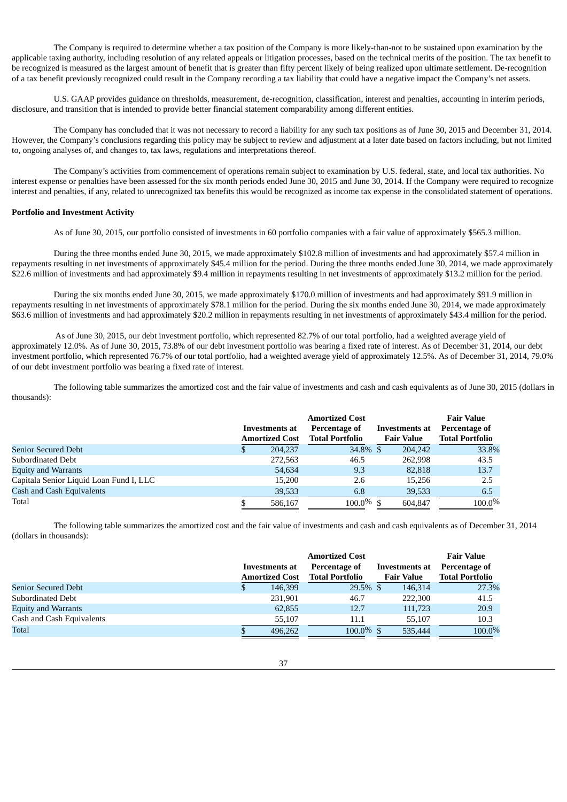The Company is required to determine whether a tax position of the Company is more likely-than-not to be sustained upon examination by the applicable taxing authority, including resolution of any related appeals or litigation processes, based on the technical merits of the position. The tax benefit to be recognized is measured as the largest amount of benefit that is greater than fifty percent likely of being realized upon ultimate settlement. De-recognition of a tax benefit previously recognized could result in the Company recording a tax liability that could have a negative impact the Company's net assets.

U.S. GAAP provides guidance on thresholds, measurement, de-recognition, classification, interest and penalties, accounting in interim periods, disclosure, and transition that is intended to provide better financial statement comparability among different entities.

The Company has concluded that it was not necessary to record a liability for any such tax positions as of June 30, 2015 and December 31, 2014. However, the Company's conclusions regarding this policy may be subject to review and adjustment at a later date based on factors including, but not limited to, ongoing analyses of, and changes to, tax laws, regulations and interpretations thereof.

The Company's activities from commencement of operations remain subject to examination by U.S. federal, state, and local tax authorities. No interest expense or penalties have been assessed for the six month periods ended June 30, 2015 and June 30, 2014. If the Company were required to recognize interest and penalties, if any, related to unrecognized tax benefits this would be recognized as income tax expense in the consolidated statement of operations.

## **Portfolio and Investment Activity**

As of June 30, 2015, our portfolio consisted of investments in 60 portfolio companies with a fair value of approximately \$565.3 million.

During the three months ended June 30, 2015, we made approximately \$102.8 million of investments and had approximately \$57.4 million in repayments resulting in net investments of approximately \$45.4 million for the period. During the three months ended June 30, 2014, we made approximately \$22.6 million of investments and had approximately \$9.4 million in repayments resulting in net investments of approximately \$13.2 million for the period.

During the six months ended June 30, 2015, we made approximately \$170.0 million of investments and had approximately \$91.9 million in repayments resulting in net investments of approximately \$78.1 million for the period. During the six months ended June 30, 2014, we made approximately \$63.6 million of investments and had approximately \$20.2 million in repayments resulting in net investments of approximately \$43.4 million for the period.

As of June 30, 2015, our debt investment portfolio, which represented 82.7% of our total portfolio, had a weighted average yield of approximately 12.0%. As of June 30, 2015, 73.8% of our debt investment portfolio was bearing a fixed rate of interest. As of December 31, 2014, our debt investment portfolio, which represented 76.7% of our total portfolio, had a weighted average yield of approximately 12.5%. As of December 31, 2014, 79.0% of our debt investment portfolio was bearing a fixed rate of interest.

The following table summarizes the amortized cost and the fair value of investments and cash and cash equivalents as of June 30, 2015 (dollars in thousands):

|                                         |                       | <b>Amortized Cost</b>  |                   | <b>Fair Value</b>      |
|-----------------------------------------|-----------------------|------------------------|-------------------|------------------------|
|                                         | Investments at        | Percentage of          | Investments at    | Percentage of          |
|                                         | <b>Amortized Cost</b> | <b>Total Portfolio</b> | <b>Fair Value</b> | <b>Total Portfolio</b> |
| <b>Senior Secured Debt</b>              | 204.237               | $34.8\%$ \$            | 204,242           | 33.8%                  |
| Subordinated Debt                       | 272,563               | 46.5                   | 262,998           | 43.5                   |
| <b>Equity and Warrants</b>              | 54,634                | 9.3                    | 82,818            | 13.7                   |
| Capitala Senior Liquid Loan Fund I, LLC | 15,200                | 2.6                    | 15,256            | 2.5                    |
| <b>Cash and Cash Equivalents</b>        | 39,533                | 6.8                    | 39,533            | 6.5                    |
| Total                                   | 586.167               | $100.0\%$ \$           | 604.847           | 100.0%                 |

The following table summarizes the amortized cost and the fair value of investments and cash and cash equivalents as of December 31, 2014 (dollars in thousands):

|                            |                       | <b>Amortized Cost</b>  |                   | <b>Fair Value</b>      |
|----------------------------|-----------------------|------------------------|-------------------|------------------------|
|                            | Investments at        | Percentage of          | Investments at    | Percentage of          |
|                            | <b>Amortized Cost</b> | <b>Total Portfolio</b> | <b>Fair Value</b> | <b>Total Portfolio</b> |
| Senior Secured Debt        | 146,399               | 29.5% \$               | 146,314           | 27.3%                  |
| Subordinated Debt          | 231,901               | 46.7                   | 222,300           | 41.5                   |
| <b>Equity and Warrants</b> | 62,855                | 12.7                   | 111,723           | 20.9                   |
| Cash and Cash Equivalents  | 55,107                | 11.1                   | 55,107            | 10.3                   |
| Total                      | 496,262               | $100.0\%$ \$           | 535,444           | 100.0%                 |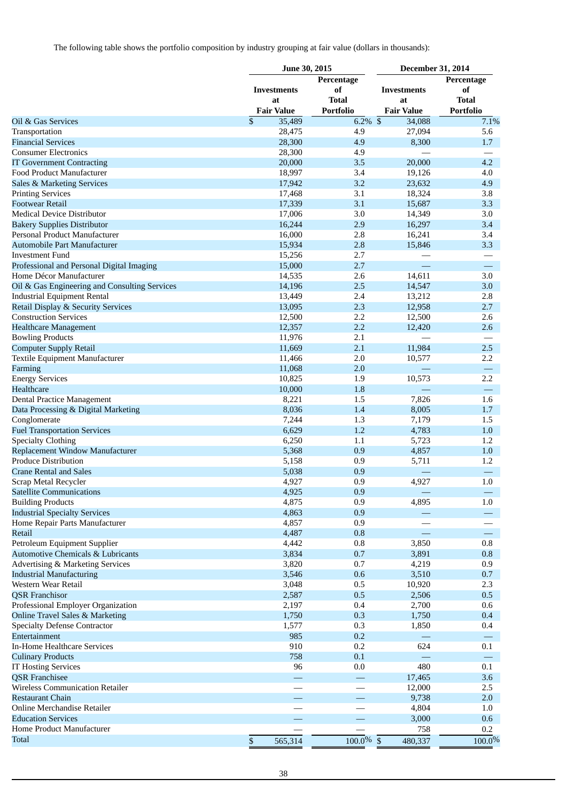The following table shows the portfolio composition by industry grouping at fair value (dollars in thousands):

| Percentage<br>Percentage<br>of<br>of<br><b>Investments</b><br>Investments<br><b>Total</b><br><b>Total</b><br>at<br>at<br><b>Portfolio</b><br><b>Fair Value</b><br><b>Portfolio</b><br><b>Fair Value</b><br>$\overline{\$}$<br>35,489<br>$6.2\%$ \$<br>34,088<br>Oil & Gas Services<br>7.1%<br>Transportation<br>28,475<br>4.9<br>27,094<br>5.6<br><b>Financial Services</b><br>28,300<br>1.7<br>4.9<br>8,300<br>28,300<br><b>Consumer Electronics</b><br>4.9<br>20,000<br>3.5<br>20,000<br>4.2<br><b>IT Government Contracting</b><br>18,997<br>3.4<br>Food Product Manufacturer<br>19,126<br>4.0<br>3.2<br>23,632<br><b>Sales &amp; Marketing Services</b><br>17,942<br>4.9<br>3.1<br><b>Printing Services</b><br>17,468<br>18,324<br>3.8<br><b>Footwear Retail</b><br>17,339<br>3.1<br>15,687<br>3.3<br><b>Medical Device Distributor</b><br>17,006<br>3.0<br>14,349<br>3.0<br>16,244<br>2.9<br>16,297<br><b>Bakery Supplies Distributor</b><br>3.4<br>Personal Product Manufacturer<br>16,000<br>2.8<br>16,241<br>3.4<br>2.8<br>15,846<br>3.3<br>Automobile Part Manufacturer<br>15,934<br>2.7<br><b>Investment Fund</b><br>15,256<br>二<br>15,000<br>2.7<br>Professional and Personal Digital Imaging<br>$\equiv$<br>Home Décor Manufacturer<br>14,535<br>2.6<br>14,611<br>3.0<br>2.5<br>Oil & Gas Engineering and Consulting Services<br>14,196<br>14,547<br>3.0<br>2.4<br>13,212<br><b>Industrial Equipment Rental</b><br>13,449<br>2.8<br>Retail Display & Security Services<br>13,095<br>2.3<br>12,958<br>2.7<br><b>Construction Services</b><br>12,500<br>2.2<br>12,500<br>2.6<br>12,357<br>2.2<br>12,420<br><b>Healthcare Management</b><br>2.6<br><b>Bowling Products</b><br>11,976<br>2.1<br>2.1<br>11,984<br><b>Computer Supply Retail</b><br>11,669<br>2.5<br>10,577<br>Textile Equipment Manufacturer<br>11,466<br>2.0<br>2.2<br>11,068<br>2.0<br>Farming<br><b>Energy Services</b><br>10,825<br>1.9<br>10,573<br>2.2<br>Healthcare<br>10,000<br>1.8<br>$\overline{\phantom{0}}$<br>1.5<br>7,826<br><b>Dental Practice Management</b><br>8,221<br>1.6<br>8,036<br>1.4<br>8,005<br>Data Processing & Digital Marketing<br>1.7<br>7,244<br>1.3<br>7,179<br>Conglomerate<br>1.5<br><b>Fuel Transportation Services</b><br>6,629<br>1.2<br>4,783<br>1.0<br><b>Specialty Clothing</b><br>6,250<br>1.1<br>5,723<br>1.2<br>Replacement Window Manufacturer<br>0.9<br>5,368<br>4,857<br>1.0<br><b>Produce Distribution</b><br>5,158<br>0.9<br>5,711<br>1.2<br>5,038<br><b>Crane Rental and Sales</b><br>0.9<br>$\qquad \qquad -$<br>4,927<br>4,927<br>0.9<br>1.0<br>Scrap Metal Recycler<br><b>Satellite Communications</b><br>4,925<br>0.9<br>4,875<br>$0.9\,$<br>4,895<br>$1.0\,$<br><b>Building Products</b><br><b>Industrial Specialty Services</b><br>4,863<br>0.9<br>4,857<br>0.9<br>Home Repair Parts Manufacturer<br>Retail<br>4,487<br>0.8<br>3,850<br>Petroleum Equipment Supplier<br>4,442<br>0.8<br>0.8<br><b>Automotive Chemicals &amp; Lubricants</b><br>0.7<br>3,834<br>3,891<br>0.8<br>3,820<br>0.7<br>4,219<br><b>Advertising &amp; Marketing Services</b><br>0.9<br>3,546<br>0.6<br>3,510<br><b>Industrial Manufacturing</b><br>0.7<br>Western Wear Retail<br>3,048<br>0.5<br>10,920<br>2.3<br>2,587<br>0.5<br><b>QSR Franchisor</b><br>2,506<br>0.5<br>Professional Employer Organization<br>2,197<br>0.4<br>2,700<br>0.6<br>1,750<br>0.3<br>1,750<br><b>Online Travel Sales &amp; Marketing</b><br>0.4<br>1,577<br>0.3<br><b>Specialty Defense Contractor</b><br>1,850<br>0.4<br>985<br>0.2<br>$\equiv$<br>Entertainment<br>624<br><b>In-Home Healthcare Services</b><br>910<br>0.2<br>0.1<br>758<br>$0.1\,$<br><b>Culinary Products</b><br>96<br>$0.0\,$<br>480<br><b>IT Hosting Services</b><br>0.1<br><b>QSR Franchisee</b><br>17,465<br>3.6<br>$\overline{\phantom{0}}$<br><b>Wireless Communication Retailer</b><br>12,000<br>2.5<br><b>Restaurant Chain</b><br>9,738<br>2.0<br>Online Merchandise Retailer<br>4,804<br>1.0<br>3,000<br><b>Education Services</b><br>0.6<br>Home Product Manufacturer<br>0.2<br>758<br><b>Total</b><br>$\overline{\$}$<br>$\overline{100.0\%}$ \$<br>565,314<br>100.0%<br>480,337 |  | June 30, 2015 | <b>December 31, 2014</b> |  |
|--------------------------------------------------------------------------------------------------------------------------------------------------------------------------------------------------------------------------------------------------------------------------------------------------------------------------------------------------------------------------------------------------------------------------------------------------------------------------------------------------------------------------------------------------------------------------------------------------------------------------------------------------------------------------------------------------------------------------------------------------------------------------------------------------------------------------------------------------------------------------------------------------------------------------------------------------------------------------------------------------------------------------------------------------------------------------------------------------------------------------------------------------------------------------------------------------------------------------------------------------------------------------------------------------------------------------------------------------------------------------------------------------------------------------------------------------------------------------------------------------------------------------------------------------------------------------------------------------------------------------------------------------------------------------------------------------------------------------------------------------------------------------------------------------------------------------------------------------------------------------------------------------------------------------------------------------------------------------------------------------------------------------------------------------------------------------------------------------------------------------------------------------------------------------------------------------------------------------------------------------------------------------------------------------------------------------------------------------------------------------------------------------------------------------------------------------------------------------------------------------------------------------------------------------------------------------------------------------------------------------------------------------------------------------------------------------------------------------------------------------------------------------------------------------------------------------------------------------------------------------------------------------------------------------------------------------------------------------------------------------------------------------------------------------------------------------------------------------------------------------------------------------------------------------------------------------------------------------------------------------------------------------------------------------------------------------------------------------------------------------------------------------------------------------------------------------------------------------------------------------------------------------------------------------------------------------------------------------------------------------------------------------------------------------------------------------------------------------------------------------------------------------------------------------------------------------------------------------------------------------------------------------------------------------------------------------------------------------------------------------------------------------------------------------------------------------------------------------------------------------------------------------|--|---------------|--------------------------|--|
|                                                                                                                                                                                                                                                                                                                                                                                                                                                                                                                                                                                                                                                                                                                                                                                                                                                                                                                                                                                                                                                                                                                                                                                                                                                                                                                                                                                                                                                                                                                                                                                                                                                                                                                                                                                                                                                                                                                                                                                                                                                                                                                                                                                                                                                                                                                                                                                                                                                                                                                                                                                                                                                                                                                                                                                                                                                                                                                                                                                                                                                                                                                                                                                                                                                                                                                                                                                                                                                                                                                                                                                                                                                                                                                                                                                                                                                                                                                                                                                                                                                                                                                                                  |  |               |                          |  |
|                                                                                                                                                                                                                                                                                                                                                                                                                                                                                                                                                                                                                                                                                                                                                                                                                                                                                                                                                                                                                                                                                                                                                                                                                                                                                                                                                                                                                                                                                                                                                                                                                                                                                                                                                                                                                                                                                                                                                                                                                                                                                                                                                                                                                                                                                                                                                                                                                                                                                                                                                                                                                                                                                                                                                                                                                                                                                                                                                                                                                                                                                                                                                                                                                                                                                                                                                                                                                                                                                                                                                                                                                                                                                                                                                                                                                                                                                                                                                                                                                                                                                                                                                  |  |               |                          |  |
|                                                                                                                                                                                                                                                                                                                                                                                                                                                                                                                                                                                                                                                                                                                                                                                                                                                                                                                                                                                                                                                                                                                                                                                                                                                                                                                                                                                                                                                                                                                                                                                                                                                                                                                                                                                                                                                                                                                                                                                                                                                                                                                                                                                                                                                                                                                                                                                                                                                                                                                                                                                                                                                                                                                                                                                                                                                                                                                                                                                                                                                                                                                                                                                                                                                                                                                                                                                                                                                                                                                                                                                                                                                                                                                                                                                                                                                                                                                                                                                                                                                                                                                                                  |  |               |                          |  |
|                                                                                                                                                                                                                                                                                                                                                                                                                                                                                                                                                                                                                                                                                                                                                                                                                                                                                                                                                                                                                                                                                                                                                                                                                                                                                                                                                                                                                                                                                                                                                                                                                                                                                                                                                                                                                                                                                                                                                                                                                                                                                                                                                                                                                                                                                                                                                                                                                                                                                                                                                                                                                                                                                                                                                                                                                                                                                                                                                                                                                                                                                                                                                                                                                                                                                                                                                                                                                                                                                                                                                                                                                                                                                                                                                                                                                                                                                                                                                                                                                                                                                                                                                  |  |               |                          |  |
|                                                                                                                                                                                                                                                                                                                                                                                                                                                                                                                                                                                                                                                                                                                                                                                                                                                                                                                                                                                                                                                                                                                                                                                                                                                                                                                                                                                                                                                                                                                                                                                                                                                                                                                                                                                                                                                                                                                                                                                                                                                                                                                                                                                                                                                                                                                                                                                                                                                                                                                                                                                                                                                                                                                                                                                                                                                                                                                                                                                                                                                                                                                                                                                                                                                                                                                                                                                                                                                                                                                                                                                                                                                                                                                                                                                                                                                                                                                                                                                                                                                                                                                                                  |  |               |                          |  |
|                                                                                                                                                                                                                                                                                                                                                                                                                                                                                                                                                                                                                                                                                                                                                                                                                                                                                                                                                                                                                                                                                                                                                                                                                                                                                                                                                                                                                                                                                                                                                                                                                                                                                                                                                                                                                                                                                                                                                                                                                                                                                                                                                                                                                                                                                                                                                                                                                                                                                                                                                                                                                                                                                                                                                                                                                                                                                                                                                                                                                                                                                                                                                                                                                                                                                                                                                                                                                                                                                                                                                                                                                                                                                                                                                                                                                                                                                                                                                                                                                                                                                                                                                  |  |               |                          |  |
|                                                                                                                                                                                                                                                                                                                                                                                                                                                                                                                                                                                                                                                                                                                                                                                                                                                                                                                                                                                                                                                                                                                                                                                                                                                                                                                                                                                                                                                                                                                                                                                                                                                                                                                                                                                                                                                                                                                                                                                                                                                                                                                                                                                                                                                                                                                                                                                                                                                                                                                                                                                                                                                                                                                                                                                                                                                                                                                                                                                                                                                                                                                                                                                                                                                                                                                                                                                                                                                                                                                                                                                                                                                                                                                                                                                                                                                                                                                                                                                                                                                                                                                                                  |  |               |                          |  |
|                                                                                                                                                                                                                                                                                                                                                                                                                                                                                                                                                                                                                                                                                                                                                                                                                                                                                                                                                                                                                                                                                                                                                                                                                                                                                                                                                                                                                                                                                                                                                                                                                                                                                                                                                                                                                                                                                                                                                                                                                                                                                                                                                                                                                                                                                                                                                                                                                                                                                                                                                                                                                                                                                                                                                                                                                                                                                                                                                                                                                                                                                                                                                                                                                                                                                                                                                                                                                                                                                                                                                                                                                                                                                                                                                                                                                                                                                                                                                                                                                                                                                                                                                  |  |               |                          |  |
|                                                                                                                                                                                                                                                                                                                                                                                                                                                                                                                                                                                                                                                                                                                                                                                                                                                                                                                                                                                                                                                                                                                                                                                                                                                                                                                                                                                                                                                                                                                                                                                                                                                                                                                                                                                                                                                                                                                                                                                                                                                                                                                                                                                                                                                                                                                                                                                                                                                                                                                                                                                                                                                                                                                                                                                                                                                                                                                                                                                                                                                                                                                                                                                                                                                                                                                                                                                                                                                                                                                                                                                                                                                                                                                                                                                                                                                                                                                                                                                                                                                                                                                                                  |  |               |                          |  |
|                                                                                                                                                                                                                                                                                                                                                                                                                                                                                                                                                                                                                                                                                                                                                                                                                                                                                                                                                                                                                                                                                                                                                                                                                                                                                                                                                                                                                                                                                                                                                                                                                                                                                                                                                                                                                                                                                                                                                                                                                                                                                                                                                                                                                                                                                                                                                                                                                                                                                                                                                                                                                                                                                                                                                                                                                                                                                                                                                                                                                                                                                                                                                                                                                                                                                                                                                                                                                                                                                                                                                                                                                                                                                                                                                                                                                                                                                                                                                                                                                                                                                                                                                  |  |               |                          |  |
|                                                                                                                                                                                                                                                                                                                                                                                                                                                                                                                                                                                                                                                                                                                                                                                                                                                                                                                                                                                                                                                                                                                                                                                                                                                                                                                                                                                                                                                                                                                                                                                                                                                                                                                                                                                                                                                                                                                                                                                                                                                                                                                                                                                                                                                                                                                                                                                                                                                                                                                                                                                                                                                                                                                                                                                                                                                                                                                                                                                                                                                                                                                                                                                                                                                                                                                                                                                                                                                                                                                                                                                                                                                                                                                                                                                                                                                                                                                                                                                                                                                                                                                                                  |  |               |                          |  |
|                                                                                                                                                                                                                                                                                                                                                                                                                                                                                                                                                                                                                                                                                                                                                                                                                                                                                                                                                                                                                                                                                                                                                                                                                                                                                                                                                                                                                                                                                                                                                                                                                                                                                                                                                                                                                                                                                                                                                                                                                                                                                                                                                                                                                                                                                                                                                                                                                                                                                                                                                                                                                                                                                                                                                                                                                                                                                                                                                                                                                                                                                                                                                                                                                                                                                                                                                                                                                                                                                                                                                                                                                                                                                                                                                                                                                                                                                                                                                                                                                                                                                                                                                  |  |               |                          |  |
|                                                                                                                                                                                                                                                                                                                                                                                                                                                                                                                                                                                                                                                                                                                                                                                                                                                                                                                                                                                                                                                                                                                                                                                                                                                                                                                                                                                                                                                                                                                                                                                                                                                                                                                                                                                                                                                                                                                                                                                                                                                                                                                                                                                                                                                                                                                                                                                                                                                                                                                                                                                                                                                                                                                                                                                                                                                                                                                                                                                                                                                                                                                                                                                                                                                                                                                                                                                                                                                                                                                                                                                                                                                                                                                                                                                                                                                                                                                                                                                                                                                                                                                                                  |  |               |                          |  |
|                                                                                                                                                                                                                                                                                                                                                                                                                                                                                                                                                                                                                                                                                                                                                                                                                                                                                                                                                                                                                                                                                                                                                                                                                                                                                                                                                                                                                                                                                                                                                                                                                                                                                                                                                                                                                                                                                                                                                                                                                                                                                                                                                                                                                                                                                                                                                                                                                                                                                                                                                                                                                                                                                                                                                                                                                                                                                                                                                                                                                                                                                                                                                                                                                                                                                                                                                                                                                                                                                                                                                                                                                                                                                                                                                                                                                                                                                                                                                                                                                                                                                                                                                  |  |               |                          |  |
|                                                                                                                                                                                                                                                                                                                                                                                                                                                                                                                                                                                                                                                                                                                                                                                                                                                                                                                                                                                                                                                                                                                                                                                                                                                                                                                                                                                                                                                                                                                                                                                                                                                                                                                                                                                                                                                                                                                                                                                                                                                                                                                                                                                                                                                                                                                                                                                                                                                                                                                                                                                                                                                                                                                                                                                                                                                                                                                                                                                                                                                                                                                                                                                                                                                                                                                                                                                                                                                                                                                                                                                                                                                                                                                                                                                                                                                                                                                                                                                                                                                                                                                                                  |  |               |                          |  |
|                                                                                                                                                                                                                                                                                                                                                                                                                                                                                                                                                                                                                                                                                                                                                                                                                                                                                                                                                                                                                                                                                                                                                                                                                                                                                                                                                                                                                                                                                                                                                                                                                                                                                                                                                                                                                                                                                                                                                                                                                                                                                                                                                                                                                                                                                                                                                                                                                                                                                                                                                                                                                                                                                                                                                                                                                                                                                                                                                                                                                                                                                                                                                                                                                                                                                                                                                                                                                                                                                                                                                                                                                                                                                                                                                                                                                                                                                                                                                                                                                                                                                                                                                  |  |               |                          |  |
|                                                                                                                                                                                                                                                                                                                                                                                                                                                                                                                                                                                                                                                                                                                                                                                                                                                                                                                                                                                                                                                                                                                                                                                                                                                                                                                                                                                                                                                                                                                                                                                                                                                                                                                                                                                                                                                                                                                                                                                                                                                                                                                                                                                                                                                                                                                                                                                                                                                                                                                                                                                                                                                                                                                                                                                                                                                                                                                                                                                                                                                                                                                                                                                                                                                                                                                                                                                                                                                                                                                                                                                                                                                                                                                                                                                                                                                                                                                                                                                                                                                                                                                                                  |  |               |                          |  |
|                                                                                                                                                                                                                                                                                                                                                                                                                                                                                                                                                                                                                                                                                                                                                                                                                                                                                                                                                                                                                                                                                                                                                                                                                                                                                                                                                                                                                                                                                                                                                                                                                                                                                                                                                                                                                                                                                                                                                                                                                                                                                                                                                                                                                                                                                                                                                                                                                                                                                                                                                                                                                                                                                                                                                                                                                                                                                                                                                                                                                                                                                                                                                                                                                                                                                                                                                                                                                                                                                                                                                                                                                                                                                                                                                                                                                                                                                                                                                                                                                                                                                                                                                  |  |               |                          |  |
|                                                                                                                                                                                                                                                                                                                                                                                                                                                                                                                                                                                                                                                                                                                                                                                                                                                                                                                                                                                                                                                                                                                                                                                                                                                                                                                                                                                                                                                                                                                                                                                                                                                                                                                                                                                                                                                                                                                                                                                                                                                                                                                                                                                                                                                                                                                                                                                                                                                                                                                                                                                                                                                                                                                                                                                                                                                                                                                                                                                                                                                                                                                                                                                                                                                                                                                                                                                                                                                                                                                                                                                                                                                                                                                                                                                                                                                                                                                                                                                                                                                                                                                                                  |  |               |                          |  |
|                                                                                                                                                                                                                                                                                                                                                                                                                                                                                                                                                                                                                                                                                                                                                                                                                                                                                                                                                                                                                                                                                                                                                                                                                                                                                                                                                                                                                                                                                                                                                                                                                                                                                                                                                                                                                                                                                                                                                                                                                                                                                                                                                                                                                                                                                                                                                                                                                                                                                                                                                                                                                                                                                                                                                                                                                                                                                                                                                                                                                                                                                                                                                                                                                                                                                                                                                                                                                                                                                                                                                                                                                                                                                                                                                                                                                                                                                                                                                                                                                                                                                                                                                  |  |               |                          |  |
|                                                                                                                                                                                                                                                                                                                                                                                                                                                                                                                                                                                                                                                                                                                                                                                                                                                                                                                                                                                                                                                                                                                                                                                                                                                                                                                                                                                                                                                                                                                                                                                                                                                                                                                                                                                                                                                                                                                                                                                                                                                                                                                                                                                                                                                                                                                                                                                                                                                                                                                                                                                                                                                                                                                                                                                                                                                                                                                                                                                                                                                                                                                                                                                                                                                                                                                                                                                                                                                                                                                                                                                                                                                                                                                                                                                                                                                                                                                                                                                                                                                                                                                                                  |  |               |                          |  |
|                                                                                                                                                                                                                                                                                                                                                                                                                                                                                                                                                                                                                                                                                                                                                                                                                                                                                                                                                                                                                                                                                                                                                                                                                                                                                                                                                                                                                                                                                                                                                                                                                                                                                                                                                                                                                                                                                                                                                                                                                                                                                                                                                                                                                                                                                                                                                                                                                                                                                                                                                                                                                                                                                                                                                                                                                                                                                                                                                                                                                                                                                                                                                                                                                                                                                                                                                                                                                                                                                                                                                                                                                                                                                                                                                                                                                                                                                                                                                                                                                                                                                                                                                  |  |               |                          |  |
|                                                                                                                                                                                                                                                                                                                                                                                                                                                                                                                                                                                                                                                                                                                                                                                                                                                                                                                                                                                                                                                                                                                                                                                                                                                                                                                                                                                                                                                                                                                                                                                                                                                                                                                                                                                                                                                                                                                                                                                                                                                                                                                                                                                                                                                                                                                                                                                                                                                                                                                                                                                                                                                                                                                                                                                                                                                                                                                                                                                                                                                                                                                                                                                                                                                                                                                                                                                                                                                                                                                                                                                                                                                                                                                                                                                                                                                                                                                                                                                                                                                                                                                                                  |  |               |                          |  |
|                                                                                                                                                                                                                                                                                                                                                                                                                                                                                                                                                                                                                                                                                                                                                                                                                                                                                                                                                                                                                                                                                                                                                                                                                                                                                                                                                                                                                                                                                                                                                                                                                                                                                                                                                                                                                                                                                                                                                                                                                                                                                                                                                                                                                                                                                                                                                                                                                                                                                                                                                                                                                                                                                                                                                                                                                                                                                                                                                                                                                                                                                                                                                                                                                                                                                                                                                                                                                                                                                                                                                                                                                                                                                                                                                                                                                                                                                                                                                                                                                                                                                                                                                  |  |               |                          |  |
|                                                                                                                                                                                                                                                                                                                                                                                                                                                                                                                                                                                                                                                                                                                                                                                                                                                                                                                                                                                                                                                                                                                                                                                                                                                                                                                                                                                                                                                                                                                                                                                                                                                                                                                                                                                                                                                                                                                                                                                                                                                                                                                                                                                                                                                                                                                                                                                                                                                                                                                                                                                                                                                                                                                                                                                                                                                                                                                                                                                                                                                                                                                                                                                                                                                                                                                                                                                                                                                                                                                                                                                                                                                                                                                                                                                                                                                                                                                                                                                                                                                                                                                                                  |  |               |                          |  |
|                                                                                                                                                                                                                                                                                                                                                                                                                                                                                                                                                                                                                                                                                                                                                                                                                                                                                                                                                                                                                                                                                                                                                                                                                                                                                                                                                                                                                                                                                                                                                                                                                                                                                                                                                                                                                                                                                                                                                                                                                                                                                                                                                                                                                                                                                                                                                                                                                                                                                                                                                                                                                                                                                                                                                                                                                                                                                                                                                                                                                                                                                                                                                                                                                                                                                                                                                                                                                                                                                                                                                                                                                                                                                                                                                                                                                                                                                                                                                                                                                                                                                                                                                  |  |               |                          |  |
|                                                                                                                                                                                                                                                                                                                                                                                                                                                                                                                                                                                                                                                                                                                                                                                                                                                                                                                                                                                                                                                                                                                                                                                                                                                                                                                                                                                                                                                                                                                                                                                                                                                                                                                                                                                                                                                                                                                                                                                                                                                                                                                                                                                                                                                                                                                                                                                                                                                                                                                                                                                                                                                                                                                                                                                                                                                                                                                                                                                                                                                                                                                                                                                                                                                                                                                                                                                                                                                                                                                                                                                                                                                                                                                                                                                                                                                                                                                                                                                                                                                                                                                                                  |  |               |                          |  |
|                                                                                                                                                                                                                                                                                                                                                                                                                                                                                                                                                                                                                                                                                                                                                                                                                                                                                                                                                                                                                                                                                                                                                                                                                                                                                                                                                                                                                                                                                                                                                                                                                                                                                                                                                                                                                                                                                                                                                                                                                                                                                                                                                                                                                                                                                                                                                                                                                                                                                                                                                                                                                                                                                                                                                                                                                                                                                                                                                                                                                                                                                                                                                                                                                                                                                                                                                                                                                                                                                                                                                                                                                                                                                                                                                                                                                                                                                                                                                                                                                                                                                                                                                  |  |               |                          |  |
|                                                                                                                                                                                                                                                                                                                                                                                                                                                                                                                                                                                                                                                                                                                                                                                                                                                                                                                                                                                                                                                                                                                                                                                                                                                                                                                                                                                                                                                                                                                                                                                                                                                                                                                                                                                                                                                                                                                                                                                                                                                                                                                                                                                                                                                                                                                                                                                                                                                                                                                                                                                                                                                                                                                                                                                                                                                                                                                                                                                                                                                                                                                                                                                                                                                                                                                                                                                                                                                                                                                                                                                                                                                                                                                                                                                                                                                                                                                                                                                                                                                                                                                                                  |  |               |                          |  |
|                                                                                                                                                                                                                                                                                                                                                                                                                                                                                                                                                                                                                                                                                                                                                                                                                                                                                                                                                                                                                                                                                                                                                                                                                                                                                                                                                                                                                                                                                                                                                                                                                                                                                                                                                                                                                                                                                                                                                                                                                                                                                                                                                                                                                                                                                                                                                                                                                                                                                                                                                                                                                                                                                                                                                                                                                                                                                                                                                                                                                                                                                                                                                                                                                                                                                                                                                                                                                                                                                                                                                                                                                                                                                                                                                                                                                                                                                                                                                                                                                                                                                                                                                  |  |               |                          |  |
|                                                                                                                                                                                                                                                                                                                                                                                                                                                                                                                                                                                                                                                                                                                                                                                                                                                                                                                                                                                                                                                                                                                                                                                                                                                                                                                                                                                                                                                                                                                                                                                                                                                                                                                                                                                                                                                                                                                                                                                                                                                                                                                                                                                                                                                                                                                                                                                                                                                                                                                                                                                                                                                                                                                                                                                                                                                                                                                                                                                                                                                                                                                                                                                                                                                                                                                                                                                                                                                                                                                                                                                                                                                                                                                                                                                                                                                                                                                                                                                                                                                                                                                                                  |  |               |                          |  |
|                                                                                                                                                                                                                                                                                                                                                                                                                                                                                                                                                                                                                                                                                                                                                                                                                                                                                                                                                                                                                                                                                                                                                                                                                                                                                                                                                                                                                                                                                                                                                                                                                                                                                                                                                                                                                                                                                                                                                                                                                                                                                                                                                                                                                                                                                                                                                                                                                                                                                                                                                                                                                                                                                                                                                                                                                                                                                                                                                                                                                                                                                                                                                                                                                                                                                                                                                                                                                                                                                                                                                                                                                                                                                                                                                                                                                                                                                                                                                                                                                                                                                                                                                  |  |               |                          |  |
|                                                                                                                                                                                                                                                                                                                                                                                                                                                                                                                                                                                                                                                                                                                                                                                                                                                                                                                                                                                                                                                                                                                                                                                                                                                                                                                                                                                                                                                                                                                                                                                                                                                                                                                                                                                                                                                                                                                                                                                                                                                                                                                                                                                                                                                                                                                                                                                                                                                                                                                                                                                                                                                                                                                                                                                                                                                                                                                                                                                                                                                                                                                                                                                                                                                                                                                                                                                                                                                                                                                                                                                                                                                                                                                                                                                                                                                                                                                                                                                                                                                                                                                                                  |  |               |                          |  |
|                                                                                                                                                                                                                                                                                                                                                                                                                                                                                                                                                                                                                                                                                                                                                                                                                                                                                                                                                                                                                                                                                                                                                                                                                                                                                                                                                                                                                                                                                                                                                                                                                                                                                                                                                                                                                                                                                                                                                                                                                                                                                                                                                                                                                                                                                                                                                                                                                                                                                                                                                                                                                                                                                                                                                                                                                                                                                                                                                                                                                                                                                                                                                                                                                                                                                                                                                                                                                                                                                                                                                                                                                                                                                                                                                                                                                                                                                                                                                                                                                                                                                                                                                  |  |               |                          |  |
|                                                                                                                                                                                                                                                                                                                                                                                                                                                                                                                                                                                                                                                                                                                                                                                                                                                                                                                                                                                                                                                                                                                                                                                                                                                                                                                                                                                                                                                                                                                                                                                                                                                                                                                                                                                                                                                                                                                                                                                                                                                                                                                                                                                                                                                                                                                                                                                                                                                                                                                                                                                                                                                                                                                                                                                                                                                                                                                                                                                                                                                                                                                                                                                                                                                                                                                                                                                                                                                                                                                                                                                                                                                                                                                                                                                                                                                                                                                                                                                                                                                                                                                                                  |  |               |                          |  |
|                                                                                                                                                                                                                                                                                                                                                                                                                                                                                                                                                                                                                                                                                                                                                                                                                                                                                                                                                                                                                                                                                                                                                                                                                                                                                                                                                                                                                                                                                                                                                                                                                                                                                                                                                                                                                                                                                                                                                                                                                                                                                                                                                                                                                                                                                                                                                                                                                                                                                                                                                                                                                                                                                                                                                                                                                                                                                                                                                                                                                                                                                                                                                                                                                                                                                                                                                                                                                                                                                                                                                                                                                                                                                                                                                                                                                                                                                                                                                                                                                                                                                                                                                  |  |               |                          |  |
|                                                                                                                                                                                                                                                                                                                                                                                                                                                                                                                                                                                                                                                                                                                                                                                                                                                                                                                                                                                                                                                                                                                                                                                                                                                                                                                                                                                                                                                                                                                                                                                                                                                                                                                                                                                                                                                                                                                                                                                                                                                                                                                                                                                                                                                                                                                                                                                                                                                                                                                                                                                                                                                                                                                                                                                                                                                                                                                                                                                                                                                                                                                                                                                                                                                                                                                                                                                                                                                                                                                                                                                                                                                                                                                                                                                                                                                                                                                                                                                                                                                                                                                                                  |  |               |                          |  |
|                                                                                                                                                                                                                                                                                                                                                                                                                                                                                                                                                                                                                                                                                                                                                                                                                                                                                                                                                                                                                                                                                                                                                                                                                                                                                                                                                                                                                                                                                                                                                                                                                                                                                                                                                                                                                                                                                                                                                                                                                                                                                                                                                                                                                                                                                                                                                                                                                                                                                                                                                                                                                                                                                                                                                                                                                                                                                                                                                                                                                                                                                                                                                                                                                                                                                                                                                                                                                                                                                                                                                                                                                                                                                                                                                                                                                                                                                                                                                                                                                                                                                                                                                  |  |               |                          |  |
|                                                                                                                                                                                                                                                                                                                                                                                                                                                                                                                                                                                                                                                                                                                                                                                                                                                                                                                                                                                                                                                                                                                                                                                                                                                                                                                                                                                                                                                                                                                                                                                                                                                                                                                                                                                                                                                                                                                                                                                                                                                                                                                                                                                                                                                                                                                                                                                                                                                                                                                                                                                                                                                                                                                                                                                                                                                                                                                                                                                                                                                                                                                                                                                                                                                                                                                                                                                                                                                                                                                                                                                                                                                                                                                                                                                                                                                                                                                                                                                                                                                                                                                                                  |  |               |                          |  |
|                                                                                                                                                                                                                                                                                                                                                                                                                                                                                                                                                                                                                                                                                                                                                                                                                                                                                                                                                                                                                                                                                                                                                                                                                                                                                                                                                                                                                                                                                                                                                                                                                                                                                                                                                                                                                                                                                                                                                                                                                                                                                                                                                                                                                                                                                                                                                                                                                                                                                                                                                                                                                                                                                                                                                                                                                                                                                                                                                                                                                                                                                                                                                                                                                                                                                                                                                                                                                                                                                                                                                                                                                                                                                                                                                                                                                                                                                                                                                                                                                                                                                                                                                  |  |               |                          |  |
|                                                                                                                                                                                                                                                                                                                                                                                                                                                                                                                                                                                                                                                                                                                                                                                                                                                                                                                                                                                                                                                                                                                                                                                                                                                                                                                                                                                                                                                                                                                                                                                                                                                                                                                                                                                                                                                                                                                                                                                                                                                                                                                                                                                                                                                                                                                                                                                                                                                                                                                                                                                                                                                                                                                                                                                                                                                                                                                                                                                                                                                                                                                                                                                                                                                                                                                                                                                                                                                                                                                                                                                                                                                                                                                                                                                                                                                                                                                                                                                                                                                                                                                                                  |  |               |                          |  |
|                                                                                                                                                                                                                                                                                                                                                                                                                                                                                                                                                                                                                                                                                                                                                                                                                                                                                                                                                                                                                                                                                                                                                                                                                                                                                                                                                                                                                                                                                                                                                                                                                                                                                                                                                                                                                                                                                                                                                                                                                                                                                                                                                                                                                                                                                                                                                                                                                                                                                                                                                                                                                                                                                                                                                                                                                                                                                                                                                                                                                                                                                                                                                                                                                                                                                                                                                                                                                                                                                                                                                                                                                                                                                                                                                                                                                                                                                                                                                                                                                                                                                                                                                  |  |               |                          |  |
|                                                                                                                                                                                                                                                                                                                                                                                                                                                                                                                                                                                                                                                                                                                                                                                                                                                                                                                                                                                                                                                                                                                                                                                                                                                                                                                                                                                                                                                                                                                                                                                                                                                                                                                                                                                                                                                                                                                                                                                                                                                                                                                                                                                                                                                                                                                                                                                                                                                                                                                                                                                                                                                                                                                                                                                                                                                                                                                                                                                                                                                                                                                                                                                                                                                                                                                                                                                                                                                                                                                                                                                                                                                                                                                                                                                                                                                                                                                                                                                                                                                                                                                                                  |  |               |                          |  |
|                                                                                                                                                                                                                                                                                                                                                                                                                                                                                                                                                                                                                                                                                                                                                                                                                                                                                                                                                                                                                                                                                                                                                                                                                                                                                                                                                                                                                                                                                                                                                                                                                                                                                                                                                                                                                                                                                                                                                                                                                                                                                                                                                                                                                                                                                                                                                                                                                                                                                                                                                                                                                                                                                                                                                                                                                                                                                                                                                                                                                                                                                                                                                                                                                                                                                                                                                                                                                                                                                                                                                                                                                                                                                                                                                                                                                                                                                                                                                                                                                                                                                                                                                  |  |               |                          |  |
|                                                                                                                                                                                                                                                                                                                                                                                                                                                                                                                                                                                                                                                                                                                                                                                                                                                                                                                                                                                                                                                                                                                                                                                                                                                                                                                                                                                                                                                                                                                                                                                                                                                                                                                                                                                                                                                                                                                                                                                                                                                                                                                                                                                                                                                                                                                                                                                                                                                                                                                                                                                                                                                                                                                                                                                                                                                                                                                                                                                                                                                                                                                                                                                                                                                                                                                                                                                                                                                                                                                                                                                                                                                                                                                                                                                                                                                                                                                                                                                                                                                                                                                                                  |  |               |                          |  |
|                                                                                                                                                                                                                                                                                                                                                                                                                                                                                                                                                                                                                                                                                                                                                                                                                                                                                                                                                                                                                                                                                                                                                                                                                                                                                                                                                                                                                                                                                                                                                                                                                                                                                                                                                                                                                                                                                                                                                                                                                                                                                                                                                                                                                                                                                                                                                                                                                                                                                                                                                                                                                                                                                                                                                                                                                                                                                                                                                                                                                                                                                                                                                                                                                                                                                                                                                                                                                                                                                                                                                                                                                                                                                                                                                                                                                                                                                                                                                                                                                                                                                                                                                  |  |               |                          |  |
|                                                                                                                                                                                                                                                                                                                                                                                                                                                                                                                                                                                                                                                                                                                                                                                                                                                                                                                                                                                                                                                                                                                                                                                                                                                                                                                                                                                                                                                                                                                                                                                                                                                                                                                                                                                                                                                                                                                                                                                                                                                                                                                                                                                                                                                                                                                                                                                                                                                                                                                                                                                                                                                                                                                                                                                                                                                                                                                                                                                                                                                                                                                                                                                                                                                                                                                                                                                                                                                                                                                                                                                                                                                                                                                                                                                                                                                                                                                                                                                                                                                                                                                                                  |  |               |                          |  |
|                                                                                                                                                                                                                                                                                                                                                                                                                                                                                                                                                                                                                                                                                                                                                                                                                                                                                                                                                                                                                                                                                                                                                                                                                                                                                                                                                                                                                                                                                                                                                                                                                                                                                                                                                                                                                                                                                                                                                                                                                                                                                                                                                                                                                                                                                                                                                                                                                                                                                                                                                                                                                                                                                                                                                                                                                                                                                                                                                                                                                                                                                                                                                                                                                                                                                                                                                                                                                                                                                                                                                                                                                                                                                                                                                                                                                                                                                                                                                                                                                                                                                                                                                  |  |               |                          |  |
|                                                                                                                                                                                                                                                                                                                                                                                                                                                                                                                                                                                                                                                                                                                                                                                                                                                                                                                                                                                                                                                                                                                                                                                                                                                                                                                                                                                                                                                                                                                                                                                                                                                                                                                                                                                                                                                                                                                                                                                                                                                                                                                                                                                                                                                                                                                                                                                                                                                                                                                                                                                                                                                                                                                                                                                                                                                                                                                                                                                                                                                                                                                                                                                                                                                                                                                                                                                                                                                                                                                                                                                                                                                                                                                                                                                                                                                                                                                                                                                                                                                                                                                                                  |  |               |                          |  |
|                                                                                                                                                                                                                                                                                                                                                                                                                                                                                                                                                                                                                                                                                                                                                                                                                                                                                                                                                                                                                                                                                                                                                                                                                                                                                                                                                                                                                                                                                                                                                                                                                                                                                                                                                                                                                                                                                                                                                                                                                                                                                                                                                                                                                                                                                                                                                                                                                                                                                                                                                                                                                                                                                                                                                                                                                                                                                                                                                                                                                                                                                                                                                                                                                                                                                                                                                                                                                                                                                                                                                                                                                                                                                                                                                                                                                                                                                                                                                                                                                                                                                                                                                  |  |               |                          |  |
|                                                                                                                                                                                                                                                                                                                                                                                                                                                                                                                                                                                                                                                                                                                                                                                                                                                                                                                                                                                                                                                                                                                                                                                                                                                                                                                                                                                                                                                                                                                                                                                                                                                                                                                                                                                                                                                                                                                                                                                                                                                                                                                                                                                                                                                                                                                                                                                                                                                                                                                                                                                                                                                                                                                                                                                                                                                                                                                                                                                                                                                                                                                                                                                                                                                                                                                                                                                                                                                                                                                                                                                                                                                                                                                                                                                                                                                                                                                                                                                                                                                                                                                                                  |  |               |                          |  |
|                                                                                                                                                                                                                                                                                                                                                                                                                                                                                                                                                                                                                                                                                                                                                                                                                                                                                                                                                                                                                                                                                                                                                                                                                                                                                                                                                                                                                                                                                                                                                                                                                                                                                                                                                                                                                                                                                                                                                                                                                                                                                                                                                                                                                                                                                                                                                                                                                                                                                                                                                                                                                                                                                                                                                                                                                                                                                                                                                                                                                                                                                                                                                                                                                                                                                                                                                                                                                                                                                                                                                                                                                                                                                                                                                                                                                                                                                                                                                                                                                                                                                                                                                  |  |               |                          |  |
|                                                                                                                                                                                                                                                                                                                                                                                                                                                                                                                                                                                                                                                                                                                                                                                                                                                                                                                                                                                                                                                                                                                                                                                                                                                                                                                                                                                                                                                                                                                                                                                                                                                                                                                                                                                                                                                                                                                                                                                                                                                                                                                                                                                                                                                                                                                                                                                                                                                                                                                                                                                                                                                                                                                                                                                                                                                                                                                                                                                                                                                                                                                                                                                                                                                                                                                                                                                                                                                                                                                                                                                                                                                                                                                                                                                                                                                                                                                                                                                                                                                                                                                                                  |  |               |                          |  |
|                                                                                                                                                                                                                                                                                                                                                                                                                                                                                                                                                                                                                                                                                                                                                                                                                                                                                                                                                                                                                                                                                                                                                                                                                                                                                                                                                                                                                                                                                                                                                                                                                                                                                                                                                                                                                                                                                                                                                                                                                                                                                                                                                                                                                                                                                                                                                                                                                                                                                                                                                                                                                                                                                                                                                                                                                                                                                                                                                                                                                                                                                                                                                                                                                                                                                                                                                                                                                                                                                                                                                                                                                                                                                                                                                                                                                                                                                                                                                                                                                                                                                                                                                  |  |               |                          |  |
|                                                                                                                                                                                                                                                                                                                                                                                                                                                                                                                                                                                                                                                                                                                                                                                                                                                                                                                                                                                                                                                                                                                                                                                                                                                                                                                                                                                                                                                                                                                                                                                                                                                                                                                                                                                                                                                                                                                                                                                                                                                                                                                                                                                                                                                                                                                                                                                                                                                                                                                                                                                                                                                                                                                                                                                                                                                                                                                                                                                                                                                                                                                                                                                                                                                                                                                                                                                                                                                                                                                                                                                                                                                                                                                                                                                                                                                                                                                                                                                                                                                                                                                                                  |  |               |                          |  |
|                                                                                                                                                                                                                                                                                                                                                                                                                                                                                                                                                                                                                                                                                                                                                                                                                                                                                                                                                                                                                                                                                                                                                                                                                                                                                                                                                                                                                                                                                                                                                                                                                                                                                                                                                                                                                                                                                                                                                                                                                                                                                                                                                                                                                                                                                                                                                                                                                                                                                                                                                                                                                                                                                                                                                                                                                                                                                                                                                                                                                                                                                                                                                                                                                                                                                                                                                                                                                                                                                                                                                                                                                                                                                                                                                                                                                                                                                                                                                                                                                                                                                                                                                  |  |               |                          |  |
|                                                                                                                                                                                                                                                                                                                                                                                                                                                                                                                                                                                                                                                                                                                                                                                                                                                                                                                                                                                                                                                                                                                                                                                                                                                                                                                                                                                                                                                                                                                                                                                                                                                                                                                                                                                                                                                                                                                                                                                                                                                                                                                                                                                                                                                                                                                                                                                                                                                                                                                                                                                                                                                                                                                                                                                                                                                                                                                                                                                                                                                                                                                                                                                                                                                                                                                                                                                                                                                                                                                                                                                                                                                                                                                                                                                                                                                                                                                                                                                                                                                                                                                                                  |  |               |                          |  |
|                                                                                                                                                                                                                                                                                                                                                                                                                                                                                                                                                                                                                                                                                                                                                                                                                                                                                                                                                                                                                                                                                                                                                                                                                                                                                                                                                                                                                                                                                                                                                                                                                                                                                                                                                                                                                                                                                                                                                                                                                                                                                                                                                                                                                                                                                                                                                                                                                                                                                                                                                                                                                                                                                                                                                                                                                                                                                                                                                                                                                                                                                                                                                                                                                                                                                                                                                                                                                                                                                                                                                                                                                                                                                                                                                                                                                                                                                                                                                                                                                                                                                                                                                  |  |               |                          |  |
|                                                                                                                                                                                                                                                                                                                                                                                                                                                                                                                                                                                                                                                                                                                                                                                                                                                                                                                                                                                                                                                                                                                                                                                                                                                                                                                                                                                                                                                                                                                                                                                                                                                                                                                                                                                                                                                                                                                                                                                                                                                                                                                                                                                                                                                                                                                                                                                                                                                                                                                                                                                                                                                                                                                                                                                                                                                                                                                                                                                                                                                                                                                                                                                                                                                                                                                                                                                                                                                                                                                                                                                                                                                                                                                                                                                                                                                                                                                                                                                                                                                                                                                                                  |  |               |                          |  |
|                                                                                                                                                                                                                                                                                                                                                                                                                                                                                                                                                                                                                                                                                                                                                                                                                                                                                                                                                                                                                                                                                                                                                                                                                                                                                                                                                                                                                                                                                                                                                                                                                                                                                                                                                                                                                                                                                                                                                                                                                                                                                                                                                                                                                                                                                                                                                                                                                                                                                                                                                                                                                                                                                                                                                                                                                                                                                                                                                                                                                                                                                                                                                                                                                                                                                                                                                                                                                                                                                                                                                                                                                                                                                                                                                                                                                                                                                                                                                                                                                                                                                                                                                  |  |               |                          |  |
|                                                                                                                                                                                                                                                                                                                                                                                                                                                                                                                                                                                                                                                                                                                                                                                                                                                                                                                                                                                                                                                                                                                                                                                                                                                                                                                                                                                                                                                                                                                                                                                                                                                                                                                                                                                                                                                                                                                                                                                                                                                                                                                                                                                                                                                                                                                                                                                                                                                                                                                                                                                                                                                                                                                                                                                                                                                                                                                                                                                                                                                                                                                                                                                                                                                                                                                                                                                                                                                                                                                                                                                                                                                                                                                                                                                                                                                                                                                                                                                                                                                                                                                                                  |  |               |                          |  |
|                                                                                                                                                                                                                                                                                                                                                                                                                                                                                                                                                                                                                                                                                                                                                                                                                                                                                                                                                                                                                                                                                                                                                                                                                                                                                                                                                                                                                                                                                                                                                                                                                                                                                                                                                                                                                                                                                                                                                                                                                                                                                                                                                                                                                                                                                                                                                                                                                                                                                                                                                                                                                                                                                                                                                                                                                                                                                                                                                                                                                                                                                                                                                                                                                                                                                                                                                                                                                                                                                                                                                                                                                                                                                                                                                                                                                                                                                                                                                                                                                                                                                                                                                  |  |               |                          |  |
|                                                                                                                                                                                                                                                                                                                                                                                                                                                                                                                                                                                                                                                                                                                                                                                                                                                                                                                                                                                                                                                                                                                                                                                                                                                                                                                                                                                                                                                                                                                                                                                                                                                                                                                                                                                                                                                                                                                                                                                                                                                                                                                                                                                                                                                                                                                                                                                                                                                                                                                                                                                                                                                                                                                                                                                                                                                                                                                                                                                                                                                                                                                                                                                                                                                                                                                                                                                                                                                                                                                                                                                                                                                                                                                                                                                                                                                                                                                                                                                                                                                                                                                                                  |  |               |                          |  |
|                                                                                                                                                                                                                                                                                                                                                                                                                                                                                                                                                                                                                                                                                                                                                                                                                                                                                                                                                                                                                                                                                                                                                                                                                                                                                                                                                                                                                                                                                                                                                                                                                                                                                                                                                                                                                                                                                                                                                                                                                                                                                                                                                                                                                                                                                                                                                                                                                                                                                                                                                                                                                                                                                                                                                                                                                                                                                                                                                                                                                                                                                                                                                                                                                                                                                                                                                                                                                                                                                                                                                                                                                                                                                                                                                                                                                                                                                                                                                                                                                                                                                                                                                  |  |               |                          |  |
|                                                                                                                                                                                                                                                                                                                                                                                                                                                                                                                                                                                                                                                                                                                                                                                                                                                                                                                                                                                                                                                                                                                                                                                                                                                                                                                                                                                                                                                                                                                                                                                                                                                                                                                                                                                                                                                                                                                                                                                                                                                                                                                                                                                                                                                                                                                                                                                                                                                                                                                                                                                                                                                                                                                                                                                                                                                                                                                                                                                                                                                                                                                                                                                                                                                                                                                                                                                                                                                                                                                                                                                                                                                                                                                                                                                                                                                                                                                                                                                                                                                                                                                                                  |  |               |                          |  |
|                                                                                                                                                                                                                                                                                                                                                                                                                                                                                                                                                                                                                                                                                                                                                                                                                                                                                                                                                                                                                                                                                                                                                                                                                                                                                                                                                                                                                                                                                                                                                                                                                                                                                                                                                                                                                                                                                                                                                                                                                                                                                                                                                                                                                                                                                                                                                                                                                                                                                                                                                                                                                                                                                                                                                                                                                                                                                                                                                                                                                                                                                                                                                                                                                                                                                                                                                                                                                                                                                                                                                                                                                                                                                                                                                                                                                                                                                                                                                                                                                                                                                                                                                  |  |               |                          |  |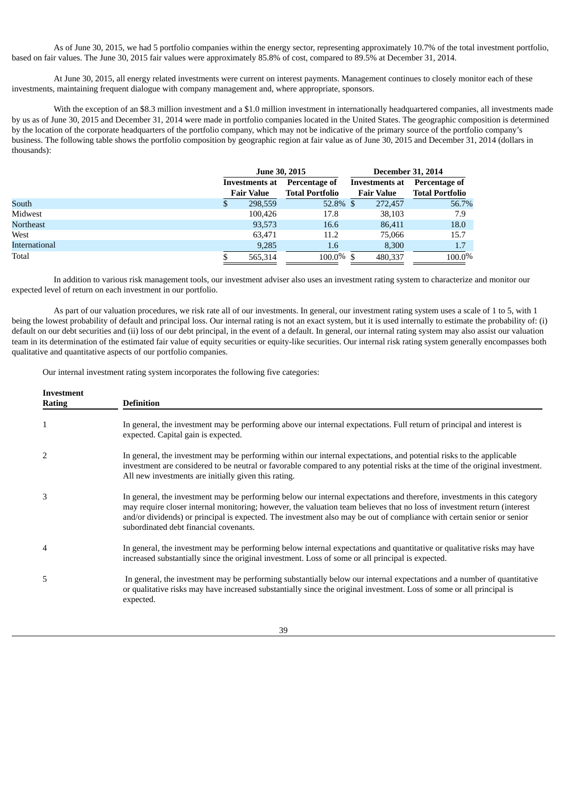As of June 30, 2015, we had 5 portfolio companies within the energy sector, representing approximately 10.7% of the total investment portfolio, based on fair values. The June 30, 2015 fair values were approximately 85.8% of cost, compared to 89.5% at December 31, 2014.

At June 30, 2015, all energy related investments were current on interest payments. Management continues to closely monitor each of these investments, maintaining frequent dialogue with company management and, where appropriate, sponsors.

With the exception of an \$8.3 million investment and a \$1.0 million investment in internationally headquartered companies, all investments made by us as of June 30, 2015 and December 31, 2014 were made in portfolio companies located in the United States. The geographic composition is determined by the location of the corporate headquarters of the portfolio company, which may not be indicative of the primary source of the portfolio company's business. The following table shows the portfolio composition by geographic region at fair value as of June 30, 2015 and December 31, 2014 (dollars in thousands):

|                  |                | <b>June 30, 2015</b> |                        | <b>December 31, 2014</b> |                       |                        |  |
|------------------|----------------|----------------------|------------------------|--------------------------|-----------------------|------------------------|--|
|                  | Investments at |                      | Percentage of          |                          | <b>Investments at</b> | Percentage of          |  |
|                  |                | <b>Fair Value</b>    | <b>Total Portfolio</b> |                          | <b>Fair Value</b>     | <b>Total Portfolio</b> |  |
| South            | \$             | 298,559              | 52.8% \$               |                          | 272,457               | 56.7%                  |  |
| Midwest          |                | 100.426              | 17.8                   |                          | 38.103                | 7.9                    |  |
| <b>Northeast</b> |                | 93,573               | 16.6                   |                          | 86.411                | 18.0                   |  |
| West             |                | 63,471               | 11.2                   |                          | 75,066                | 15.7                   |  |
| International    |                | 9,285                | 1.6                    |                          | 8,300                 | 1.7                    |  |
| Total            |                | 565,314              | $100.0\%$ \$           |                          | 480,337               | 100.0%                 |  |

In addition to various risk management tools, our investment adviser also uses an investment rating system to characterize and monitor our expected level of return on each investment in our portfolio.

As part of our valuation procedures, we risk rate all of our investments. In general, our investment rating system uses a scale of 1 to 5, with 1 being the lowest probability of default and principal loss. Our internal rating is not an exact system, but it is used internally to estimate the probability of: (i) default on our debt securities and (ii) loss of our debt principal, in the event of a default. In general, our internal rating system may also assist our valuation team in its determination of the estimated fair value of equity securities or equity-like securities. Our internal risk rating system generally encompasses both qualitative and quantitative aspects of our portfolio companies.

Our internal investment rating system incorporates the following five categories:

| Investment    |                                                                                                                                                                                                                                                                                                                                                                                                                          |
|---------------|--------------------------------------------------------------------------------------------------------------------------------------------------------------------------------------------------------------------------------------------------------------------------------------------------------------------------------------------------------------------------------------------------------------------------|
| <b>Rating</b> | <b>Definition</b>                                                                                                                                                                                                                                                                                                                                                                                                        |
| 1             | In general, the investment may be performing above our internal expectations. Full return of principal and interest is<br>expected. Capital gain is expected.                                                                                                                                                                                                                                                            |
| 2             | In general, the investment may be performing within our internal expectations, and potential risks to the applicable<br>investment are considered to be neutral or favorable compared to any potential risks at the time of the original investment.<br>All new investments are initially given this rating.                                                                                                             |
| 3             | In general, the investment may be performing below our internal expectations and therefore, investments in this category<br>may require closer internal monitoring; however, the valuation team believes that no loss of investment return (interest<br>and/or dividends) or principal is expected. The investment also may be out of compliance with certain senior or senior<br>subordinated debt financial covenants. |
| 4             | In general, the investment may be performing below internal expectations and quantitative or qualitative risks may have<br>increased substantially since the original investment. Loss of some or all principal is expected.                                                                                                                                                                                             |
| 5             | In general, the investment may be performing substantially below our internal expectations and a number of quantitative<br>or qualitative risks may have increased substantially since the original investment. Loss of some or all principal is<br>expected.                                                                                                                                                            |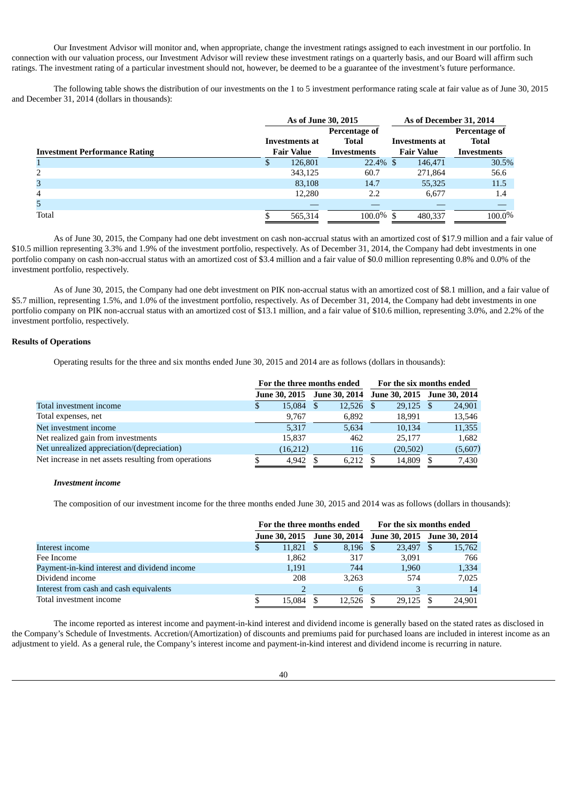Our Investment Advisor will monitor and, when appropriate, change the investment ratings assigned to each investment in our portfolio. In connection with our valuation process, our Investment Advisor will review these investment ratings on a quarterly basis, and our Board will affirm such ratings. The investment rating of a particular investment should not, however, be deemed to be a guarantee of the investment's future performance.

The following table shows the distribution of our investments on the 1 to 5 investment performance rating scale at fair value as of June 30, 2015 and December 31, 2014 (dollars in thousands):

|                                      | As of June 30, 2015 |                |               | As of December 31, 2014 |               |  |
|--------------------------------------|---------------------|----------------|---------------|-------------------------|---------------|--|
|                                      |                     |                | Percentage of |                         | Percentage of |  |
|                                      |                     | Investments at | Total         | Investments at          | Total         |  |
| <b>Investment Performance Rating</b> | <b>Fair Value</b>   |                | Investments   | <b>Fair Value</b>       | Investments   |  |
|                                      |                     | 126,801        | $22.4\%$ \$   | 146,471                 | 30.5%         |  |
| 2                                    |                     | 343,125        | 60.7          | 271.864                 | 56.6          |  |
| 3                                    |                     | 83,108         | 14.7          | 55,325                  | 11.5          |  |
| $\overline{4}$                       |                     | 12,280         | 2.2           | 6.677                   | 1.4           |  |
| 5                                    |                     |                |               |                         |               |  |
| Total                                |                     | 565,314        | $100.0\%$ \$  | 480,337                 | 100.0%        |  |

As of June 30, 2015, the Company had one debt investment on cash non-accrual status with an amortized cost of \$17.9 million and a fair value of \$10.5 million representing 3.3% and 1.9% of the investment portfolio, respectively. As of December 31, 2014, the Company had debt investments in one portfolio company on cash non-accrual status with an amortized cost of \$3.4 million and a fair value of \$0.0 million representing 0.8% and 0.0% of the investment portfolio, respectively.

As of June 30, 2015, the Company had one debt investment on PIK non-accrual status with an amortized cost of \$8.1 million, and a fair value of \$5.7 million, representing 1.5%, and 1.0% of the investment portfolio, respectively. As of December 31, 2014, the Company had debt investments in one portfolio company on PIK non-accrual status with an amortized cost of \$13.1 million, and a fair value of \$10.6 million, representing 3.0%, and 2.2% of the investment portfolio, respectively.

## **Results of Operations**

Operating results for the three and six months ended June 30, 2015 and 2014 are as follows (dollars in thousands):

|                                                      | For the three months ended |                      |      | For the six months ended<br>June 30, 2015 June 30, 2014 |  |         |
|------------------------------------------------------|----------------------------|----------------------|------|---------------------------------------------------------|--|---------|
|                                                      | <b>June 30, 2015</b>       | <b>June 30, 2014</b> |      |                                                         |  |         |
| Total investment income                              | 15,084 \$                  | 12,526               | - 55 | 29.125                                                  |  | 24,901  |
| Total expenses, net                                  | 9,767                      | 6,892                |      | 18,991                                                  |  | 13,546  |
| Net investment income                                | 5,317                      | 5,634                |      | 10,134                                                  |  | 11,355  |
| Net realized gain from investments                   | 15,837                     | 462                  |      | 25,177                                                  |  | 1,682   |
| Net unrealized appreciation/(depreciation)           | (16,212)                   | 116                  |      | (20,502)                                                |  | (5,607) |
| Net increase in net assets resulting from operations | $4.942 \quad $$            | 6.212                |      | 14.809                                                  |  | 7.430   |

#### *Investment income*

The composition of our investment income for the three months ended June 30, 2015 and 2014 was as follows (dollars in thousands):

|                                              | For the three months ended |        |     |                                                         | For the six months ended |        |    |        |
|----------------------------------------------|----------------------------|--------|-----|---------------------------------------------------------|--------------------------|--------|----|--------|
|                                              |                            |        |     | June 30, 2015 June 30, 2014 June 30, 2015 June 30, 2014 |                          |        |    |        |
| Interest income                              |                            | 11,821 | - S | 8,196 \$                                                |                          | 23.497 | -8 | 15,762 |
| Fee Income                                   |                            | 1,862  |     | 317                                                     |                          | 3,091  |    | 766    |
| Payment-in-kind interest and dividend income |                            | 1,191  |     | 744                                                     |                          | 1,960  |    | 1,334  |
| Dividend income                              |                            | 208    |     | 3.263                                                   |                          | 574    |    | 7,025  |
| Interest from cash and cash equivalents      |                            |        |     | 6                                                       |                          |        |    | 14     |
| Total investment income                      |                            | 15.084 |     | 12.526                                                  |                          | 29.125 |    | 24,901 |

The income reported as interest income and payment-in-kind interest and dividend income is generally based on the stated rates as disclosed in the Company's Schedule of Investments. Accretion/(Amortization) of discounts and premiums paid for purchased loans are included in interest income as an adjustment to yield. As a general rule, the Company's interest income and payment-in-kind interest and dividend income is recurring in nature.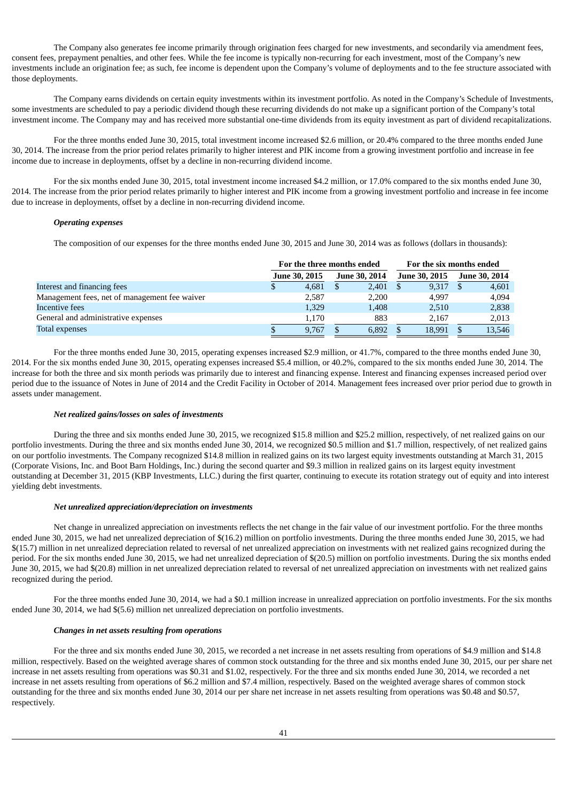The Company also generates fee income primarily through origination fees charged for new investments, and secondarily via amendment fees, consent fees, prepayment penalties, and other fees. While the fee income is typically non-recurring for each investment, most of the Company's new investments include an origination fee; as such, fee income is dependent upon the Company's volume of deployments and to the fee structure associated with those deployments.

The Company earns dividends on certain equity investments within its investment portfolio. As noted in the Company's Schedule of Investments, some investments are scheduled to pay a periodic dividend though these recurring dividends do not make up a significant portion of the Company's total investment income. The Company may and has received more substantial one-time dividends from its equity investment as part of dividend recapitalizations.

For the three months ended June 30, 2015, total investment income increased \$2.6 million, or 20.4% compared to the three months ended June 30, 2014. The increase from the prior period relates primarily to higher interest and PIK income from a growing investment portfolio and increase in fee income due to increase in deployments, offset by a decline in non-recurring dividend income.

For the six months ended June 30, 2015, total investment income increased \$4.2 million, or 17.0% compared to the six months ended June 30, 2014. The increase from the prior period relates primarily to higher interest and PIK income from a growing investment portfolio and increase in fee income due to increase in deployments, offset by a decline in non-recurring dividend income.

## *Operating expenses*

The composition of our expenses for the three months ended June 30, 2015 and June 30, 2014 was as follows (dollars in thousands):

|                                               | For the three months ended |                      |  | For the six months ended |  |                      |  |                      |
|-----------------------------------------------|----------------------------|----------------------|--|--------------------------|--|----------------------|--|----------------------|
|                                               |                            | <b>June 30, 2015</b> |  | <b>June 30, 2014</b>     |  | <b>June 30, 2015</b> |  | <b>June 30, 2014</b> |
| Interest and financing fees                   |                            | 4,681                |  | 2,401                    |  | 9,317                |  | 4,601                |
| Management fees, net of management fee waiver |                            | 2.587                |  | 2.200                    |  | 4.997                |  | 4,094                |
| Incentive fees                                |                            | 1,329                |  | 1,408                    |  | 2,510                |  | 2,838                |
| General and administrative expenses           |                            | 1.170                |  | 883                      |  | 2.167                |  | 2,013                |
| Total expenses                                |                            | 9.767                |  | 6,892                    |  | 18.991               |  | 13,546               |

For the three months ended June 30, 2015, operating expenses increased \$2.9 million, or 41.7%, compared to the three months ended June 30, 2014. For the six months ended June 30, 2015, operating expenses increased \$5.4 million, or 40.2%, compared to the six months ended June 30, 2014. The increase for both the three and six month periods was primarily due to interest and financing expense. Interest and financing expenses increased period over period due to the issuance of Notes in June of 2014 and the Credit Facility in October of 2014. Management fees increased over prior period due to growth in assets under management.

## *Net realized gains/losses on sales of investments*

During the three and six months ended June 30, 2015, we recognized \$15.8 million and \$25.2 million, respectively, of net realized gains on our portfolio investments. During the three and six months ended June 30, 2014, we recognized \$0.5 million and \$1.7 million, respectively, of net realized gains on our portfolio investments. The Company recognized \$14.8 million in realized gains on its two largest equity investments outstanding at March 31, 2015 (Corporate Visions, Inc. and Boot Barn Holdings, Inc.) during the second quarter and \$9.3 million in realized gains on its largest equity investment outstanding at December 31, 2015 (KBP Investments, LLC.) during the first quarter, continuing to execute its rotation strategy out of equity and into interest yielding debt investments.

#### *Net unrealized appreciation/depreciation on investments*

Net change in unrealized appreciation on investments reflects the net change in the fair value of our investment portfolio. For the three months ended June 30, 2015, we had net unrealized depreciation of \$(16.2) million on portfolio investments. During the three months ended June 30, 2015, we had \$(15.7) million in net unrealized depreciation related to reversal of net unrealized appreciation on investments with net realized gains recognized during the period. For the six months ended June 30, 2015, we had net unrealized depreciation of \$(20.5) million on portfolio investments. During the six months ended June 30, 2015, we had \$(20.8) million in net unrealized depreciation related to reversal of net unrealized appreciation on investments with net realized gains recognized during the period.

For the three months ended June 30, 2014, we had a \$0.1 million increase in unrealized appreciation on portfolio investments. For the six months ended June 30, 2014, we had \$(5.6) million net unrealized depreciation on portfolio investments.

## *Changes in net assets resulting from operations*

For the three and six months ended June 30, 2015, we recorded a net increase in net assets resulting from operations of \$4.9 million and \$14.8 million, respectively. Based on the weighted average shares of common stock outstanding for the three and six months ended June 30, 2015, our per share net increase in net assets resulting from operations was \$0.31 and \$1.02, respectively. For the three and six months ended June 30, 2014, we recorded a net increase in net assets resulting from operations of \$6.2 million and \$7.4 million, respectively. Based on the weighted average shares of common stock outstanding for the three and six months ended June 30, 2014 our per share net increase in net assets resulting from operations was \$0.48 and \$0.57, respectively.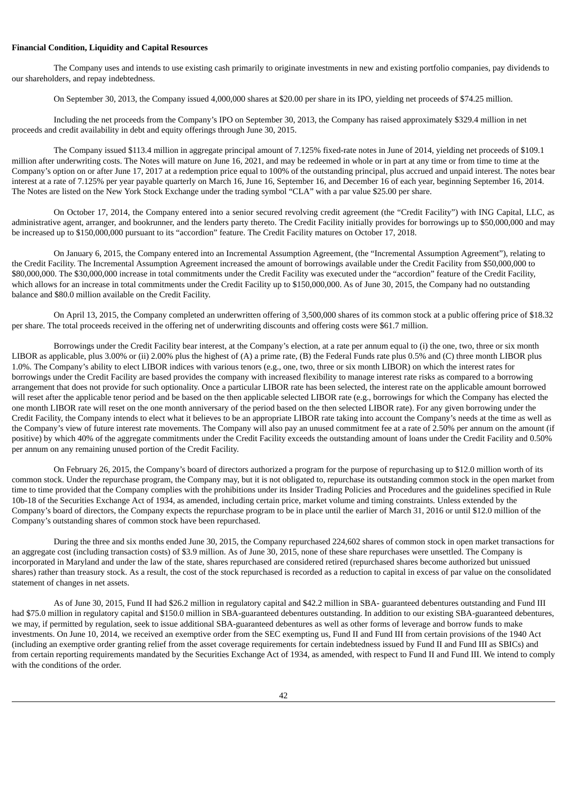## **Financial Condition, Liquidity and Capital Resources**

The Company uses and intends to use existing cash primarily to originate investments in new and existing portfolio companies, pay dividends to our shareholders, and repay indebtedness.

On September 30, 2013, the Company issued 4,000,000 shares at \$20.00 per share in its IPO, yielding net proceeds of \$74.25 million.

Including the net proceeds from the Company's IPO on September 30, 2013, the Company has raised approximately \$329.4 million in net proceeds and credit availability in debt and equity offerings through June 30, 2015.

The Company issued \$113.4 million in aggregate principal amount of 7.125% fixed-rate notes in June of 2014, yielding net proceeds of \$109.1 million after underwriting costs. The Notes will mature on June 16, 2021, and may be redeemed in whole or in part at any time or from time to time at the Company's option on or after June 17, 2017 at a redemption price equal to 100% of the outstanding principal, plus accrued and unpaid interest. The notes bear interest at a rate of 7.125% per year payable quarterly on March 16, June 16, September 16, and December 16 of each year, beginning September 16, 2014. The Notes are listed on the New York Stock Exchange under the trading symbol "CLA" with a par value \$25.00 per share.

On October 17, 2014, the Company entered into a senior secured revolving credit agreement (the "Credit Facility") with ING Capital, LLC, as administrative agent, arranger, and bookrunner, and the lenders party thereto. The Credit Facility initially provides for borrowings up to \$50,000,000 and may be increased up to \$150,000,000 pursuant to its "accordion" feature. The Credit Facility matures on October 17, 2018.

On January 6, 2015, the Company entered into an Incremental Assumption Agreement, (the "Incremental Assumption Agreement"), relating to the Credit Facility. The Incremental Assumption Agreement increased the amount of borrowings available under the Credit Facility from \$50,000,000 to \$80,000,000. The \$30,000,000 increase in total commitments under the Credit Facility was executed under the "accordion" feature of the Credit Facility, which allows for an increase in total commitments under the Credit Facility up to \$150,000,000. As of June 30, 2015, the Company had no outstanding balance and \$80.0 million available on the Credit Facility.

On April 13, 2015, the Company completed an underwritten offering of 3,500,000 shares of its common stock at a public offering price of \$18.32 per share. The total proceeds received in the offering net of underwriting discounts and offering costs were \$61.7 million.

Borrowings under the Credit Facility bear interest, at the Company's election, at a rate per annum equal to (i) the one, two, three or six month LIBOR as applicable, plus 3.00% or (ii) 2.00% plus the highest of (A) a prime rate, (B) the Federal Funds rate plus 0.5% and (C) three month LIBOR plus 1.0%. The Company's ability to elect LIBOR indices with various tenors (e.g., one, two, three or six month LIBOR) on which the interest rates for borrowings under the Credit Facility are based provides the company with increased flexibility to manage interest rate risks as compared to a borrowing arrangement that does not provide for such optionality. Once a particular LIBOR rate has been selected, the interest rate on the applicable amount borrowed will reset after the applicable tenor period and be based on the then applicable selected LIBOR rate (e.g., borrowings for which the Company has elected the one month LIBOR rate will reset on the one month anniversary of the period based on the then selected LIBOR rate). For any given borrowing under the Credit Facility, the Company intends to elect what it believes to be an appropriate LIBOR rate taking into account the Company's needs at the time as well as the Company's view of future interest rate movements. The Company will also pay an unused commitment fee at a rate of 2.50% per annum on the amount (if positive) by which 40% of the aggregate commitments under the Credit Facility exceeds the outstanding amount of loans under the Credit Facility and 0.50% per annum on any remaining unused portion of the Credit Facility.

On February 26, 2015, the Company's board of directors authorized a program for the purpose of repurchasing up to \$12.0 million worth of its common stock. Under the repurchase program, the Company may, but it is not obligated to, repurchase its outstanding common stock in the open market from time to time provided that the Company complies with the prohibitions under its Insider Trading Policies and Procedures and the guidelines specified in Rule 10b-18 of the Securities Exchange Act of 1934, as amended, including certain price, market volume and timing constraints. Unless extended by the Company's board of directors, the Company expects the repurchase program to be in place until the earlier of March 31, 2016 or until \$12.0 million of the Company's outstanding shares of common stock have been repurchased.

During the three and six months ended June 30, 2015, the Company repurchased 224,602 shares of common stock in open market transactions for an aggregate cost (including transaction costs) of \$3.9 million. As of June 30, 2015, none of these share repurchases were unsettled. The Company is incorporated in Maryland and under the law of the state, shares repurchased are considered retired (repurchased shares become authorized but unissued shares) rather than treasury stock. As a result, the cost of the stock repurchased is recorded as a reduction to capital in excess of par value on the consolidated statement of changes in net assets.

As of June 30, 2015, Fund II had \$26.2 million in regulatory capital and \$42.2 million in SBA- guaranteed debentures outstanding and Fund III had \$75.0 million in regulatory capital and \$150.0 million in SBA-guaranteed debentures outstanding. In addition to our existing SBA-guaranteed debentures, we may, if permitted by regulation, seek to issue additional SBA-guaranteed debentures as well as other forms of leverage and borrow funds to make investments. On June 10, 2014, we received an exemptive order from the SEC exempting us, Fund II and Fund III from certain provisions of the 1940 Act (including an exemptive order granting relief from the asset coverage requirements for certain indebtedness issued by Fund II and Fund III as SBICs) and from certain reporting requirements mandated by the Securities Exchange Act of 1934, as amended, with respect to Fund II and Fund III. We intend to comply with the conditions of the order.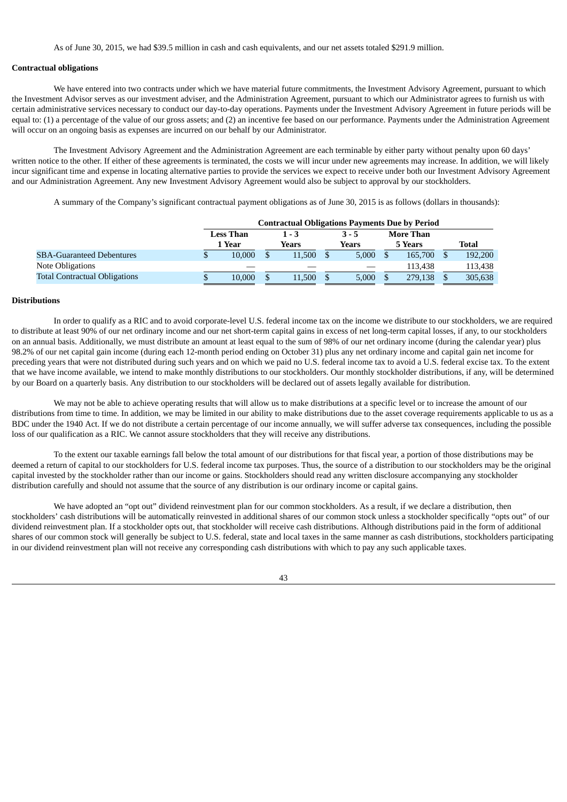As of June 30, 2015, we had \$39.5 million in cash and cash equivalents, and our net assets totaled \$291.9 million.

## **Contractual obligations**

We have entered into two contracts under which we have material future commitments, the Investment Advisory Agreement, pursuant to which the Investment Advisor serves as our investment adviser, and the Administration Agreement, pursuant to which our Administrator agrees to furnish us with certain administrative services necessary to conduct our day-to-day operations. Payments under the Investment Advisory Agreement in future periods will be equal to: (1) a percentage of the value of our gross assets; and (2) an incentive fee based on our performance. Payments under the Administration Agreement will occur on an ongoing basis as expenses are incurred on our behalf by our Administrator.

The Investment Advisory Agreement and the Administration Agreement are each terminable by either party without penalty upon 60 days' written notice to the other. If either of these agreements is terminated, the costs we will incur under new agreements may increase. In addition, we will likely incur significant time and expense in locating alternative parties to provide the services we expect to receive under both our Investment Advisory Agreement and our Administration Agreement. Any new Investment Advisory Agreement would also be subject to approval by our stockholders.

A summary of the Company's significant contractual payment obligations as of June 30, 2015 is as follows (dollars in thousands):

|                                      | <b>Contractual Obligations Payments Due by Period</b> |                  |  |         |  |         |  |           |  |         |
|--------------------------------------|-------------------------------------------------------|------------------|--|---------|--|---------|--|-----------|--|---------|
|                                      |                                                       | <b>Less Than</b> |  | $1 - 3$ |  | $3 - 5$ |  | More Than |  |         |
|                                      |                                                       | 1 Year           |  | Years   |  | Years   |  | 5 Years   |  | Total   |
| <b>SBA-Guaranteed Debentures</b>     |                                                       | 10.000           |  | 11.500  |  | 5.000   |  | 165,700   |  | 192,200 |
| Note Obligations                     |                                                       |                  |  |         |  |         |  | 113.438   |  | 113,438 |
| <b>Total Contractual Obligations</b> |                                                       | 10.000           |  | 11.500  |  | 5,000   |  | 279.138   |  | 305,638 |

## **Distributions**

In order to qualify as a RIC and to avoid corporate-level U.S. federal income tax on the income we distribute to our stockholders, we are required to distribute at least 90% of our net ordinary income and our net short-term capital gains in excess of net long-term capital losses, if any, to our stockholders on an annual basis. Additionally, we must distribute an amount at least equal to the sum of 98% of our net ordinary income (during the calendar year) plus 98.2% of our net capital gain income (during each 12-month period ending on October 31) plus any net ordinary income and capital gain net income for preceding years that were not distributed during such years and on which we paid no U.S. federal income tax to avoid a U.S. federal excise tax. To the extent that we have income available, we intend to make monthly distributions to our stockholders. Our monthly stockholder distributions, if any, will be determined by our Board on a quarterly basis. Any distribution to our stockholders will be declared out of assets legally available for distribution.

We may not be able to achieve operating results that will allow us to make distributions at a specific level or to increase the amount of our distributions from time to time. In addition, we may be limited in our ability to make distributions due to the asset coverage requirements applicable to us as a BDC under the 1940 Act. If we do not distribute a certain percentage of our income annually, we will suffer adverse tax consequences, including the possible loss of our qualification as a RIC. We cannot assure stockholders that they will receive any distributions.

To the extent our taxable earnings fall below the total amount of our distributions for that fiscal year, a portion of those distributions may be deemed a return of capital to our stockholders for U.S. federal income tax purposes. Thus, the source of a distribution to our stockholders may be the original capital invested by the stockholder rather than our income or gains. Stockholders should read any written disclosure accompanying any stockholder distribution carefully and should not assume that the source of any distribution is our ordinary income or capital gains.

We have adopted an "opt out" dividend reinvestment plan for our common stockholders. As a result, if we declare a distribution, then stockholders' cash distributions will be automatically reinvested in additional shares of our common stock unless a stockholder specifically "opts out" of our dividend reinvestment plan. If a stockholder opts out, that stockholder will receive cash distributions. Although distributions paid in the form of additional shares of our common stock will generally be subject to U.S. federal, state and local taxes in the same manner as cash distributions, stockholders participating in our dividend reinvestment plan will not receive any corresponding cash distributions with which to pay any such applicable taxes.

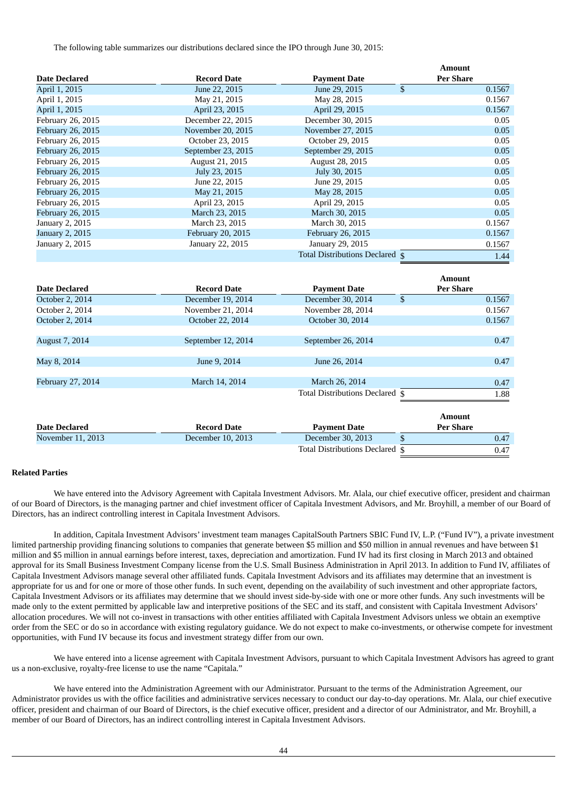The following table summarizes our distributions declared since the IPO through June 30, 2015:

|                          |                    |                                 | <b>Amount</b>    |
|--------------------------|--------------------|---------------------------------|------------------|
| <b>Date Declared</b>     | <b>Record Date</b> | <b>Payment Date</b>             | <b>Per Share</b> |
| April 1, 2015            | June 22, 2015      | $\mathbb{S}$<br>June 29, 2015   | 0.1567           |
| April 1, 2015            | May 21, 2015       | May 28, 2015                    | 0.1567           |
| April 1, 2015            | April 23, 2015     | April 29, 2015                  | 0.1567           |
| February 26, 2015        | December 22, 2015  | December 30, 2015               | 0.05             |
| February 26, 2015        | November 20, 2015  | November 27, 2015               | 0.05             |
| February 26, 2015        | October 23, 2015   | October 29, 2015                | 0.05             |
| February 26, 2015        | September 23, 2015 | September 29, 2015              | 0.05             |
| February 26, 2015        | August 21, 2015    | August 28, 2015                 | 0.05             |
| <b>February 26, 2015</b> | July 23, 2015      | July 30, 2015                   | 0.05             |
| February 26, 2015        | June 22, 2015      | June 29, 2015                   | 0.05             |
| February 26, 2015        | May 21, 2015       | May 28, 2015                    | 0.05             |
| February 26, 2015        | April 23, 2015     | April 29, 2015                  | 0.05             |
| February 26, 2015        | March 23, 2015     | March 30, 2015                  | 0.05             |
| January 2, 2015          | March 23, 2015     | March 30, 2015                  | 0.1567           |
| January 2, 2015          | February 20, 2015  | February 26, 2015               | 0.1567           |
| January 2, 2015          | January 22, 2015   | January 29, 2015                | 0.1567           |
|                          |                    | Total Distributions Declared \$ | 1.44             |

|                       |                    |                                 | <b>Amount</b>    |        |
|-----------------------|--------------------|---------------------------------|------------------|--------|
| <b>Date Declared</b>  | <b>Record Date</b> | <b>Payment Date</b>             | <b>Per Share</b> |        |
| October 2, 2014       | December 19, 2014  | December 30, 2014               | \$               | 0.1567 |
| October 2, 2014       | November 21, 2014  | November 28, 2014               |                  | 0.1567 |
| October 2, 2014       | October 22, 2014   | October 30, 2014                |                  | 0.1567 |
|                       |                    |                                 |                  |        |
| <b>August 7, 2014</b> | September 12, 2014 | September 26, 2014              |                  | 0.47   |
|                       |                    |                                 |                  |        |
| May 8, 2014           | June 9, 2014       | June 26, 2014                   |                  | 0.47   |
|                       |                    |                                 |                  |        |
| February 27, 2014     | March 14, 2014     | March 26, 2014                  |                  | 0.47   |
|                       |                    | Total Distributions Declared \$ |                  | 1.88   |
|                       |                    |                                 |                  |        |
|                       |                    |                                 | <b>Amount</b>    |        |
| <b>Date Declared</b>  | <b>Record Date</b> | <b>Payment Date</b>             | <b>Per Share</b> |        |
| November 11, 2013     | December 10, 2013  | December 30, 2013               | \$               | 0.47   |

Total Distributions Declared  $\overline{\$}$  0.47

## **Related Parties**

We have entered into the Advisory Agreement with Capitala Investment Advisors. Mr. Alala, our chief executive officer, president and chairman of our Board of Directors, is the managing partner and chief investment officer of Capitala Investment Advisors, and Mr. Broyhill, a member of our Board of Directors, has an indirect controlling interest in Capitala Investment Advisors.

In addition, Capitala Investment Advisors' investment team manages CapitalSouth Partners SBIC Fund IV, L.P. ("Fund IV"), a private investment limited partnership providing financing solutions to companies that generate between \$5 million and \$50 million in annual revenues and have between \$1 million and \$5 million in annual earnings before interest, taxes, depreciation and amortization. Fund IV had its first closing in March 2013 and obtained approval for its Small Business Investment Company license from the U.S. Small Business Administration in April 2013. In addition to Fund IV, affiliates of Capitala Investment Advisors manage several other affiliated funds. Capitala Investment Advisors and its affiliates may determine that an investment is appropriate for us and for one or more of those other funds. In such event, depending on the availability of such investment and other appropriate factors, Capitala Investment Advisors or its affiliates may determine that we should invest side-by-side with one or more other funds. Any such investments will be made only to the extent permitted by applicable law and interpretive positions of the SEC and its staff, and consistent with Capitala Investment Advisors' allocation procedures. We will not co-invest in transactions with other entities affiliated with Capitala Investment Advisors unless we obtain an exemptive order from the SEC or do so in accordance with existing regulatory guidance. We do not expect to make co-investments, or otherwise compete for investment opportunities, with Fund IV because its focus and investment strategy differ from our own.

We have entered into a license agreement with Capitala Investment Advisors, pursuant to which Capitala Investment Advisors has agreed to grant us a non-exclusive, royalty-free license to use the name "Capitala."

We have entered into the Administration Agreement with our Administrator. Pursuant to the terms of the Administration Agreement, our Administrator provides us with the office facilities and administrative services necessary to conduct our day-to-day operations. Mr. Alala, our chief executive officer, president and chairman of our Board of Directors, is the chief executive officer, president and a director of our Administrator, and Mr. Broyhill, a member of our Board of Directors, has an indirect controlling interest in Capitala Investment Advisors.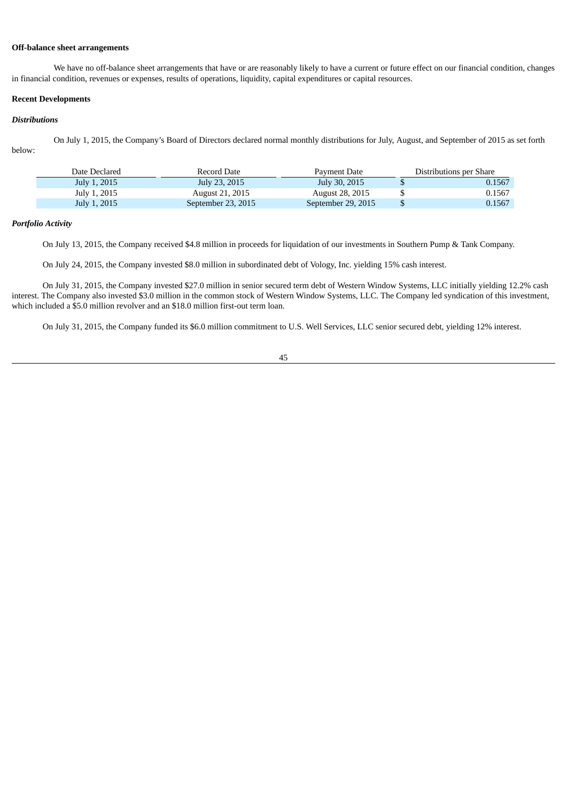## **Off-balance sheet arrangements**

We have no off-balance sheet arrangements that have or are reasonably likely to have a current or future effect on our financial condition, changes in financial condition, revenues or expenses, results of operations, liquidity, capital expenditures or capital resources.

## **Recent Developments**

## *Distributions*

On July 1, 2015, the Company's Board of Directors declared normal monthly distributions for July, August, and September of 2015 as set forth below:

| Date Declared | Record Date        | Payment Date       | Distributions per Share |
|---------------|--------------------|--------------------|-------------------------|
| July 1, 2015  | July 23, 2015      | July 30, 2015      | 0.1567                  |
| July 1, 2015  | August 21, 2015    | August 28, 2015    | 0.1567                  |
| July 1, 2015  | September 23, 2015 | September 29, 2015 | 0.1567                  |

## *Portfolio Activity*

On July 13, 2015, the Company received \$4.8 million in proceeds for liquidation of our investments in Southern Pump & Tank Company.

On July 24, 2015, the Company invested \$8.0 million in subordinated debt of Vology, Inc. yielding 15% cash interest.

On July 31, 2015, the Company invested \$27.0 million in senior secured term debt of Western Window Systems, LLC initially yielding 12.2% cash interest. The Company also invested \$3.0 million in the common stock of Western Window Systems, LLC. The Company led syndication of this investment, which included a \$5.0 million revolver and an \$18.0 million first-out term loan.

On July 31, 2015, the Company funded its \$6.0 million commitment to U.S. Well Services, LLC senior secured debt, yielding 12% interest.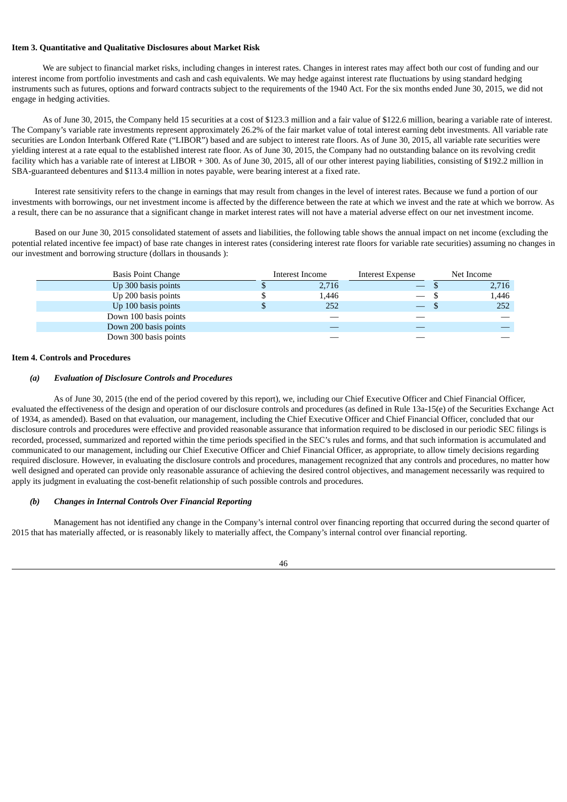## <span id="page-56-0"></span>**Item 3. Quantitative and Qualitative Disclosures about Market Risk**

We are subject to financial market risks, including changes in interest rates. Changes in interest rates may affect both our cost of funding and our interest income from portfolio investments and cash and cash equivalents. We may hedge against interest rate fluctuations by using standard hedging instruments such as futures, options and forward contracts subject to the requirements of the 1940 Act. For the six months ended June 30, 2015, we did not engage in hedging activities.

As of June 30, 2015, the Company held 15 securities at a cost of \$123.3 million and a fair value of \$122.6 million, bearing a variable rate of interest. The Company's variable rate investments represent approximately 26.2% of the fair market value of total interest earning debt investments. All variable rate securities are London Interbank Offered Rate ("LIBOR") based and are subject to interest rate floors. As of June 30, 2015, all variable rate securities were yielding interest at a rate equal to the established interest rate floor. As of June 30, 2015, the Company had no outstanding balance on its revolving credit facility which has a variable rate of interest at LIBOR + 300. As of June 30, 2015, all of our other interest paying liabilities, consisting of \$192.2 million in SBA-guaranteed debentures and \$113.4 million in notes payable, were bearing interest at a fixed rate.

Interest rate sensitivity refers to the change in earnings that may result from changes in the level of interest rates. Because we fund a portion of our investments with borrowings, our net investment income is affected by the difference between the rate at which we invest and the rate at which we borrow. As a result, there can be no assurance that a significant change in market interest rates will not have a material adverse effect on our net investment income.

Based on our June 30, 2015 consolidated statement of assets and liabilities, the following table shows the annual impact on net income (excluding the potential related incentive fee impact) of base rate changes in interest rates (considering interest rate floors for variable rate securities) assuming no changes in our investment and borrowing structure (dollars in thousands ):

| <b>Basis Point Change</b> | Interest Income |       | Interest Expense |  | Net Income |  |
|---------------------------|-----------------|-------|------------------|--|------------|--|
| Up 300 basis points       |                 | 2,716 |                  |  | 2,716      |  |
| Up 200 basis points       |                 | 1,446 |                  |  | 1,446      |  |
| Up 100 basis points       |                 | 252   |                  |  | 252        |  |
| Down 100 basis points     |                 |       |                  |  |            |  |
| Down 200 basis points     |                 |       |                  |  |            |  |
| Down 300 basis points     |                 |       |                  |  |            |  |

#### <span id="page-56-1"></span>**Item 4. Controls and Procedures**

## *(a) Evaluation of Disclosure Controls and Procedures*

As of June 30, 2015 (the end of the period covered by this report), we, including our Chief Executive Officer and Chief Financial Officer, evaluated the effectiveness of the design and operation of our disclosure controls and procedures (as defined in Rule 13a-15(e) of the Securities Exchange Act of 1934, as amended). Based on that evaluation, our management, including the Chief Executive Officer and Chief Financial Officer, concluded that our disclosure controls and procedures were effective and provided reasonable assurance that information required to be disclosed in our periodic SEC filings is recorded, processed, summarized and reported within the time periods specified in the SEC's rules and forms, and that such information is accumulated and communicated to our management, including our Chief Executive Officer and Chief Financial Officer, as appropriate, to allow timely decisions regarding required disclosure. However, in evaluating the disclosure controls and procedures, management recognized that any controls and procedures, no matter how well designed and operated can provide only reasonable assurance of achieving the desired control objectives, and management necessarily was required to apply its judgment in evaluating the cost-benefit relationship of such possible controls and procedures.

## *(b) Changes in Internal Controls Over Financial Reporting*

Management has not identified any change in the Company's internal control over financing reporting that occurred during the second quarter of 2015 that has materially affected, or is reasonably likely to materially affect, the Company's internal control over financial reporting.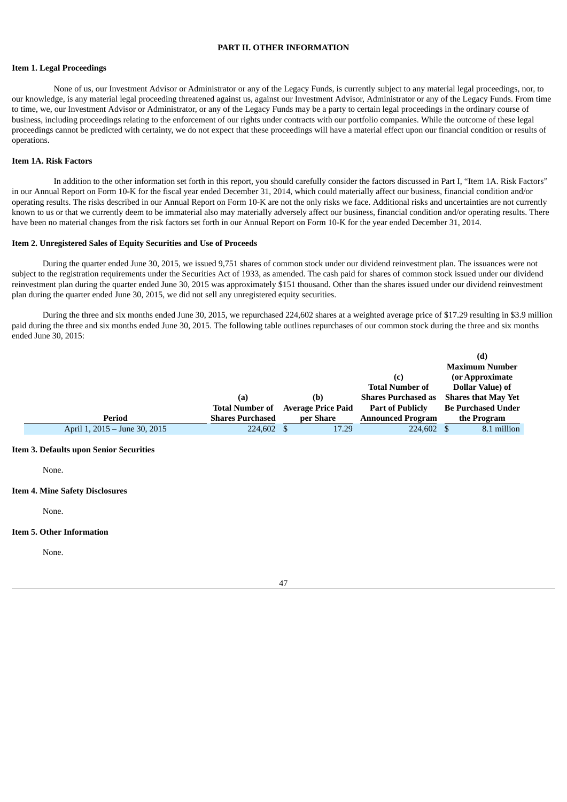## **PART II. OTHER INFORMATION**

## <span id="page-57-1"></span><span id="page-57-0"></span>**Item 1. Legal Proceedings**

None of us, our Investment Advisor or Administrator or any of the Legacy Funds, is currently subject to any material legal proceedings, nor, to our knowledge, is any material legal proceeding threatened against us, against our Investment Advisor, Administrator or any of the Legacy Funds. From time to time, we, our Investment Advisor or Administrator, or any of the Legacy Funds may be a party to certain legal proceedings in the ordinary course of business, including proceedings relating to the enforcement of our rights under contracts with our portfolio companies. While the outcome of these legal proceedings cannot be predicted with certainty, we do not expect that these proceedings will have a material effect upon our financial condition or results of operations.

## <span id="page-57-2"></span>**Item 1A. Risk Factors**

In addition to the other information set forth in this report, you should carefully consider the factors discussed in Part I, "Item 1A. Risk Factors" in our Annual Report on Form 10-K for the fiscal year ended December 31, 2014, which could materially affect our business, financial condition and/or operating results. The risks described in our Annual Report on Form 10-K are not the only risks we face. Additional risks and uncertainties are not currently known to us or that we currently deem to be immaterial also may materially adversely affect our business, financial condition and/or operating results. There have been no material changes from the risk factors set forth in our Annual Report on Form 10-K for the year ended December 31, 2014.

#### <span id="page-57-3"></span>**Item 2. Unregistered Sales of Equity Securities and Use of Proceeds**

During the quarter ended June 30, 2015, we issued 9,751 shares of common stock under our dividend reinvestment plan. The issuances were not subject to the registration requirements under the Securities Act of 1933, as amended. The cash paid for shares of common stock issued under our dividend reinvestment plan during the quarter ended June 30, 2015 was approximately \$151 thousand. Other than the shares issued under our dividend reinvestment plan during the quarter ended June 30, 2015, we did not sell any unregistered equity securities.

During the three and six months ended June 30, 2015, we repurchased 224,602 shares at a weighted average price of \$17.29 resulting in \$3.9 million paid during the three and six months ended June 30, 2015. The following table outlines repurchases of our common stock during the three and six months ended June 30, 2015:

|                               |                         |                           |                            | (d)                        |
|-------------------------------|-------------------------|---------------------------|----------------------------|----------------------------|
|                               |                         |                           |                            | <b>Maximum Number</b>      |
|                               |                         |                           | (c)                        | (or Approximate            |
|                               |                         |                           | <b>Total Number of</b>     | <b>Dollar Value)</b> of    |
|                               | (a)                     | (b)                       | <b>Shares Purchased as</b> | <b>Shares that May Yet</b> |
|                               | <b>Total Number of</b>  | <b>Average Price Paid</b> | <b>Part of Publicly</b>    | <b>Be Purchased Under</b>  |
| Period                        | <b>Shares Purchased</b> | per Share                 | <b>Announced Program</b>   | the Program                |
| April 1, 2015 – June 30, 2015 | 224,602                 | 17.29                     | 224,602                    | 8.1 million                |

#### <span id="page-57-4"></span>**Item 3. Defaults upon Senior Securities**

None.

#### <span id="page-57-5"></span>**Item 4. Mine Safety Disclosures**

None.

#### <span id="page-57-6"></span>**Item 5. Other Information**

None.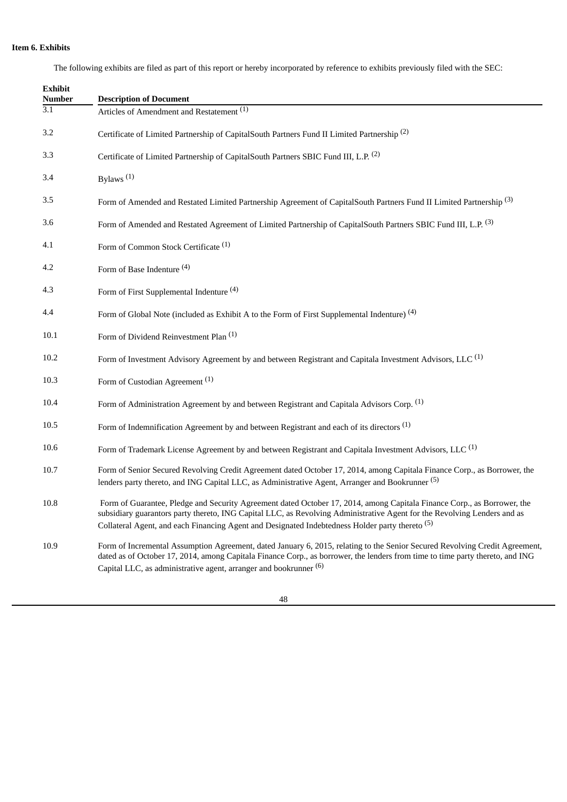# <span id="page-58-0"></span>**Item 6. Exhibits**

The following exhibits are filed as part of this report or hereby incorporated by reference to exhibits previously filed with the SEC:

| <b>Exhibit</b><br><b>Number</b> | <b>Description of Document</b>                                                                                                                                                                                                                                                                                                                         |
|---------------------------------|--------------------------------------------------------------------------------------------------------------------------------------------------------------------------------------------------------------------------------------------------------------------------------------------------------------------------------------------------------|
| 3.1                             | Articles of Amendment and Restatement <sup>(1)</sup>                                                                                                                                                                                                                                                                                                   |
| 3.2                             | Certificate of Limited Partnership of CapitalSouth Partners Fund II Limited Partnership <sup>(2)</sup>                                                                                                                                                                                                                                                 |
| 3.3                             | Certificate of Limited Partnership of CapitalSouth Partners SBIC Fund III, L.P. (2)                                                                                                                                                                                                                                                                    |
| 3.4                             | Bylaws <sup>(1)</sup>                                                                                                                                                                                                                                                                                                                                  |
| 3.5                             | Form of Amended and Restated Limited Partnership Agreement of CapitalSouth Partners Fund II Limited Partnership <sup>(3)</sup>                                                                                                                                                                                                                         |
| 3.6                             | Form of Amended and Restated Agreement of Limited Partnership of CapitalSouth Partners SBIC Fund III, L.P. <sup>(3)</sup>                                                                                                                                                                                                                              |
| 4.1                             | Form of Common Stock Certificate <sup>(1)</sup>                                                                                                                                                                                                                                                                                                        |
| 4.2                             | Form of Base Indenture <sup>(4)</sup>                                                                                                                                                                                                                                                                                                                  |
| 4.3                             | Form of First Supplemental Indenture <sup>(4)</sup>                                                                                                                                                                                                                                                                                                    |
| 4.4                             | Form of Global Note (included as Exhibit A to the Form of First Supplemental Indenture) <sup>(4)</sup>                                                                                                                                                                                                                                                 |
| 10.1                            | Form of Dividend Reinvestment Plan <sup>(1)</sup>                                                                                                                                                                                                                                                                                                      |
| 10.2                            | Form of Investment Advisory Agreement by and between Registrant and Capitala Investment Advisors, LLC <sup>(1)</sup>                                                                                                                                                                                                                                   |
| 10.3                            | Form of Custodian Agreement <sup>(1)</sup>                                                                                                                                                                                                                                                                                                             |
| 10.4                            | Form of Administration Agreement by and between Registrant and Capitala Advisors Corp. <sup>(1)</sup>                                                                                                                                                                                                                                                  |
| 10.5                            | Form of Indemnification Agreement by and between Registrant and each of its directors (1)                                                                                                                                                                                                                                                              |
| 10.6                            | Form of Trademark License Agreement by and between Registrant and Capitala Investment Advisors, LLC <sup>(1)</sup>                                                                                                                                                                                                                                     |
| 10.7                            | Form of Senior Secured Revolving Credit Agreement dated October 17, 2014, among Capitala Finance Corp., as Borrower, the<br>lenders party thereto, and ING Capital LLC, as Administrative Agent, Arranger and Bookrunner <sup>(5)</sup>                                                                                                                |
| 10.8                            | Form of Guarantee, Pledge and Security Agreement dated October 17, 2014, among Capitala Finance Corp., as Borrower, the<br>subsidiary guarantors party thereto, ING Capital LLC, as Revolving Administrative Agent for the Revolving Lenders and as<br>Collateral Agent, and each Financing Agent and Designated Indebtedness Holder party thereto (5) |
| 10.9                            | Form of Incremental Assumption Agreement, dated January 6, 2015, relating to the Senior Secured Revolving Credit Agreement,<br>dated as of October 17, 2014, among Capitala Finance Corp., as borrower, the lenders from time to time party thereto, and ING<br>Capital LLC, as administrative agent, arranger and bookrunner (6)                      |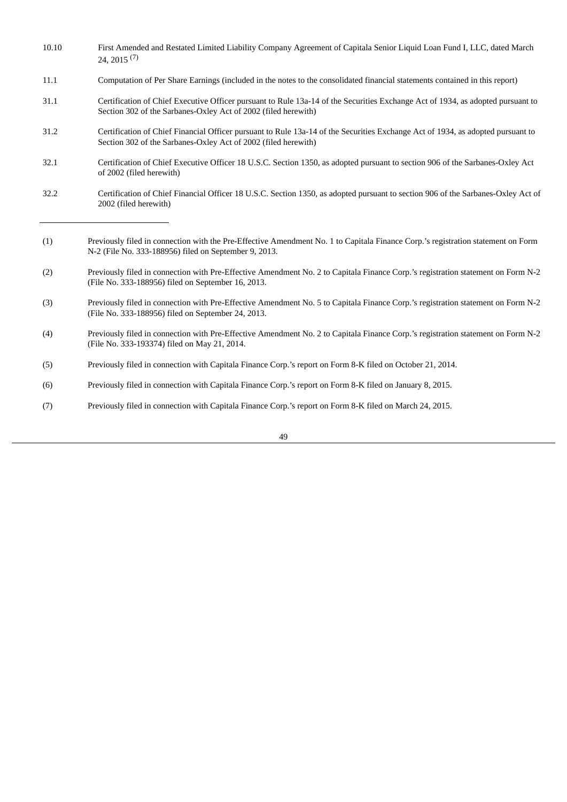- 10.10 First Amended and Restated Limited Liability Company Agreement of Capitala Senior Liquid Loan Fund I, LLC, dated March 24, 2015 (7)
- 11.1 Computation of Per Share Earnings (included in the notes to the consolidated financial statements contained in this report)
- 31.1 Certification of Chief Executive Officer pursuant to Rule 13a-14 of the Securities Exchange Act of 1934, as adopted pursuant to Section 302 of the Sarbanes-Oxley Act of 2002 (filed herewith)
- 31.2 Certification of Chief Financial Officer pursuant to Rule 13a-14 of the Securities Exchange Act of 1934, as adopted pursuant to Section 302 of the Sarbanes-Oxley Act of 2002 (filed herewith)
- 32.1 Certification of Chief Executive Officer 18 U.S.C. Section 1350, as adopted pursuant to section 906 of the Sarbanes-Oxley Act of 2002 (filed herewith)
- 32.2 Certification of Chief Financial Officer 18 U.S.C. Section 1350, as adopted pursuant to section 906 of the Sarbanes-Oxley Act of 2002 (filed herewith)
- (1) Previously filed in connection with the Pre-Effective Amendment No. 1 to Capitala Finance Corp.'s registration statement on Form N-2 (File No. 333-188956) filed on September 9, 2013.
- (2) Previously filed in connection with Pre-Effective Amendment No. 2 to Capitala Finance Corp.'s registration statement on Form N-2 (File No. 333-188956) filed on September 16, 2013.
- (3) Previously filed in connection with Pre-Effective Amendment No. 5 to Capitala Finance Corp.'s registration statement on Form N-2 (File No. 333-188956) filed on September 24, 2013.
- (4) Previously filed in connection with Pre-Effective Amendment No. 2 to Capitala Finance Corp.'s registration statement on Form N-2 (File No. 333-193374) filed on May 21, 2014.
- (5) Previously filed in connection with Capitala Finance Corp.'s report on Form 8-K filed on October 21, 2014.
- (6) Previously filed in connection with Capitala Finance Corp.'s report on Form 8-K filed on January 8, 2015.
- (7) Previously filed in connection with Capitala Finance Corp.'s report on Form 8-K filed on March 24, 2015.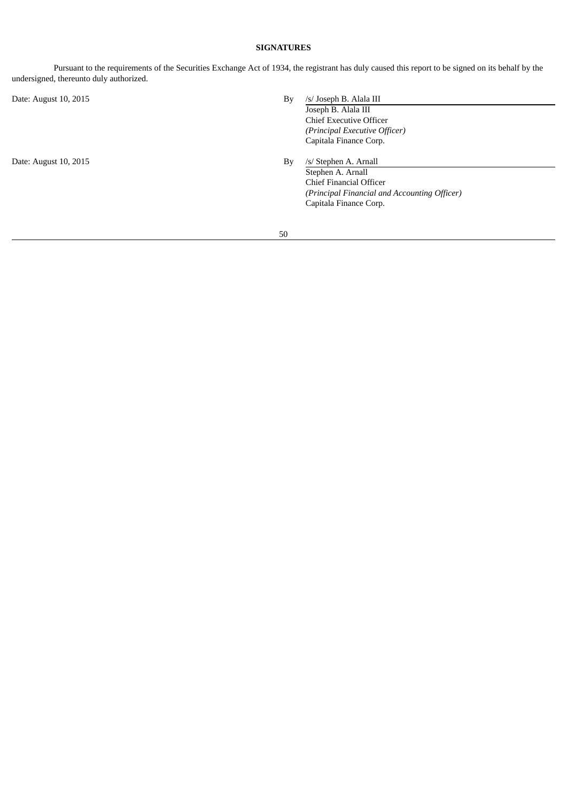## **SIGNATURES**

<span id="page-60-0"></span>Pursuant to the requirements of the Securities Exchange Act of 1934, the registrant has duly caused this report to be signed on its behalf by the undersigned, thereunto duly authorized.

Date: August 10, 2015 By *Is/ Joseph B. Alala III* Joseph B. Alala III Chief Executive Officer *(Principal Executive Officer)* Capitala Finance Corp. Date: August 10, 2015 By /s/ Stephen A. Arnall Stephen A. Arnall Chief Financial Officer *(Principal Financial and Accounting Officer)* Capitala Finance Corp.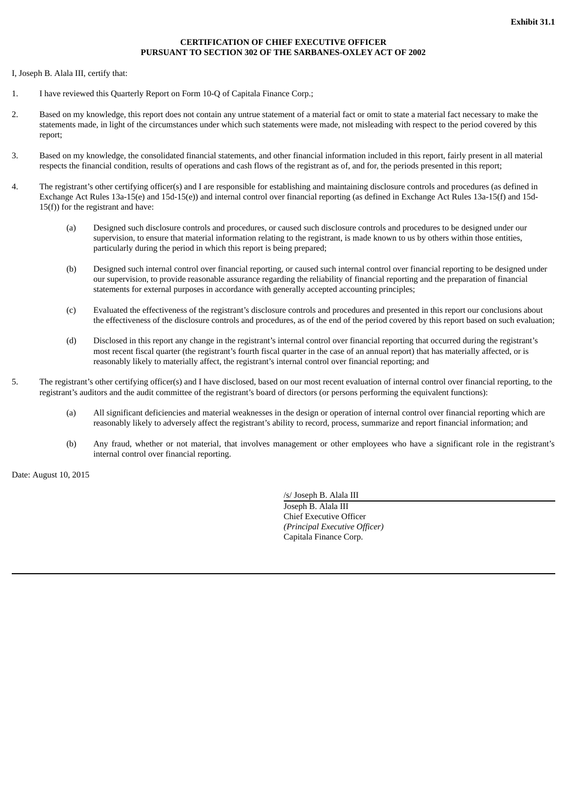## **CERTIFICATION OF CHIEF EXECUTIVE OFFICER PURSUANT TO SECTION 302 OF THE SARBANES-OXLEY ACT OF 2002**

I, Joseph B. Alala III, certify that:

- 1. I have reviewed this Quarterly Report on Form 10-Q of Capitala Finance Corp.;
- 2. Based on my knowledge, this report does not contain any untrue statement of a material fact or omit to state a material fact necessary to make the statements made, in light of the circumstances under which such statements were made, not misleading with respect to the period covered by this report;
- 3. Based on my knowledge, the consolidated financial statements, and other financial information included in this report, fairly present in all material respects the financial condition, results of operations and cash flows of the registrant as of, and for, the periods presented in this report;
- 4. The registrant's other certifying officer(s) and I are responsible for establishing and maintaining disclosure controls and procedures (as defined in Exchange Act Rules 13a-15(e) and 15d-15(e)) and internal control over financial reporting (as defined in Exchange Act Rules 13a-15(f) and 15d-15(f)) for the registrant and have:
	- (a) Designed such disclosure controls and procedures, or caused such disclosure controls and procedures to be designed under our supervision, to ensure that material information relating to the registrant, is made known to us by others within those entities, particularly during the period in which this report is being prepared;
	- (b) Designed such internal control over financial reporting, or caused such internal control over financial reporting to be designed under our supervision, to provide reasonable assurance regarding the reliability of financial reporting and the preparation of financial statements for external purposes in accordance with generally accepted accounting principles;
	- (c) Evaluated the effectiveness of the registrant's disclosure controls and procedures and presented in this report our conclusions about the effectiveness of the disclosure controls and procedures, as of the end of the period covered by this report based on such evaluation;
	- (d) Disclosed in this report any change in the registrant's internal control over financial reporting that occurred during the registrant's most recent fiscal quarter (the registrant's fourth fiscal quarter in the case of an annual report) that has materially affected, or is reasonably likely to materially affect, the registrant's internal control over financial reporting; and
- 5. The registrant's other certifying officer(s) and I have disclosed, based on our most recent evaluation of internal control over financial reporting, to the registrant's auditors and the audit committee of the registrant's board of directors (or persons performing the equivalent functions):
	- (a) All significant deficiencies and material weaknesses in the design or operation of internal control over financial reporting which are reasonably likely to adversely affect the registrant's ability to record, process, summarize and report financial information; and
	- (b) Any fraud, whether or not material, that involves management or other employees who have a significant role in the registrant's internal control over financial reporting.

Date: August 10, 2015

/s/ Joseph B. Alala III Joseph B. Alala III Chief Executive Officer *(Principal Executive Officer)* Capitala Finance Corp.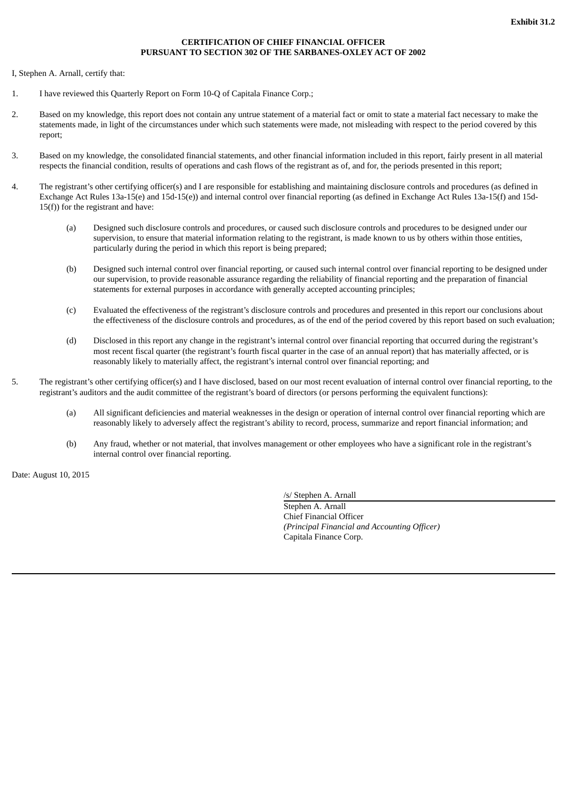## **CERTIFICATION OF CHIEF FINANCIAL OFFICER PURSUANT TO SECTION 302 OF THE SARBANES-OXLEY ACT OF 2002**

I, Stephen A. Arnall, certify that:

- 1. I have reviewed this Quarterly Report on Form 10-Q of Capitala Finance Corp.;
- 2. Based on my knowledge, this report does not contain any untrue statement of a material fact or omit to state a material fact necessary to make the statements made, in light of the circumstances under which such statements were made, not misleading with respect to the period covered by this report;
- 3. Based on my knowledge, the consolidated financial statements, and other financial information included in this report, fairly present in all material respects the financial condition, results of operations and cash flows of the registrant as of, and for, the periods presented in this report;
- 4. The registrant's other certifying officer(s) and I are responsible for establishing and maintaining disclosure controls and procedures (as defined in Exchange Act Rules 13a-15(e) and 15d-15(e)) and internal control over financial reporting (as defined in Exchange Act Rules 13a-15(f) and 15d-15(f)) for the registrant and have:
	- (a) Designed such disclosure controls and procedures, or caused such disclosure controls and procedures to be designed under our supervision, to ensure that material information relating to the registrant, is made known to us by others within those entities, particularly during the period in which this report is being prepared;
	- (b) Designed such internal control over financial reporting, or caused such internal control over financial reporting to be designed under our supervision, to provide reasonable assurance regarding the reliability of financial reporting and the preparation of financial statements for external purposes in accordance with generally accepted accounting principles;
	- (c) Evaluated the effectiveness of the registrant's disclosure controls and procedures and presented in this report our conclusions about the effectiveness of the disclosure controls and procedures, as of the end of the period covered by this report based on such evaluation;
	- (d) Disclosed in this report any change in the registrant's internal control over financial reporting that occurred during the registrant's most recent fiscal quarter (the registrant's fourth fiscal quarter in the case of an annual report) that has materially affected, or is reasonably likely to materially affect, the registrant's internal control over financial reporting; and
- 5. The registrant's other certifying officer(s) and I have disclosed, based on our most recent evaluation of internal control over financial reporting, to the registrant's auditors and the audit committee of the registrant's board of directors (or persons performing the equivalent functions):
	- (a) All significant deficiencies and material weaknesses in the design or operation of internal control over financial reporting which are reasonably likely to adversely affect the registrant's ability to record, process, summarize and report financial information; and
	- (b) Any fraud, whether or not material, that involves management or other employees who have a significant role in the registrant's internal control over financial reporting.

Date: August 10, 2015

/s/ Stephen A. Arnall Stephen A. Arnall Chief Financial Officer *(Principal Financial and Accounting Officer)* Capitala Finance Corp.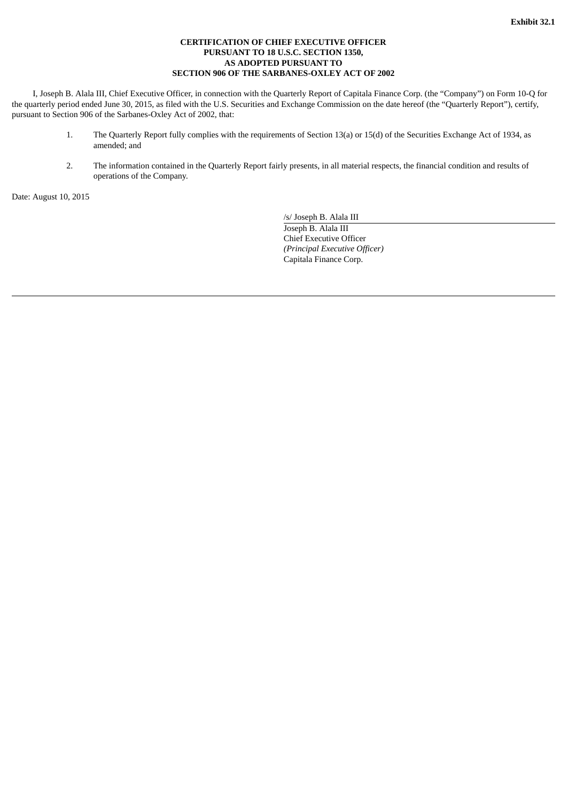## **CERTIFICATION OF CHIEF EXECUTIVE OFFICER PURSUANT TO 18 U.S.C. SECTION 1350, AS ADOPTED PURSUANT TO SECTION 906 OF THE SARBANES-OXLEY ACT OF 2002**

I, Joseph B. Alala III, Chief Executive Officer, in connection with the Quarterly Report of Capitala Finance Corp. (the "Company") on Form 10-Q for the quarterly period ended June 30, 2015, as filed with the U.S. Securities and Exchange Commission on the date hereof (the "Quarterly Report"), certify, pursuant to Section 906 of the Sarbanes-Oxley Act of 2002, that:

- 1. The Quarterly Report fully complies with the requirements of Section 13(a) or 15(d) of the Securities Exchange Act of 1934, as amended; and
- 2. The information contained in the Quarterly Report fairly presents, in all material respects, the financial condition and results of operations of the Company.

Date: August 10, 2015

/s/ Joseph B. Alala III

Joseph B. Alala III Chief Executive Officer *(Principal Executive Officer)* Capitala Finance Corp.